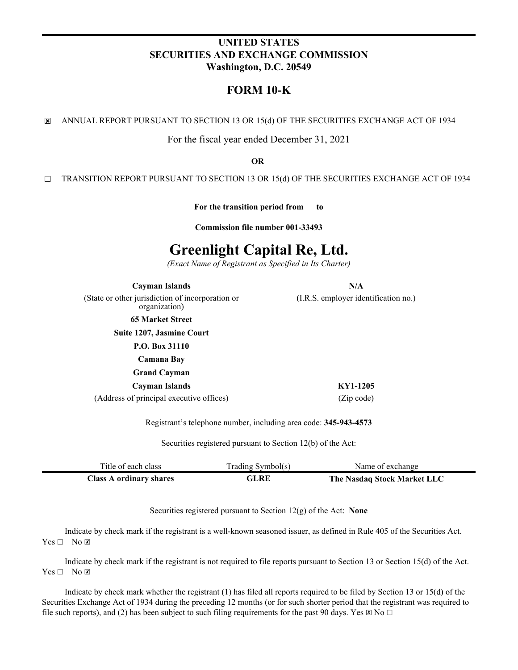# **UNITED STATES SECURITIES AND EXCHANGE COMMISSION Washington, D.C. 20549**

# **FORM 10-K**

☒ ANNUAL REPORT PURSUANT TO SECTION 13 OR 15(d) OF THE SECURITIES EXCHANGE ACT OF 1934

For the fiscal year ended December 31, 2021

**OR**

☐ TRANSITION REPORT PURSUANT TO SECTION 13 OR 15(d) OF THE SECURITIES EXCHANGE ACT OF 1934

**For the transition period from to**

**Commission file number 001-33493**

# **Greenlight Capital Re, Ltd.**

*(Exact Name of Registrant as Specified in Its Charter)*

(State or other jurisdiction of incorporation or organization)

**Cayman Islands N/A** (I.R.S. employer identification no.)

**65 Market Street**

**Suite 1207, Jasmine Court**

**P.O. Box 31110**

**Camana Bay**

**Grand Cayman**

(Address of principal executive offices) (Zip code)

**Cayman Islands KY1-1205**

Registrant's telephone number, including area code: **345-943-4573**

Securities registered pursuant to Section 12(b) of the Act:

| Title of each class            | Trading Symbol(s) | Name of exchange            |
|--------------------------------|-------------------|-----------------------------|
| <b>Class A ordinary shares</b> | GLRE              | The Nasdaq Stock Market LLC |

Securities registered pursuant to Section 12(g) of the Act: **None**

Indicate by check mark if the registrant is a well-known seasoned issuer, as defined in Rule 405 of the Securities Act.  $Yes \Box No \Box$ 

Indicate by check mark if the registrant is not required to file reports pursuant to Section 13 or Section 15(d) of the Act.  $Yes \Box No \boxtimes$ 

Indicate by check mark whether the registrant (1) has filed all reports required to be filed by Section 13 or 15(d) of the Securities Exchange Act of 1934 during the preceding 12 months (or for such shorter period that the registrant was required to file such reports), and (2) has been subject to such filing requirements for the past 90 days. Yes  $\boxtimes$  No  $\Box$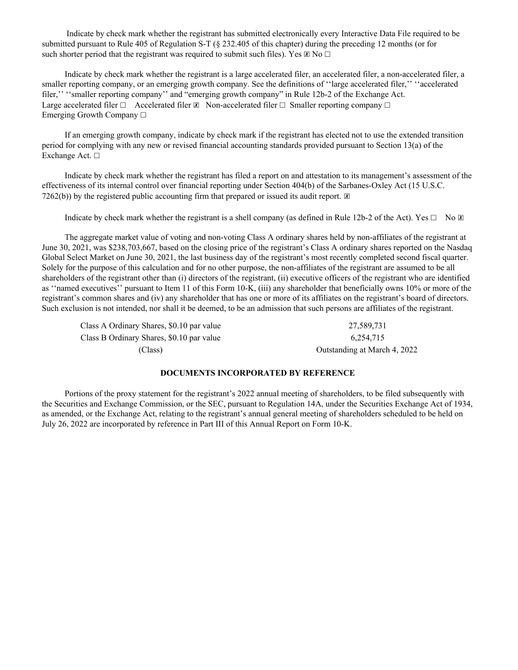Indicate by check mark whether the registrant has submitted electronically every Interactive Data File required to be submitted pursuant to Rule 405 of Regulation S-T (§ 232.405 of this chapter) during the preceding 12 months (or for such shorter period that the registrant was required to submit such files). Yes  $\boxtimes$  No  $\Box$ 

Indicate by check mark whether the registrant is a large accelerated filer, an accelerated filer, a non-accelerated filer, a smaller reporting company, or an emerging growth company. See the definitions of "large accelerated filer," "accelerated filer," "smaller reporting company" and "emerging growth company" in Rule 12b-2 of the Exchange Act. Large accelerated filer  $\Box$  Accelerated filer  $\boxtimes$  Non-accelerated filer  $\Box$  Smaller reporting company  $\Box$ Emerging Growth Company □

If an emerging growth company, indicate by check mark if the registrant has elected not to use the extended transition period for complying with any new or revised financial accounting standards provided pursuant to Section 13(a) of the Exchange Act. ☐

Indicate by check mark whether the registrant has filed a report on and attestation to its management's assessment of the effectiveness of its internal control over financial reporting under Section 404(b) of the Sarbanes-Oxley Act (15 U.S.C. 7262(b)) by the registered public accounting firm that prepared or issued its audit report.  $\mathbb{Z}$ 

Indicate by check mark whether the registrant is a shell company (as defined in Rule 12b-2 of the Act). Yes  $\Box$  No  $\Box$ 

The aggregate market value of voting and non-voting Class A ordinary shares held by non-affiliates of the registrant at June 30, 2021, was \$238,703,667, based on the closing price of the registrant's Class A ordinary shares reported on the Nasdaq Global Select Market on June 30, 2021, the last business day of the registrant's most recently completed second fiscal quarter. Solely for the purpose of this calculation and for no other purpose, the non-affiliates of the registrant are assumed to be all shareholders of the registrant other than (i) directors of the registrant, (ii) executive officers of the registrant who are identified as ''named executives'' pursuant to Item 11 of this Form 10-K, (iii) any shareholder that beneficially owns 10% or more of the registrant's common shares and (iv) any shareholder that has one or more of its affiliates on the registrant's board of directors. Such exclusion is not intended, nor shall it be deemed, to be an admission that such persons are affiliates of the registrant.

Class A Ordinary Shares, \$0.10 par value 27,589,731 Class B Ordinary Shares, \$0.10 par value 6,254,715 (Class) Outstanding at March 4, 2022

### **DOCUMENTS INCORPORATED BY REFERENCE**

Portions of the proxy statement for the registrant's 2022 annual meeting of shareholders, to be filed subsequently with the Securities and Exchange Commission, or the SEC, pursuant to Regulation 14A, under the Securities Exchange Act of 1934, as amended, or the Exchange Act, relating to the registrant's annual general meeting of shareholders scheduled to be held on July 26, 2022 are incorporated by reference in Part III of this Annual Report on Form 10-K.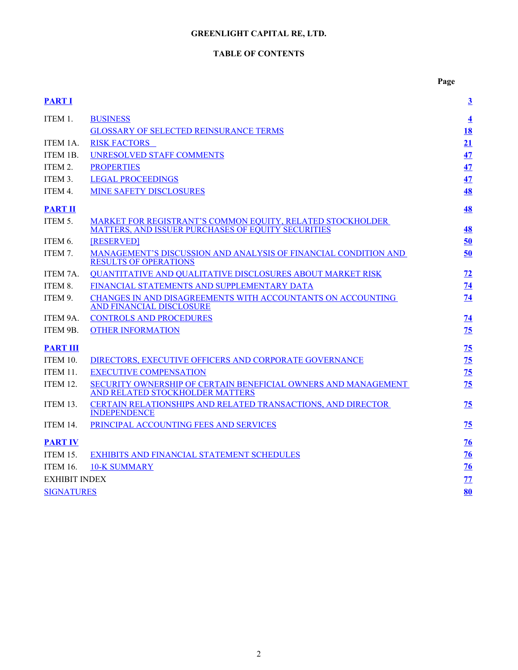## **GREENLIGHT CAPITAL RE, LTD.**

# **TABLE OF CONTENTS**

<span id="page-2-0"></span>

|                      |                                                                                                                         | Page                    |
|----------------------|-------------------------------------------------------------------------------------------------------------------------|-------------------------|
| <b>PART I</b>        |                                                                                                                         | $\overline{3}$          |
| ITEM 1.              | <b>BUSINESS</b>                                                                                                         | $\overline{\mathbf{4}}$ |
|                      | <b>GLOSSARY OF SELECTED REINSURANCE TERMS</b>                                                                           | 18                      |
| ITEM 1A.             | <b>RISK FACTORS</b>                                                                                                     | 21                      |
| ITEM 1B.             | <b>UNRESOLVED STAFF COMMENTS</b>                                                                                        | 47                      |
| ITEM 2.              | <b>PROPERTIES</b>                                                                                                       | 47                      |
| ITEM 3.              | <b>LEGAL PROCEEDINGS</b>                                                                                                | 47                      |
| ITEM 4.              | <b>MINE SAFETY DISCLOSURES</b>                                                                                          | <b>48</b>               |
| <b>PART II</b>       |                                                                                                                         | 48                      |
| ITEM 5.              | MARKET FOR REGISTRANT'S COMMON EQUITY, RELATED STOCKHOLDER<br><b>MATTERS, AND ISSUER PURCHASES OF EQUITY SECURITIES</b> | 48                      |
| ITEM 6.              | [RESERVED]                                                                                                              | 50                      |
| ITEM 7.              | <b>MANAGEMENT'S DISCUSSION AND ANALYSIS OF FINANCIAL CONDITION AND</b><br><b>RESULTS OF OPERATIONS</b>                  | 50                      |
| ITEM 7A.             | <b>OUANTITATIVE AND OUALITATIVE DISCLOSURES ABOUT MARKET RISK</b>                                                       | 72                      |
| ITEM 8.              | FINANCIAL STATEMENTS AND SUPPLEMENTARY DATA                                                                             | 74                      |
| ITEM 9.              | CHANGES IN AND DISAGREEMENTS WITH ACCOUNTANTS ON ACCOUNTING<br><b>AND FINANCIAL DISCLOSURE</b>                          | 74                      |
| ITEM 9A.             | <b>CONTROLS AND PROCEDURES</b>                                                                                          | 74                      |
| ITEM 9B.             | <b>OTHER INFORMATION</b>                                                                                                | 75                      |
| <b>PART III</b>      |                                                                                                                         | 75                      |
| ITEM 10.             | DIRECTORS, EXECUTIVE OFFICERS AND CORPORATE GOVERNANCE                                                                  | 75                      |
| ITEM 11.             | <b>EXECUTIVE COMPENSATION</b>                                                                                           | 75                      |
| <b>ITEM 12.</b>      | SECURITY OWNERSHIP OF CERTAIN BENEFICIAL OWNERS AND MANAGEMENT<br>AND RELATED STOCKHOLDER MATTERS                       | 75                      |
| ITEM 13.             | CERTAIN RELATIONSHIPS AND RELATED TRANSACTIONS, AND DIRECTOR<br><b>INDEPENDENCE</b>                                     | 75                      |
| ITEM 14.             | PRINCIPAL ACCOUNTING FEES AND SERVICES                                                                                  | 75                      |
| <b>PART IV</b>       |                                                                                                                         | 76                      |
| ITEM 15.             | <b>EXHIBITS AND FINANCIAL STATEMENT SCHEDULES</b>                                                                       | 76                      |
| ITEM 16.             | <b>10-K SUMMARY</b>                                                                                                     | 76                      |
| <b>EXHIBIT INDEX</b> |                                                                                                                         | 77                      |
| <b>SIGNATURES</b>    |                                                                                                                         | 80                      |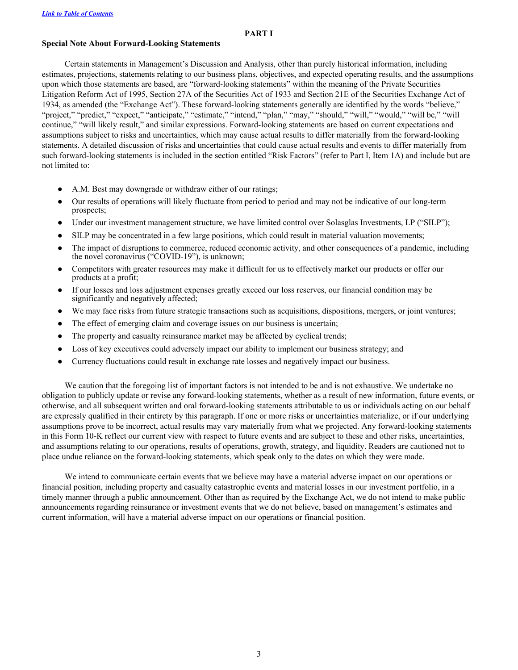### **PART I**

### <span id="page-3-0"></span>**Special Note About Forward-Looking Statements**

Certain statements in Management's Discussion and Analysis, other than purely historical information, including estimates, projections, statements relating to our business plans, objectives, and expected operating results, and the assumptions upon which those statements are based, are "forward-looking statements" within the meaning of the Private Securities Litigation Reform Act of 1995, Section 27A of the Securities Act of 1933 and Section 21E of the Securities Exchange Act of 1934, as amended (the "Exchange Act"). These forward-looking statements generally are identified by the words "believe," "project," "predict," "expect," "anticipate," "estimate," "intend," "plan," "may," "should," "will," "would," "will be," "will continue," "will likely result," and similar expressions. Forward-looking statements are based on current expectations and assumptions subject to risks and uncertainties, which may cause actual results to differ materially from the forward-looking statements. A detailed discussion of risks and uncertainties that could cause actual results and events to differ materially from such forward-looking statements is included in the section entitled "Risk Factors" (refer to Part I, Item 1A) and include but are not limited to:

- A.M. Best may downgrade or withdraw either of our ratings;
- Our results of operations will likely fluctuate from period to period and may not be indicative of our long-term prospects;
- Under our investment management structure, we have limited control over Solasglas Investments, LP ("SILP");
- SILP may be concentrated in a few large positions, which could result in material valuation movements;
- The impact of disruptions to commerce, reduced economic activity, and other consequences of a pandemic, including the novel coronavirus ("COVID-19"), is unknown;
- Competitors with greater resources may make it difficult for us to effectively market our products or offer our products at a profit;
- If our losses and loss adjustment expenses greatly exceed our loss reserves, our financial condition may be significantly and negatively affected;
- We may face risks from future strategic transactions such as acquisitions, dispositions, mergers, or joint ventures;
- The effect of emerging claim and coverage issues on our business is uncertain;
- The property and casualty reinsurance market may be affected by cyclical trends;
- Loss of key executives could adversely impact our ability to implement our business strategy; and
- Currency fluctuations could result in exchange rate losses and negatively impact our business.

We caution that the foregoing list of important factors is not intended to be and is not exhaustive. We undertake no obligation to publicly update or revise any forward-looking statements, whether as a result of new information, future events, or otherwise, and all subsequent written and oral forward-looking statements attributable to us or individuals acting on our behalf are expressly qualified in their entirety by this paragraph. If one or more risks or uncertainties materialize, or if our underlying assumptions prove to be incorrect, actual results may vary materially from what we projected. Any forward-looking statements in this Form 10-K reflect our current view with respect to future events and are subject to these and other risks, uncertainties, and assumptions relating to our operations, results of operations, growth, strategy, and liquidity. Readers are cautioned not to place undue reliance on the forward-looking statements, which speak only to the dates on which they were made.

We intend to communicate certain events that we believe may have a material adverse impact on our operations or financial position, including property and casualty catastrophic events and material losses in our investment portfolio, in a timely manner through a public announcement. Other than as required by the Exchange Act, we do not intend to make public announcements regarding reinsurance or investment events that we do not believe, based on management's estimates and current information, will have a material adverse impact on our operations or financial position.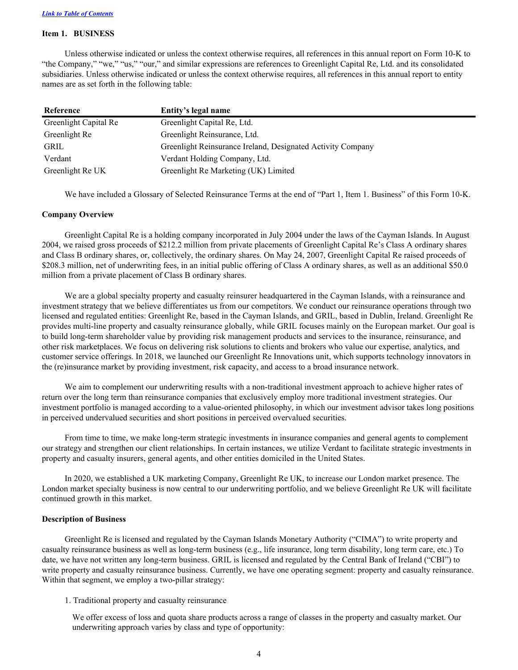### <span id="page-4-0"></span>**Item 1. BUSINESS**

Unless otherwise indicated or unless the context otherwise requires, all references in this annual report on Form 10-K to "the Company," "we," "us," "our," and similar expressions are references to Greenlight Capital Re, Ltd. and its consolidated subsidiaries. Unless otherwise indicated or unless the context otherwise requires, all references in this annual report to entity names are as set forth in the following table:

| Reference             | Entity's legal name                                         |
|-----------------------|-------------------------------------------------------------|
| Greenlight Capital Re | Greenlight Capital Re, Ltd.                                 |
| Greenlight Re         | Greenlight Reinsurance, Ltd.                                |
| <b>GRIL</b>           | Greenlight Reinsurance Ireland, Designated Activity Company |
| Verdant               | Verdant Holding Company, Ltd.                               |
| Greenlight Re UK      | Greenlight Re Marketing (UK) Limited                        |

We have included a Glossary of Selected Reinsurance Terms at the end of "Part 1, Item 1. Business" of this Form 10-K.

#### **Company Overview**

Greenlight Capital Re is a holding company incorporated in July 2004 under the laws of the Cayman Islands. In August 2004, we raised gross proceeds of \$212.2 million from private placements of Greenlight Capital Re's Class A ordinary shares and Class B ordinary shares, or, collectively, the ordinary shares. On May 24, 2007, Greenlight Capital Re raised proceeds of \$208.3 million, net of underwriting fees, in an initial public offering of Class A ordinary shares, as well as an additional \$50.0 million from a private placement of Class B ordinary shares.

We are a global specialty property and casualty reinsurer headquartered in the Cayman Islands, with a reinsurance and investment strategy that we believe differentiates us from our competitors. We conduct our reinsurance operations through two licensed and regulated entities: Greenlight Re, based in the Cayman Islands, and GRIL, based in Dublin, Ireland. Greenlight Re provides multi-line property and casualty reinsurance globally, while GRIL focuses mainly on the European market. Our goal is to build long-term shareholder value by providing risk management products and services to the insurance, reinsurance, and other risk marketplaces. We focus on delivering risk solutions to clients and brokers who value our expertise, analytics, and customer service offerings. In 2018, we launched our Greenlight Re Innovations unit, which supports technology innovators in the (re)insurance market by providing investment, risk capacity, and access to a broad insurance network.

We aim to complement our underwriting results with a non-traditional investment approach to achieve higher rates of return over the long term than reinsurance companies that exclusively employ more traditional investment strategies. Our investment portfolio is managed according to a value-oriented philosophy, in which our investment advisor takes long positions in perceived undervalued securities and short positions in perceived overvalued securities.

From time to time, we make long-term strategic investments in insurance companies and general agents to complement our strategy and strengthen our client relationships. In certain instances, we utilize Verdant to facilitate strategic investments in property and casualty insurers, general agents, and other entities domiciled in the United States.

In 2020, we established a UK marketing Company, Greenlight Re UK, to increase our London market presence. The London market specialty business is now central to our underwriting portfolio, and we believe Greenlight Re UK will facilitate continued growth in this market.

#### **Description of Business**

Greenlight Re is licensed and regulated by the Cayman Islands Monetary Authority ("CIMA") to write property and casualty reinsurance business as well as long-term business (e.g., life insurance, long term disability, long term care, etc.) To date, we have not written any long-term business. GRIL is licensed and regulated by the Central Bank of Ireland ("CBI") to write property and casualty reinsurance business. Currently, we have one operating segment: property and casualty reinsurance. Within that segment, we employ a two-pillar strategy:

1. Traditional property and casualty reinsurance

We offer excess of loss and quota share products across a range of classes in the property and casualty market. Our underwriting approach varies by class and type of opportunity: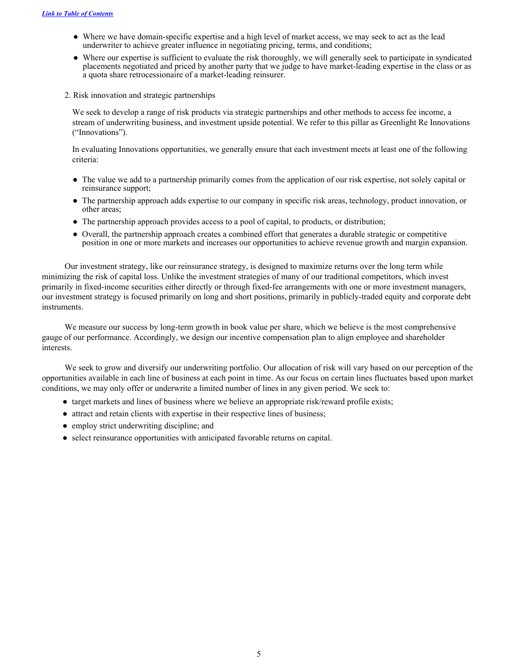- Where we have domain-specific expertise and a high level of market access, we may seek to act as the lead underwriter to achieve greater influence in negotiating pricing, terms, and conditions;
- Where our expertise is sufficient to evaluate the risk thoroughly, we will generally seek to participate in syndicated placements negotiated and priced by another party that we judge to have market-leading expertise in the class or as a quota share retrocessionaire of a market-leading reinsurer.
- 2. Risk innovation and strategic partnerships

We seek to develop a range of risk products via strategic partnerships and other methods to access fee income, a stream of underwriting business, and investment upside potential. We refer to this pillar as Greenlight Re Innovations ("Innovations").

In evaluating Innovations opportunities, we generally ensure that each investment meets at least one of the following criteria:

- The value we add to a partnership primarily comes from the application of our risk expertise, not solely capital or reinsurance support;
- The partnership approach adds expertise to our company in specific risk areas, technology, product innovation, or other areas;
- The partnership approach provides access to a pool of capital, to products, or distribution;
- Overall, the partnership approach creates a combined effort that generates a durable strategic or competitive position in one or more markets and increases our opportunities to achieve revenue growth and margin expansion.

Our investment strategy, like our reinsurance strategy, is designed to maximize returns over the long term while minimizing the risk of capital loss. Unlike the investment strategies of many of our traditional competitors, which invest primarily in fixed-income securities either directly or through fixed-fee arrangements with one or more investment managers, our investment strategy is focused primarily on long and short positions, primarily in publicly-traded equity and corporate debt instruments.

We measure our success by long-term growth in book value per share, which we believe is the most comprehensive gauge of our performance. Accordingly, we design our incentive compensation plan to align employee and shareholder interests.

We seek to grow and diversify our underwriting portfolio. Our allocation of risk will vary based on our perception of the opportunities available in each line of business at each point in time. As our focus on certain lines fluctuates based upon market conditions, we may only offer or underwrite a limited number of lines in any given period. We seek to:

- target markets and lines of business where we believe an appropriate risk/reward profile exists;
- attract and retain clients with expertise in their respective lines of business;
- employ strict underwriting discipline; and
- select reinsurance opportunities with anticipated favorable returns on capital.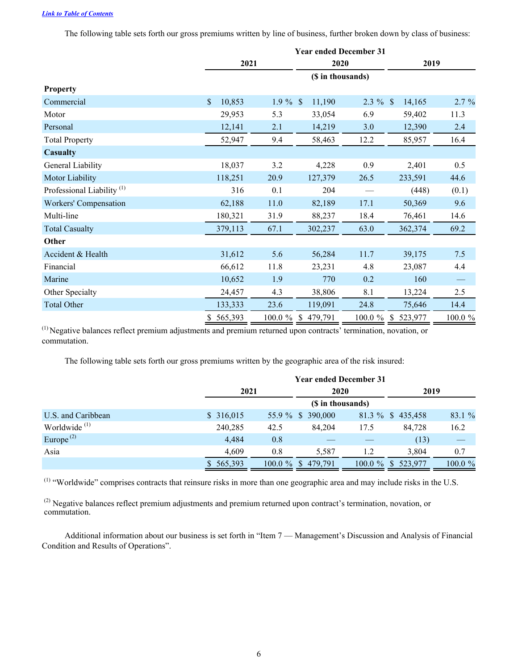The following table sets forth our gross premiums written by line of business, further broken down by class of business:

|                                       |                         |             | <b>Year ended December 31</b> |             |           |         |
|---------------------------------------|-------------------------|-------------|-------------------------------|-------------|-----------|---------|
|                                       | 2021                    |             | 2020                          |             | 2019      |         |
|                                       |                         |             | (\$ in thousands)             |             |           |         |
| <b>Property</b>                       |                         |             |                               |             |           |         |
| Commercial                            | $\mathcal{S}$<br>10,853 | $1.9 \%$ \$ | 11,190                        | $2.3 \%$ \$ | 14,165    | 2.7%    |
| Motor                                 | 29,953                  | 5.3         | 33,054                        | 6.9         | 59,402    | 11.3    |
| Personal                              | 12,141                  | 2.1         | 14,219                        | 3.0         | 12,390    | 2.4     |
| <b>Total Property</b>                 | 52,947                  | 9.4         | 58,463                        | 12.2        | 85,957    | 16.4    |
| <b>Casualty</b>                       |                         |             |                               |             |           |         |
| General Liability                     | 18,037                  | 3.2         | 4,228                         | 0.9         | 2,401     | 0.5     |
| Motor Liability                       | 118,251                 | 20.9        | 127,379                       | 26.5        | 233,591   | 44.6    |
| Professional Liability <sup>(1)</sup> | 316                     | 0.1         | 204                           |             | (448)     | (0.1)   |
| Workers' Compensation                 | 62,188                  | 11.0        | 82,189                        | 17.1        | 50,369    | 9.6     |
| Multi-line                            | 180,321                 | 31.9        | 88,237                        | 18.4        | 76,461    | 14.6    |
| <b>Total Casualty</b>                 | 379,113                 | 67.1        | 302,237                       | 63.0        | 362,374   | 69.2    |
| Other                                 |                         |             |                               |             |           |         |
| Accident & Health                     | 31,612                  | 5.6         | 56,284                        | 11.7        | 39,175    | 7.5     |
| Financial                             | 66,612                  | 11.8        | 23,231                        | 4.8         | 23,087    | 4.4     |
| Marine                                | 10,652                  | 1.9         | 770                           | 0.2         | 160       |         |
| Other Specialty                       | 24,457                  | 4.3         | 38,806                        | 8.1         | 13,224    | 2.5     |
| <b>Total Other</b>                    | 133,333                 | 23.6        | 119,091                       | 24.8        | 75,646    | 14.4    |
|                                       | \$565,393               | $100.0 \%$  | \$479,791                     | $100.0 \%$  | \$523,977 | 100.0 % |

(1) Negative balances reflect premium adjustments and premium returned upon contracts' termination, novation, or commutation.

The following table sets forth our gross premiums written by the geographic area of the risk insured:

|                                    | <b>Year ended December 31</b> |      |                   |      |                       |         |
|------------------------------------|-------------------------------|------|-------------------|------|-----------------------|---------|
|                                    |                               | 2021 |                   | 2020 | 2019                  |         |
|                                    |                               |      | (\$ in thousands) |      |                       |         |
| U.S. and Caribbean                 | \$316,015                     |      | 55.9 % \$ 390,000 |      | 81.3 % \$435,458      | 83.1 %  |
| Worldwide <sup>(1)</sup>           | 240,285                       | 42.5 | 84.204            | 17.5 | 84.728                | 16.2    |
| Europe <sup><math>(2)</math></sup> | 4,484                         | 0.8  |                   |      | (13)                  |         |
| Asia                               | 4,609                         | 0.8  | 5,587             | 1.2  | 3,804                 | 0.7     |
|                                    | \$565,393                     |      | 100.0 % \$479,791 |      | $100.0 \%$ \$ 523,977 | 100.0 % |

(1) "Worldwide" comprises contracts that reinsure risks in more than one geographic area and may include risks in the U.S.

<sup>(2)</sup> Negative balances reflect premium adjustments and premium returned upon contract's termination, novation, or commutation.

Additional information about our business is set forth in "Item 7 — Management's Discussion and Analysis of Financial Condition and Results of Operations".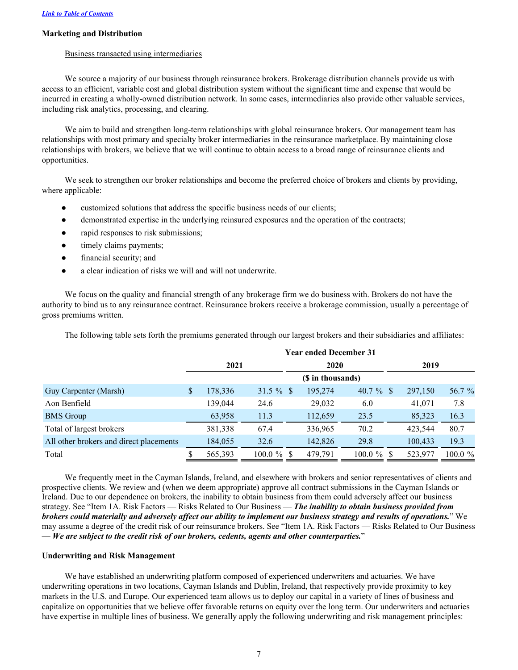### **Marketing and Distribution**

### Business transacted using intermediaries

We source a majority of our business through reinsurance brokers. Brokerage distribution channels provide us with access to an efficient, variable cost and global distribution system without the significant time and expense that would be incurred in creating a wholly-owned distribution network. In some cases, intermediaries also provide other valuable services, including risk analytics, processing, and clearing.

We aim to build and strengthen long-term relationships with global reinsurance brokers. Our management team has relationships with most primary and specialty broker intermediaries in the reinsurance marketplace. By maintaining close relationships with brokers, we believe that we will continue to obtain access to a broad range of reinsurance clients and opportunities.

We seek to strengthen our broker relationships and become the preferred choice of brokers and clients by providing, where applicable:

- customized solutions that address the specific business needs of our clients;
- demonstrated expertise in the underlying reinsured exposures and the operation of the contracts;
- rapid responses to risk submissions;
- timely claims payments;
- financial security; and
- a clear indication of risks we will and will not underwrite.

We focus on the quality and financial strength of any brokerage firm we do business with. Brokers do not have the authority to bind us to any reinsurance contract. Reinsurance brokers receive a brokerage commission, usually a percentage of gross premiums written.

The following table sets forth the premiums generated through our largest brokers and their subsidiaries and affiliates:

| <b>Year ended December 31</b> |         |      |      |                               |            |                           |              |            |
|-------------------------------|---------|------|------|-------------------------------|------------|---------------------------|--------------|------------|
|                               |         |      |      |                               |            |                           |              |            |
|                               |         |      |      |                               |            |                           |              |            |
| S                             | 178,336 |      |      | 195,274                       |            |                           | 297,150      | 56.7 %     |
|                               | 139,044 | 24.6 |      | 29,032                        | 6.0        |                           | 41,071       | 7.8        |
|                               | 63,958  | 11.3 |      | 112,659                       | 23.5       |                           | 85,323       | 16.3       |
|                               | 381,338 | 67.4 |      | 336,965                       | 70.2       |                           | 423,544      | 80.7       |
|                               | 184,055 | 32.6 |      | 142,826                       | 29.8       |                           | 100,433      | 19.3       |
|                               | 565,393 |      |      | 479,791                       | $100.0 \%$ |                           | 523,977      | $100.0 \%$ |
|                               |         |      | 2021 | $31.5 \%$ \$<br>$100.0 \%$ \$ |            | 2020<br>(\$ in thousands) | 40.7 $\%$ \$ | 2019       |

We frequently meet in the Cayman Islands, Ireland, and elsewhere with brokers and senior representatives of clients and prospective clients. We review and (when we deem appropriate) approve all contract submissions in the Cayman Islands or Ireland. Due to our dependence on brokers, the inability to obtain business from them could adversely affect our business strategy. See "Item 1A. Risk Factors — Risks Related to Our Business — *The inability to obtain business provided from brokers could materially and adversely affect our ability to implement our business strategy and results of operations.*" We may assume a degree of the credit risk of our reinsurance brokers. See "Item 1A. Risk Factors — Risks Related to Our Business — *We are subject to the credit risk of our brokers, cedents, agents and other counterparties.*"

### **Underwriting and Risk Management**

We have established an underwriting platform composed of experienced underwriters and actuaries. We have underwriting operations in two locations, Cayman Islands and Dublin, Ireland, that respectively provide proximity to key markets in the U.S. and Europe. Our experienced team allows us to deploy our capital in a variety of lines of business and capitalize on opportunities that we believe offer favorable returns on equity over the long term. Our underwriters and actuaries have expertise in multiple lines of business. We generally apply the following underwriting and risk management principles: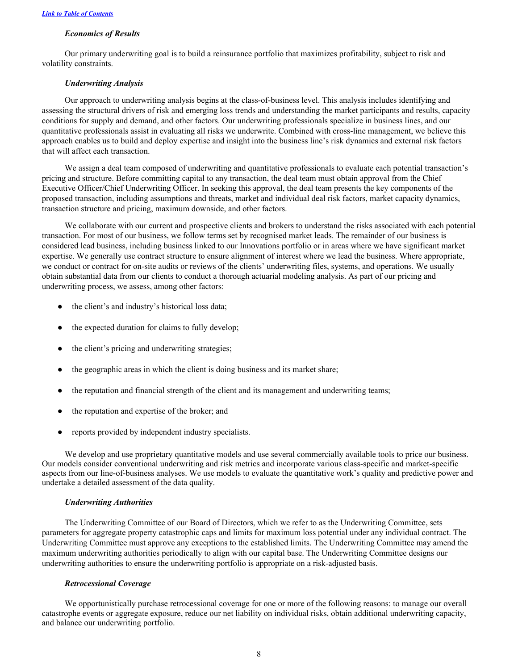### *Economics of Results*

Our primary underwriting goal is to build a reinsurance portfolio that maximizes profitability, subject to risk and volatility constraints.

### *Underwriting Analysis*

Our approach to underwriting analysis begins at the class-of-business level. This analysis includes identifying and assessing the structural drivers of risk and emerging loss trends and understanding the market participants and results, capacity conditions for supply and demand, and other factors. Our underwriting professionals specialize in business lines, and our quantitative professionals assist in evaluating all risks we underwrite. Combined with cross-line management, we believe this approach enables us to build and deploy expertise and insight into the business line's risk dynamics and external risk factors that will affect each transaction.

We assign a deal team composed of underwriting and quantitative professionals to evaluate each potential transaction's pricing and structure. Before committing capital to any transaction, the deal team must obtain approval from the Chief Executive Officer/Chief Underwriting Officer. In seeking this approval, the deal team presents the key components of the proposed transaction, including assumptions and threats, market and individual deal risk factors, market capacity dynamics, transaction structure and pricing, maximum downside, and other factors.

We collaborate with our current and prospective clients and brokers to understand the risks associated with each potential transaction. For most of our business, we follow terms set by recognised market leads. The remainder of our business is considered lead business, including business linked to our Innovations portfolio or in areas where we have significant market expertise. We generally use contract structure to ensure alignment of interest where we lead the business. Where appropriate, we conduct or contract for on-site audits or reviews of the clients' underwriting files, systems, and operations. We usually obtain substantial data from our clients to conduct a thorough actuarial modeling analysis. As part of our pricing and underwriting process, we assess, among other factors:

- the client's and industry's historical loss data;
- the expected duration for claims to fully develop;
- the client's pricing and underwriting strategies;
- the geographic areas in which the client is doing business and its market share;
- the reputation and financial strength of the client and its management and underwriting teams;
- the reputation and expertise of the broker; and
- reports provided by independent industry specialists.

We develop and use proprietary quantitative models and use several commercially available tools to price our business. Our models consider conventional underwriting and risk metrics and incorporate various class-specific and market-specific aspects from our line-of-business analyses. We use models to evaluate the quantitative work's quality and predictive power and undertake a detailed assessment of the data quality.

#### *Underwriting Authorities*

The Underwriting Committee of our Board of Directors, which we refer to as the Underwriting Committee, sets parameters for aggregate property catastrophic caps and limits for maximum loss potential under any individual contract. The Underwriting Committee must approve any exceptions to the established limits. The Underwriting Committee may amend the maximum underwriting authorities periodically to align with our capital base. The Underwriting Committee designs our underwriting authorities to ensure the underwriting portfolio is appropriate on a risk-adjusted basis.

#### *Retrocessional Coverage*

We opportunistically purchase retrocessional coverage for one or more of the following reasons: to manage our overall catastrophe events or aggregate exposure, reduce our net liability on individual risks, obtain additional underwriting capacity, and balance our underwriting portfolio.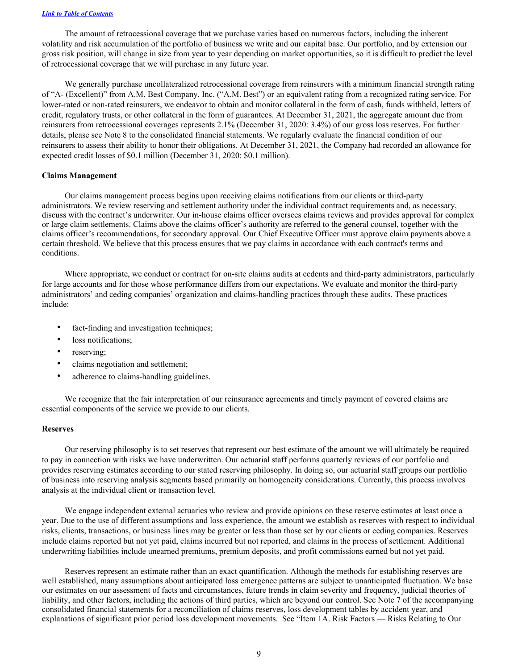The amount of retrocessional coverage that we purchase varies based on numerous factors, including the inherent volatility and risk accumulation of the portfolio of business we write and our capital base. Our portfolio, and by extension our gross risk position, will change in size from year to year depending on market opportunities, so it is difficult to predict the level of retrocessional coverage that we will purchase in any future year.

We generally purchase uncollateralized retrocessional coverage from reinsurers with a minimum financial strength rating of "A- (Excellent)" from A.M. Best Company, Inc. ("A.M. Best") or an equivalent rating from a recognized rating service. For lower-rated or non-rated reinsurers, we endeavor to obtain and monitor collateral in the form of cash, funds withheld, letters of credit, regulatory trusts, or other collateral in the form of guarantees. At December 31, 2021, the aggregate amount due from reinsurers from retrocessional coverages represents 2.1% (December 31, 2020: 3.4%) of our gross loss reserves. For further details, please see Note 8 to the consolidated financial statements. We regularly evaluate the financial condition of our reinsurers to assess their ability to honor their obligations. At December 31, 2021, the Company had recorded an allowance for expected credit losses of \$0.1 million (December 31, 2020: \$0.1 million).

### **Claims Management**

Our claims management process begins upon receiving claims notifications from our clients or third-party administrators. We review reserving and settlement authority under the individual contract requirements and, as necessary, discuss with the contract's underwriter. Our in-house claims officer oversees claims reviews and provides approval for complex or large claim settlements. Claims above the claims officer's authority are referred to the general counsel, together with the claims officer's recommendations, for secondary approval. Our Chief Executive Officer must approve claim payments above a certain threshold. We believe that this process ensures that we pay claims in accordance with each contract's terms and conditions.

Where appropriate, we conduct or contract for on-site claims audits at cedents and third-party administrators, particularly for large accounts and for those whose performance differs from our expectations. We evaluate and monitor the third-party administrators' and ceding companies' organization and claims-handling practices through these audits. These practices include:

- fact-finding and investigation techniques;
- loss notifications;
- reserving;
- claims negotiation and settlement;
- adherence to claims-handling guidelines.

We recognize that the fair interpretation of our reinsurance agreements and timely payment of covered claims are essential components of the service we provide to our clients.

#### **Reserves**

Our reserving philosophy is to set reserves that represent our best estimate of the amount we will ultimately be required to pay in connection with risks we have underwritten. Our actuarial staff performs quarterly reviews of our portfolio and provides reserving estimates according to our stated reserving philosophy. In doing so, our actuarial staff groups our portfolio of business into reserving analysis segments based primarily on homogeneity considerations. Currently, this process involves analysis at the individual client or transaction level.

We engage independent external actuaries who review and provide opinions on these reserve estimates at least once a year. Due to the use of different assumptions and loss experience, the amount we establish as reserves with respect to individual risks, clients, transactions, or business lines may be greater or less than those set by our clients or ceding companies. Reserves include claims reported but not yet paid, claims incurred but not reported, and claims in the process of settlement. Additional underwriting liabilities include unearned premiums, premium deposits, and profit commissions earned but not yet paid.

Reserves represent an estimate rather than an exact quantification. Although the methods for establishing reserves are well established, many assumptions about anticipated loss emergence patterns are subject to unanticipated fluctuation. We base our estimates on our assessment of facts and circumstances, future trends in claim severity and frequency, judicial theories of liability, and other factors, including the actions of third parties, which are beyond our control. See Note 7 of the accompanying consolidated financial statements for a reconciliation of claims reserves, loss development tables by accident year, and explanations of significant prior period loss development movements. See "Item 1A. Risk Factors — Risks Relating to Our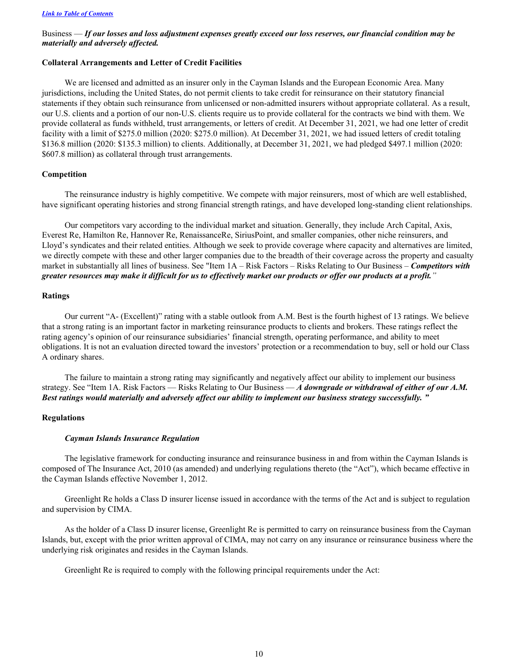### Business — *If our losses and loss adjustment expenses greatly exceed our loss reserves, our financial condition may be materially and adversely affected.*

### **Collateral Arrangements and Letter of Credit Facilities**

We are licensed and admitted as an insurer only in the Cayman Islands and the European Economic Area. Many jurisdictions, including the United States, do not permit clients to take credit for reinsurance on their statutory financial statements if they obtain such reinsurance from unlicensed or non-admitted insurers without appropriate collateral. As a result, our U.S. clients and a portion of our non-U.S. clients require us to provide collateral for the contracts we bind with them. We provide collateral as funds withheld, trust arrangements, or letters of credit. At December 31, 2021, we had one letter of credit facility with a limit of \$275.0 million (2020: \$275.0 million). At December 31, 2021, we had issued letters of credit totaling \$136.8 million (2020: \$135.3 million) to clients. Additionally, at December 31, 2021, we had pledged \$497.1 million (2020: \$607.8 million) as collateral through trust arrangements.

#### **Competition**

The reinsurance industry is highly competitive. We compete with major reinsurers, most of which are well established, have significant operating histories and strong financial strength ratings, and have developed long-standing client relationships.

Our competitors vary according to the individual market and situation. Generally, they include Arch Capital, Axis, Everest Re, Hamilton Re, Hannover Re, RenaissanceRe, SiriusPoint, and smaller companies, other niche reinsurers, and Lloyd's syndicates and their related entities. Although we seek to provide coverage where capacity and alternatives are limited, we directly compete with these and other larger companies due to the breadth of their coverage across the property and casualty market in substantially all lines of business. See "Item 1A – Risk Factors – Risks Relating to Our Business – *Competitors with greater resources may make it difficult for us to effectively market our products or offer our products at a profit."*

#### **Ratings**

Our current "A- (Excellent)" rating with a stable outlook from A.M. Best is the fourth highest of 13 ratings. We believe that a strong rating is an important factor in marketing reinsurance products to clients and brokers. These ratings reflect the rating agency's opinion of our reinsurance subsidiaries' financial strength, operating performance, and ability to meet obligations. It is not an evaluation directed toward the investors' protection or a recommendation to buy, sell or hold our Class A ordinary shares.

The failure to maintain a strong rating may significantly and negatively affect our ability to implement our business strategy. See "Item 1A. Risk Factors — Risks Relating to Our Business — *A downgrade or withdrawal of either of our A.M. Best ratings would materially and adversely affect our ability to implement our business strategy successfully. "*

### **Regulations**

### *Cayman Islands Insurance Regulation*

The legislative framework for conducting insurance and reinsurance business in and from within the Cayman Islands is composed of The Insurance Act, 2010 (as amended) and underlying regulations thereto (the "Act"), which became effective in the Cayman Islands effective November 1, 2012.

Greenlight Re holds a Class D insurer license issued in accordance with the terms of the Act and is subject to regulation and supervision by CIMA.

As the holder of a Class D insurer license, Greenlight Re is permitted to carry on reinsurance business from the Cayman Islands, but, except with the prior written approval of CIMA, may not carry on any insurance or reinsurance business where the underlying risk originates and resides in the Cayman Islands.

Greenlight Re is required to comply with the following principal requirements under the Act: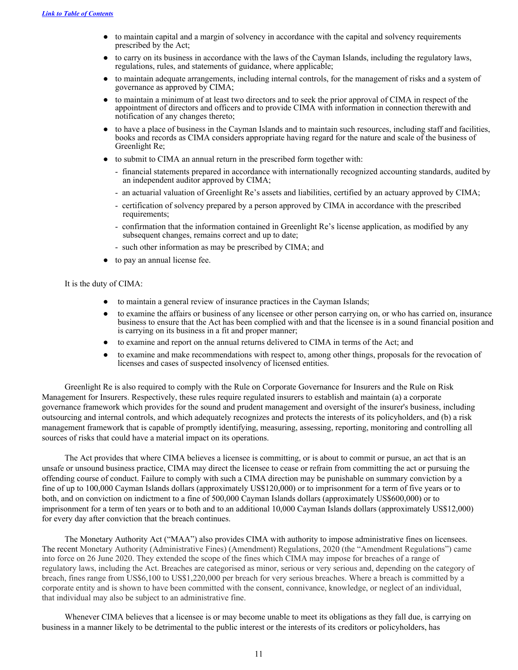- to maintain capital and a margin of solvency in accordance with the capital and solvency requirements prescribed by the Act;
- to carry on its business in accordance with the laws of the Cayman Islands, including the regulatory laws, regulations, rules, and statements of guidance, where applicable;
- to maintain adequate arrangements, including internal controls, for the management of risks and a system of governance as approved by CIMA;
- to maintain a minimum of at least two directors and to seek the prior approval of CIMA in respect of the appointment of directors and officers and to provide CIMA with information in connection therewith and notification of any changes thereto;
- to have a place of business in the Cayman Islands and to maintain such resources, including staff and facilities, books and records as CIMA considers appropriate having regard for the nature and scale of the business of Greenlight Re;
- to submit to CIMA an annual return in the prescribed form together with:
	- financial statements prepared in accordance with internationally recognized accounting standards, audited by an independent auditor approved by CIMA;
	- an actuarial valuation of Greenlight Re's assets and liabilities, certified by an actuary approved by CIMA;
	- certification of solvency prepared by a person approved by CIMA in accordance with the prescribed requirements;
	- confirmation that the information contained in Greenlight Re's license application, as modified by any subsequent changes, remains correct and up to date;
	- such other information as may be prescribed by CIMA; and
- to pay an annual license fee.

It is the duty of CIMA:

- to maintain a general review of insurance practices in the Cayman Islands;
- to examine the affairs or business of any licensee or other person carrying on, or who has carried on, insurance business to ensure that the Act has been complied with and that the licensee is in a sound financial position and is carrying on its business in a fit and proper manner;
- to examine and report on the annual returns delivered to CIMA in terms of the Act; and
- to examine and make recommendations with respect to, among other things, proposals for the revocation of licenses and cases of suspected insolvency of licensed entities.

Greenlight Re is also required to comply with the Rule on Corporate Governance for Insurers and the Rule on Risk Management for Insurers. Respectively, these rules require regulated insurers to establish and maintain (a) a corporate governance framework which provides for the sound and prudent management and oversight of the insurer's business, including outsourcing and internal controls, and which adequately recognizes and protects the interests of its policyholders, and (b) a risk management framework that is capable of promptly identifying, measuring, assessing, reporting, monitoring and controlling all sources of risks that could have a material impact on its operations.

The Act provides that where CIMA believes a licensee is committing, or is about to commit or pursue, an act that is an unsafe or unsound business practice, CIMA may direct the licensee to cease or refrain from committing the act or pursuing the offending course of conduct. Failure to comply with such a CIMA direction may be punishable on summary conviction by a fine of up to 100,000 Cayman Islands dollars (approximately US\$120,000) or to imprisonment for a term of five years or to both, and on conviction on indictment to a fine of 500,000 Cayman Islands dollars (approximately US\$600,000) or to imprisonment for a term of ten years or to both and to an additional 10,000 Cayman Islands dollars (approximately US\$12,000) for every day after conviction that the breach continues.

The Monetary Authority Act ("MAA") also provides CIMA with authority to impose administrative fines on licensees. The recent Monetary Authority (Administrative Fines) (Amendment) Regulations, 2020 (the "Amendment Regulations") came into force on 26 June 2020. They extended the scope of the fines which CIMA may impose for breaches of a range of regulatory laws, including the Act. Breaches are categorised as minor, serious or very serious and, depending on the category of breach, fines range from US\$6,100 to US\$1,220,000 per breach for very serious breaches. Where a breach is committed by a corporate entity and is shown to have been committed with the consent, connivance, knowledge, or neglect of an individual, that individual may also be subject to an administrative fine.

Whenever CIMA believes that a licensee is or may become unable to meet its obligations as they fall due, is carrying on business in a manner likely to be detrimental to the public interest or the interests of its creditors or policyholders, has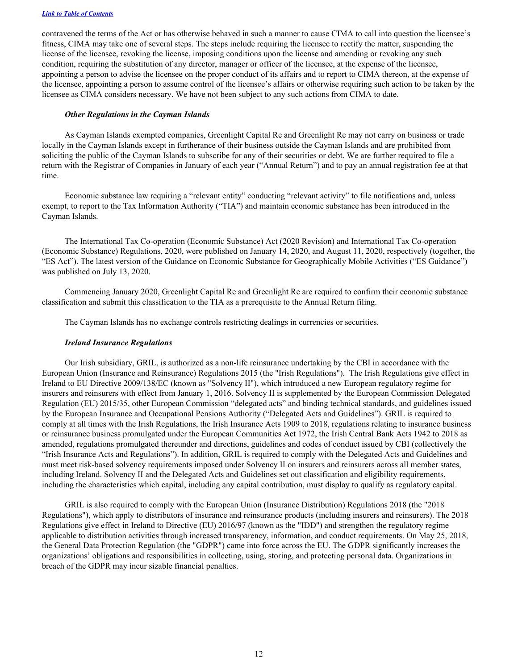contravened the terms of the Act or has otherwise behaved in such a manner to cause CIMA to call into question the licensee's fitness, CIMA may take one of several steps. The steps include requiring the licensee to rectify the matter, suspending the license of the licensee, revoking the license, imposing conditions upon the license and amending or revoking any such condition, requiring the substitution of any director, manager or officer of the licensee, at the expense of the licensee, appointing a person to advise the licensee on the proper conduct of its affairs and to report to CIMA thereon, at the expense of the licensee, appointing a person to assume control of the licensee's affairs or otherwise requiring such action to be taken by the licensee as CIMA considers necessary. We have not been subject to any such actions from CIMA to date.

### *Other Regulations in the Cayman Islands*

As Cayman Islands exempted companies, Greenlight Capital Re and Greenlight Re may not carry on business or trade locally in the Cayman Islands except in furtherance of their business outside the Cayman Islands and are prohibited from soliciting the public of the Cayman Islands to subscribe for any of their securities or debt. We are further required to file a return with the Registrar of Companies in January of each year ("Annual Return") and to pay an annual registration fee at that time.

Economic substance law requiring a "relevant entity" conducting "relevant activity" to file notifications and, unless exempt, to report to the Tax Information Authority ("TIA") and maintain economic substance has been introduced in the Cayman Islands.

The International Tax Co-operation (Economic Substance) Act (2020 Revision) and International Tax Co-operation (Economic Substance) Regulations, 2020, were published on January 14, 2020, and August 11, 2020, respectively (together, the "ES Act"). The latest version of the Guidance on Economic Substance for Geographically Mobile Activities ("ES Guidance") was published on July 13, 2020.

Commencing January 2020, Greenlight Capital Re and Greenlight Re are required to confirm their economic substance classification and submit this classification to the TIA as a prerequisite to the Annual Return filing.

The Cayman Islands has no exchange controls restricting dealings in currencies or securities.

### *Ireland Insurance Regulations*

Our Irish subsidiary, GRIL, is authorized as a non-life reinsurance undertaking by the CBI in accordance with the European Union (Insurance and Reinsurance) Regulations 2015 (the "Irish Regulations"). The Irish Regulations give effect in Ireland to EU Directive 2009/138/EC (known as "Solvency II"), which introduced a new European regulatory regime for insurers and reinsurers with effect from January 1, 2016. Solvency II is supplemented by the European Commission Delegated Regulation (EU) 2015/35, other European Commission "delegated acts" and binding technical standards, and guidelines issued by the European Insurance and Occupational Pensions Authority ("Delegated Acts and Guidelines"). GRIL is required to comply at all times with the Irish Regulations, the Irish Insurance Acts 1909 to 2018, regulations relating to insurance business or reinsurance business promulgated under the European Communities Act 1972, the Irish Central Bank Acts 1942 to 2018 as amended, regulations promulgated thereunder and directions, guidelines and codes of conduct issued by CBI (collectively the "Irish Insurance Acts and Regulations"). In addition, GRIL is required to comply with the Delegated Acts and Guidelines and must meet risk-based solvency requirements imposed under Solvency II on insurers and reinsurers across all member states, including Ireland. Solvency II and the Delegated Acts and Guidelines set out classification and eligibility requirements, including the characteristics which capital, including any capital contribution, must display to qualify as regulatory capital.

GRIL is also required to comply with the European Union (Insurance Distribution) Regulations 2018 (the "2018 Regulations"), which apply to distributors of insurance and reinsurance products (including insurers and reinsurers). The 2018 Regulations give effect in Ireland to Directive (EU) 2016/97 (known as the "IDD") and strengthen the regulatory regime applicable to distribution activities through increased transparency, information, and conduct requirements. On May 25, 2018, the General Data Protection Regulation (the "GDPR") came into force across the EU. The GDPR significantly increases the organizations' obligations and responsibilities in collecting, using, storing, and protecting personal data. Organizations in breach of the GDPR may incur sizable financial penalties.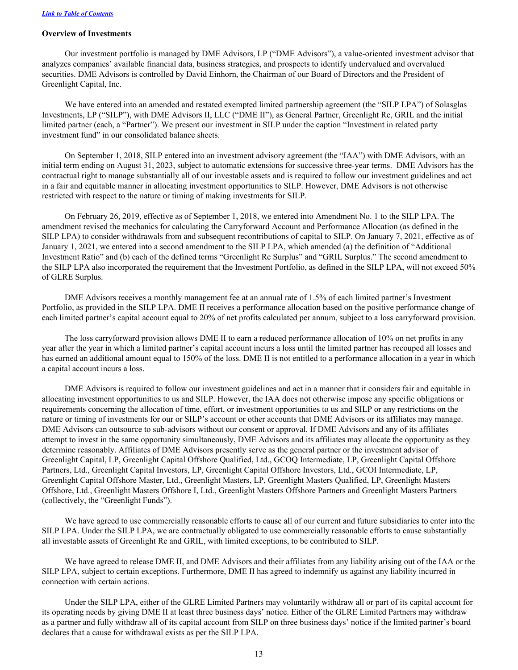### **Overview of Investments**

Our investment portfolio is managed by DME Advisors, LP ("DME Advisors"), a value-oriented investment advisor that analyzes companies' available financial data, business strategies, and prospects to identify undervalued and overvalued securities. DME Advisors is controlled by David Einhorn, the Chairman of our Board of Directors and the President of Greenlight Capital, Inc.

We have entered into an amended and restated exempted limited partnership agreement (the "SILP LPA") of Solasglas Investments, LP ("SILP"), with DME Advisors II, LLC ("DME II"), as General Partner, Greenlight Re, GRIL and the initial limited partner (each, a "Partner"). We present our investment in SILP under the caption "Investment in related party investment fund" in our consolidated balance sheets.

On September 1, 2018, SILP entered into an investment advisory agreement (the "IAA") with DME Advisors, with an initial term ending on August 31, 2023, subject to automatic extensions for successive three-year terms. DME Advisors has the contractual right to manage substantially all of our investable assets and is required to follow our investment guidelines and act in a fair and equitable manner in allocating investment opportunities to SILP. However, DME Advisors is not otherwise restricted with respect to the nature or timing of making investments for SILP.

On February 26, 2019, effective as of September 1, 2018, we entered into Amendment No. 1 to the SILP LPA. The amendment revised the mechanics for calculating the Carryforward Account and Performance Allocation (as defined in the SILP LPA) to consider withdrawals from and subsequent recontributions of capital to SILP. On January 7, 2021, effective as of January 1, 2021, we entered into a second amendment to the SILP LPA, which amended (a) the definition of "Additional Investment Ratio" and (b) each of the defined terms "Greenlight Re Surplus" and "GRIL Surplus." The second amendment to the SILP LPA also incorporated the requirement that the Investment Portfolio, as defined in the SILP LPA, will not exceed 50% of GLRE Surplus.

DME Advisors receives a monthly management fee at an annual rate of 1.5% of each limited partner's Investment Portfolio, as provided in the SILP LPA. DME II receives a performance allocation based on the positive performance change of each limited partner's capital account equal to 20% of net profits calculated per annum, subject to a loss carryforward provision.

The loss carryforward provision allows DME II to earn a reduced performance allocation of 10% on net profits in any year after the year in which a limited partner's capital account incurs a loss until the limited partner has recouped all losses and has earned an additional amount equal to 150% of the loss. DME II is not entitled to a performance allocation in a year in which a capital account incurs a loss.

DME Advisors is required to follow our investment guidelines and act in a manner that it considers fair and equitable in allocating investment opportunities to us and SILP. However, the IAA does not otherwise impose any specific obligations or requirements concerning the allocation of time, effort, or investment opportunities to us and SILP or any restrictions on the nature or timing of investments for our or SILP's account or other accounts that DME Advisors or its affiliates may manage. DME Advisors can outsource to sub-advisors without our consent or approval. If DME Advisors and any of its affiliates attempt to invest in the same opportunity simultaneously, DME Advisors and its affiliates may allocate the opportunity as they determine reasonably. Affiliates of DME Advisors presently serve as the general partner or the investment advisor of Greenlight Capital, LP, Greenlight Capital Offshore Qualified, Ltd., GCOQ Intermediate, LP, Greenlight Capital Offshore Partners, Ltd., Greenlight Capital Investors, LP, Greenlight Capital Offshore Investors, Ltd., GCOI Intermediate, LP, Greenlight Capital Offshore Master, Ltd., Greenlight Masters, LP, Greenlight Masters Qualified, LP, Greenlight Masters Offshore, Ltd., Greenlight Masters Offshore I, Ltd., Greenlight Masters Offshore Partners and Greenlight Masters Partners (collectively, the "Greenlight Funds").

We have agreed to use commercially reasonable efforts to cause all of our current and future subsidiaries to enter into the SILP LPA. Under the SILP LPA, we are contractually obligated to use commercially reasonable efforts to cause substantially all investable assets of Greenlight Re and GRIL, with limited exceptions, to be contributed to SILP.

We have agreed to release DME II, and DME Advisors and their affiliates from any liability arising out of the IAA or the SILP LPA, subject to certain exceptions. Furthermore, DME II has agreed to indemnify us against any liability incurred in connection with certain actions.

Under the SILP LPA, either of the GLRE Limited Partners may voluntarily withdraw all or part of its capital account for its operating needs by giving DME II at least three business days' notice. Either of the GLRE Limited Partners may withdraw as a partner and fully withdraw all of its capital account from SILP on three business days' notice if the limited partner's board declares that a cause for withdrawal exists as per the SILP LPA.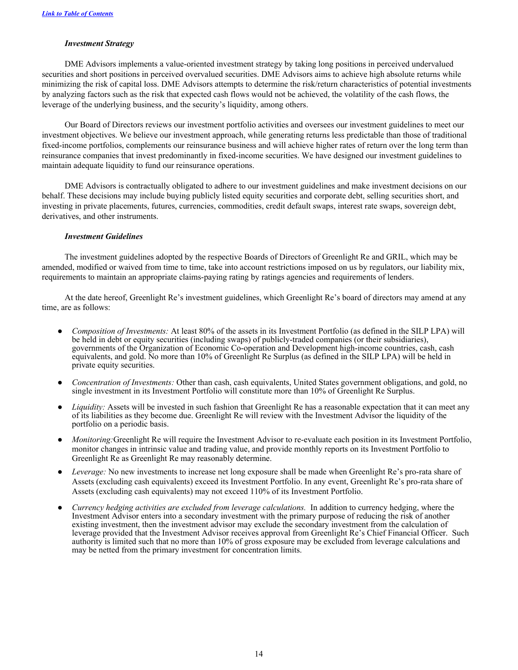#### *Investment Strategy*

DME Advisors implements a value-oriented investment strategy by taking long positions in perceived undervalued securities and short positions in perceived overvalued securities. DME Advisors aims to achieve high absolute returns while minimizing the risk of capital loss. DME Advisors attempts to determine the risk/return characteristics of potential investments by analyzing factors such as the risk that expected cash flows would not be achieved, the volatility of the cash flows, the leverage of the underlying business, and the security's liquidity, among others.

Our Board of Directors reviews our investment portfolio activities and oversees our investment guidelines to meet our investment objectives. We believe our investment approach, while generating returns less predictable than those of traditional fixed-income portfolios, complements our reinsurance business and will achieve higher rates of return over the long term than reinsurance companies that invest predominantly in fixed-income securities. We have designed our investment guidelines to maintain adequate liquidity to fund our reinsurance operations.

DME Advisors is contractually obligated to adhere to our investment guidelines and make investment decisions on our behalf. These decisions may include buying publicly listed equity securities and corporate debt, selling securities short, and investing in private placements, futures, currencies, commodities, credit default swaps, interest rate swaps, sovereign debt, derivatives, and other instruments.

#### *Investment Guidelines*

The investment guidelines adopted by the respective Boards of Directors of Greenlight Re and GRIL, which may be amended, modified or waived from time to time, take into account restrictions imposed on us by regulators, our liability mix, requirements to maintain an appropriate claims-paying rating by ratings agencies and requirements of lenders.

At the date hereof, Greenlight Re's investment guidelines, which Greenlight Re's board of directors may amend at any time, are as follows:

- *Composition of Investments:* At least 80% of the assets in its Investment Portfolio (as defined in the SILP LPA) will be held in debt or equity securities (including swaps) of publicly-traded companies (or their subsidiaries), governments of the Organization of Economic Co-operation and Development high-income countries, cash, cash equivalents, and gold. No more than 10% of Greenlight Re Surplus (as defined in the SILP LPA) will be held in private equity securities.
- *Concentration of Investments:* Other than cash, cash equivalents, United States government obligations, and gold, no single investment in its Investment Portfolio will constitute more than 10% of Greenlight Re Surplus.
- *Liquidity:* Assets will be invested in such fashion that Greenlight Re has a reasonable expectation that it can meet any of its liabilities as they become due. Greenlight Re will review with the Investment Advisor the liquidity of the portfolio on a periodic basis.
- *Monitoring:*Greenlight Re will require the Investment Advisor to re-evaluate each position in its Investment Portfolio, monitor changes in intrinsic value and trading value, and provide monthly reports on its Investment Portfolio to Greenlight Re as Greenlight Re may reasonably determine.
- *Leverage:* No new investments to increase net long exposure shall be made when Greenlight Re's pro-rata share of Assets (excluding cash equivalents) exceed its Investment Portfolio. In any event, Greenlight Re's pro-rata share of Assets (excluding cash equivalents) may not exceed 110% of its Investment Portfolio.
- *Currency hedging activities are excluded from leverage calculations.* In addition to currency hedging, where the Investment Advisor enters into a secondary investment with the primary purpose of reducing the risk of another existing investment, then the investment advisor may exclude the secondary investment from the calculation of leverage provided that the Investment Advisor receives approval from Greenlight Re's Chief Financial Officer. Such authority is limited such that no more than 10% of gross exposure may be excluded from leverage calculations and may be netted from the primary investment for concentration limits.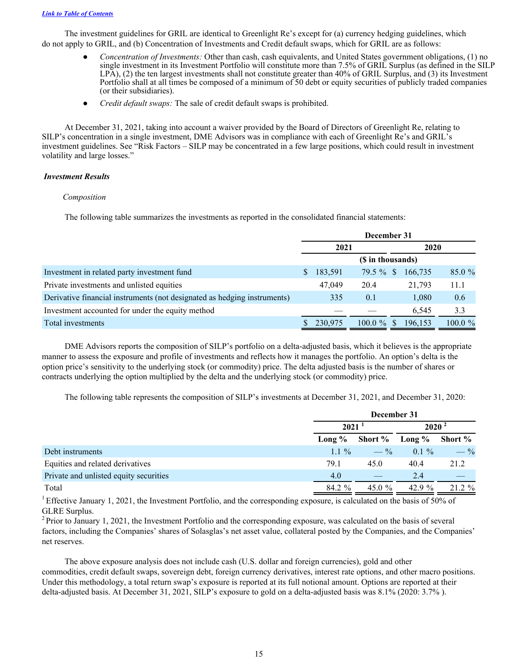The investment guidelines for GRIL are identical to Greenlight Re's except for (a) currency hedging guidelines, which do not apply to GRIL, and (b) Concentration of Investments and Credit default swaps, which for GRIL are as follows:

- *Concentration of Investments:* Other than cash, cash equivalents, and United States government obligations, (1) no single investment in its Investment Portfolio will constitute more than 7.5% of GRIL Surplus (as defined in the SILP LPA), (2) the ten largest investments shall not constitute greater than 40% of GRIL Surplus, and (3) its Investment Portfolio shall at all times be composed of a minimum of 50 debt or equity securities of publicly traded companies (or their subsidiaries).
- *Credit default swaps:* The sale of credit default swaps is prohibited.

At December 31, 2021, taking into account a waiver provided by the Board of Directors of Greenlight Re, relating to SILP's concentration in a single investment, DME Advisors was in compliance with each of Greenlight Re's and GRIL's investment guidelines. See "Risk Factors – SILP may be concentrated in a few large positions, which could result in investment volatility and large losses."

### *Investment Results*

### *Composition*

The following table summarizes the investments as reported in the consolidated financial statements:

|                                                                          | December 31  |         |                   |  |         |            |
|--------------------------------------------------------------------------|--------------|---------|-------------------|--|---------|------------|
|                                                                          | 2020<br>2021 |         |                   |  |         |            |
|                                                                          |              |         | (\$ in thousands) |  |         |            |
| Investment in related party investment fund                              | S            | 183,591 | 79.5 % \$         |  | 166,735 | 85.0%      |
| Private investments and unlisted equities                                |              | 47.049  | 20.4              |  | 21,793  | 11.1       |
| Derivative financial instruments (not designated as hedging instruments) |              | 335     | 0.1               |  | 1,080   | 0.6        |
| Investment accounted for under the equity method                         |              |         |                   |  | 6,545   | 3.3        |
| Total investments                                                        | S.           | 230,975 | $100.0 \%$ \$     |  | 196,153 | $100.0 \%$ |

DME Advisors reports the composition of SILP's portfolio on a delta-adjusted basis, which it believes is the appropriate manner to assess the exposure and profile of investments and reflects how it manages the portfolio. An option's delta is the option price's sensitivity to the underlying stock (or commodity) price. The delta adjusted basis is the number of shares or contracts underlying the option multiplied by the delta and the underlying stock (or commodity) price.

The following table represents the composition of SILP's investments at December 31, 2021, and December 31, 2020:

|                                        |                   | December 31          |          |         |  |  |
|----------------------------------------|-------------------|----------------------|----------|---------|--|--|
|                                        | 2021 <sup>1</sup> |                      | $2020^2$ |         |  |  |
|                                        | Long $\%$         | Short $\%$ Long $\%$ |          | Short % |  |  |
| Debt instruments                       | $1.1 \%$          | $- \frac{9}{6}$      | $0.1 \%$ | $-$ %   |  |  |
| Equities and related derivatives       | 79.1              | 45.0                 | 40.4     | 21.2    |  |  |
| Private and unlisted equity securities | 4.0               |                      | 2.4      |         |  |  |
| Total                                  | 84.2 %            | 45.0 $%$             | 42.9 $%$ | 21.2 %  |  |  |

<sup>1</sup>Effective January 1, 2021, the Investment Portfolio, and the corresponding exposure, is calculated on the basis of 50% of GLRE Surplus.

<sup>2</sup> Prior to January 1, 2021, the Investment Portfolio and the corresponding exposure, was calculated on the basis of several factors, including the Companies' shares of Solasglas's net asset value, collateral posted by the Companies, and the Companies' net reserves.

The above exposure analysis does not include cash (U.S. dollar and foreign currencies), gold and other commodities, credit default swaps, sovereign debt, foreign currency derivatives, interest rate options, and other macro positions. Under this methodology, a total return swap's exposure is reported at its full notional amount. Options are reported at their delta-adjusted basis. At December 31, 2021, SILP's exposure to gold on a delta-adjusted basis was 8.1% (2020: 3.7% ).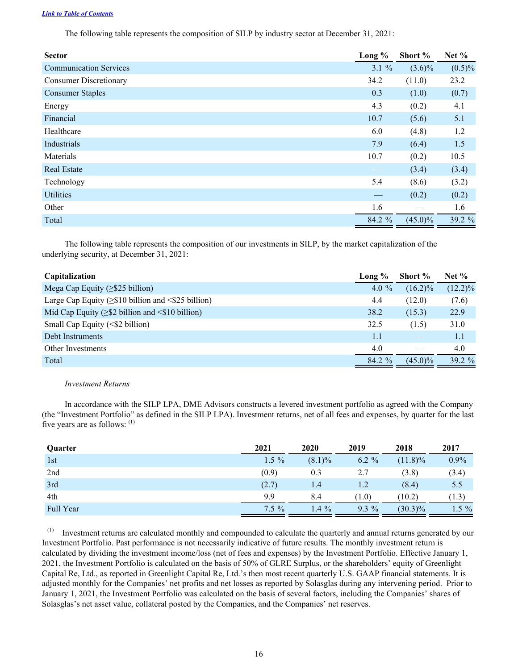The following table represents the composition of SILP by industry sector at December 31, 2021:

| <b>Sector</b>                 | Long $%$ | Short %    | Net $%$   |
|-------------------------------|----------|------------|-----------|
| <b>Communication Services</b> | $3.1 \%$ | $(3.6)\%$  | $(0.5)\%$ |
| <b>Consumer Discretionary</b> | 34.2     | (11.0)     | 23.2      |
| <b>Consumer Staples</b>       | 0.3      | (1.0)      | (0.7)     |
| Energy                        | 4.3      | (0.2)      | 4.1       |
| Financial                     | 10.7     | (5.6)      | 5.1       |
| Healthcare                    | 6.0      | (4.8)      | 1.2       |
| Industrials                   | 7.9      | (6.4)      | 1.5       |
| Materials                     | 10.7     | (0.2)      | 10.5      |
| <b>Real Estate</b>            |          | (3.4)      | (3.4)     |
| Technology                    | 5.4      | (8.6)      | (3.2)     |
| <b>Utilities</b>              |          | (0.2)      | (0.2)     |
| Other                         | 1.6      |            | 1.6       |
| Total                         | 84.2 %   | $(45.0)\%$ | 39.2 %    |

The following table represents the composition of our investments in SILP, by the market capitalization of the underlying security, at December 31, 2021:

| Capitalization                                                           | Long $\%$ | Short %    | Net $%$    |
|--------------------------------------------------------------------------|-----------|------------|------------|
| Mega Cap Equity ( $\ge$ \$25 billion)                                    | 4.0 $\%$  | $(16.2)\%$ | $(12.2)\%$ |
| Large Cap Equity $(\geq 10 \text{ billion and} \leq 25 \text{ billion})$ | 4.4       | (12.0)     | (7.6)      |
| Mid Cap Equity ( $\geq$ \$2 billion and <\$10 billion)                   | 38.2      | (15.3)     | 22.9       |
| Small Cap Equity $(\leq 2$ billion)                                      | 32.5      | (1.5)      | 31.0       |
| Debt Instruments                                                         | 1.1       |            | 1.1        |
| Other Investments                                                        | 4.0       |            | 4.0        |
| Total                                                                    | 84.2 %    | $(45.0)\%$ | 39.2 %     |

#### *Investment Returns*

In accordance with the SILP LPA, DME Advisors constructs a levered investment portfolio as agreed with the Company (the "Investment Portfolio" as defined in the SILP LPA). Investment returns, net of all fees and expenses, by quarter for the last five years are as follows: (1)

| Quarter         | 2021     | 2020      | 2019     | 2018       | 2017     |
|-----------------|----------|-----------|----------|------------|----------|
| 1 <sub>st</sub> | $1.5\%$  | $(8.1)\%$ | $6.2 \%$ | $(11.8)\%$ | 0.9%     |
| 2nd             | (0.9)    | 0.3       | 2.7      | (3.8)      | (3.4)    |
| 3rd             | (2.7)    | 1.4       | 1.2      | (8.4)      | 5.5      |
| 4th             | 9.9      | 8.4       | (1.0)    | (10.2)     | (1.3)    |
| Full Year       | $7.5 \%$ | $.4\%$    | $9.3\%$  | $(30.3)\%$ | $1.5 \%$ |

 (1) Investment returns are calculated monthly and compounded to calculate the quarterly and annual returns generated by our Investment Portfolio. Past performance is not necessarily indicative of future results. The monthly investment return is calculated by dividing the investment income/loss (net of fees and expenses) by the Investment Portfolio. Effective January 1, 2021, the Investment Portfolio is calculated on the basis of 50% of GLRE Surplus, or the shareholders' equity of Greenlight Capital Re, Ltd., as reported in Greenlight Capital Re, Ltd.'s then most recent quarterly U.S. GAAP financial statements. It is adjusted monthly for the Companies' net profits and net losses as reported by Solasglas during any intervening period. Prior to January 1, 2021, the Investment Portfolio was calculated on the basis of several factors, including the Companies' shares of Solasglas's net asset value, collateral posted by the Companies, and the Companies' net reserves.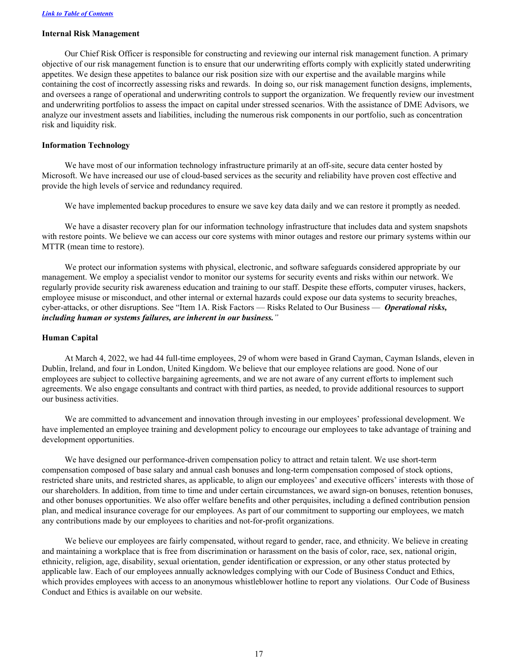### **Internal Risk Management**

Our Chief Risk Officer is responsible for constructing and reviewing our internal risk management function. A primary objective of our risk management function is to ensure that our underwriting efforts comply with explicitly stated underwriting appetites. We design these appetites to balance our risk position size with our expertise and the available margins while containing the cost of incorrectly assessing risks and rewards. In doing so, our risk management function designs, implements, and oversees a range of operational and underwriting controls to support the organization. We frequently review our investment and underwriting portfolios to assess the impact on capital under stressed scenarios. With the assistance of DME Advisors, we analyze our investment assets and liabilities, including the numerous risk components in our portfolio, such as concentration risk and liquidity risk.

#### **Information Technology**

We have most of our information technology infrastructure primarily at an off-site, secure data center hosted by Microsoft. We have increased our use of cloud-based services as the security and reliability have proven cost effective and provide the high levels of service and redundancy required.

We have implemented backup procedures to ensure we save key data daily and we can restore it promptly as needed.

We have a disaster recovery plan for our information technology infrastructure that includes data and system snapshots with restore points. We believe we can access our core systems with minor outages and restore our primary systems within our MTTR (mean time to restore).

We protect our information systems with physical, electronic, and software safeguards considered appropriate by our management. We employ a specialist vendor to monitor our systems for security events and risks within our network. We regularly provide security risk awareness education and training to our staff. Despite these efforts, computer viruses, hackers, employee misuse or misconduct, and other internal or external hazards could expose our data systems to security breaches, cyber-attacks, or other disruptions. See "Item 1A. Risk Factors — Risks Related to Our Business — *Operational risks, including human or systems failures, are inherent in our business."*

#### **Human Capital**

At March 4, 2022, we had 44 full-time employees, 29 of whom were based in Grand Cayman, Cayman Islands, eleven in Dublin, Ireland, and four in London, United Kingdom. We believe that our employee relations are good. None of our employees are subject to collective bargaining agreements, and we are not aware of any current efforts to implement such agreements. We also engage consultants and contract with third parties, as needed, to provide additional resources to support our business activities.

We are committed to advancement and innovation through investing in our employees' professional development. We have implemented an employee training and development policy to encourage our employees to take advantage of training and development opportunities.

We have designed our performance-driven compensation policy to attract and retain talent. We use short-term compensation composed of base salary and annual cash bonuses and long-term compensation composed of stock options, restricted share units, and restricted shares, as applicable, to align our employees' and executive officers' interests with those of our shareholders. In addition, from time to time and under certain circumstances, we award sign-on bonuses, retention bonuses, and other bonuses opportunities. We also offer welfare benefits and other perquisites, including a defined contribution pension plan, and medical insurance coverage for our employees. As part of our commitment to supporting our employees, we match any contributions made by our employees to charities and not-for-profit organizations.

We believe our employees are fairly compensated, without regard to gender, race, and ethnicity. We believe in creating and maintaining a workplace that is free from discrimination or harassment on the basis of color, race, sex, national origin, ethnicity, religion, age, disability, sexual orientation, gender identification or expression, or any other status protected by applicable law. Each of our employees annually acknowledges complying with our Code of Business Conduct and Ethics, which provides employees with access to an anonymous whistleblower hotline to report any violations. Our Code of Business Conduct and Ethics is available on our website.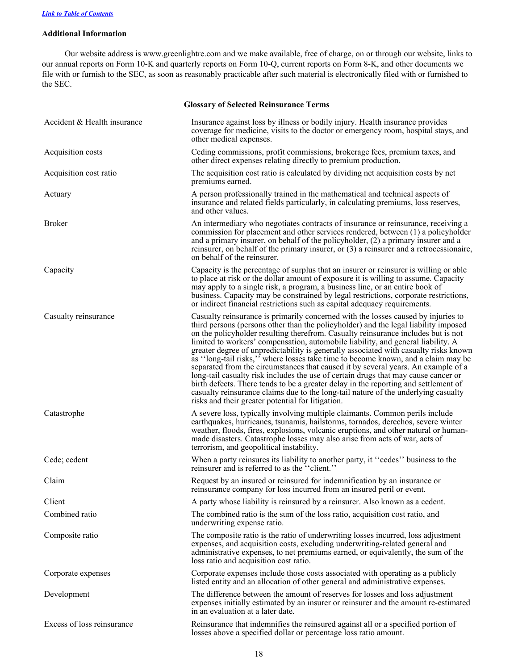### <span id="page-18-0"></span>**Additional Information**

Our website address is www.greenlightre.com and we make available, free of charge, on or through our website, links to our annual reports on Form 10-K and quarterly reports on Form 10-Q, current reports on Form 8-K, and other documents we file with or furnish to the SEC, as soon as reasonably practicable after such material is electronically filed with or furnished to the SEC.

| <b>Glossary of Selected Reinsurance Terms</b> |                                                                                                                                                                                                                                                                                                                                                                                                                                                                                                                                                                                                                                                                                                                                                                                                                                                                                                                                            |  |  |
|-----------------------------------------------|--------------------------------------------------------------------------------------------------------------------------------------------------------------------------------------------------------------------------------------------------------------------------------------------------------------------------------------------------------------------------------------------------------------------------------------------------------------------------------------------------------------------------------------------------------------------------------------------------------------------------------------------------------------------------------------------------------------------------------------------------------------------------------------------------------------------------------------------------------------------------------------------------------------------------------------------|--|--|
| Accident & Health insurance                   | Insurance against loss by illness or bodily injury. Health insurance provides<br>coverage for medicine, visits to the doctor or emergency room, hospital stays, and<br>other medical expenses.                                                                                                                                                                                                                                                                                                                                                                                                                                                                                                                                                                                                                                                                                                                                             |  |  |
| Acquisition costs                             | Ceding commissions, profit commissions, brokerage fees, premium taxes, and<br>other direct expenses relating directly to premium production.                                                                                                                                                                                                                                                                                                                                                                                                                                                                                                                                                                                                                                                                                                                                                                                               |  |  |
| Acquisition cost ratio                        | The acquisition cost ratio is calculated by dividing net acquisition costs by net<br>premiums earned.                                                                                                                                                                                                                                                                                                                                                                                                                                                                                                                                                                                                                                                                                                                                                                                                                                      |  |  |
| Actuary                                       | A person professionally trained in the mathematical and technical aspects of<br>insurance and related fields particularly, in calculating premiums, loss reserves,<br>and other values.                                                                                                                                                                                                                                                                                                                                                                                                                                                                                                                                                                                                                                                                                                                                                    |  |  |
| <b>Broker</b>                                 | An intermediary who negotiates contracts of insurance or reinsurance, receiving a<br>commission for placement and other services rendered, between (1) a policyholder<br>and a primary insurer, on behalf of the policyholder, (2) a primary insurer and a<br>reinsurer, on behalf of the primary insurer, or (3) a reinsurer and a retrocessionaire,<br>on behalf of the reinsurer.                                                                                                                                                                                                                                                                                                                                                                                                                                                                                                                                                       |  |  |
| Capacity                                      | Capacity is the percentage of surplus that an insurer or reinsurer is willing or able<br>to place at risk or the dollar amount of exposure it is willing to assume. Capacity<br>may apply to a single risk, a program, a business line, or an entire book of<br>business. Capacity may be constrained by legal restrictions, corporate restrictions,<br>or indirect financial restrictions such as capital adequacy requirements.                                                                                                                                                                                                                                                                                                                                                                                                                                                                                                          |  |  |
| Casualty reinsurance                          | Casualty reinsurance is primarily concerned with the losses caused by injuries to<br>third persons (persons other than the policyholder) and the legal liability imposed<br>on the policyholder resulting therefrom. Casualty reinsurance includes but is not<br>limited to workers' compensation, automobile liability, and general liability. A<br>greater degree of unpredictability is generally associated with casualty risks known<br>as "long-tail risks," where losses take time to become known, and a claim may be<br>separated from the circumstances that caused it by several years. An example of a<br>long-tail casualty risk includes the use of certain drugs that may cause cancer or<br>birth defects. There tends to be a greater delay in the reporting and settlement of<br>casualty reinsurance claims due to the long-tail nature of the underlying casualty<br>risks and their greater potential for litigation. |  |  |
| Catastrophe                                   | A severe loss, typically involving multiple claimants. Common perils include<br>earthquakes, hurricanes, tsunamis, hailstorms, tornados, derechos, severe winter<br>weather, floods, fires, explosions, volcanic eruptions, and other natural or human-<br>made disasters. Catastrophe losses may also arise from acts of war, acts of<br>terrorism, and geopolitical instability.                                                                                                                                                                                                                                                                                                                                                                                                                                                                                                                                                         |  |  |
| Cede; cedent                                  | When a party reinsures its liability to another party, it "cedes" business to the<br>reinsurer and is referred to as the "client."                                                                                                                                                                                                                                                                                                                                                                                                                                                                                                                                                                                                                                                                                                                                                                                                         |  |  |
| Claim                                         | Request by an insured or reinsured for indemnification by an insurance or<br>reinsurance company for loss incurred from an insured peril or event.                                                                                                                                                                                                                                                                                                                                                                                                                                                                                                                                                                                                                                                                                                                                                                                         |  |  |
| Client                                        | A party whose liability is reinsured by a reinsurer. Also known as a cedent.                                                                                                                                                                                                                                                                                                                                                                                                                                                                                                                                                                                                                                                                                                                                                                                                                                                               |  |  |
| Combined ratio                                | The combined ratio is the sum of the loss ratio, acquisition cost ratio, and<br>underwriting expense ratio.                                                                                                                                                                                                                                                                                                                                                                                                                                                                                                                                                                                                                                                                                                                                                                                                                                |  |  |
| Composite ratio                               | The composite ratio is the ratio of underwriting losses incurred, loss adjustment<br>expenses, and acquisition costs, excluding underwriting-related general and<br>administrative expenses, to net premiums earned, or equivalently, the sum of the<br>loss ratio and acquisition cost ratio.                                                                                                                                                                                                                                                                                                                                                                                                                                                                                                                                                                                                                                             |  |  |
| Corporate expenses                            | Corporate expenses include those costs associated with operating as a publicly<br>listed entity and an allocation of other general and administrative expenses.                                                                                                                                                                                                                                                                                                                                                                                                                                                                                                                                                                                                                                                                                                                                                                            |  |  |
| Development                                   | The difference between the amount of reserves for losses and loss adjustment<br>expenses initially estimated by an insurer or reinsurer and the amount re-estimated<br>in an evaluation at a later date.                                                                                                                                                                                                                                                                                                                                                                                                                                                                                                                                                                                                                                                                                                                                   |  |  |
| Excess of loss reinsurance                    | Reinsurance that indemnifies the reinsured against all or a specified portion of<br>losses above a specified dollar or percentage loss ratio amount.                                                                                                                                                                                                                                                                                                                                                                                                                                                                                                                                                                                                                                                                                                                                                                                       |  |  |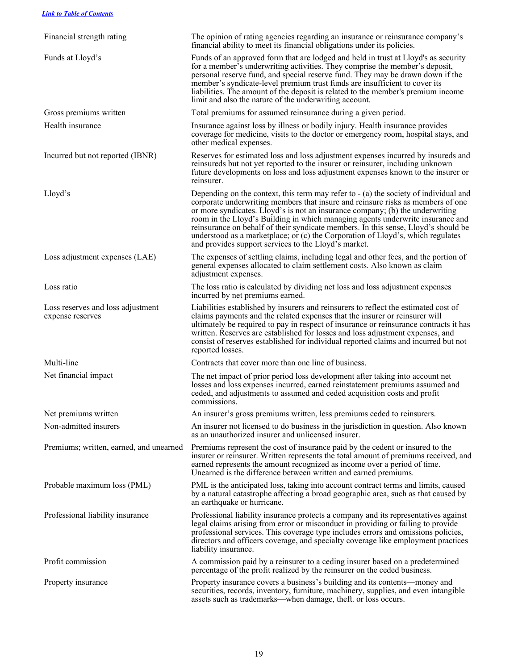| Financial strength rating                             | The opinion of rating agencies regarding an insurance or reinsurance company's<br>financial ability to meet its financial obligations under its policies.                                                                                                                                                                                                                                                                                                                                                                                                                     |
|-------------------------------------------------------|-------------------------------------------------------------------------------------------------------------------------------------------------------------------------------------------------------------------------------------------------------------------------------------------------------------------------------------------------------------------------------------------------------------------------------------------------------------------------------------------------------------------------------------------------------------------------------|
| Funds at Lloyd's                                      | Funds of an approved form that are lodged and held in trust at Lloyd's as security<br>for a member's underwriting activities. They comprise the member's deposit,<br>personal reserve fund, and special reserve fund. They may be drawn down if the<br>member's syndicate-level premium trust funds are insufficient to cover its<br>liabilities. The amount of the deposit is related to the member's premium income<br>limit and also the nature of the underwriting account.                                                                                               |
| Gross premiums written                                | Total premiums for assumed reinsurance during a given period.                                                                                                                                                                                                                                                                                                                                                                                                                                                                                                                 |
| Health insurance                                      | Insurance against loss by illness or bodily injury. Health insurance provides<br>coverage for medicine, visits to the doctor or emergency room, hospital stays, and<br>other medical expenses.                                                                                                                                                                                                                                                                                                                                                                                |
| Incurred but not reported (IBNR)                      | Reserves for estimated loss and loss adjustment expenses incurred by insureds and<br>reinsureds but not yet reported to the insurer or reinsurer, including unknown<br>future developments on loss and loss adjustment expenses known to the insurer or<br>reinsurer.                                                                                                                                                                                                                                                                                                         |
| Lloyd's                                               | Depending on the context, this term may refer to $-$ (a) the society of individual and<br>corporate underwriting members that insure and reinsure risks as members of one<br>or more syndicates. Lloyd's is not an insurance company; (b) the underwriting<br>room in the Lloyd's Building in which managing agents underwrite insurance and<br>reinsurance on behalf of their syndicate members. In this sense, Lloyd's should be<br>understood as a marketplace; or (c) the Corporation of Lloyd's, which regulates<br>and provides support services to the Lloyd's market. |
| Loss adjustment expenses (LAE)                        | The expenses of settling claims, including legal and other fees, and the portion of<br>general expenses allocated to claim settlement costs. Also known as claim<br>adjustment expenses.                                                                                                                                                                                                                                                                                                                                                                                      |
| Loss ratio                                            | The loss ratio is calculated by dividing net loss and loss adjustment expenses<br>incurred by net premiums earned.                                                                                                                                                                                                                                                                                                                                                                                                                                                            |
| Loss reserves and loss adjustment<br>expense reserves | Liabilities established by insurers and reinsurers to reflect the estimated cost of<br>claims payments and the related expenses that the insurer or reinsurer will<br>ultimately be required to pay in respect of insurance or reinsurance contracts it has<br>written. Reserves are established for losses and loss adjustment expenses, and<br>consist of reserves established for individual reported claims and incurred but not<br>reported losses.                                                                                                                      |
| Multi-line                                            | Contracts that cover more than one line of business.                                                                                                                                                                                                                                                                                                                                                                                                                                                                                                                          |
| Net financial impact                                  | The net impact of prior period loss development after taking into account net<br>losses and loss expenses incurred, earned reinstatement premiums assumed and<br>ceded, and adjustments to assumed and ceded acquisition costs and profit<br>commissions.                                                                                                                                                                                                                                                                                                                     |
| Net premiums written                                  | An insurer's gross premiums written, less premiums ceded to reinsurers.                                                                                                                                                                                                                                                                                                                                                                                                                                                                                                       |
| Non-admitted insurers                                 | An insurer not licensed to do business in the jurisdiction in question. Also known<br>as an unauthorized insurer and unlicensed insurer.                                                                                                                                                                                                                                                                                                                                                                                                                                      |
| Premiums; written, earned, and unearned               | Premiums represent the cost of insurance paid by the cedent or insured to the<br>insurer or reinsurer. Written represents the total amount of premiums received, and<br>earned represents the amount recognized as income over a period of time.<br>Unearned is the difference between written and earned premiums.                                                                                                                                                                                                                                                           |
| Probable maximum loss (PML)                           | PML is the anticipated loss, taking into account contract terms and limits, caused<br>by a natural catastrophe affecting a broad geographic area, such as that caused by<br>an earthquake or hurricane.                                                                                                                                                                                                                                                                                                                                                                       |
| Professional liability insurance                      | Professional liability insurance protects a company and its representatives against<br>legal claims arising from error or misconduct in providing or failing to provide<br>professional services. This coverage type includes errors and omissions policies,<br>directors and officers coverage, and specialty coverage like employment practices<br>liability insurance.                                                                                                                                                                                                     |
| Profit commission                                     | A commission paid by a reinsurer to a ceding insurer based on a predetermined<br>percentage of the profit realized by the reinsurer on the ceded business.                                                                                                                                                                                                                                                                                                                                                                                                                    |
| Property insurance                                    | Property insurance covers a business's building and its contents—money and<br>securities, records, inventory, furniture, machinery, supplies, and even intangible<br>assets such as trademarks—when damage, theft. or loss occurs.                                                                                                                                                                                                                                                                                                                                            |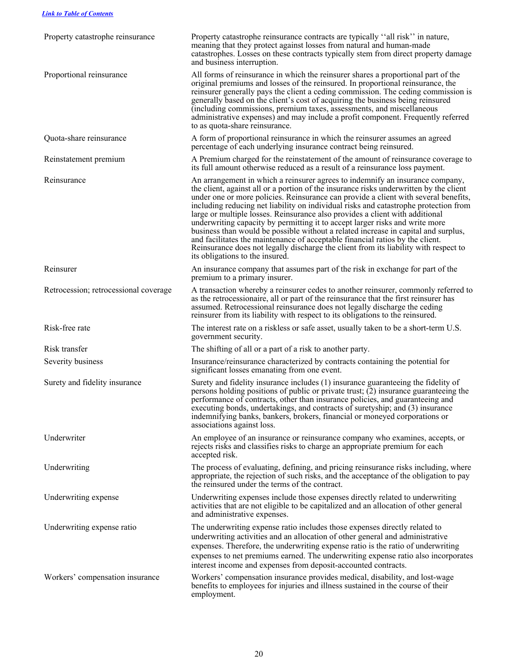| Property catastrophe reinsurance      | Property catastrophe reinsurance contracts are typically "all risk" in nature,<br>meaning that they protect against losses from natural and human-made<br>catastrophes. Losses on these contracts typically stem from direct property damage<br>and business interruption.                                                                                                                                                                                                                                                                                                                                                                                                                                                                                                                                               |
|---------------------------------------|--------------------------------------------------------------------------------------------------------------------------------------------------------------------------------------------------------------------------------------------------------------------------------------------------------------------------------------------------------------------------------------------------------------------------------------------------------------------------------------------------------------------------------------------------------------------------------------------------------------------------------------------------------------------------------------------------------------------------------------------------------------------------------------------------------------------------|
| Proportional reinsurance              | All forms of reinsurance in which the reinsurer shares a proportional part of the<br>original premiums and losses of the reinsured. In proportional reinsurance, the<br>reinsurer generally pays the client a ceding commission. The ceding commission is<br>generally based on the client's cost of acquiring the business being reinsured<br>(including commissions, premium taxes, assessments, and miscellaneous<br>administrative expenses) and may include a profit component. Frequently referred<br>to as quota-share reinsurance.                                                                                                                                                                                                                                                                               |
| Quota-share reinsurance               | A form of proportional reinsurance in which the reinsurer assumes an agreed<br>percentage of each underlying insurance contract being reinsured.                                                                                                                                                                                                                                                                                                                                                                                                                                                                                                                                                                                                                                                                         |
| Reinstatement premium                 | A Premium charged for the reinstatement of the amount of reinsurance coverage to<br>its full amount otherwise reduced as a result of a reinsurance loss payment.                                                                                                                                                                                                                                                                                                                                                                                                                                                                                                                                                                                                                                                         |
| Reinsurance                           | An arrangement in which a reinsurer agrees to indemnify an insurance company,<br>the client, against all or a portion of the insurance risks underwritten by the client<br>under one or more policies. Reinsurance can provide a client with several benefits,<br>including reducing net liability on individual risks and catastrophe protection from<br>large or multiple losses. Reinsurance also provides a client with additional<br>underwriting capacity by permitting it to accept larger risks and write more<br>business than would be possible without a related increase in capital and surplus,<br>and facilitates the maintenance of acceptable financial ratios by the client.<br>Reinsurance does not legally discharge the client from its liability with respect to<br>its obligations to the insured. |
| Reinsurer                             | An insurance company that assumes part of the risk in exchange for part of the<br>premium to a primary insurer.                                                                                                                                                                                                                                                                                                                                                                                                                                                                                                                                                                                                                                                                                                          |
| Retrocession; retrocessional coverage | A transaction whereby a reinsurer cedes to another reinsurer, commonly referred to<br>as the retrocessionaire, all or part of the reinsurance that the first reinsurer has<br>assumed. Retrocessional reinsurance does not legally discharge the ceding<br>reinsurer from its liability with respect to its obligations to the reinsured.                                                                                                                                                                                                                                                                                                                                                                                                                                                                                |
| Risk-free rate                        | The interest rate on a riskless or safe asset, usually taken to be a short-term U.S.<br>government security.                                                                                                                                                                                                                                                                                                                                                                                                                                                                                                                                                                                                                                                                                                             |
| Risk transfer                         | The shifting of all or a part of a risk to another party.                                                                                                                                                                                                                                                                                                                                                                                                                                                                                                                                                                                                                                                                                                                                                                |
| Severity business                     | Insurance/reinsurance characterized by contracts containing the potential for<br>significant losses emanating from one event.                                                                                                                                                                                                                                                                                                                                                                                                                                                                                                                                                                                                                                                                                            |
| Surety and fidelity insurance         | Surety and fidelity insurance includes (1) insurance guaranteeing the fidelity of<br>persons holding positions of public or private trust; (2) insurance guaranteeing the<br>performance of contracts, other than insurance policies, and guaranteeing and<br>executing bonds, undertakings, and contracts of suretyship; and (3) insurance<br>indemnifying banks, bankers, brokers, financial or moneyed corporations or<br>associations against loss.                                                                                                                                                                                                                                                                                                                                                                  |
| Underwriter                           | An employee of an insurance or reinsurance company who examines, accepts, or<br>rejects risks and classifies risks to charge an appropriate premium for each<br>accepted risk.                                                                                                                                                                                                                                                                                                                                                                                                                                                                                                                                                                                                                                           |
| Underwriting                          | The process of evaluating, defining, and pricing reinsurance risks including, where<br>appropriate, the rejection of such risks, and the acceptance of the obligation to pay<br>the reinsured under the terms of the contract.                                                                                                                                                                                                                                                                                                                                                                                                                                                                                                                                                                                           |
| Underwriting expense                  | Underwriting expenses include those expenses directly related to underwriting<br>activities that are not eligible to be capitalized and an allocation of other general<br>and administrative expenses.                                                                                                                                                                                                                                                                                                                                                                                                                                                                                                                                                                                                                   |
| Underwriting expense ratio            | The underwriting expense ratio includes those expenses directly related to<br>underwriting activities and an allocation of other general and administrative<br>expenses. Therefore, the underwriting expense ratio is the ratio of underwriting<br>expenses to net premiums earned. The underwriting expense ratio also incorporates<br>interest income and expenses from deposit-accounted contracts.                                                                                                                                                                                                                                                                                                                                                                                                                   |
| Workers' compensation insurance       | Workers' compensation insurance provides medical, disability, and lost-wage<br>benefits to employees for injuries and illness sustained in the course of their<br>employment.                                                                                                                                                                                                                                                                                                                                                                                                                                                                                                                                                                                                                                            |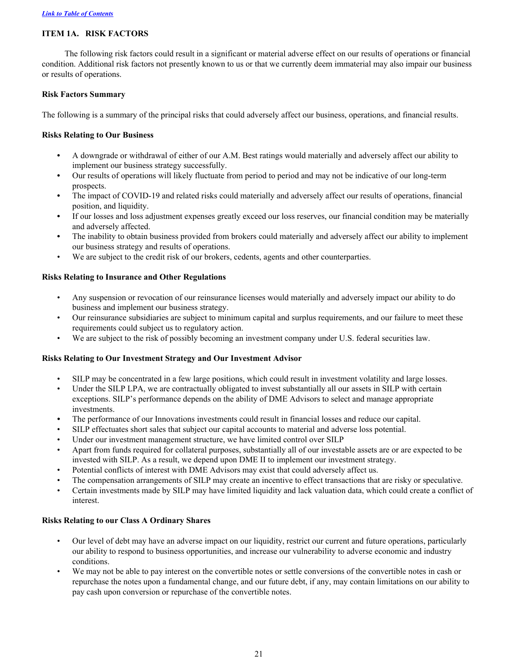### <span id="page-21-0"></span>**ITEM 1A. RISK FACTORS**

The following risk factors could result in a significant or material adverse effect on our results of operations or financial condition. Additional risk factors not presently known to us or that we currently deem immaterial may also impair our business or results of operations.

### **Risk Factors Summary**

The following is a summary of the principal risks that could adversely affect our business, operations, and financial results.

### **Risks Relating to Our Business**

- **•** A downgrade or withdrawal of either of our A.M. Best ratings would materially and adversely affect our ability to implement our business strategy successfully.
- **•** Our results of operations will likely fluctuate from period to period and may not be indicative of our long-term prospects.
- **•** The impact of COVID-19 and related risks could materially and adversely affect our results of operations, financial position, and liquidity.
- **•** If our losses and loss adjustment expenses greatly exceed our loss reserves, our financial condition may be materially and adversely affected.
- **•** The inability to obtain business provided from brokers could materially and adversely affect our ability to implement our business strategy and results of operations.
- We are subject to the credit risk of our brokers, cedents, agents and other counterparties.

### **Risks Relating to Insurance and Other Regulations**

- Any suspension or revocation of our reinsurance licenses would materially and adversely impact our ability to do business and implement our business strategy.
- Our reinsurance subsidiaries are subject to minimum capital and surplus requirements, and our failure to meet these requirements could subject us to regulatory action.
- We are subject to the risk of possibly becoming an investment company under U.S. federal securities law.

### **Risks Relating to Our Investment Strategy and Our Investment Advisor**

- SILP may be concentrated in a few large positions, which could result in investment volatility and large losses.
- Under the SILP LPA, we are contractually obligated to invest substantially all our assets in SILP with certain exceptions. SILP's performance depends on the ability of DME Advisors to select and manage appropriate investments.
- The performance of our Innovations investments could result in financial losses and reduce our capital.
- SILP effectuates short sales that subject our capital accounts to material and adverse loss potential.
- Under our investment management structure, we have limited control over SILP
- Apart from funds required for collateral purposes, substantially all of our investable assets are or are expected to be invested with SILP. As a result, we depend upon DME II to implement our investment strategy.
- Potential conflicts of interest with DME Advisors may exist that could adversely affect us.
- The compensation arrangements of SILP may create an incentive to effect transactions that are risky or speculative.
- Certain investments made by SILP may have limited liquidity and lack valuation data, which could create a conflict of interest.

### **Risks Relating to our Class A Ordinary Shares**

- Our level of debt may have an adverse impact on our liquidity, restrict our current and future operations, particularly our ability to respond to business opportunities, and increase our vulnerability to adverse economic and industry conditions.
- We may not be able to pay interest on the convertible notes or settle conversions of the convertible notes in cash or repurchase the notes upon a fundamental change, and our future debt, if any, may contain limitations on our ability to pay cash upon conversion or repurchase of the convertible notes.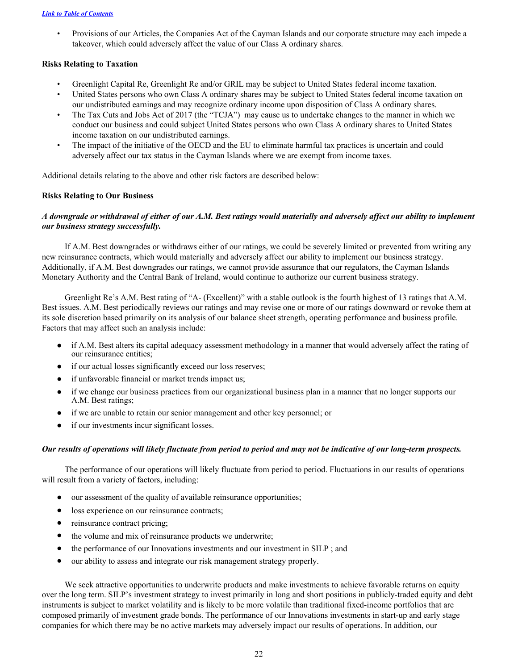• Provisions of our Articles, the Companies Act of the Cayman Islands and our corporate structure may each impede a takeover, which could adversely affect the value of our Class A ordinary shares.

### **Risks Relating to Taxation**

- Greenlight Capital Re, Greenlight Re and/or GRIL may be subject to United States federal income taxation.
- United States persons who own Class A ordinary shares may be subject to United States federal income taxation on our undistributed earnings and may recognize ordinary income upon disposition of Class A ordinary shares.
- The Tax Cuts and Jobs Act of 2017 (the "TCJA") may cause us to undertake changes to the manner in which we conduct our business and could subject United States persons who own Class A ordinary shares to United States income taxation on our undistributed earnings.
- The impact of the initiative of the OECD and the EU to eliminate harmful tax practices is uncertain and could adversely affect our tax status in the Cayman Islands where we are exempt from income taxes.

Additional details relating to the above and other risk factors are described below:

### **Risks Relating to Our Business**

### *A downgrade or withdrawal of either of our A.M. Best ratings would materially and adversely affect our ability to implement our business strategy successfully.*

If A.M. Best downgrades or withdraws either of our ratings, we could be severely limited or prevented from writing any new reinsurance contracts, which would materially and adversely affect our ability to implement our business strategy. Additionally, if A.M. Best downgrades our ratings, we cannot provide assurance that our regulators, the Cayman Islands Monetary Authority and the Central Bank of Ireland, would continue to authorize our current business strategy.

Greenlight Re's A.M. Best rating of "A- (Excellent)" with a stable outlook is the fourth highest of 13 ratings that A.M. Best issues. A.M. Best periodically reviews our ratings and may revise one or more of our ratings downward or revoke them at its sole discretion based primarily on its analysis of our balance sheet strength, operating performance and business profile. Factors that may affect such an analysis include:

- if A.M. Best alters its capital adequacy assessment methodology in a manner that would adversely affect the rating of our reinsurance entities;
- if our actual losses significantly exceed our loss reserves;
- if unfavorable financial or market trends impact us;
- if we change our business practices from our organizational business plan in a manner that no longer supports our A.M. Best ratings;
- if we are unable to retain our senior management and other key personnel; or
- if our investments incur significant losses.

### *Our results of operations will likely fluctuate from period to period and may not be indicative of our long-term prospects.*

The performance of our operations will likely fluctuate from period to period. Fluctuations in our results of operations will result from a variety of factors, including:

- our assessment of the quality of available reinsurance opportunities;
- loss experience on our reinsurance contracts;
- reinsurance contract pricing;
- the volume and mix of reinsurance products we underwrite;
- the performance of our Innovations investments and our investment in SILP; and
- our ability to assess and integrate our risk management strategy properly.

We seek attractive opportunities to underwrite products and make investments to achieve favorable returns on equity over the long term. SILP's investment strategy to invest primarily in long and short positions in publicly-traded equity and debt instruments is subject to market volatility and is likely to be more volatile than traditional fixed-income portfolios that are composed primarily of investment grade bonds. The performance of our Innovations investments in start-up and early stage companies for which there may be no active markets may adversely impact our results of operations. In addition, our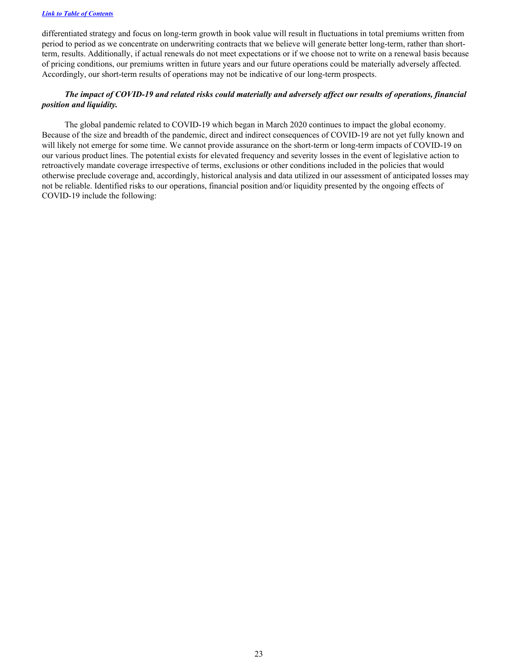differentiated strategy and focus on long-term growth in book value will result in fluctuations in total premiums written from period to period as we concentrate on underwriting contracts that we believe will generate better long-term, rather than shortterm, results. Additionally, if actual renewals do not meet expectations or if we choose not to write on a renewal basis because of pricing conditions, our premiums written in future years and our future operations could be materially adversely affected. Accordingly, our short-term results of operations may not be indicative of our long-term prospects.

### *The impact of COVID-19 and related risks could materially and adversely affect our results of operations, financial position and liquidity.*

The global pandemic related to COVID-19 which began in March 2020 continues to impact the global economy. Because of the size and breadth of the pandemic, direct and indirect consequences of COVID-19 are not yet fully known and will likely not emerge for some time. We cannot provide assurance on the short-term or long-term impacts of COVID-19 on our various product lines. The potential exists for elevated frequency and severity losses in the event of legislative action to retroactively mandate coverage irrespective of terms, exclusions or other conditions included in the policies that would otherwise preclude coverage and, accordingly, historical analysis and data utilized in our assessment of anticipated losses may not be reliable. Identified risks to our operations, financial position and/or liquidity presented by the ongoing effects of COVID-19 include the following: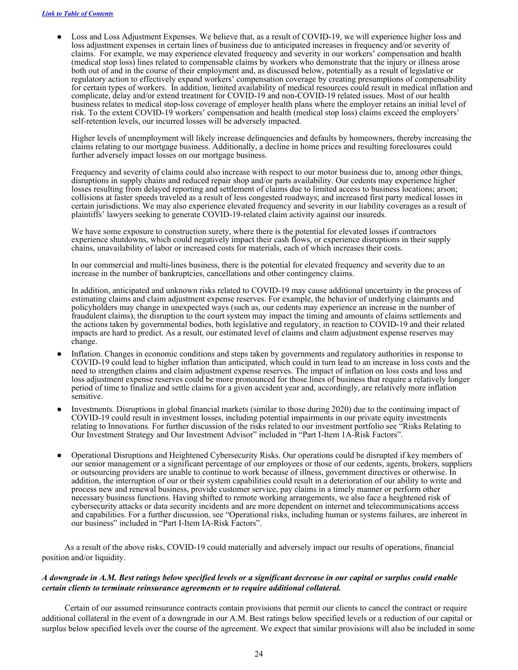Loss and Loss Adjustment Expenses. We believe that, as a result of COVID-19, we will experience higher loss and loss adjustment expenses in certain lines of business due to anticipated increases in frequency and/or severity of claims. For example, we may experience elevated frequency and severity in our workers' compensation and health (medical stop loss) lines related to compensable claims by workers who demonstrate that the injury or illness arose both out of and in the course of their employment and, as discussed below, potentially as a result of legislative or regulatory action to effectively expand workers' compensation coverage by creating presumptions of compensability for certain types of workers. In addition, limited availability of medical resources could result in medical inflation and complicate, delay and/or extend treatment for COVID-19 and non-COVID-19 related issues. Most of our health business relates to medical stop-loss coverage of employer health plans where the employer retains an initial level of risk. To the extent COVID-19 workers' compensation and health (medical stop loss) claims exceed the employers' self-retention levels, our incurred losses will be adversely impacted.

Higher levels of unemployment will likely increase delinquencies and defaults by homeowners, thereby increasing the claims relating to our mortgage business. Additionally, a decline in home prices and resulting foreclosures could further adversely impact losses on our mortgage business.

Frequency and severity of claims could also increase with respect to our motor business due to, among other things, disruptions in supply chains and reduced repair shop and/or parts availability. Our cedents may experience higher losses resulting from delayed reporting and settlement of claims due to limited access to business locations; arson; collisions at faster speeds traveled as a result of less congested roadways; and increased first party medical losses in certain jurisdictions. We may also experience elevated frequency and severity in our liability coverages as a result of plaintiffs' lawyers seeking to generate COVID-19-related claim activity against our insureds.

We have some exposure to construction surety, where there is the potential for elevated losses if contractors experience shutdowns, which could negatively impact their cash flows, or experience disruptions in their supply chains, unavailability of labor or increased costs for materials, each of which increases their costs.

In our commercial and multi-lines business, there is the potential for elevated frequency and severity due to an increase in the number of bankruptcies, cancellations and other contingency claims.

In addition, anticipated and unknown risks related to COVID-19 may cause additional uncertainty in the process of estimating claims and claim adjustment expense reserves. For example, the behavior of underlying claimants and policyholders may change in unexpected ways (such as, our cedents may experience an increase in the number of fraudulent claims), the disruption to the court system may impact the timing and amounts of claims settlements and the actions taken by governmental bodies, both legislative and regulatory, in reaction to COVID-19 and their related impacts are hard to predict. As a result, our estimated level of claims and claim adjustment expense reserves may change.

- Inflation. Changes in economic conditions and steps taken by governments and regulatory authorities in response to COVID-19 could lead to higher inflation than anticipated, which could in turn lead to an increase in loss costs and the need to strengthen claims and claim adjustment expense reserves. The impact of inflation on loss costs and loss and loss adjustment expense reserves could be more pronounced for those lines of business that require a relatively longer period of time to finalize and settle claims for a given accident year and, accordingly, are relatively more inflation sensitive.
- Investments. Disruptions in global financial markets (similar to those during 2020) due to the continuing impact of COVID-19 could result in investment losses, including potential impairments in our private equity investments relating to Innovations. For further discussion of the risks related to our investment portfolio see "Risks Relating to Our Investment Strategy and Our Investment Advisor" included in "Part I-Item 1A-Risk Factors".
- Operational Disruptions and Heightened Cybersecurity Risks. Our operations could be disrupted if key members of our senior management or a significant percentage of our employees or those of our cedents, agents, brokers, suppliers or outsourcing providers are unable to continue to work because of illness, government directives or otherwise. In addition, the interruption of our or their system capabilities could result in a deterioration of our ability to write and process new and renewal business, provide customer service, pay claims in a timely manner or perform other necessary business functions. Having shifted to remote working arrangements, we also face a heightened risk of cybersecurity attacks or data security incidents and are more dependent on internet and telecommunications access and capabilities. For a further discussion, see "Operational risks, including human or systems failures, are inherent in our business" included in "Part I-Item IA-Risk Factors".

As a result of the above risks, COVID-19 could materially and adversely impact our results of operations, financial position and/or liquidity.

### *A downgrade in A.M. Best ratings below specified levels or a significant decrease in our capital or surplus could enable certain clients to terminate reinsurance agreements or to require additional collateral.*

Certain of our assumed reinsurance contracts contain provisions that permit our clients to cancel the contract or require additional collateral in the event of a downgrade in our A.M. Best ratings below specified levels or a reduction of our capital or surplus below specified levels over the course of the agreement. We expect that similar provisions will also be included in some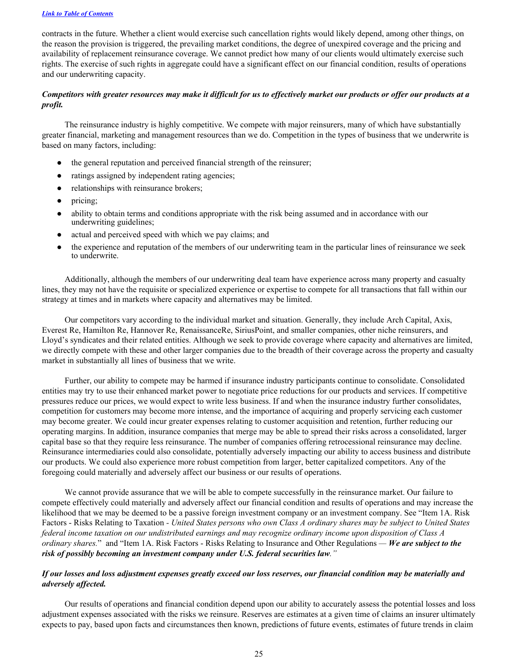contracts in the future. Whether a client would exercise such cancellation rights would likely depend, among other things, on the reason the provision is triggered, the prevailing market conditions, the degree of unexpired coverage and the pricing and availability of replacement reinsurance coverage. We cannot predict how many of our clients would ultimately exercise such rights. The exercise of such rights in aggregate could have a significant effect on our financial condition, results of operations and our underwriting capacity.

### *Competitors with greater resources may make it difficult for us to effectively market our products or offer our products at a profit.*

The reinsurance industry is highly competitive. We compete with major reinsurers, many of which have substantially greater financial, marketing and management resources than we do. Competition in the types of business that we underwrite is based on many factors, including:

- the general reputation and perceived financial strength of the reinsurer;
- ratings assigned by independent rating agencies;
- relationships with reinsurance brokers;
- pricing;
- ability to obtain terms and conditions appropriate with the risk being assumed and in accordance with our underwriting guidelines;
- actual and perceived speed with which we pay claims; and
- the experience and reputation of the members of our underwriting team in the particular lines of reinsurance we seek to underwrite.

Additionally, although the members of our underwriting deal team have experience across many property and casualty lines, they may not have the requisite or specialized experience or expertise to compete for all transactions that fall within our strategy at times and in markets where capacity and alternatives may be limited.

Our competitors vary according to the individual market and situation. Generally, they include Arch Capital, Axis, Everest Re, Hamilton Re, Hannover Re, RenaissanceRe, SiriusPoint, and smaller companies, other niche reinsurers, and Lloyd's syndicates and their related entities. Although we seek to provide coverage where capacity and alternatives are limited, we directly compete with these and other larger companies due to the breadth of their coverage across the property and casualty market in substantially all lines of business that we write.

Further, our ability to compete may be harmed if insurance industry participants continue to consolidate. Consolidated entities may try to use their enhanced market power to negotiate price reductions for our products and services. If competitive pressures reduce our prices, we would expect to write less business. If and when the insurance industry further consolidates, competition for customers may become more intense, and the importance of acquiring and properly servicing each customer may become greater. We could incur greater expenses relating to customer acquisition and retention, further reducing our operating margins. In addition, insurance companies that merge may be able to spread their risks across a consolidated, larger capital base so that they require less reinsurance. The number of companies offering retrocessional reinsurance may decline. Reinsurance intermediaries could also consolidate, potentially adversely impacting our ability to access business and distribute our products. We could also experience more robust competition from larger, better capitalized competitors. Any of the foregoing could materially and adversely affect our business or our results of operations.

We cannot provide assurance that we will be able to compete successfully in the reinsurance market. Our failure to compete effectively could materially and adversely affect our financial condition and results of operations and may increase the likelihood that we may be deemed to be a passive foreign investment company or an investment company. See "Item 1A. Risk Factors - Risks Relating to Taxation *- United States persons who own Class A ordinary shares may be subject to United States federal income taxation on our undistributed earnings and may recognize ordinary income upon disposition of Class A ordinary shares.*" and "Item 1A. Risk Factors - Risks Relating to Insurance and Other Regulations *— We are subject to the risk of possibly becoming an investment company under U.S. federal securities law."*

### *If our losses and loss adjustment expenses greatly exceed our loss reserves, our financial condition may be materially and adversely affected.*

Our results of operations and financial condition depend upon our ability to accurately assess the potential losses and loss adjustment expenses associated with the risks we reinsure. Reserves are estimates at a given time of claims an insurer ultimately expects to pay, based upon facts and circumstances then known, predictions of future events, estimates of future trends in claim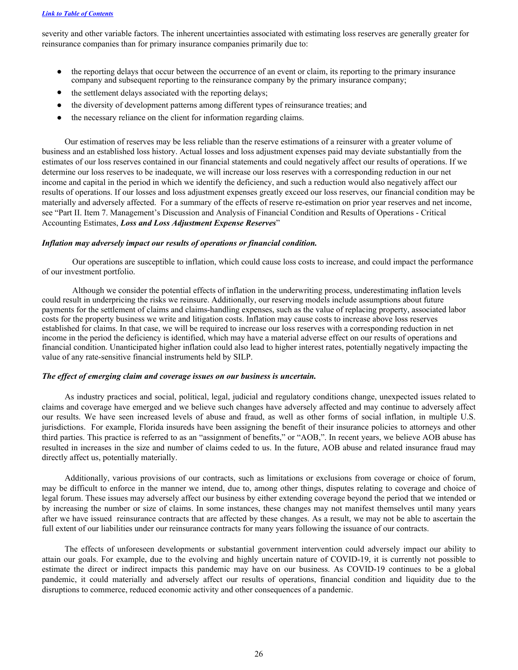severity and other variable factors. The inherent uncertainties associated with estimating loss reserves are generally greater for reinsurance companies than for primary insurance companies primarily due to:

- the reporting delays that occur between the occurrence of an event or claim, its reporting to the primary insurance company and subsequent reporting to the reinsurance company by the primary insurance company;
- the settlement delays associated with the reporting delays;
- the diversity of development patterns among different types of reinsurance treaties; and
- the necessary reliance on the client for information regarding claims.

Our estimation of reserves may be less reliable than the reserve estimations of a reinsurer with a greater volume of business and an established loss history. Actual losses and loss adjustment expenses paid may deviate substantially from the estimates of our loss reserves contained in our financial statements and could negatively affect our results of operations. If we determine our loss reserves to be inadequate, we will increase our loss reserves with a corresponding reduction in our net income and capital in the period in which we identify the deficiency, and such a reduction would also negatively affect our results of operations. If our losses and loss adjustment expenses greatly exceed our loss reserves, our financial condition may be materially and adversely affected. For a summary of the effects of reserve re-estimation on prior year reserves and net income, see "Part II. Item 7. Management's Discussion and Analysis of Financial Condition and Results of Operations - Critical Accounting Estimates, *Loss and Loss Adjustment Expense Reserves*"

### *Inflation may adversely impact our results of operations or financial condition.*

Our operations are susceptible to inflation, which could cause loss costs to increase, and could impact the performance of our investment portfolio.

Although we consider the potential effects of inflation in the underwriting process, underestimating inflation levels could result in underpricing the risks we reinsure. Additionally, our reserving models include assumptions about future payments for the settlement of claims and claims-handling expenses, such as the value of replacing property, associated labor costs for the property business we write and litigation costs. Inflation may cause costs to increase above loss reserves established for claims. In that case, we will be required to increase our loss reserves with a corresponding reduction in net income in the period the deficiency is identified, which may have a material adverse effect on our results of operations and financial condition. Unanticipated higher inflation could also lead to higher interest rates, potentially negatively impacting the value of any rate-sensitive financial instruments held by SILP.

### *The effect of emerging claim and coverage issues on our business is uncertain.*

As industry practices and social, political, legal, judicial and regulatory conditions change, unexpected issues related to claims and coverage have emerged and we believe such changes have adversely affected and may continue to adversely affect our results. We have seen increased levels of abuse and fraud, as well as other forms of social inflation, in multiple U.S. jurisdictions. For example, Florida insureds have been assigning the benefit of their insurance policies to attorneys and other third parties. This practice is referred to as an "assignment of benefits," or "AOB,". In recent years, we believe AOB abuse has resulted in increases in the size and number of claims ceded to us. In the future, AOB abuse and related insurance fraud may directly affect us, potentially materially.

Additionally, various provisions of our contracts, such as limitations or exclusions from coverage or choice of forum, may be difficult to enforce in the manner we intend, due to, among other things, disputes relating to coverage and choice of legal forum. These issues may adversely affect our business by either extending coverage beyond the period that we intended or by increasing the number or size of claims. In some instances, these changes may not manifest themselves until many years after we have issued reinsurance contracts that are affected by these changes. As a result, we may not be able to ascertain the full extent of our liabilities under our reinsurance contracts for many years following the issuance of our contracts.

The effects of unforeseen developments or substantial government intervention could adversely impact our ability to attain our goals. For example, due to the evolving and highly uncertain nature of COVID-19, it is currently not possible to estimate the direct or indirect impacts this pandemic may have on our business. As COVID-19 continues to be a global pandemic, it could materially and adversely affect our results of operations, financial condition and liquidity due to the disruptions to commerce, reduced economic activity and other consequences of a pandemic.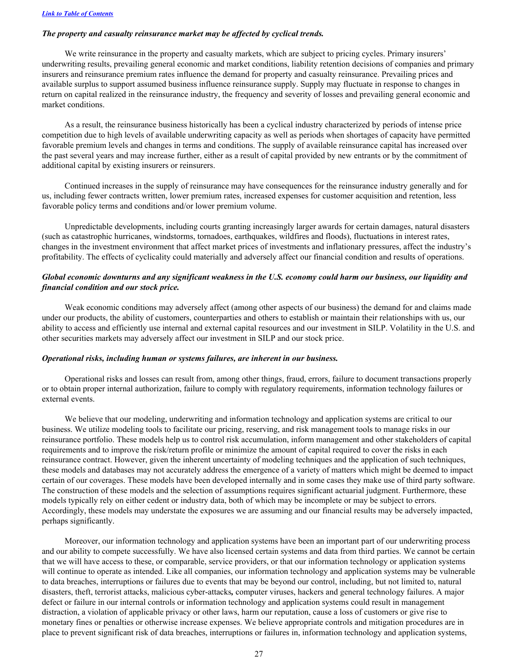### *The property and casualty reinsurance market may be affected by cyclical trends.*

We write reinsurance in the property and casualty markets, which are subject to pricing cycles. Primary insurers' underwriting results, prevailing general economic and market conditions, liability retention decisions of companies and primary insurers and reinsurance premium rates influence the demand for property and casualty reinsurance. Prevailing prices and available surplus to support assumed business influence reinsurance supply. Supply may fluctuate in response to changes in return on capital realized in the reinsurance industry, the frequency and severity of losses and prevailing general economic and market conditions.

As a result, the reinsurance business historically has been a cyclical industry characterized by periods of intense price competition due to high levels of available underwriting capacity as well as periods when shortages of capacity have permitted favorable premium levels and changes in terms and conditions. The supply of available reinsurance capital has increased over the past several years and may increase further, either as a result of capital provided by new entrants or by the commitment of additional capital by existing insurers or reinsurers.

Continued increases in the supply of reinsurance may have consequences for the reinsurance industry generally and for us, including fewer contracts written, lower premium rates, increased expenses for customer acquisition and retention, less favorable policy terms and conditions and/or lower premium volume.

Unpredictable developments, including courts granting increasingly larger awards for certain damages, natural disasters (such as catastrophic hurricanes, windstorms, tornadoes, earthquakes, wildfires and floods), fluctuations in interest rates, changes in the investment environment that affect market prices of investments and inflationary pressures, affect the industry's profitability. The effects of cyclicality could materially and adversely affect our financial condition and results of operations.

### *Global economic downturns and any significant weakness in the U.S. economy could harm our business, our liquidity and financial condition and our stock price.*

Weak economic conditions may adversely affect (among other aspects of our business) the demand for and claims made under our products, the ability of customers, counterparties and others to establish or maintain their relationships with us, our ability to access and efficiently use internal and external capital resources and our investment in SILP. Volatility in the U.S. and other securities markets may adversely affect our investment in SILP and our stock price.

#### *Operational risks, including human or systems failures, are inherent in our business.*

Operational risks and losses can result from, among other things, fraud, errors, failure to document transactions properly or to obtain proper internal authorization, failure to comply with regulatory requirements, information technology failures or external events.

We believe that our modeling, underwriting and information technology and application systems are critical to our business. We utilize modeling tools to facilitate our pricing, reserving, and risk management tools to manage risks in our reinsurance portfolio. These models help us to control risk accumulation, inform management and other stakeholders of capital requirements and to improve the risk/return profile or minimize the amount of capital required to cover the risks in each reinsurance contract. However, given the inherent uncertainty of modeling techniques and the application of such techniques, these models and databases may not accurately address the emergence of a variety of matters which might be deemed to impact certain of our coverages. These models have been developed internally and in some cases they make use of third party software. The construction of these models and the selection of assumptions requires significant actuarial judgment. Furthermore, these models typically rely on either cedent or industry data, both of which may be incomplete or may be subject to errors. Accordingly, these models may understate the exposures we are assuming and our financial results may be adversely impacted, perhaps significantly.

Moreover, our information technology and application systems have been an important part of our underwriting process and our ability to compete successfully. We have also licensed certain systems and data from third parties. We cannot be certain that we will have access to these, or comparable, service providers, or that our information technology or application systems will continue to operate as intended. Like all companies, our information technology and application systems may be vulnerable to data breaches, interruptions or failures due to events that may be beyond our control, including, but not limited to, natural disasters, theft, terrorist attacks, malicious cyber-attacks*,* computer viruses, hackers and general technology failures. A major defect or failure in our internal controls or information technology and application systems could result in management distraction, a violation of applicable privacy or other laws, harm our reputation, cause a loss of customers or give rise to monetary fines or penalties or otherwise increase expenses. We believe appropriate controls and mitigation procedures are in place to prevent significant risk of data breaches, interruptions or failures in, information technology and application systems,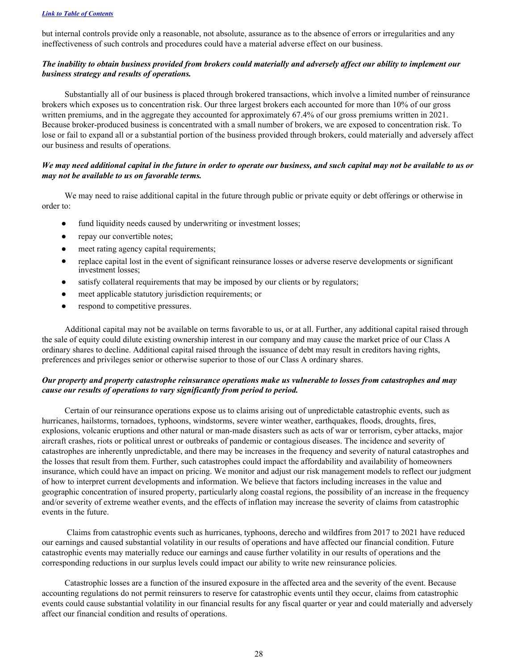but internal controls provide only a reasonable, not absolute, assurance as to the absence of errors or irregularities and any ineffectiveness of such controls and procedures could have a material adverse effect on our business.

### *The inability to obtain business provided from brokers could materially and adversely affect our ability to implement our business strategy and results of operations.*

Substantially all of our business is placed through brokered transactions, which involve a limited number of reinsurance brokers which exposes us to concentration risk. Our three largest brokers each accounted for more than 10% of our gross written premiums, and in the aggregate they accounted for approximately 67.4% of our gross premiums written in 2021. Because broker-produced business is concentrated with a small number of brokers, we are exposed to concentration risk. To lose or fail to expand all or a substantial portion of the business provided through brokers, could materially and adversely affect our business and results of operations.

### *We may need additional capital in the future in order to operate our business, and such capital may not be available to us or may not be available to us on favorable terms.*

We may need to raise additional capital in the future through public or private equity or debt offerings or otherwise in order to:

- fund liquidity needs caused by underwriting or investment losses;
- repay our convertible notes;
- meet rating agency capital requirements;
- replace capital lost in the event of significant reinsurance losses or adverse reserve developments or significant investment losses;
- satisfy collateral requirements that may be imposed by our clients or by regulators;
- meet applicable statutory jurisdiction requirements; or
- respond to competitive pressures.

Additional capital may not be available on terms favorable to us, or at all. Further, any additional capital raised through the sale of equity could dilute existing ownership interest in our company and may cause the market price of our Class A ordinary shares to decline. Additional capital raised through the issuance of debt may result in creditors having rights, preferences and privileges senior or otherwise superior to those of our Class A ordinary shares.

### *Our property and property catastrophe reinsurance operations make us vulnerable to losses from catastrophes and may cause our results of operations to vary significantly from period to period.*

Certain of our reinsurance operations expose us to claims arising out of unpredictable catastrophic events, such as hurricanes, hailstorms, tornadoes, typhoons, windstorms, severe winter weather, earthquakes, floods, droughts, fires, explosions, volcanic eruptions and other natural or man-made disasters such as acts of war or terrorism, cyber attacks, major aircraft crashes, riots or political unrest or outbreaks of pandemic or contagious diseases. The incidence and severity of catastrophes are inherently unpredictable, and there may be increases in the frequency and severity of natural catastrophes and the losses that result from them. Further, such catastrophes could impact the affordability and availability of homeowners insurance, which could have an impact on pricing. We monitor and adjust our risk management models to reflect our judgment of how to interpret current developments and information. We believe that factors including increases in the value and geographic concentration of insured property, particularly along coastal regions, the possibility of an increase in the frequency and/or severity of extreme weather events, and the effects of inflation may increase the severity of claims from catastrophic events in the future.

 Claims from catastrophic events such as hurricanes, typhoons, derecho and wildfires from 2017 to 2021 have reduced our earnings and caused substantial volatility in our results of operations and have affected our financial condition. Future catastrophic events may materially reduce our earnings and cause further volatility in our results of operations and the corresponding reductions in our surplus levels could impact our ability to write new reinsurance policies.

Catastrophic losses are a function of the insured exposure in the affected area and the severity of the event. Because accounting regulations do not permit reinsurers to reserve for catastrophic events until they occur, claims from catastrophic events could cause substantial volatility in our financial results for any fiscal quarter or year and could materially and adversely affect our financial condition and results of operations.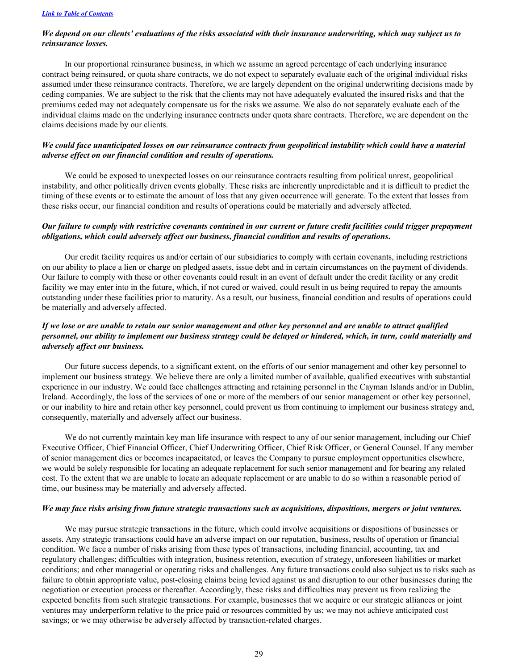### *We depend on our clients' evaluations of the risks associated with their insurance underwriting, which may subject us to reinsurance losses.*

In our proportional reinsurance business, in which we assume an agreed percentage of each underlying insurance contract being reinsured, or quota share contracts, we do not expect to separately evaluate each of the original individual risks assumed under these reinsurance contracts. Therefore, we are largely dependent on the original underwriting decisions made by ceding companies. We are subject to the risk that the clients may not have adequately evaluated the insured risks and that the premiums ceded may not adequately compensate us for the risks we assume. We also do not separately evaluate each of the individual claims made on the underlying insurance contracts under quota share contracts. Therefore, we are dependent on the claims decisions made by our clients.

### *We could face unanticipated losses on our reinsurance contracts from geopolitical instability which could have a material adverse effect on our financial condition and results of operations.*

We could be exposed to unexpected losses on our reinsurance contracts resulting from political unrest, geopolitical instability, and other politically driven events globally. These risks are inherently unpredictable and it is difficult to predict the timing of these events or to estimate the amount of loss that any given occurrence will generate. To the extent that losses from these risks occur, our financial condition and results of operations could be materially and adversely affected.

### *Our failure to comply with restrictive covenants contained in our current or future credit facilities could trigger prepayment obligations, which could adversely affect our business, financial condition and results of operations***.**

Our credit facility requires us and/or certain of our subsidiaries to comply with certain covenants, including restrictions on our ability to place a lien or charge on pledged assets, issue debt and in certain circumstances on the payment of dividends. Our failure to comply with these or other covenants could result in an event of default under the credit facility or any credit facility we may enter into in the future, which, if not cured or waived, could result in us being required to repay the amounts outstanding under these facilities prior to maturity. As a result, our business, financial condition and results of operations could be materially and adversely affected.

### *If we lose or are unable to retain our senior management and other key personnel and are unable to attract qualified personnel, our ability to implement our business strategy could be delayed or hindered, which, in turn, could materially and adversely affect our business.*

Our future success depends, to a significant extent, on the efforts of our senior management and other key personnel to implement our business strategy. We believe there are only a limited number of available, qualified executives with substantial experience in our industry. We could face challenges attracting and retaining personnel in the Cayman Islands and/or in Dublin, Ireland. Accordingly, the loss of the services of one or more of the members of our senior management or other key personnel, or our inability to hire and retain other key personnel, could prevent us from continuing to implement our business strategy and, consequently, materially and adversely affect our business.

We do not currently maintain key man life insurance with respect to any of our senior management, including our Chief Executive Officer, Chief Financial Officer, Chief Underwriting Officer, Chief Risk Officer, or General Counsel. If any member of senior management dies or becomes incapacitated, or leaves the Company to pursue employment opportunities elsewhere, we would be solely responsible for locating an adequate replacement for such senior management and for bearing any related cost. To the extent that we are unable to locate an adequate replacement or are unable to do so within a reasonable period of time, our business may be materially and adversely affected.

### *We may face risks arising from future strategic transactions such as acquisitions, dispositions, mergers or joint ventures.*

We may pursue strategic transactions in the future, which could involve acquisitions or dispositions of businesses or assets. Any strategic transactions could have an adverse impact on our reputation, business, results of operation or financial condition. We face a number of risks arising from these types of transactions, including financial, accounting, tax and regulatory challenges; difficulties with integration, business retention, execution of strategy, unforeseen liabilities or market conditions; and other managerial or operating risks and challenges. Any future transactions could also subject us to risks such as failure to obtain appropriate value, post-closing claims being levied against us and disruption to our other businesses during the negotiation or execution process or thereafter. Accordingly, these risks and difficulties may prevent us from realizing the expected benefits from such strategic transactions. For example, businesses that we acquire or our strategic alliances or joint ventures may underperform relative to the price paid or resources committed by us; we may not achieve anticipated cost savings; or we may otherwise be adversely affected by transaction-related charges.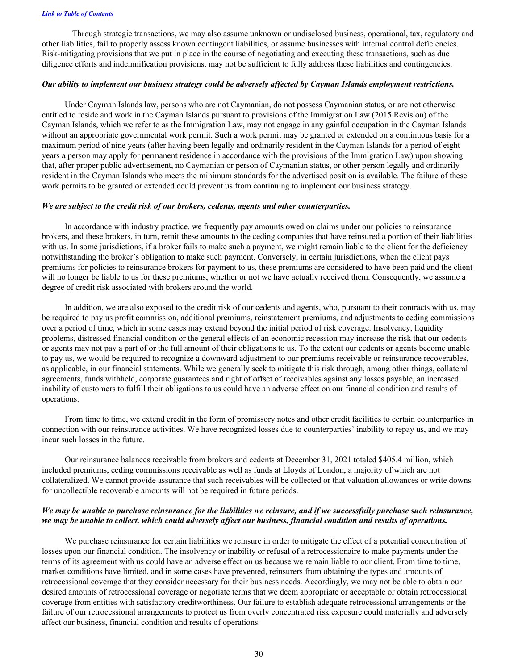Through strategic transactions, we may also assume unknown or undisclosed business, operational, tax, regulatory and other liabilities, fail to properly assess known contingent liabilities, or assume businesses with internal control deficiencies. Risk-mitigating provisions that we put in place in the course of negotiating and executing these transactions, such as due diligence efforts and indemnification provisions, may not be sufficient to fully address these liabilities and contingencies.

### *Our ability to implement our business strategy could be adversely affected by Cayman Islands employment restrictions.*

Under Cayman Islands law, persons who are not Caymanian, do not possess Caymanian status, or are not otherwise entitled to reside and work in the Cayman Islands pursuant to provisions of the Immigration Law (2015 Revision) of the Cayman Islands, which we refer to as the Immigration Law, may not engage in any gainful occupation in the Cayman Islands without an appropriate governmental work permit. Such a work permit may be granted or extended on a continuous basis for a maximum period of nine years (after having been legally and ordinarily resident in the Cayman Islands for a period of eight years a person may apply for permanent residence in accordance with the provisions of the Immigration Law) upon showing that, after proper public advertisement, no Caymanian or person of Caymanian status, or other person legally and ordinarily resident in the Cayman Islands who meets the minimum standards for the advertised position is available. The failure of these work permits to be granted or extended could prevent us from continuing to implement our business strategy.

#### *We are subject to the credit risk of our brokers, cedents, agents and other counterparties.*

In accordance with industry practice, we frequently pay amounts owed on claims under our policies to reinsurance brokers, and these brokers, in turn, remit these amounts to the ceding companies that have reinsured a portion of their liabilities with us. In some jurisdictions, if a broker fails to make such a payment, we might remain liable to the client for the deficiency notwithstanding the broker's obligation to make such payment. Conversely, in certain jurisdictions, when the client pays premiums for policies to reinsurance brokers for payment to us, these premiums are considered to have been paid and the client will no longer be liable to us for these premiums, whether or not we have actually received them. Consequently, we assume a degree of credit risk associated with brokers around the world.

In addition, we are also exposed to the credit risk of our cedents and agents, who, pursuant to their contracts with us, may be required to pay us profit commission, additional premiums, reinstatement premiums, and adjustments to ceding commissions over a period of time, which in some cases may extend beyond the initial period of risk coverage. Insolvency, liquidity problems, distressed financial condition or the general effects of an economic recession may increase the risk that our cedents or agents may not pay a part of or the full amount of their obligations to us. To the extent our cedents or agents become unable to pay us, we would be required to recognize a downward adjustment to our premiums receivable or reinsurance recoverables, as applicable, in our financial statements. While we generally seek to mitigate this risk through, among other things, collateral agreements, funds withheld, corporate guarantees and right of offset of receivables against any losses payable, an increased inability of customers to fulfill their obligations to us could have an adverse effect on our financial condition and results of operations.

From time to time, we extend credit in the form of promissory notes and other credit facilities to certain counterparties in connection with our reinsurance activities. We have recognized losses due to counterparties' inability to repay us, and we may incur such losses in the future.

Our reinsurance balances receivable from brokers and cedents at December 31, 2021 totaled \$405.4 million, which included premiums, ceding commissions receivable as well as funds at Lloyds of London, a majority of which are not collateralized. We cannot provide assurance that such receivables will be collected or that valuation allowances or write downs for uncollectible recoverable amounts will not be required in future periods.

### *We may be unable to purchase reinsurance for the liabilities we reinsure, and if we successfully purchase such reinsurance, we may be unable to collect, which could adversely affect our business, financial condition and results of operations.*

We purchase reinsurance for certain liabilities we reinsure in order to mitigate the effect of a potential concentration of losses upon our financial condition. The insolvency or inability or refusal of a retrocessionaire to make payments under the terms of its agreement with us could have an adverse effect on us because we remain liable to our client. From time to time, market conditions have limited, and in some cases have prevented, reinsurers from obtaining the types and amounts of retrocessional coverage that they consider necessary for their business needs. Accordingly, we may not be able to obtain our desired amounts of retrocessional coverage or negotiate terms that we deem appropriate or acceptable or obtain retrocessional coverage from entities with satisfactory creditworthiness. Our failure to establish adequate retrocessional arrangements or the failure of our retrocessional arrangements to protect us from overly concentrated risk exposure could materially and adversely affect our business, financial condition and results of operations.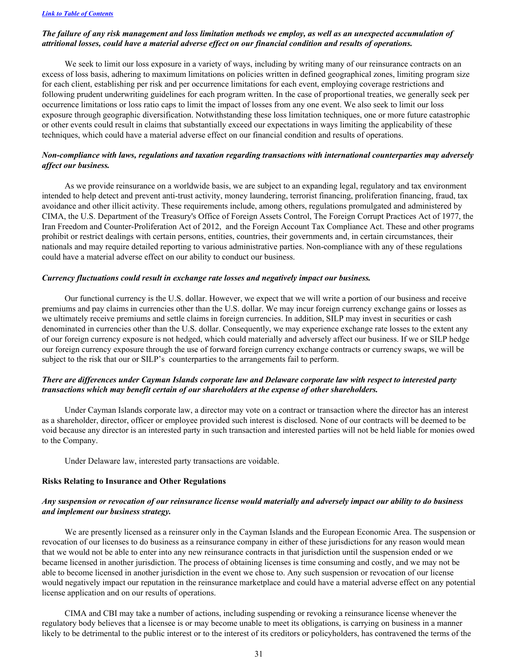### *The failure of any risk management and loss limitation methods we employ, as well as an unexpected accumulation of attritional losses, could have a material adverse effect on our financial condition and results of operations.*

We seek to limit our loss exposure in a variety of ways, including by writing many of our reinsurance contracts on an excess of loss basis, adhering to maximum limitations on policies written in defined geographical zones, limiting program size for each client, establishing per risk and per occurrence limitations for each event, employing coverage restrictions and following prudent underwriting guidelines for each program written. In the case of proportional treaties, we generally seek per occurrence limitations or loss ratio caps to limit the impact of losses from any one event. We also seek to limit our loss exposure through geographic diversification. Notwithstanding these loss limitation techniques, one or more future catastrophic or other events could result in claims that substantially exceed our expectations in ways limiting the applicability of these techniques, which could have a material adverse effect on our financial condition and results of operations.

### *Non-compliance with laws, regulations and taxation regarding transactions with international counterparties may adversely affect our business.*

As we provide reinsurance on a worldwide basis, we are subject to an expanding legal, regulatory and tax environment intended to help detect and prevent anti-trust activity, money laundering, terrorist financing, proliferation financing, fraud, tax avoidance and other illicit activity. These requirements include, among others, regulations promulgated and administered by CIMA, the U.S. Department of the Treasury's Office of Foreign Assets Control, The Foreign Corrupt Practices Act of 1977, the Iran Freedom and Counter-Proliferation Act of 2012, and the Foreign Account Tax Compliance Act. These and other programs prohibit or restrict dealings with certain persons, entities, countries, their governments and, in certain circumstances, their nationals and may require detailed reporting to various administrative parties. Non-compliance with any of these regulations could have a material adverse effect on our ability to conduct our business.

#### *Currency fluctuations could result in exchange rate losses and negatively impact our business.*

Our functional currency is the U.S. dollar. However, we expect that we will write a portion of our business and receive premiums and pay claims in currencies other than the U.S. dollar. We may incur foreign currency exchange gains or losses as we ultimately receive premiums and settle claims in foreign currencies. In addition, SILP may invest in securities or cash denominated in currencies other than the U.S. dollar. Consequently, we may experience exchange rate losses to the extent any of our foreign currency exposure is not hedged, which could materially and adversely affect our business. If we or SILP hedge our foreign currency exposure through the use of forward foreign currency exchange contracts or currency swaps, we will be subject to the risk that our or SILP's counterparties to the arrangements fail to perform.

### *There are differences under Cayman Islands corporate law and Delaware corporate law with respect to interested party transactions which may benefit certain of our shareholders at the expense of other shareholders.*

Under Cayman Islands corporate law, a director may vote on a contract or transaction where the director has an interest as a shareholder, director, officer or employee provided such interest is disclosed. None of our contracts will be deemed to be void because any director is an interested party in such transaction and interested parties will not be held liable for monies owed to the Company.

Under Delaware law, interested party transactions are voidable.

#### **Risks Relating to Insurance and Other Regulations**

### *Any suspension or revocation of our reinsurance license would materially and adversely impact our ability to do business and implement our business strategy.*

We are presently licensed as a reinsurer only in the Cayman Islands and the European Economic Area. The suspension or revocation of our licenses to do business as a reinsurance company in either of these jurisdictions for any reason would mean that we would not be able to enter into any new reinsurance contracts in that jurisdiction until the suspension ended or we became licensed in another jurisdiction. The process of obtaining licenses is time consuming and costly, and we may not be able to become licensed in another jurisdiction in the event we chose to. Any such suspension or revocation of our license would negatively impact our reputation in the reinsurance marketplace and could have a material adverse effect on any potential license application and on our results of operations.

CIMA and CBI may take a number of actions, including suspending or revoking a reinsurance license whenever the regulatory body believes that a licensee is or may become unable to meet its obligations, is carrying on business in a manner likely to be detrimental to the public interest or to the interest of its creditors or policyholders, has contravened the terms of the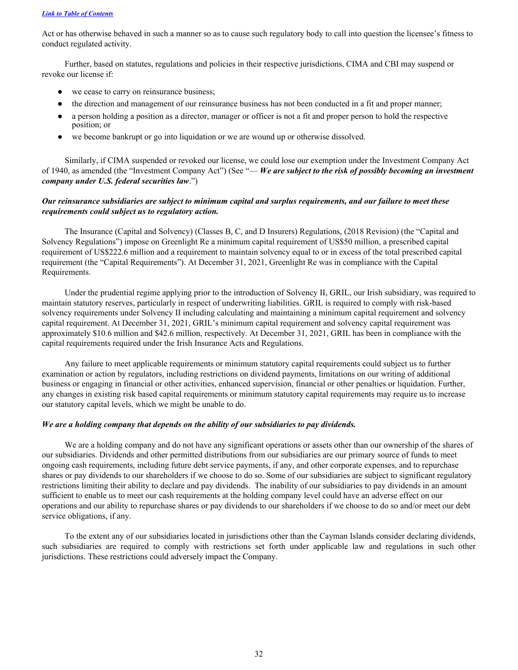Act or has otherwise behaved in such a manner so as to cause such regulatory body to call into question the licensee's fitness to conduct regulated activity.

Further, based on statutes, regulations and policies in their respective jurisdictions, CIMA and CBI may suspend or revoke our license if:

- we cease to carry on reinsurance business;
- the direction and management of our reinsurance business has not been conducted in a fit and proper manner;
- a person holding a position as a director, manager or officer is not a fit and proper person to hold the respective position; or
- we become bankrupt or go into liquidation or we are wound up or otherwise dissolved.

Similarly, if CIMA suspended or revoked our license, we could lose our exemption under the Investment Company Act of 1940, as amended (the "Investment Company Act") (See "— *We are subject to the risk of possibly becoming an investment company under U.S. federal securities law*.")

### *Our reinsurance subsidiaries are subject to minimum capital and surplus requirements, and our failure to meet these requirements could subject us to regulatory action.*

The Insurance (Capital and Solvency) (Classes B, C, and D Insurers) Regulations, (2018 Revision) (the "Capital and Solvency Regulations") impose on Greenlight Re a minimum capital requirement of US\$50 million, a prescribed capital requirement of US\$222.6 million and a requirement to maintain solvency equal to or in excess of the total prescribed capital requirement (the "Capital Requirements"). At December 31, 2021, Greenlight Re was in compliance with the Capital Requirements.

Under the prudential regime applying prior to the introduction of Solvency II, GRIL, our Irish subsidiary, was required to maintain statutory reserves, particularly in respect of underwriting liabilities. GRIL is required to comply with risk-based solvency requirements under Solvency II including calculating and maintaining a minimum capital requirement and solvency capital requirement. At December 31, 2021, GRIL's minimum capital requirement and solvency capital requirement was approximately \$10.6 million and \$42.6 million, respectively. At December 31, 2021, GRIL has been in compliance with the capital requirements required under the Irish Insurance Acts and Regulations.

Any failure to meet applicable requirements or minimum statutory capital requirements could subject us to further examination or action by regulators, including restrictions on dividend payments, limitations on our writing of additional business or engaging in financial or other activities, enhanced supervision, financial or other penalties or liquidation. Further, any changes in existing risk based capital requirements or minimum statutory capital requirements may require us to increase our statutory capital levels, which we might be unable to do.

#### *We are a holding company that depends on the ability of our subsidiaries to pay dividends.*

We are a holding company and do not have any significant operations or assets other than our ownership of the shares of our subsidiaries. Dividends and other permitted distributions from our subsidiaries are our primary source of funds to meet ongoing cash requirements, including future debt service payments, if any, and other corporate expenses, and to repurchase shares or pay dividends to our shareholders if we choose to do so. Some of our subsidiaries are subject to significant regulatory restrictions limiting their ability to declare and pay dividends. The inability of our subsidiaries to pay dividends in an amount sufficient to enable us to meet our cash requirements at the holding company level could have an adverse effect on our operations and our ability to repurchase shares or pay dividends to our shareholders if we choose to do so and/or meet our debt service obligations, if any.

To the extent any of our subsidiaries located in jurisdictions other than the Cayman Islands consider declaring dividends, such subsidiaries are required to comply with restrictions set forth under applicable law and regulations in such other jurisdictions. These restrictions could adversely impact the Company.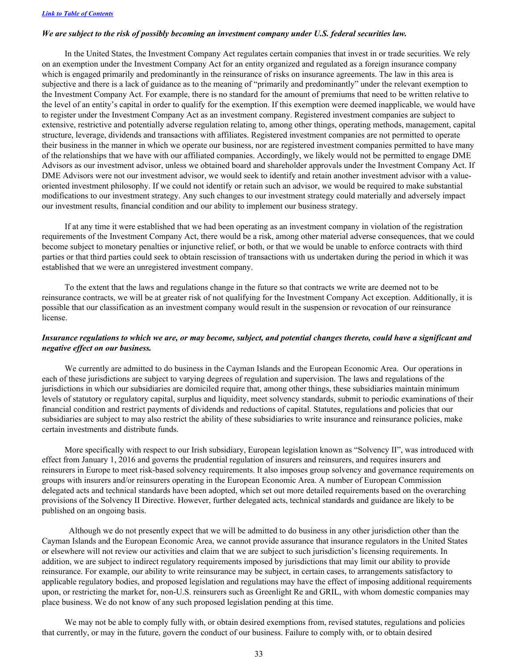#### *We are subject to the risk of possibly becoming an investment company under U.S. federal securities law.*

In the United States, the Investment Company Act regulates certain companies that invest in or trade securities. We rely on an exemption under the Investment Company Act for an entity organized and regulated as a foreign insurance company which is engaged primarily and predominantly in the reinsurance of risks on insurance agreements. The law in this area is subjective and there is a lack of guidance as to the meaning of "primarily and predominantly" under the relevant exemption to the Investment Company Act. For example, there is no standard for the amount of premiums that need to be written relative to the level of an entity's capital in order to qualify for the exemption. If this exemption were deemed inapplicable, we would have to register under the Investment Company Act as an investment company. Registered investment companies are subject to extensive, restrictive and potentially adverse regulation relating to, among other things, operating methods, management, capital structure, leverage, dividends and transactions with affiliates. Registered investment companies are not permitted to operate their business in the manner in which we operate our business, nor are registered investment companies permitted to have many of the relationships that we have with our affiliated companies. Accordingly, we likely would not be permitted to engage DME Advisors as our investment advisor, unless we obtained board and shareholder approvals under the Investment Company Act. If DME Advisors were not our investment advisor, we would seek to identify and retain another investment advisor with a valueoriented investment philosophy. If we could not identify or retain such an advisor, we would be required to make substantial modifications to our investment strategy. Any such changes to our investment strategy could materially and adversely impact our investment results, financial condition and our ability to implement our business strategy.

If at any time it were established that we had been operating as an investment company in violation of the registration requirements of the Investment Company Act, there would be a risk, among other material adverse consequences, that we could become subject to monetary penalties or injunctive relief, or both, or that we would be unable to enforce contracts with third parties or that third parties could seek to obtain rescission of transactions with us undertaken during the period in which it was established that we were an unregistered investment company.

To the extent that the laws and regulations change in the future so that contracts we write are deemed not to be reinsurance contracts, we will be at greater risk of not qualifying for the Investment Company Act exception. Additionally, it is possible that our classification as an investment company would result in the suspension or revocation of our reinsurance license.

### *Insurance regulations to which we are, or may become, subject, and potential changes thereto, could have a significant and negative effect on our business.*

We currently are admitted to do business in the Cayman Islands and the European Economic Area. Our operations in each of these jurisdictions are subject to varying degrees of regulation and supervision. The laws and regulations of the jurisdictions in which our subsidiaries are domiciled require that, among other things, these subsidiaries maintain minimum levels of statutory or regulatory capital, surplus and liquidity, meet solvency standards, submit to periodic examinations of their financial condition and restrict payments of dividends and reductions of capital. Statutes, regulations and policies that our subsidiaries are subject to may also restrict the ability of these subsidiaries to write insurance and reinsurance policies, make certain investments and distribute funds.

More specifically with respect to our Irish subsidiary, European legislation known as "Solvency II", was introduced with effect from January 1, 2016 and governs the prudential regulation of insurers and reinsurers, and requires insurers and reinsurers in Europe to meet risk-based solvency requirements. It also imposes group solvency and governance requirements on groups with insurers and/or reinsurers operating in the European Economic Area. A number of European Commission delegated acts and technical standards have been adopted, which set out more detailed requirements based on the overarching provisions of the Solvency II Directive. However, further delegated acts, technical standards and guidance are likely to be published on an ongoing basis.

 Although we do not presently expect that we will be admitted to do business in any other jurisdiction other than the Cayman Islands and the European Economic Area, we cannot provide assurance that insurance regulators in the United States or elsewhere will not review our activities and claim that we are subject to such jurisdiction's licensing requirements. In addition, we are subject to indirect regulatory requirements imposed by jurisdictions that may limit our ability to provide reinsurance. For example, our ability to write reinsurance may be subject, in certain cases, to arrangements satisfactory to applicable regulatory bodies, and proposed legislation and regulations may have the effect of imposing additional requirements upon, or restricting the market for, non-U.S. reinsurers such as Greenlight Re and GRIL, with whom domestic companies may place business. We do not know of any such proposed legislation pending at this time.

We may not be able to comply fully with, or obtain desired exemptions from, revised statutes, regulations and policies that currently, or may in the future, govern the conduct of our business. Failure to comply with, or to obtain desired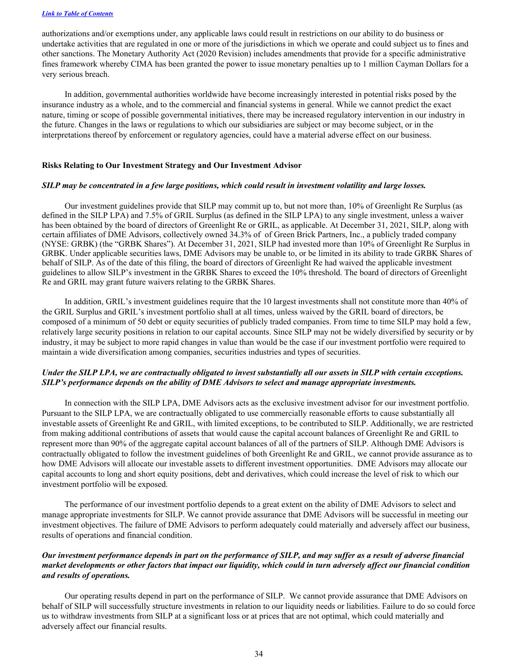authorizations and/or exemptions under, any applicable laws could result in restrictions on our ability to do business or undertake activities that are regulated in one or more of the jurisdictions in which we operate and could subject us to fines and other sanctions. The Monetary Authority Act (2020 Revision) includes amendments that provide for a specific administrative fines framework whereby CIMA has been granted the power to issue monetary penalties up to 1 million Cayman Dollars for a very serious breach.

In addition, governmental authorities worldwide have become increasingly interested in potential risks posed by the insurance industry as a whole, and to the commercial and financial systems in general. While we cannot predict the exact nature, timing or scope of possible governmental initiatives, there may be increased regulatory intervention in our industry in the future. Changes in the laws or regulations to which our subsidiaries are subject or may become subject, or in the interpretations thereof by enforcement or regulatory agencies, could have a material adverse effect on our business.

#### **Risks Relating to Our Investment Strategy and Our Investment Advisor**

#### *SILP may be concentrated in a few large positions, which could result in investment volatility and large losses.*

Our investment guidelines provide that SILP may commit up to, but not more than, 10% of Greenlight Re Surplus (as defined in the SILP LPA) and 7.5% of GRIL Surplus (as defined in the SILP LPA) to any single investment, unless a waiver has been obtained by the board of directors of Greenlight Re or GRIL, as applicable. At December 31, 2021, SILP, along with certain affiliates of DME Advisors, collectively owned 34.3% of of Green Brick Partners, Inc., a publicly traded company (NYSE: GRBK) (the "GRBK Shares"). At December 31, 2021, SILP had invested more than 10% of Greenlight Re Surplus in GRBK. Under applicable securities laws, DME Advisors may be unable to, or be limited in its ability to trade GRBK Shares of behalf of SILP. As of the date of this filing, the board of directors of Greenlight Re had waived the applicable investment guidelines to allow SILP's investment in the GRBK Shares to exceed the 10% threshold. The board of directors of Greenlight Re and GRIL may grant future waivers relating to the GRBK Shares.

In addition, GRIL's investment guidelines require that the 10 largest investments shall not constitute more than 40% of the GRIL Surplus and GRIL's investment portfolio shall at all times, unless waived by the GRIL board of directors, be composed of a minimum of 50 debt or equity securities of publicly traded companies. From time to time SILP may hold a few, relatively large security positions in relation to our capital accounts. Since SILP may not be widely diversified by security or by industry, it may be subject to more rapid changes in value than would be the case if our investment portfolio were required to maintain a wide diversification among companies, securities industries and types of securities.

### *Under the SILP LPA, we are contractually obligated to invest substantially all our assets in SILP with certain exceptions. SILP's performance depends on the ability of DME Advisors to select and manage appropriate investments.*

In connection with the SILP LPA, DME Advisors acts as the exclusive investment advisor for our investment portfolio. Pursuant to the SILP LPA, we are contractually obligated to use commercially reasonable efforts to cause substantially all investable assets of Greenlight Re and GRIL, with limited exceptions, to be contributed to SILP. Additionally, we are restricted from making additional contributions of assets that would cause the capital account balances of Greenlight Re and GRIL to represent more than 90% of the aggregate capital account balances of all of the partners of SILP. Although DME Advisors is contractually obligated to follow the investment guidelines of both Greenlight Re and GRIL, we cannot provide assurance as to how DME Advisors will allocate our investable assets to different investment opportunities. DME Advisors may allocate our capital accounts to long and short equity positions, debt and derivatives, which could increase the level of risk to which our investment portfolio will be exposed.

The performance of our investment portfolio depends to a great extent on the ability of DME Advisors to select and manage appropriate investments for SILP. We cannot provide assurance that DME Advisors will be successful in meeting our investment objectives. The failure of DME Advisors to perform adequately could materially and adversely affect our business, results of operations and financial condition.

### *Our investment performance depends in part on the performance of SILP, and may suffer as a result of adverse financial market developments or other factors that impact our liquidity, which could in turn adversely affect our financial condition and results of operations.*

Our operating results depend in part on the performance of SILP. We cannot provide assurance that DME Advisors on behalf of SILP will successfully structure investments in relation to our liquidity needs or liabilities. Failure to do so could force us to withdraw investments from SILP at a significant loss or at prices that are not optimal, which could materially and adversely affect our financial results.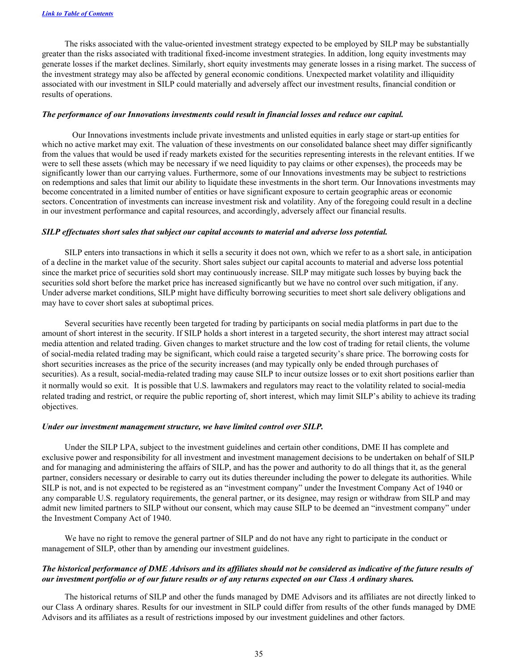The risks associated with the value-oriented investment strategy expected to be employed by SILP may be substantially greater than the risks associated with traditional fixed-income investment strategies. In addition, long equity investments may generate losses if the market declines. Similarly, short equity investments may generate losses in a rising market. The success of the investment strategy may also be affected by general economic conditions. Unexpected market volatility and illiquidity associated with our investment in SILP could materially and adversely affect our investment results, financial condition or results of operations.

#### *The performance of our Innovations investments could result in financial losses and reduce our capital.*

Our Innovations investments include private investments and unlisted equities in early stage or start-up entities for which no active market may exit. The valuation of these investments on our consolidated balance sheet may differ significantly from the values that would be used if ready markets existed for the securities representing interests in the relevant entities. If we were to sell these assets (which may be necessary if we need liquidity to pay claims or other expenses), the proceeds may be significantly lower than our carrying values. Furthermore, some of our Innovations investments may be subject to restrictions on redemptions and sales that limit our ability to liquidate these investments in the short term. Our Innovations investments may become concentrated in a limited number of entities or have significant exposure to certain geographic areas or economic sectors. Concentration of investments can increase investment risk and volatility. Any of the foregoing could result in a decline in our investment performance and capital resources, and accordingly, adversely affect our financial results.

#### *SILP effectuates short sales that subject our capital accounts to material and adverse loss potential.*

SILP enters into transactions in which it sells a security it does not own, which we refer to as a short sale, in anticipation of a decline in the market value of the security. Short sales subject our capital accounts to material and adverse loss potential since the market price of securities sold short may continuously increase. SILP may mitigate such losses by buying back the securities sold short before the market price has increased significantly but we have no control over such mitigation, if any. Under adverse market conditions, SILP might have difficulty borrowing securities to meet short sale delivery obligations and may have to cover short sales at suboptimal prices.

Several securities have recently been targeted for trading by participants on social media platforms in part due to the amount of short interest in the security. If SILP holds a short interest in a targeted security, the short interest may attract social media attention and related trading. Given changes to market structure and the low cost of trading for retail clients, the volume of social-media related trading may be significant, which could raise a targeted security's share price. The borrowing costs for short securities increases as the price of the security increases (and may typically only be ended through purchases of securities). As a result, social-media-related trading may cause SILP to incur outsize losses or to exit short positions earlier than it normally would so exit. It is possible that U.S. lawmakers and regulators may react to the volatility related to social-media related trading and restrict, or require the public reporting of, short interest, which may limit SILP's ability to achieve its trading objectives.

### *Under our investment management structure, we have limited control over SILP.*

Under the SILP LPA, subject to the investment guidelines and certain other conditions, DME II has complete and exclusive power and responsibility for all investment and investment management decisions to be undertaken on behalf of SILP and for managing and administering the affairs of SILP, and has the power and authority to do all things that it, as the general partner, considers necessary or desirable to carry out its duties thereunder including the power to delegate its authorities. While SILP is not, and is not expected to be registered as an "investment company" under the Investment Company Act of 1940 or any comparable U.S. regulatory requirements, the general partner, or its designee, may resign or withdraw from SILP and may admit new limited partners to SILP without our consent, which may cause SILP to be deemed an "investment company" under the Investment Company Act of 1940.

We have no right to remove the general partner of SILP and do not have any right to participate in the conduct or management of SILP, other than by amending our investment guidelines.

### *The historical performance of DME Advisors and its affiliates should not be considered as indicative of the future results of our investment portfolio or of our future results or of any returns expected on our Class A ordinary shares.*

The historical returns of SILP and other the funds managed by DME Advisors and its affiliates are not directly linked to our Class A ordinary shares. Results for our investment in SILP could differ from results of the other funds managed by DME Advisors and its affiliates as a result of restrictions imposed by our investment guidelines and other factors.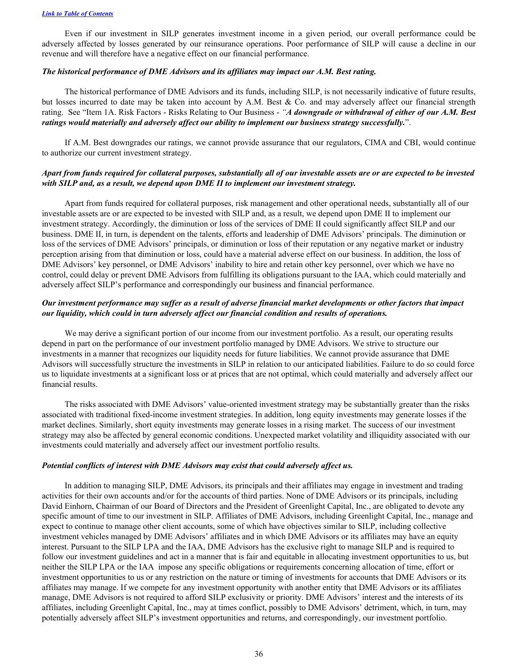Even if our investment in SILP generates investment income in a given period, our overall performance could be adversely affected by losses generated by our reinsurance operations. Poor performance of SILP will cause a decline in our revenue and will therefore have a negative effect on our financial performance.

### *The historical performance of DME Advisors and its affiliates may impact our A.M. Best rating.*

The historical performance of DME Advisors and its funds, including SILP, is not necessarily indicative of future results, but losses incurred to date may be taken into account by A.M. Best & Co. and may adversely affect our financial strength rating. See "Item 1A. Risk Factors - Risks Relating to Our Business - *"A downgrade or withdrawal of either of our A.M. Best ratings would materially and adversely affect our ability to implement our business strategy successfully.*".

If A.M. Best downgrades our ratings, we cannot provide assurance that our regulators, CIMA and CBI, would continue to authorize our current investment strategy.

## *Apart from funds required for collateral purposes, substantially all of our investable assets are or are expected to be invested with SILP and, as a result, we depend upon DME II to implement our investment strategy.*

Apart from funds required for collateral purposes, risk management and other operational needs, substantially all of our investable assets are or are expected to be invested with SILP and, as a result, we depend upon DME II to implement our investment strategy. Accordingly, the diminution or loss of the services of DME II could significantly affect SILP and our business. DME II, in turn, is dependent on the talents, efforts and leadership of DME Advisors' principals. The diminution or loss of the services of DME Advisors' principals, or diminution or loss of their reputation or any negative market or industry perception arising from that diminution or loss, could have a material adverse effect on our business. In addition, the loss of DME Advisors' key personnel, or DME Advisors' inability to hire and retain other key personnel, over which we have no control, could delay or prevent DME Advisors from fulfilling its obligations pursuant to the IAA, which could materially and adversely affect SILP's performance and correspondingly our business and financial performance.

## *Our investment performance may suffer as a result of adverse financial market developments or other factors that impact our liquidity, which could in turn adversely affect our financial condition and results of operations.*

We may derive a significant portion of our income from our investment portfolio. As a result, our operating results depend in part on the performance of our investment portfolio managed by DME Advisors. We strive to structure our investments in a manner that recognizes our liquidity needs for future liabilities. We cannot provide assurance that DME Advisors will successfully structure the investments in SILP in relation to our anticipated liabilities. Failure to do so could force us to liquidate investments at a significant loss or at prices that are not optimal, which could materially and adversely affect our financial results.

The risks associated with DME Advisors' value-oriented investment strategy may be substantially greater than the risks associated with traditional fixed-income investment strategies. In addition, long equity investments may generate losses if the market declines. Similarly, short equity investments may generate losses in a rising market. The success of our investment strategy may also be affected by general economic conditions. Unexpected market volatility and illiquidity associated with our investments could materially and adversely affect our investment portfolio results.

## *Potential conflicts of interest with DME Advisors may exist that could adversely affect us.*

In addition to managing SILP, DME Advisors, its principals and their affiliates may engage in investment and trading activities for their own accounts and/or for the accounts of third parties. None of DME Advisors or its principals, including David Einhorn, Chairman of our Board of Directors and the President of Greenlight Capital, Inc., are obligated to devote any specific amount of time to our investment in SILP. Affiliates of DME Advisors, including Greenlight Capital, Inc., manage and expect to continue to manage other client accounts, some of which have objectives similar to SILP, including collective investment vehicles managed by DME Advisors' affiliates and in which DME Advisors or its affiliates may have an equity interest. Pursuant to the SILP LPA and the IAA, DME Advisors has the exclusive right to manage SILP and is required to follow our investment guidelines and act in a manner that is fair and equitable in allocating investment opportunities to us, but neither the SILP LPA or the IAA impose any specific obligations or requirements concerning allocation of time, effort or investment opportunities to us or any restriction on the nature or timing of investments for accounts that DME Advisors or its affiliates may manage. If we compete for any investment opportunity with another entity that DME Advisors or its affiliates manage, DME Advisors is not required to afford SILP exclusivity or priority. DME Advisors' interest and the interests of its affiliates, including Greenlight Capital, Inc., may at times conflict, possibly to DME Advisors' detriment, which, in turn, may potentially adversely affect SILP's investment opportunities and returns, and correspondingly, our investment portfolio.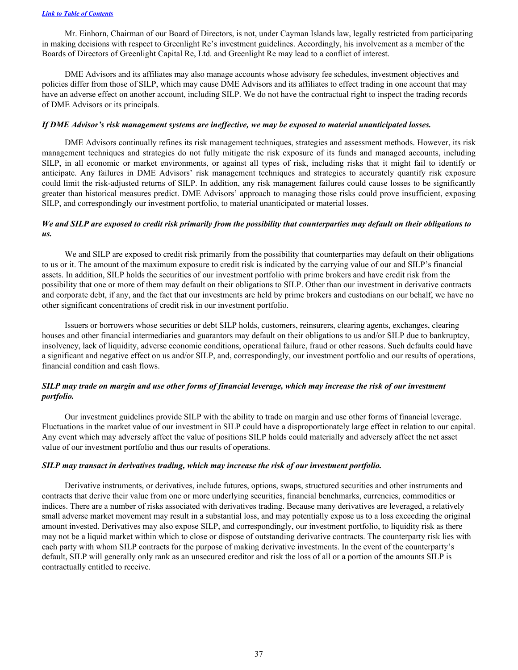Mr. Einhorn, Chairman of our Board of Directors, is not, under Cayman Islands law, legally restricted from participating in making decisions with respect to Greenlight Re's investment guidelines. Accordingly, his involvement as a member of the Boards of Directors of Greenlight Capital Re, Ltd. and Greenlight Re may lead to a conflict of interest.

DME Advisors and its affiliates may also manage accounts whose advisory fee schedules, investment objectives and policies differ from those of SILP, which may cause DME Advisors and its affiliates to effect trading in one account that may have an adverse effect on another account, including SILP. We do not have the contractual right to inspect the trading records of DME Advisors or its principals.

#### *If DME Advisor's risk management systems are ineffective, we may be exposed to material unanticipated losses.*

DME Advisors continually refines its risk management techniques, strategies and assessment methods. However, its risk management techniques and strategies do not fully mitigate the risk exposure of its funds and managed accounts, including SILP, in all economic or market environments, or against all types of risk, including risks that it might fail to identify or anticipate. Any failures in DME Advisors' risk management techniques and strategies to accurately quantify risk exposure could limit the risk-adjusted returns of SILP. In addition, any risk management failures could cause losses to be significantly greater than historical measures predict. DME Advisors' approach to managing those risks could prove insufficient, exposing SILP, and correspondingly our investment portfolio, to material unanticipated or material losses.

## *We and SILP are exposed to credit risk primarily from the possibility that counterparties may default on their obligations to us.*

We and SILP are exposed to credit risk primarily from the possibility that counterparties may default on their obligations to us or it. The amount of the maximum exposure to credit risk is indicated by the carrying value of our and SILP's financial assets. In addition, SILP holds the securities of our investment portfolio with prime brokers and have credit risk from the possibility that one or more of them may default on their obligations to SILP. Other than our investment in derivative contracts and corporate debt, if any, and the fact that our investments are held by prime brokers and custodians on our behalf, we have no other significant concentrations of credit risk in our investment portfolio.

Issuers or borrowers whose securities or debt SILP holds, customers, reinsurers, clearing agents, exchanges, clearing houses and other financial intermediaries and guarantors may default on their obligations to us and/or SILP due to bankruptcy, insolvency, lack of liquidity, adverse economic conditions, operational failure, fraud or other reasons. Such defaults could have a significant and negative effect on us and/or SILP, and, correspondingly, our investment portfolio and our results of operations, financial condition and cash flows.

## *SILP may trade on margin and use other forms of financial leverage, which may increase the risk of our investment portfolio.*

Our investment guidelines provide SILP with the ability to trade on margin and use other forms of financial leverage. Fluctuations in the market value of our investment in SILP could have a disproportionately large effect in relation to our capital. Any event which may adversely affect the value of positions SILP holds could materially and adversely affect the net asset value of our investment portfolio and thus our results of operations.

### *SILP may transact in derivatives trading, which may increase the risk of our investment portfolio.*

Derivative instruments, or derivatives, include futures, options, swaps, structured securities and other instruments and contracts that derive their value from one or more underlying securities, financial benchmarks, currencies, commodities or indices. There are a number of risks associated with derivatives trading. Because many derivatives are leveraged, a relatively small adverse market movement may result in a substantial loss, and may potentially expose us to a loss exceeding the original amount invested. Derivatives may also expose SILP, and correspondingly, our investment portfolio, to liquidity risk as there may not be a liquid market within which to close or dispose of outstanding derivative contracts. The counterparty risk lies with each party with whom SILP contracts for the purpose of making derivative investments. In the event of the counterparty's default, SILP will generally only rank as an unsecured creditor and risk the loss of all or a portion of the amounts SILP is contractually entitled to receive.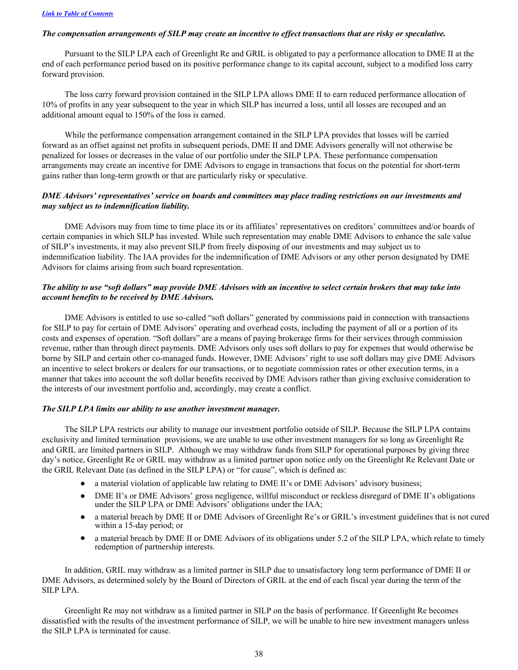#### *The compensation arrangements of SILP may create an incentive to effect transactions that are risky or speculative.*

Pursuant to the SILP LPA each of Greenlight Re and GRIL is obligated to pay a performance allocation to DME II at the end of each performance period based on its positive performance change to its capital account, subject to a modified loss carry forward provision.

The loss carry forward provision contained in the SILP LPA allows DME II to earn reduced performance allocation of 10% of profits in any year subsequent to the year in which SILP has incurred a loss, until all losses are recouped and an additional amount equal to 150% of the loss is earned.

While the performance compensation arrangement contained in the SILP LPA provides that losses will be carried forward as an offset against net profits in subsequent periods, DME II and DME Advisors generally will not otherwise be penalized for losses or decreases in the value of our portfolio under the SILP LPA. These performance compensation arrangements may create an incentive for DME Advisors to engage in transactions that focus on the potential for short-term gains rather than long-term growth or that are particularly risky or speculative.

## *DME Advisors' representatives' service on boards and committees may place trading restrictions on our investments and may subject us to indemnification liability.*

DME Advisors may from time to time place its or its affiliates' representatives on creditors' committees and/or boards of certain companies in which SILP has invested. While such representation may enable DME Advisors to enhance the sale value of SILP's investments, it may also prevent SILP from freely disposing of our investments and may subject us to indemnification liability. The IAA provides for the indemnification of DME Advisors or any other person designated by DME Advisors for claims arising from such board representation.

## *The ability to use "soft dollars" may provide DME Advisors with an incentive to select certain brokers that may take into account benefits to be received by DME Advisors.*

DME Advisors is entitled to use so-called "soft dollars" generated by commissions paid in connection with transactions for SILP to pay for certain of DME Advisors' operating and overhead costs, including the payment of all or a portion of its costs and expenses of operation. "Soft dollars" are a means of paying brokerage firms for their services through commission revenue, rather than through direct payments. DME Advisors only uses soft dollars to pay for expenses that would otherwise be borne by SILP and certain other co-managed funds. However, DME Advisors' right to use soft dollars may give DME Advisors an incentive to select brokers or dealers for our transactions, or to negotiate commission rates or other execution terms, in a manner that takes into account the soft dollar benefits received by DME Advisors rather than giving exclusive consideration to the interests of our investment portfolio and, accordingly, may create a conflict.

### *The SILP LPA limits our ability to use another investment manager.*

The SILP LPA restricts our ability to manage our investment portfolio outside of SILP. Because the SILP LPA contains exclusivity and limited termination provisions, we are unable to use other investment managers for so long as Greenlight Re and GRIL are limited partners in SILP. Although we may withdraw funds from SILP for operational purposes by giving three day's notice, Greenlight Re or GRIL may withdraw as a limited partner upon notice only on the Greenlight Re Relevant Date or the GRIL Relevant Date (as defined in the SILP LPA) or "for cause", which is defined as:

- a material violation of applicable law relating to DME II's or DME Advisors' advisory business;
- DME II's or DME Advisors' gross negligence, willful misconduct or reckless disregard of DME II's obligations under the SILP LPA or DME Advisors' obligations under the IAA;
- a material breach by DME II or DME Advisors of Greenlight Re's or GRIL's investment guidelines that is not cured within a 15-day period; or
- a material breach by DME II or DME Advisors of its obligations under 5.2 of the SILP LPA, which relate to timely redemption of partnership interests.

In addition, GRIL may withdraw as a limited partner in SILP due to unsatisfactory long term performance of DME II or DME Advisors, as determined solely by the Board of Directors of GRIL at the end of each fiscal year during the term of the SILP LPA.

Greenlight Re may not withdraw as a limited partner in SILP on the basis of performance. If Greenlight Re becomes dissatisfied with the results of the investment performance of SILP, we will be unable to hire new investment managers unless the SILP LPA is terminated for cause.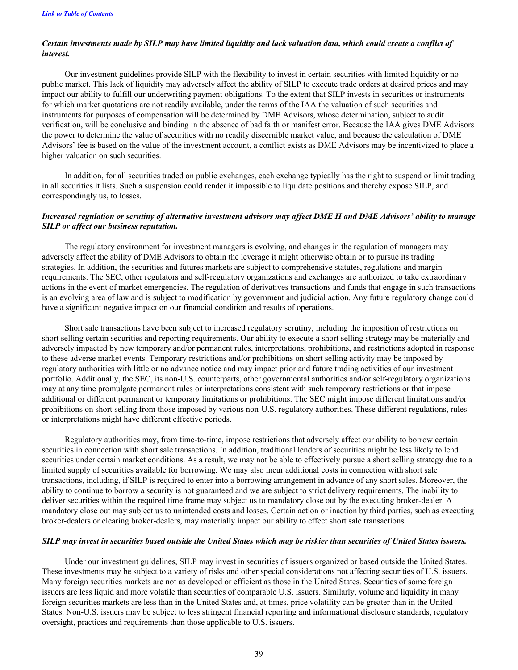## *Certain investments made by SILP may have limited liquidity and lack valuation data, which could create a conflict of interest.*

Our investment guidelines provide SILP with the flexibility to invest in certain securities with limited liquidity or no public market. This lack of liquidity may adversely affect the ability of SILP to execute trade orders at desired prices and may impact our ability to fulfill our underwriting payment obligations. To the extent that SILP invests in securities or instruments for which market quotations are not readily available, under the terms of the IAA the valuation of such securities and instruments for purposes of compensation will be determined by DME Advisors, whose determination, subject to audit verification, will be conclusive and binding in the absence of bad faith or manifest error. Because the IAA gives DME Advisors the power to determine the value of securities with no readily discernible market value, and because the calculation of DME Advisors' fee is based on the value of the investment account, a conflict exists as DME Advisors may be incentivized to place a higher valuation on such securities.

In addition, for all securities traded on public exchanges, each exchange typically has the right to suspend or limit trading in all securities it lists. Such a suspension could render it impossible to liquidate positions and thereby expose SILP, and correspondingly us, to losses.

## *Increased regulation or scrutiny of alternative investment advisors may affect DME II and DME Advisors' ability to manage SILP or affect our business reputation.*

The regulatory environment for investment managers is evolving, and changes in the regulation of managers may adversely affect the ability of DME Advisors to obtain the leverage it might otherwise obtain or to pursue its trading strategies. In addition, the securities and futures markets are subject to comprehensive statutes, regulations and margin requirements. The SEC, other regulators and self-regulatory organizations and exchanges are authorized to take extraordinary actions in the event of market emergencies. The regulation of derivatives transactions and funds that engage in such transactions is an evolving area of law and is subject to modification by government and judicial action. Any future regulatory change could have a significant negative impact on our financial condition and results of operations.

Short sale transactions have been subject to increased regulatory scrutiny, including the imposition of restrictions on short selling certain securities and reporting requirements. Our ability to execute a short selling strategy may be materially and adversely impacted by new temporary and/or permanent rules, interpretations, prohibitions, and restrictions adopted in response to these adverse market events. Temporary restrictions and/or prohibitions on short selling activity may be imposed by regulatory authorities with little or no advance notice and may impact prior and future trading activities of our investment portfolio. Additionally, the SEC, its non-U.S. counterparts, other governmental authorities and/or self-regulatory organizations may at any time promulgate permanent rules or interpretations consistent with such temporary restrictions or that impose additional or different permanent or temporary limitations or prohibitions. The SEC might impose different limitations and/or prohibitions on short selling from those imposed by various non-U.S. regulatory authorities. These different regulations, rules or interpretations might have different effective periods.

Regulatory authorities may, from time-to-time, impose restrictions that adversely affect our ability to borrow certain securities in connection with short sale transactions. In addition, traditional lenders of securities might be less likely to lend securities under certain market conditions. As a result, we may not be able to effectively pursue a short selling strategy due to a limited supply of securities available for borrowing. We may also incur additional costs in connection with short sale transactions, including, if SILP is required to enter into a borrowing arrangement in advance of any short sales. Moreover, the ability to continue to borrow a security is not guaranteed and we are subject to strict delivery requirements. The inability to deliver securities within the required time frame may subject us to mandatory close out by the executing broker-dealer. A mandatory close out may subject us to unintended costs and losses. Certain action or inaction by third parties, such as executing broker-dealers or clearing broker-dealers, may materially impact our ability to effect short sale transactions.

### *SILP may invest in securities based outside the United States which may be riskier than securities of United States issuers.*

Under our investment guidelines, SILP may invest in securities of issuers organized or based outside the United States. These investments may be subject to a variety of risks and other special considerations not affecting securities of U.S. issuers. Many foreign securities markets are not as developed or efficient as those in the United States. Securities of some foreign issuers are less liquid and more volatile than securities of comparable U.S. issuers. Similarly, volume and liquidity in many foreign securities markets are less than in the United States and, at times, price volatility can be greater than in the United States. Non-U.S. issuers may be subject to less stringent financial reporting and informational disclosure standards, regulatory oversight, practices and requirements than those applicable to U.S. issuers.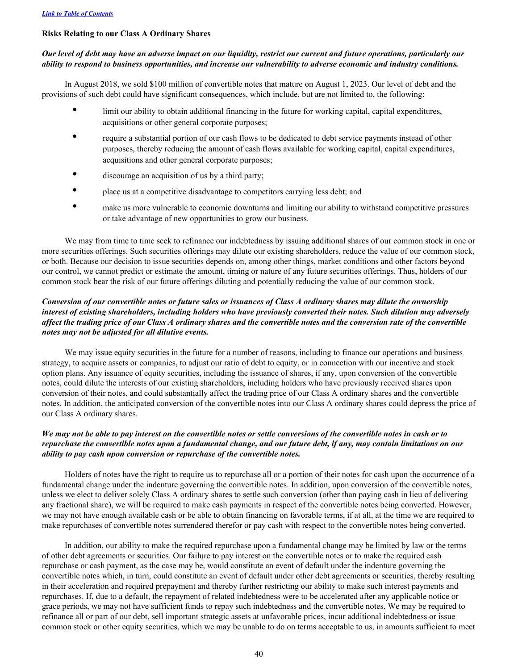# **Risks Relating to our Class A Ordinary Shares**

# *Our level of debt may have an adverse impact on our liquidity, restrict our current and future operations, particularly our ability to respond to business opportunities, and increase our vulnerability to adverse economic and industry conditions.*

In August 2018, we sold \$100 million of convertible notes that mature on August 1, 2023. Our level of debt and the provisions of such debt could have significant consequences, which include, but are not limited to, the following:

- limit our ability to obtain additional financing in the future for working capital, capital expenditures, acquisitions or other general corporate purposes;
- require a substantial portion of our cash flows to be dedicated to debt service payments instead of other purposes, thereby reducing the amount of cash flows available for working capital, capital expenditures, acquisitions and other general corporate purposes;
- discourage an acquisition of us by a third party;
- place us at a competitive disadvantage to competitors carrying less debt; and
- make us more vulnerable to economic downturns and limiting our ability to withstand competitive pressures or take advantage of new opportunities to grow our business.

We may from time to time seek to refinance our indebtedness by issuing additional shares of our common stock in one or more securities offerings. Such securities offerings may dilute our existing shareholders, reduce the value of our common stock, or both. Because our decision to issue securities depends on, among other things, market conditions and other factors beyond our control, we cannot predict or estimate the amount, timing or nature of any future securities offerings. Thus, holders of our common stock bear the risk of our future offerings diluting and potentially reducing the value of our common stock.

# *Conversion of our convertible notes or future sales or issuances of Class A ordinary shares may dilute the ownership interest of existing shareholders, including holders who have previously converted their notes. Such dilution may adversely affect the trading price of our Class A ordinary shares and the convertible notes and the conversion rate of the convertible notes may not be adjusted for all dilutive events.*

We may issue equity securities in the future for a number of reasons, including to finance our operations and business strategy, to acquire assets or companies, to adjust our ratio of debt to equity, or in connection with our incentive and stock option plans. Any issuance of equity securities, including the issuance of shares, if any, upon conversion of the convertible notes, could dilute the interests of our existing shareholders, including holders who have previously received shares upon conversion of their notes, and could substantially affect the trading price of our Class A ordinary shares and the convertible notes. In addition, the anticipated conversion of the convertible notes into our Class A ordinary shares could depress the price of our Class A ordinary shares.

# *We may not be able to pay interest on the convertible notes or settle conversions of the convertible notes in cash or to repurchase the convertible notes upon a fundamental change, and our future debt, if any, may contain limitations on our ability to pay cash upon conversion or repurchase of the convertible notes.*

Holders of notes have the right to require us to repurchase all or a portion of their notes for cash upon the occurrence of a fundamental change under the indenture governing the convertible notes. In addition, upon conversion of the convertible notes, unless we elect to deliver solely Class A ordinary shares to settle such conversion (other than paying cash in lieu of delivering any fractional share), we will be required to make cash payments in respect of the convertible notes being converted. However, we may not have enough available cash or be able to obtain financing on favorable terms, if at all, at the time we are required to make repurchases of convertible notes surrendered therefor or pay cash with respect to the convertible notes being converted.

In addition, our ability to make the required repurchase upon a fundamental change may be limited by law or the terms of other debt agreements or securities. Our failure to pay interest on the convertible notes or to make the required cash repurchase or cash payment, as the case may be, would constitute an event of default under the indenture governing the convertible notes which, in turn, could constitute an event of default under other debt agreements or securities, thereby resulting in their acceleration and required prepayment and thereby further restricting our ability to make such interest payments and repurchases. If, due to a default, the repayment of related indebtedness were to be accelerated after any applicable notice or grace periods, we may not have sufficient funds to repay such indebtedness and the convertible notes. We may be required to refinance all or part of our debt, sell important strategic assets at unfavorable prices, incur additional indebtedness or issue common stock or other equity securities, which we may be unable to do on terms acceptable to us, in amounts sufficient to meet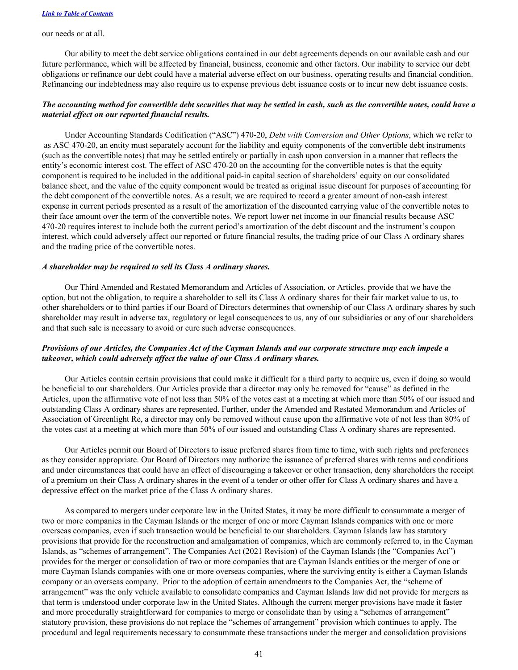our needs or at all.

Our ability to meet the debt service obligations contained in our debt agreements depends on our available cash and our future performance, which will be affected by financial, business, economic and other factors. Our inability to service our debt obligations or refinance our debt could have a material adverse effect on our business, operating results and financial condition. Refinancing our indebtedness may also require us to expense previous debt issuance costs or to incur new debt issuance costs.

## *The accounting method for convertible debt securities that may be settled in cash, such as the convertible notes, could have a material effect on our reported financial results.*

Under Accounting Standards Codification ("ASC") 470-20, *Debt with Conversion and Other Options*, which we refer to as ASC 470-20, an entity must separately account for the liability and equity components of the convertible debt instruments (such as the convertible notes) that may be settled entirely or partially in cash upon conversion in a manner that reflects the entity's economic interest cost. The effect of ASC 470-20 on the accounting for the convertible notes is that the equity component is required to be included in the additional paid-in capital section of shareholders' equity on our consolidated balance sheet, and the value of the equity component would be treated as original issue discount for purposes of accounting for the debt component of the convertible notes. As a result, we are required to record a greater amount of non-cash interest expense in current periods presented as a result of the amortization of the discounted carrying value of the convertible notes to their face amount over the term of the convertible notes. We report lower net income in our financial results because ASC 470-20 requires interest to include both the current period's amortization of the debt discount and the instrument's coupon interest, which could adversely affect our reported or future financial results, the trading price of our Class A ordinary shares and the trading price of the convertible notes.

### *A shareholder may be required to sell its Class A ordinary shares.*

Our Third Amended and Restated Memorandum and Articles of Association, or Articles, provide that we have the option, but not the obligation, to require a shareholder to sell its Class A ordinary shares for their fair market value to us, to other shareholders or to third parties if our Board of Directors determines that ownership of our Class A ordinary shares by such shareholder may result in adverse tax, regulatory or legal consequences to us, any of our subsidiaries or any of our shareholders and that such sale is necessary to avoid or cure such adverse consequences.

## *Provisions of our Articles, the Companies Act of the Cayman Islands and our corporate structure may each impede a takeover, which could adversely affect the value of our Class A ordinary shares.*

Our Articles contain certain provisions that could make it difficult for a third party to acquire us, even if doing so would be beneficial to our shareholders. Our Articles provide that a director may only be removed for "cause" as defined in the Articles, upon the affirmative vote of not less than 50% of the votes cast at a meeting at which more than 50% of our issued and outstanding Class A ordinary shares are represented. Further, under the Amended and Restated Memorandum and Articles of Association of Greenlight Re, a director may only be removed without cause upon the affirmative vote of not less than 80% of the votes cast at a meeting at which more than 50% of our issued and outstanding Class A ordinary shares are represented.

Our Articles permit our Board of Directors to issue preferred shares from time to time, with such rights and preferences as they consider appropriate. Our Board of Directors may authorize the issuance of preferred shares with terms and conditions and under circumstances that could have an effect of discouraging a takeover or other transaction, deny shareholders the receipt of a premium on their Class A ordinary shares in the event of a tender or other offer for Class A ordinary shares and have a depressive effect on the market price of the Class A ordinary shares.

As compared to mergers under corporate law in the United States, it may be more difficult to consummate a merger of two or more companies in the Cayman Islands or the merger of one or more Cayman Islands companies with one or more overseas companies, even if such transaction would be beneficial to our shareholders. Cayman Islands law has statutory provisions that provide for the reconstruction and amalgamation of companies, which are commonly referred to, in the Cayman Islands, as "schemes of arrangement". The Companies Act (2021 Revision) of the Cayman Islands (the "Companies Act") provides for the merger or consolidation of two or more companies that are Cayman Islands entities or the merger of one or more Cayman Islands companies with one or more overseas companies, where the surviving entity is either a Cayman Islands company or an overseas company. Prior to the adoption of certain amendments to the Companies Act, the "scheme of arrangement" was the only vehicle available to consolidate companies and Cayman Islands law did not provide for mergers as that term is understood under corporate law in the United States. Although the current merger provisions have made it faster and more procedurally straightforward for companies to merge or consolidate than by using a "schemes of arrangement" statutory provision, these provisions do not replace the "schemes of arrangement" provision which continues to apply. The procedural and legal requirements necessary to consummate these transactions under the merger and consolidation provisions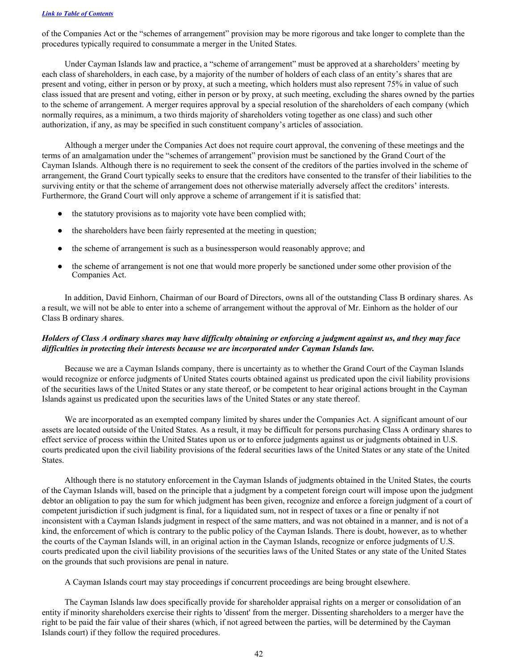of the Companies Act or the "schemes of arrangement" provision may be more rigorous and take longer to complete than the procedures typically required to consummate a merger in the United States.

Under Cayman Islands law and practice, a "scheme of arrangement" must be approved at a shareholders' meeting by each class of shareholders, in each case, by a majority of the number of holders of each class of an entity's shares that are present and voting, either in person or by proxy, at such a meeting, which holders must also represent 75% in value of such class issued that are present and voting, either in person or by proxy, at such meeting, excluding the shares owned by the parties to the scheme of arrangement. A merger requires approval by a special resolution of the shareholders of each company (which normally requires, as a minimum, a two thirds majority of shareholders voting together as one class) and such other authorization, if any, as may be specified in such constituent company's articles of association.

Although a merger under the Companies Act does not require court approval, the convening of these meetings and the terms of an amalgamation under the "schemes of arrangement" provision must be sanctioned by the Grand Court of the Cayman Islands. Although there is no requirement to seek the consent of the creditors of the parties involved in the scheme of arrangement, the Grand Court typically seeks to ensure that the creditors have consented to the transfer of their liabilities to the surviving entity or that the scheme of arrangement does not otherwise materially adversely affect the creditors' interests. Furthermore, the Grand Court will only approve a scheme of arrangement if it is satisfied that:

- the statutory provisions as to majority vote have been complied with;
- the shareholders have been fairly represented at the meeting in question;
- the scheme of arrangement is such as a businessperson would reasonably approve; and
- the scheme of arrangement is not one that would more properly be sanctioned under some other provision of the Companies Act.

In addition, David Einhorn, Chairman of our Board of Directors, owns all of the outstanding Class B ordinary shares. As a result, we will not be able to enter into a scheme of arrangement without the approval of Mr. Einhorn as the holder of our Class B ordinary shares.

## *Holders of Class A ordinary shares may have difficulty obtaining or enforcing a judgment against us, and they may face difficulties in protecting their interests because we are incorporated under Cayman Islands law.*

Because we are a Cayman Islands company, there is uncertainty as to whether the Grand Court of the Cayman Islands would recognize or enforce judgments of United States courts obtained against us predicated upon the civil liability provisions of the securities laws of the United States or any state thereof, or be competent to hear original actions brought in the Cayman Islands against us predicated upon the securities laws of the United States or any state thereof.

We are incorporated as an exempted company limited by shares under the Companies Act. A significant amount of our assets are located outside of the United States. As a result, it may be difficult for persons purchasing Class A ordinary shares to effect service of process within the United States upon us or to enforce judgments against us or judgments obtained in U.S. courts predicated upon the civil liability provisions of the federal securities laws of the United States or any state of the United States.

Although there is no statutory enforcement in the Cayman Islands of judgments obtained in the United States, the courts of the Cayman Islands will, based on the principle that a judgment by a competent foreign court will impose upon the judgment debtor an obligation to pay the sum for which judgment has been given, recognize and enforce a foreign judgment of a court of competent jurisdiction if such judgment is final, for a liquidated sum, not in respect of taxes or a fine or penalty if not inconsistent with a Cayman Islands judgment in respect of the same matters, and was not obtained in a manner, and is not of a kind, the enforcement of which is contrary to the public policy of the Cayman Islands. There is doubt, however, as to whether the courts of the Cayman Islands will, in an original action in the Cayman Islands, recognize or enforce judgments of U.S. courts predicated upon the civil liability provisions of the securities laws of the United States or any state of the United States on the grounds that such provisions are penal in nature.

A Cayman Islands court may stay proceedings if concurrent proceedings are being brought elsewhere.

The Cayman Islands law does specifically provide for shareholder appraisal rights on a merger or consolidation of an entity if minority shareholders exercise their rights to 'dissent' from the merger. Dissenting shareholders to a merger have the right to be paid the fair value of their shares (which, if not agreed between the parties, will be determined by the Cayman Islands court) if they follow the required procedures.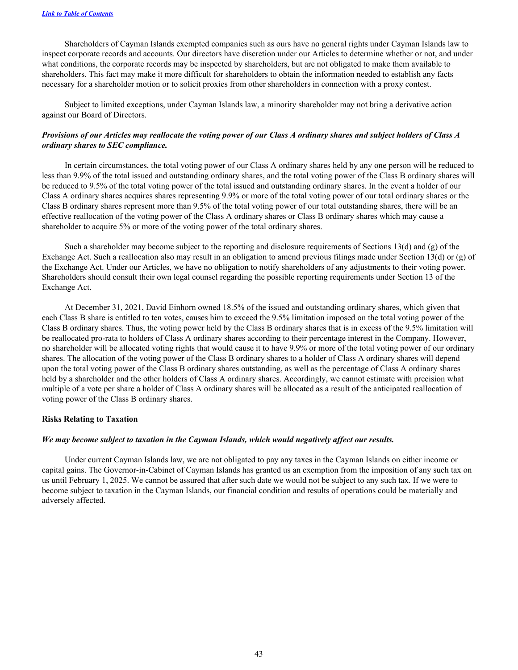Shareholders of Cayman Islands exempted companies such as ours have no general rights under Cayman Islands law to inspect corporate records and accounts. Our directors have discretion under our Articles to determine whether or not, and under what conditions, the corporate records may be inspected by shareholders, but are not obligated to make them available to shareholders. This fact may make it more difficult for shareholders to obtain the information needed to establish any facts necessary for a shareholder motion or to solicit proxies from other shareholders in connection with a proxy contest.

Subject to limited exceptions, under Cayman Islands law, a minority shareholder may not bring a derivative action against our Board of Directors.

## *Provisions of our Articles may reallocate the voting power of our Class A ordinary shares and subject holders of Class A ordinary shares to SEC compliance.*

In certain circumstances, the total voting power of our Class A ordinary shares held by any one person will be reduced to less than 9.9% of the total issued and outstanding ordinary shares, and the total voting power of the Class B ordinary shares will be reduced to 9.5% of the total voting power of the total issued and outstanding ordinary shares. In the event a holder of our Class A ordinary shares acquires shares representing 9.9% or more of the total voting power of our total ordinary shares or the Class B ordinary shares represent more than 9.5% of the total voting power of our total outstanding shares, there will be an effective reallocation of the voting power of the Class A ordinary shares or Class B ordinary shares which may cause a shareholder to acquire 5% or more of the voting power of the total ordinary shares.

Such a shareholder may become subject to the reporting and disclosure requirements of Sections 13(d) and (g) of the Exchange Act. Such a reallocation also may result in an obligation to amend previous filings made under Section 13(d) or (g) of the Exchange Act. Under our Articles, we have no obligation to notify shareholders of any adjustments to their voting power. Shareholders should consult their own legal counsel regarding the possible reporting requirements under Section 13 of the Exchange Act.

At December 31, 2021, David Einhorn owned 18.5% of the issued and outstanding ordinary shares, which given that each Class B share is entitled to ten votes, causes him to exceed the 9.5% limitation imposed on the total voting power of the Class B ordinary shares. Thus, the voting power held by the Class B ordinary shares that is in excess of the 9.5% limitation will be reallocated pro-rata to holders of Class A ordinary shares according to their percentage interest in the Company. However, no shareholder will be allocated voting rights that would cause it to have 9.9% or more of the total voting power of our ordinary shares. The allocation of the voting power of the Class B ordinary shares to a holder of Class A ordinary shares will depend upon the total voting power of the Class B ordinary shares outstanding, as well as the percentage of Class A ordinary shares held by a shareholder and the other holders of Class A ordinary shares. Accordingly, we cannot estimate with precision what multiple of a vote per share a holder of Class A ordinary shares will be allocated as a result of the anticipated reallocation of voting power of the Class B ordinary shares.

### **Risks Relating to Taxation**

### *We may become subject to taxation in the Cayman Islands, which would negatively affect our results.*

Under current Cayman Islands law, we are not obligated to pay any taxes in the Cayman Islands on either income or capital gains. The Governor-in-Cabinet of Cayman Islands has granted us an exemption from the imposition of any such tax on us until February 1, 2025. We cannot be assured that after such date we would not be subject to any such tax. If we were to become subject to taxation in the Cayman Islands, our financial condition and results of operations could be materially and adversely affected.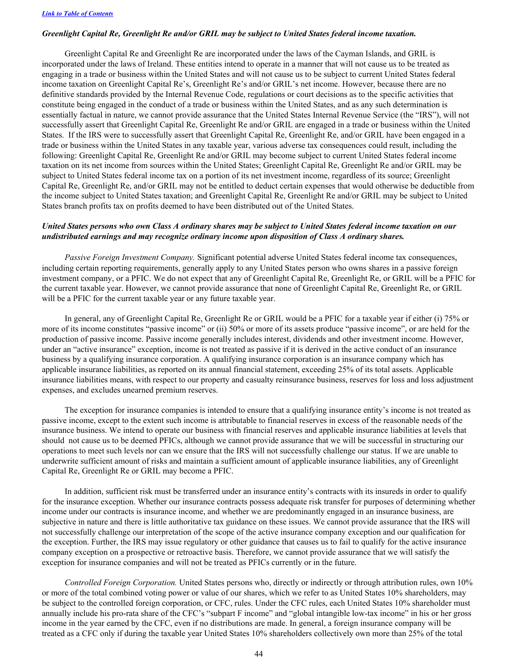### *Greenlight Capital Re, Greenlight Re and/or GRIL may be subject to United States federal income taxation.*

Greenlight Capital Re and Greenlight Re are incorporated under the laws of the Cayman Islands, and GRIL is incorporated under the laws of Ireland. These entities intend to operate in a manner that will not cause us to be treated as engaging in a trade or business within the United States and will not cause us to be subject to current United States federal income taxation on Greenlight Capital Re's, Greenlight Re's and/or GRIL's net income. However, because there are no definitive standards provided by the Internal Revenue Code, regulations or court decisions as to the specific activities that constitute being engaged in the conduct of a trade or business within the United States, and as any such determination is essentially factual in nature, we cannot provide assurance that the United States Internal Revenue Service (the "IRS"), will not successfully assert that Greenlight Capital Re, Greenlight Re and/or GRIL are engaged in a trade or business within the United States. If the IRS were to successfully assert that Greenlight Capital Re, Greenlight Re, and/or GRIL have been engaged in a trade or business within the United States in any taxable year, various adverse tax consequences could result, including the following: Greenlight Capital Re, Greenlight Re and/or GRIL may become subject to current United States federal income taxation on its net income from sources within the United States; Greenlight Capital Re, Greenlight Re and/or GRIL may be subject to United States federal income tax on a portion of its net investment income, regardless of its source; Greenlight Capital Re, Greenlight Re, and/or GRIL may not be entitled to deduct certain expenses that would otherwise be deductible from the income subject to United States taxation; and Greenlight Capital Re, Greenlight Re and/or GRIL may be subject to United States branch profits tax on profits deemed to have been distributed out of the United States.

### *United States persons who own Class A ordinary shares may be subject to United States federal income taxation on our undistributed earnings and may recognize ordinary income upon disposition of Class A ordinary shares.*

*Passive Foreign Investment Company.* Significant potential adverse United States federal income tax consequences, including certain reporting requirements, generally apply to any United States person who owns shares in a passive foreign investment company, or a PFIC. We do not expect that any of Greenlight Capital Re, Greenlight Re, or GRIL will be a PFIC for the current taxable year. However, we cannot provide assurance that none of Greenlight Capital Re, Greenlight Re, or GRIL will be a PFIC for the current taxable year or any future taxable year.

In general, any of Greenlight Capital Re, Greenlight Re or GRIL would be a PFIC for a taxable year if either (i) 75% or more of its income constitutes "passive income" or (ii) 50% or more of its assets produce "passive income", or are held for the production of passive income. Passive income generally includes interest, dividends and other investment income. However, under an "active insurance" exception, income is not treated as passive if it is derived in the active conduct of an insurance business by a qualifying insurance corporation. A qualifying insurance corporation is an insurance company which has applicable insurance liabilities, as reported on its annual financial statement, exceeding 25% of its total assets. Applicable insurance liabilities means, with respect to our property and casualty reinsurance business, reserves for loss and loss adjustment expenses, and excludes unearned premium reserves.

The exception for insurance companies is intended to ensure that a qualifying insurance entity's income is not treated as passive income, except to the extent such income is attributable to financial reserves in excess of the reasonable needs of the insurance business. We intend to operate our business with financial reserves and applicable insurance liabilities at levels that should not cause us to be deemed PFICs, although we cannot provide assurance that we will be successful in structuring our operations to meet such levels nor can we ensure that the IRS will not successfully challenge our status. If we are unable to underwrite sufficient amount of risks and maintain a sufficient amount of applicable insurance liabilities, any of Greenlight Capital Re, Greenlight Re or GRIL may become a PFIC.

In addition, sufficient risk must be transferred under an insurance entity's contracts with its insureds in order to qualify for the insurance exception. Whether our insurance contracts possess adequate risk transfer for purposes of determining whether income under our contracts is insurance income, and whether we are predominantly engaged in an insurance business, are subjective in nature and there is little authoritative tax guidance on these issues. We cannot provide assurance that the IRS will not successfully challenge our interpretation of the scope of the active insurance company exception and our qualification for the exception. Further, the IRS may issue regulatory or other guidance that causes us to fail to qualify for the active insurance company exception on a prospective or retroactive basis. Therefore, we cannot provide assurance that we will satisfy the exception for insurance companies and will not be treated as PFICs currently or in the future.

*Controlled Foreign Corporation.* United States persons who, directly or indirectly or through attribution rules, own 10% or more of the total combined voting power or value of our shares, which we refer to as United States 10% shareholders, may be subject to the controlled foreign corporation, or CFC, rules. Under the CFC rules, each United States 10% shareholder must annually include his pro-rata share of the CFC's "subpart F income" and "global intangible low-tax income" in his or her gross income in the year earned by the CFC, even if no distributions are made. In general, a foreign insurance company will be treated as a CFC only if during the taxable year United States 10% shareholders collectively own more than 25% of the total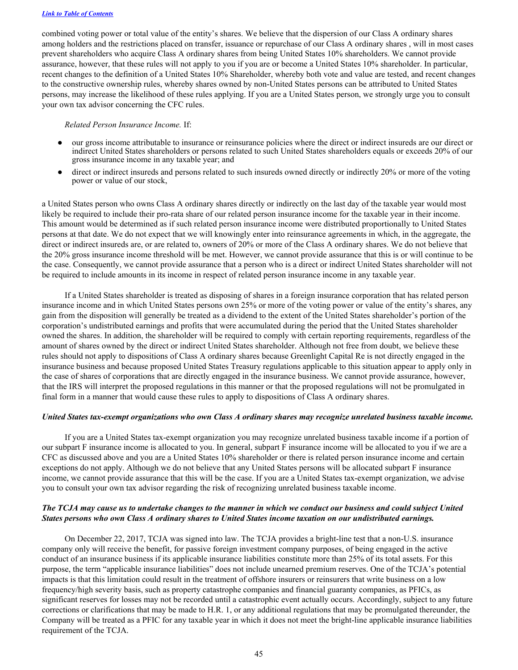combined voting power or total value of the entity's shares. We believe that the dispersion of our Class A ordinary shares among holders and the restrictions placed on transfer, issuance or repurchase of our Class A ordinary shares , will in most cases prevent shareholders who acquire Class A ordinary shares from being United States 10% shareholders. We cannot provide assurance, however, that these rules will not apply to you if you are or become a United States 10% shareholder. In particular, recent changes to the definition of a United States 10% Shareholder, whereby both vote and value are tested, and recent changes to the constructive ownership rules, whereby shares owned by non-United States persons can be attributed to United States persons, may increase the likelihood of these rules applying. If you are a United States person, we strongly urge you to consult your own tax advisor concerning the CFC rules.

#### *Related Person Insurance Income.* If:

- our gross income attributable to insurance or reinsurance policies where the direct or indirect insureds are our direct or indirect United States shareholders or persons related to such United States shareholders equals or exceeds 20% of our gross insurance income in any taxable year; and
- direct or indirect insureds and persons related to such insureds owned directly or indirectly 20% or more of the voting power or value of our stock,

a United States person who owns Class A ordinary shares directly or indirectly on the last day of the taxable year would most likely be required to include their pro-rata share of our related person insurance income for the taxable year in their income. This amount would be determined as if such related person insurance income were distributed proportionally to United States persons at that date. We do not expect that we will knowingly enter into reinsurance agreements in which, in the aggregate, the direct or indirect insureds are, or are related to, owners of 20% or more of the Class A ordinary shares. We do not believe that the 20% gross insurance income threshold will be met. However, we cannot provide assurance that this is or will continue to be the case. Consequently, we cannot provide assurance that a person who is a direct or indirect United States shareholder will not be required to include amounts in its income in respect of related person insurance income in any taxable year.

If a United States shareholder is treated as disposing of shares in a foreign insurance corporation that has related person insurance income and in which United States persons own 25% or more of the voting power or value of the entity's shares, any gain from the disposition will generally be treated as a dividend to the extent of the United States shareholder's portion of the corporation's undistributed earnings and profits that were accumulated during the period that the United States shareholder owned the shares. In addition, the shareholder will be required to comply with certain reporting requirements, regardless of the amount of shares owned by the direct or indirect United States shareholder. Although not free from doubt, we believe these rules should not apply to dispositions of Class A ordinary shares because Greenlight Capital Re is not directly engaged in the insurance business and because proposed United States Treasury regulations applicable to this situation appear to apply only in the case of shares of corporations that are directly engaged in the insurance business. We cannot provide assurance, however, that the IRS will interpret the proposed regulations in this manner or that the proposed regulations will not be promulgated in final form in a manner that would cause these rules to apply to dispositions of Class A ordinary shares.

### *United States tax-exempt organizations who own Class A ordinary shares may recognize unrelated business taxable income.*

If you are a United States tax-exempt organization you may recognize unrelated business taxable income if a portion of our subpart F insurance income is allocated to you. In general, subpart F insurance income will be allocated to you if we are a CFC as discussed above and you are a United States 10% shareholder or there is related person insurance income and certain exceptions do not apply. Although we do not believe that any United States persons will be allocated subpart F insurance income, we cannot provide assurance that this will be the case. If you are a United States tax-exempt organization, we advise you to consult your own tax advisor regarding the risk of recognizing unrelated business taxable income.

## *The TCJA may cause us to undertake changes to the manner in which we conduct our business and could subject United States persons who own Class A ordinary shares to United States income taxation on our undistributed earnings.*

On December 22, 2017, TCJA was signed into law. The TCJA provides a bright-line test that a non-U.S. insurance company only will receive the benefit, for passive foreign investment company purposes, of being engaged in the active conduct of an insurance business if its applicable insurance liabilities constitute more than 25% of its total assets. For this purpose, the term "applicable insurance liabilities" does not include unearned premium reserves. One of the TCJA's potential impacts is that this limitation could result in the treatment of offshore insurers or reinsurers that write business on a low frequency/high severity basis, such as property catastrophe companies and financial guaranty companies, as PFICs, as significant reserves for losses may not be recorded until a catastrophic event actually occurs. Accordingly, subject to any future corrections or clarifications that may be made to H.R. 1, or any additional regulations that may be promulgated thereunder, the Company will be treated as a PFIC for any taxable year in which it does not meet the bright-line applicable insurance liabilities requirement of the TCJA.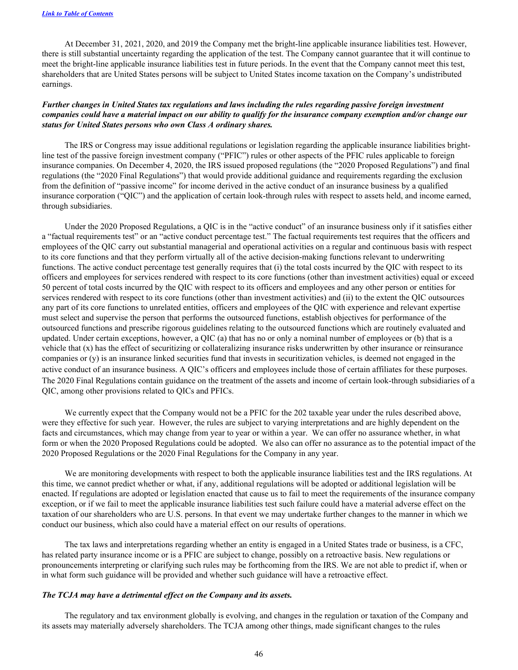At December 31, 2021, 2020, and 2019 the Company met the bright-line applicable insurance liabilities test. However, there is still substantial uncertainty regarding the application of the test. The Company cannot guarantee that it will continue to meet the bright-line applicable insurance liabilities test in future periods. In the event that the Company cannot meet this test, shareholders that are United States persons will be subject to United States income taxation on the Company's undistributed earnings.

## *Further changes in United States tax regulations and laws including the rules regarding passive foreign investment companies could have a material impact on our ability to qualify for the insurance company exemption and/or change our status for United States persons who own Class A ordinary shares.*

The IRS or Congress may issue additional regulations or legislation regarding the applicable insurance liabilities brightline test of the passive foreign investment company ("PFIC") rules or other aspects of the PFIC rules applicable to foreign insurance companies. On December 4, 2020, the IRS issued proposed regulations (the "2020 Proposed Regulations") and final regulations (the "2020 Final Regulations") that would provide additional guidance and requirements regarding the exclusion from the definition of "passive income" for income derived in the active conduct of an insurance business by a qualified insurance corporation ("QIC") and the application of certain look-through rules with respect to assets held, and income earned, through subsidiaries.

Under the 2020 Proposed Regulations, a QIC is in the "active conduct" of an insurance business only if it satisfies either a "factual requirements test" or an "active conduct percentage test." The factual requirements test requires that the officers and employees of the QIC carry out substantial managerial and operational activities on a regular and continuous basis with respect to its core functions and that they perform virtually all of the active decision-making functions relevant to underwriting functions. The active conduct percentage test generally requires that (i) the total costs incurred by the QIC with respect to its officers and employees for services rendered with respect to its core functions (other than investment activities) equal or exceed 50 percent of total costs incurred by the QIC with respect to its officers and employees and any other person or entities for services rendered with respect to its core functions (other than investment activities) and (ii) to the extent the QIC outsources any part of its core functions to unrelated entities, officers and employees of the QIC with experience and relevant expertise must select and supervise the person that performs the outsourced functions, establish objectives for performance of the outsourced functions and prescribe rigorous guidelines relating to the outsourced functions which are routinely evaluated and updated. Under certain exceptions, however, a QIC (a) that has no or only a nominal number of employees or (b) that is a vehicle that (x) has the effect of securitizing or collateralizing insurance risks underwritten by other insurance or reinsurance companies or (y) is an insurance linked securities fund that invests in securitization vehicles, is deemed not engaged in the active conduct of an insurance business. A QIC's officers and employees include those of certain affiliates for these purposes. The 2020 Final Regulations contain guidance on the treatment of the assets and income of certain look-through subsidiaries of a QIC, among other provisions related to QICs and PFICs.

We currently expect that the Company would not be a PFIC for the 202 taxable year under the rules described above, were they effective for such year. However, the rules are subject to varying interpretations and are highly dependent on the facts and circumstances, which may change from year to year or within a year. We can offer no assurance whether, in what form or when the 2020 Proposed Regulations could be adopted. We also can offer no assurance as to the potential impact of the 2020 Proposed Regulations or the 2020 Final Regulations for the Company in any year.

We are monitoring developments with respect to both the applicable insurance liabilities test and the IRS regulations. At this time, we cannot predict whether or what, if any, additional regulations will be adopted or additional legislation will be enacted. If regulations are adopted or legislation enacted that cause us to fail to meet the requirements of the insurance company exception, or if we fail to meet the applicable insurance liabilities test such failure could have a material adverse effect on the taxation of our shareholders who are U.S. persons. In that event we may undertake further changes to the manner in which we conduct our business, which also could have a material effect on our results of operations.

The tax laws and interpretations regarding whether an entity is engaged in a United States trade or business, is a CFC, has related party insurance income or is a PFIC are subject to change, possibly on a retroactive basis. New regulations or pronouncements interpreting or clarifying such rules may be forthcoming from the IRS. We are not able to predict if, when or in what form such guidance will be provided and whether such guidance will have a retroactive effect.

### *The TCJA may have a detrimental effect on the Company and its assets.*

The regulatory and tax environment globally is evolving, and changes in the regulation or taxation of the Company and its assets may materially adversely shareholders. The TCJA among other things, made significant changes to the rules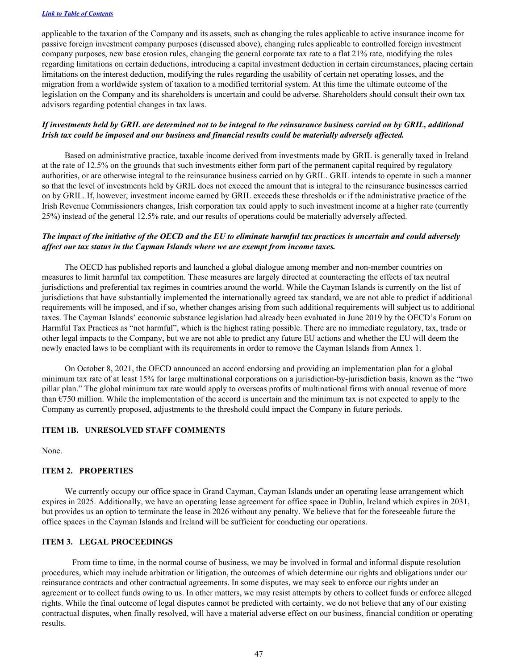applicable to the taxation of the Company and its assets, such as changing the rules applicable to active insurance income for passive foreign investment company purposes (discussed above), changing rules applicable to controlled foreign investment company purposes, new base erosion rules, changing the general corporate tax rate to a flat 21% rate, modifying the rules regarding limitations on certain deductions, introducing a capital investment deduction in certain circumstances, placing certain limitations on the interest deduction, modifying the rules regarding the usability of certain net operating losses, and the migration from a worldwide system of taxation to a modified territorial system. At this time the ultimate outcome of the legislation on the Company and its shareholders is uncertain and could be adverse. Shareholders should consult their own tax advisors regarding potential changes in tax laws.

## *If investments held by GRIL are determined not to be integral to the reinsurance business carried on by GRIL, additional Irish tax could be imposed and our business and financial results could be materially adversely affected.*

Based on administrative practice, taxable income derived from investments made by GRIL is generally taxed in Ireland at the rate of 12.5% on the grounds that such investments either form part of the permanent capital required by regulatory authorities, or are otherwise integral to the reinsurance business carried on by GRIL. GRIL intends to operate in such a manner so that the level of investments held by GRIL does not exceed the amount that is integral to the reinsurance businesses carried on by GRIL. If, however, investment income earned by GRIL exceeds these thresholds or if the administrative practice of the Irish Revenue Commissioners changes, Irish corporation tax could apply to such investment income at a higher rate (currently 25%) instead of the general 12.5% rate, and our results of operations could be materially adversely affected.

## *The impact of the initiative of the OECD and the EU to eliminate harmful tax practices is uncertain and could adversely affect our tax status in the Cayman Islands where we are exempt from income taxes.*

The OECD has published reports and launched a global dialogue among member and non-member countries on measures to limit harmful tax competition. These measures are largely directed at counteracting the effects of tax neutral jurisdictions and preferential tax regimes in countries around the world. While the Cayman Islands is currently on the list of jurisdictions that have substantially implemented the internationally agreed tax standard, we are not able to predict if additional requirements will be imposed, and if so, whether changes arising from such additional requirements will subject us to additional taxes. The Cayman Islands' economic substance legislation had already been evaluated in June 2019 by the OECD's Forum on Harmful Tax Practices as "not harmful", which is the highest rating possible. There are no immediate regulatory, tax, trade or other legal impacts to the Company, but we are not able to predict any future EU actions and whether the EU will deem the newly enacted laws to be compliant with its requirements in order to remove the Cayman Islands from Annex 1.

On October 8, 2021, the OECD announced an accord endorsing and providing an implementation plan for a global minimum tax rate of at least 15% for large multinational corporations on a jurisdiction-by-jurisdiction basis, known as the "two pillar plan." The global minimum tax rate would apply to overseas profits of multinational firms with annual revenue of more than €750 million. While the implementation of the accord is uncertain and the minimum tax is not expected to apply to the Company as currently proposed, adjustments to the threshold could impact the Company in future periods.

## **ITEM 1B. UNRESOLVED STAFF COMMENTS**

None.

## **ITEM 2. PROPERTIES**

We currently occupy our office space in Grand Cayman, Cayman Islands under an operating lease arrangement which expires in 2025. Additionally, we have an operating lease agreement for office space in Dublin, Ireland which expires in 2031, but provides us an option to terminate the lease in 2026 without any penalty. We believe that for the foreseeable future the office spaces in the Cayman Islands and Ireland will be sufficient for conducting our operations.

## **ITEM 3. LEGAL PROCEEDINGS**

From time to time, in the normal course of business, we may be involved in formal and informal dispute resolution procedures, which may include arbitration or litigation, the outcomes of which determine our rights and obligations under our reinsurance contracts and other contractual agreements. In some disputes, we may seek to enforce our rights under an agreement or to collect funds owing to us. In other matters, we may resist attempts by others to collect funds or enforce alleged rights. While the final outcome of legal disputes cannot be predicted with certainty, we do not believe that any of our existing contractual disputes, when finally resolved, will have a material adverse effect on our business, financial condition or operating results.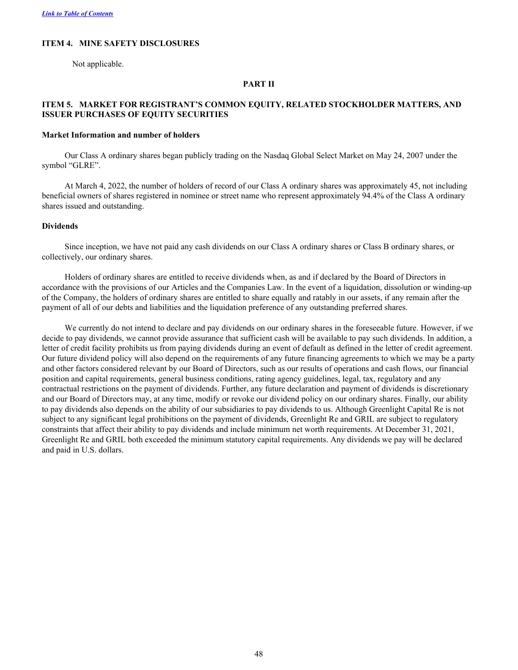### **ITEM 4. MINE SAFETY DISCLOSURES**

Not applicable.

## **PART II**

## **ITEM 5. MARKET FOR REGISTRANT'S COMMON EQUITY, RELATED STOCKHOLDER MATTERS, AND ISSUER PURCHASES OF EQUITY SECURITIES**

## **Market Information and number of holders**

Our Class A ordinary shares began publicly trading on the Nasdaq Global Select Market on May 24, 2007 under the symbol "GLRE".

At March 4, 2022, the number of holders of record of our Class A ordinary shares was approximately 45, not including beneficial owners of shares registered in nominee or street name who represent approximately 94.4% of the Class A ordinary shares issued and outstanding.

### **Dividends**

Since inception, we have not paid any cash dividends on our Class A ordinary shares or Class B ordinary shares, or collectively, our ordinary shares.

Holders of ordinary shares are entitled to receive dividends when, as and if declared by the Board of Directors in accordance with the provisions of our Articles and the Companies Law. In the event of a liquidation, dissolution or winding-up of the Company, the holders of ordinary shares are entitled to share equally and ratably in our assets, if any remain after the payment of all of our debts and liabilities and the liquidation preference of any outstanding preferred shares.

We currently do not intend to declare and pay dividends on our ordinary shares in the foreseeable future. However, if we decide to pay dividends, we cannot provide assurance that sufficient cash will be available to pay such dividends. In addition, a letter of credit facility prohibits us from paying dividends during an event of default as defined in the letter of credit agreement. Our future dividend policy will also depend on the requirements of any future financing agreements to which we may be a party and other factors considered relevant by our Board of Directors, such as our results of operations and cash flows, our financial position and capital requirements, general business conditions, rating agency guidelines, legal, tax, regulatory and any contractual restrictions on the payment of dividends. Further, any future declaration and payment of dividends is discretionary and our Board of Directors may, at any time, modify or revoke our dividend policy on our ordinary shares. Finally, our ability to pay dividends also depends on the ability of our subsidiaries to pay dividends to us. Although Greenlight Capital Re is not subject to any significant legal prohibitions on the payment of dividends, Greenlight Re and GRIL are subject to regulatory constraints that affect their ability to pay dividends and include minimum net worth requirements. At December 31, 2021, Greenlight Re and GRIL both exceeded the minimum statutory capital requirements. Any dividends we pay will be declared and paid in U.S. dollars.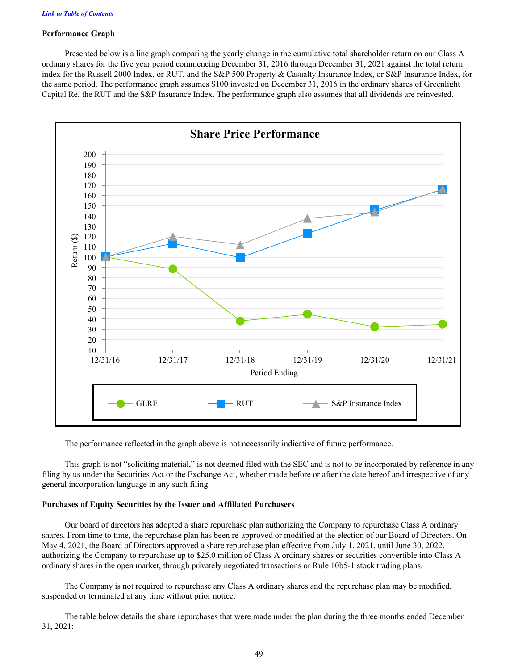### **Performance Graph**

Presented below is a line graph comparing the yearly change in the cumulative total shareholder return on our Class A ordinary shares for the five year period commencing December 31, 2016 through December 31, 2021 against the total return index for the Russell 2000 Index, or RUT, and the S&P 500 Property & Casualty Insurance Index, or S&P Insurance Index, for the same period. The performance graph assumes \$100 invested on December 31, 2016 in the ordinary shares of Greenlight Capital Re, the RUT and the S&P Insurance Index. The performance graph also assumes that all dividends are reinvested.



The performance reflected in the graph above is not necessarily indicative of future performance.

This graph is not "soliciting material," is not deemed filed with the SEC and is not to be incorporated by reference in any filing by us under the Securities Act or the Exchange Act, whether made before or after the date hereof and irrespective of any general incorporation language in any such filing.

### **Purchases of Equity Securities by the Issuer and Affiliated Purchasers**

Our board of directors has adopted a share repurchase plan authorizing the Company to repurchase Class A ordinary shares. From time to time, the repurchase plan has been re-approved or modified at the election of our Board of Directors. On May 4, 2021, the Board of Directors approved a share repurchase plan effective from July 1, 2021, until June 30, 2022, authorizing the Company to repurchase up to \$25.0 million of Class A ordinary shares or securities convertible into Class A ordinary shares in the open market, through privately negotiated transactions or Rule 10b5-1 stock trading plans.

The Company is not required to repurchase any Class A ordinary shares and the repurchase plan may be modified, suspended or terminated at any time without prior notice.

The table below details the share repurchases that were made under the plan during the three months ended December 31, 2021: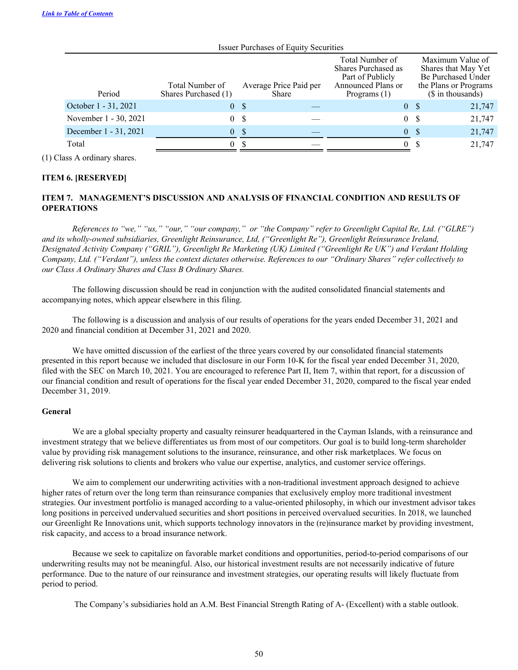| issuel I dictiases of Equity Securities |                                         |                |                                        |                                                                                                    |                |                                                                                                             |
|-----------------------------------------|-----------------------------------------|----------------|----------------------------------------|----------------------------------------------------------------------------------------------------|----------------|-------------------------------------------------------------------------------------------------------------|
| Period                                  | Total Number of<br>Shares Purchased (1) |                | Average Price Paid per<br><b>Share</b> | Total Number of<br>Shares Purchased as<br>Part of Publicly<br>Announced Plans or<br>Programs $(1)$ |                | Maximum Value of<br>Shares that May Yet<br>Be Purchased Under<br>the Plans or Programs<br>(\$ in thousands) |
| October 1 - 31, 2021                    |                                         | 0 <sup>5</sup> |                                        |                                                                                                    | 0S             | 21,747                                                                                                      |
| November 1 - 30, 2021                   |                                         | 0 <sup>5</sup> |                                        |                                                                                                    | 0S             | 21,747                                                                                                      |
| December 1 - 31, 2021                   |                                         | 0 <sup>5</sup> |                                        |                                                                                                    | 0 <sup>5</sup> | 21,747                                                                                                      |
| Total                                   |                                         |                |                                        |                                                                                                    |                | 21,747                                                                                                      |

Issuer Purchases of Equity Securities

(1) Class A ordinary shares.

### **ITEM 6. [RESERVED]**

### **ITEM 7. MANAGEMENT'S DISCUSSION AND ANALYSIS OF FINANCIAL CONDITION AND RESULTS OF OPERATIONS**

*References to "we," "us," "our," "our company," or "the Company" refer to Greenlight Capital Re, Ltd. ("GLRE") and its wholly-owned subsidiaries, Greenlight Reinsurance, Ltd, ("Greenlight Re"), Greenlight Reinsurance Ireland, Designated Activity Company ("GRIL"), Greenlight Re Marketing (UK) Limited ("Greenlight Re UK") and Verdant Holding Company, Ltd. ("Verdant"), unless the context dictates otherwise. References to our "Ordinary Shares" refer collectively to our Class A Ordinary Shares and Class B Ordinary Shares.*

The following discussion should be read in conjunction with the audited consolidated financial statements and accompanying notes, which appear elsewhere in this filing.

The following is a discussion and analysis of our results of operations for the years ended December 31, 2021 and 2020 and financial condition at December 31, 2021 and 2020.

We have omitted discussion of the earliest of the three years covered by our consolidated financial statements presented in this report because we included that disclosure in our Form 10-K for the fiscal year ended December 31, 2020, filed with the SEC on March 10, 2021. You are encouraged to reference Part II, Item 7, within that report, for a discussion of our financial condition and result of operations for the fiscal year ended December 31, 2020, compared to the fiscal year ended December 31, 2019.

### **General**

We are a global specialty property and casualty reinsurer headquartered in the Cayman Islands, with a reinsurance and investment strategy that we believe differentiates us from most of our competitors. Our goal is to build long-term shareholder value by providing risk management solutions to the insurance, reinsurance, and other risk marketplaces. We focus on delivering risk solutions to clients and brokers who value our expertise, analytics, and customer service offerings.

We aim to complement our underwriting activities with a non-traditional investment approach designed to achieve higher rates of return over the long term than reinsurance companies that exclusively employ more traditional investment strategies. Our investment portfolio is managed according to a value-oriented philosophy, in which our investment advisor takes long positions in perceived undervalued securities and short positions in perceived overvalued securities. In 2018, we launched our Greenlight Re Innovations unit, which supports technology innovators in the (re)insurance market by providing investment, risk capacity, and access to a broad insurance network.

Because we seek to capitalize on favorable market conditions and opportunities, period-to-period comparisons of our underwriting results may not be meaningful. Also, our historical investment results are not necessarily indicative of future performance. Due to the nature of our reinsurance and investment strategies, our operating results will likely fluctuate from period to period.

The Company's subsidiaries hold an A.M. Best Financial Strength Rating of A- (Excellent) with a stable outlook.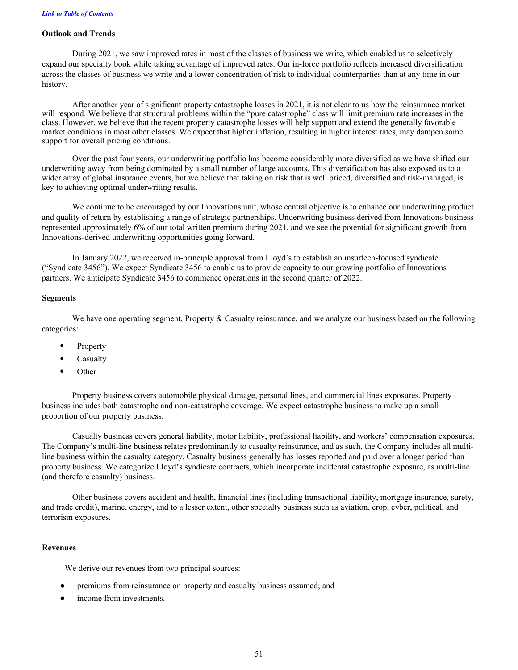### **Outlook and Trends**

During 2021, we saw improved rates in most of the classes of business we write, which enabled us to selectively expand our specialty book while taking advantage of improved rates. Our in-force portfolio reflects increased diversification across the classes of business we write and a lower concentration of risk to individual counterparties than at any time in our history.

After another year of significant property catastrophe losses in 2021, it is not clear to us how the reinsurance market will respond. We believe that structural problems within the "pure catastrophe" class will limit premium rate increases in the class. However, we believe that the recent property catastrophe losses will help support and extend the generally favorable market conditions in most other classes. We expect that higher inflation, resulting in higher interest rates, may dampen some support for overall pricing conditions.

Over the past four years, our underwriting portfolio has become considerably more diversified as we have shifted our underwriting away from being dominated by a small number of large accounts. This diversification has also exposed us to a wider array of global insurance events, but we believe that taking on risk that is well priced, diversified and risk-managed, is key to achieving optimal underwriting results.

We continue to be encouraged by our Innovations unit, whose central objective is to enhance our underwriting product and quality of return by establishing a range of strategic partnerships. Underwriting business derived from Innovations business represented approximately 6% of our total written premium during 2021, and we see the potential for significant growth from Innovations-derived underwriting opportunities going forward.

In January 2022, we received in-principle approval from Lloyd's to establish an insurtech-focused syndicate ("Syndicate 3456"). We expect Syndicate 3456 to enable us to provide capacity to our growing portfolio of Innovations partners. We anticipate Syndicate 3456 to commence operations in the second quarter of 2022.

### **Segments**

We have one operating segment, Property  $\&$  Casualty reinsurance, and we analyze our business based on the following categories:

- Property
- Casualty
- Other

Property business covers automobile physical damage, personal lines, and commercial lines exposures. Property business includes both catastrophe and non-catastrophe coverage. We expect catastrophe business to make up a small proportion of our property business.

Casualty business covers general liability, motor liability, professional liability, and workers' compensation exposures. The Company's multi-line business relates predominantly to casualty reinsurance, and as such, the Company includes all multiline business within the casualty category. Casualty business generally has losses reported and paid over a longer period than property business. We categorize Lloyd's syndicate contracts, which incorporate incidental catastrophe exposure, as multi-line (and therefore casualty) business.

Other business covers accident and health, financial lines (including transactional liability, mortgage insurance, surety, and trade credit), marine, energy, and to a lesser extent, other specialty business such as aviation, crop, cyber, political, and terrorism exposures.

#### **Revenues**

We derive our revenues from two principal sources:

- premiums from reinsurance on property and casualty business assumed; and
- income from investments.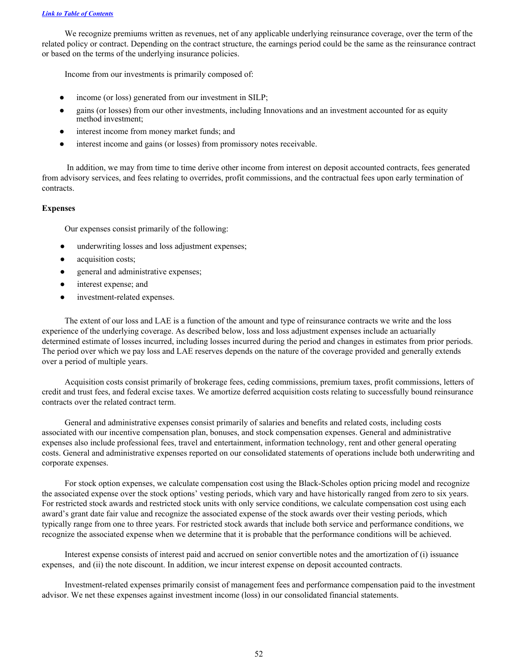We recognize premiums written as revenues, net of any applicable underlying reinsurance coverage, over the term of the related policy or contract. Depending on the contract structure, the earnings period could be the same as the reinsurance contract or based on the terms of the underlying insurance policies.

Income from our investments is primarily composed of:

- income (or loss) generated from our investment in SILP;
- gains (or losses) from our other investments, including Innovations and an investment accounted for as equity method investment;
- interest income from money market funds; and
- interest income and gains (or losses) from promissory notes receivable.

 In addition, we may from time to time derive other income from interest on deposit accounted contracts, fees generated from advisory services, and fees relating to overrides, profit commissions, and the contractual fees upon early termination of contracts.

### **Expenses**

Our expenses consist primarily of the following:

- underwriting losses and loss adjustment expenses;
- acquisition costs;
- general and administrative expenses;
- interest expense; and
- investment-related expenses.

The extent of our loss and LAE is a function of the amount and type of reinsurance contracts we write and the loss experience of the underlying coverage. As described below, loss and loss adjustment expenses include an actuarially determined estimate of losses incurred, including losses incurred during the period and changes in estimates from prior periods. The period over which we pay loss and LAE reserves depends on the nature of the coverage provided and generally extends over a period of multiple years.

Acquisition costs consist primarily of brokerage fees, ceding commissions, premium taxes, profit commissions, letters of credit and trust fees, and federal excise taxes. We amortize deferred acquisition costs relating to successfully bound reinsurance contracts over the related contract term.

General and administrative expenses consist primarily of salaries and benefits and related costs, including costs associated with our incentive compensation plan, bonuses, and stock compensation expenses. General and administrative expenses also include professional fees, travel and entertainment, information technology, rent and other general operating costs. General and administrative expenses reported on our consolidated statements of operations include both underwriting and corporate expenses.

For stock option expenses, we calculate compensation cost using the Black-Scholes option pricing model and recognize the associated expense over the stock options' vesting periods, which vary and have historically ranged from zero to six years. For restricted stock awards and restricted stock units with only service conditions, we calculate compensation cost using each award's grant date fair value and recognize the associated expense of the stock awards over their vesting periods, which typically range from one to three years. For restricted stock awards that include both service and performance conditions, we recognize the associated expense when we determine that it is probable that the performance conditions will be achieved.

Interest expense consists of interest paid and accrued on senior convertible notes and the amortization of (i) issuance expenses, and (ii) the note discount. In addition, we incur interest expense on deposit accounted contracts.

Investment-related expenses primarily consist of management fees and performance compensation paid to the investment advisor. We net these expenses against investment income (loss) in our consolidated financial statements.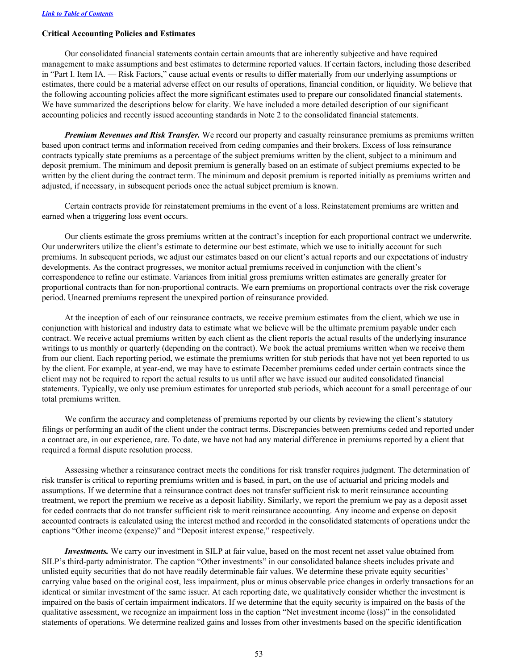### **Critical Accounting Policies and Estimates**

Our consolidated financial statements contain certain amounts that are inherently subjective and have required management to make assumptions and best estimates to determine reported values. If certain factors, including those described in "Part I. Item IA. — Risk Factors," cause actual events or results to differ materially from our underlying assumptions or estimates, there could be a material adverse effect on our results of operations, financial condition, or liquidity. We believe that the following accounting policies affect the more significant estimates used to prepare our consolidated financial statements. We have summarized the descriptions below for clarity. We have included a more detailed description of our significant accounting policies and recently issued accounting standards in Note 2 to the consolidated financial statements.

*Premium Revenues and Risk Transfer.* We record our property and casualty reinsurance premiums as premiums written based upon contract terms and information received from ceding companies and their brokers. Excess of loss reinsurance contracts typically state premiums as a percentage of the subject premiums written by the client, subject to a minimum and deposit premium. The minimum and deposit premium is generally based on an estimate of subject premiums expected to be written by the client during the contract term. The minimum and deposit premium is reported initially as premiums written and adjusted, if necessary, in subsequent periods once the actual subject premium is known.

Certain contracts provide for reinstatement premiums in the event of a loss. Reinstatement premiums are written and earned when a triggering loss event occurs.

Our clients estimate the gross premiums written at the contract's inception for each proportional contract we underwrite. Our underwriters utilize the client's estimate to determine our best estimate, which we use to initially account for such premiums. In subsequent periods, we adjust our estimates based on our client's actual reports and our expectations of industry developments. As the contract progresses, we monitor actual premiums received in conjunction with the client's correspondence to refine our estimate. Variances from initial gross premiums written estimates are generally greater for proportional contracts than for non-proportional contracts. We earn premiums on proportional contracts over the risk coverage period. Unearned premiums represent the unexpired portion of reinsurance provided.

At the inception of each of our reinsurance contracts, we receive premium estimates from the client, which we use in conjunction with historical and industry data to estimate what we believe will be the ultimate premium payable under each contract. We receive actual premiums written by each client as the client reports the actual results of the underlying insurance writings to us monthly or quarterly (depending on the contract). We book the actual premiums written when we receive them from our client. Each reporting period, we estimate the premiums written for stub periods that have not yet been reported to us by the client. For example, at year-end, we may have to estimate December premiums ceded under certain contracts since the client may not be required to report the actual results to us until after we have issued our audited consolidated financial statements. Typically, we only use premium estimates for unreported stub periods, which account for a small percentage of our total premiums written.

We confirm the accuracy and completeness of premiums reported by our clients by reviewing the client's statutory filings or performing an audit of the client under the contract terms. Discrepancies between premiums ceded and reported under a contract are, in our experience, rare. To date, we have not had any material difference in premiums reported by a client that required a formal dispute resolution process.

Assessing whether a reinsurance contract meets the conditions for risk transfer requires judgment. The determination of risk transfer is critical to reporting premiums written and is based, in part, on the use of actuarial and pricing models and assumptions. If we determine that a reinsurance contract does not transfer sufficient risk to merit reinsurance accounting treatment, we report the premium we receive as a deposit liability. Similarly, we report the premium we pay as a deposit asset for ceded contracts that do not transfer sufficient risk to merit reinsurance accounting. Any income and expense on deposit accounted contracts is calculated using the interest method and recorded in the consolidated statements of operations under the captions "Other income (expense)" and "Deposit interest expense," respectively.

*Investments.* We carry our investment in SILP at fair value, based on the most recent net asset value obtained from SILP's third-party administrator. The caption "Other investments" in our consolidated balance sheets includes private and unlisted equity securities that do not have readily determinable fair values. We determine these private equity securities' carrying value based on the original cost, less impairment, plus or minus observable price changes in orderly transactions for an identical or similar investment of the same issuer. At each reporting date, we qualitatively consider whether the investment is impaired on the basis of certain impairment indicators. If we determine that the equity security is impaired on the basis of the qualitative assessment, we recognize an impairment loss in the caption "Net investment income (loss)" in the consolidated statements of operations. We determine realized gains and losses from other investments based on the specific identification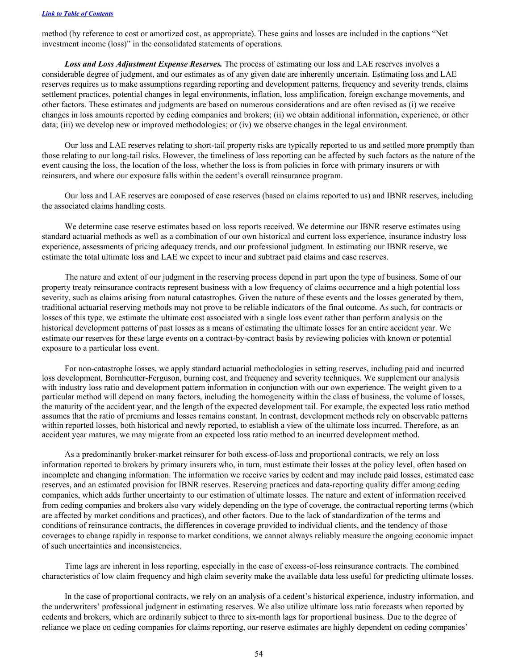method (by reference to cost or amortized cost, as appropriate). These gains and losses are included in the captions "Net investment income (loss)" in the consolidated statements of operations.

*Loss and Loss Adjustment Expense Reserves.* The process of estimating our loss and LAE reserves involves a considerable degree of judgment, and our estimates as of any given date are inherently uncertain. Estimating loss and LAE reserves requires us to make assumptions regarding reporting and development patterns, frequency and severity trends, claims settlement practices, potential changes in legal environments, inflation, loss amplification, foreign exchange movements, and other factors. These estimates and judgments are based on numerous considerations and are often revised as (i) we receive changes in loss amounts reported by ceding companies and brokers; (ii) we obtain additional information, experience, or other data; (iii) we develop new or improved methodologies; or (iv) we observe changes in the legal environment.

Our loss and LAE reserves relating to short-tail property risks are typically reported to us and settled more promptly than those relating to our long-tail risks. However, the timeliness of loss reporting can be affected by such factors as the nature of the event causing the loss, the location of the loss, whether the loss is from policies in force with primary insurers or with reinsurers, and where our exposure falls within the cedent's overall reinsurance program.

Our loss and LAE reserves are composed of case reserves (based on claims reported to us) and IBNR reserves, including the associated claims handling costs.

We determine case reserve estimates based on loss reports received. We determine our IBNR reserve estimates using standard actuarial methods as well as a combination of our own historical and current loss experience, insurance industry loss experience, assessments of pricing adequacy trends, and our professional judgment. In estimating our IBNR reserve, we estimate the total ultimate loss and LAE we expect to incur and subtract paid claims and case reserves.

The nature and extent of our judgment in the reserving process depend in part upon the type of business. Some of our property treaty reinsurance contracts represent business with a low frequency of claims occurrence and a high potential loss severity, such as claims arising from natural catastrophes. Given the nature of these events and the losses generated by them, traditional actuarial reserving methods may not prove to be reliable indicators of the final outcome. As such, for contracts or losses of this type, we estimate the ultimate cost associated with a single loss event rather than perform analysis on the historical development patterns of past losses as a means of estimating the ultimate losses for an entire accident year. We estimate our reserves for these large events on a contract-by-contract basis by reviewing policies with known or potential exposure to a particular loss event.

For non-catastrophe losses, we apply standard actuarial methodologies in setting reserves, including paid and incurred loss development, Bornheutter-Ferguson, burning cost, and frequency and severity techniques. We supplement our analysis with industry loss ratio and development pattern information in conjunction with our own experience. The weight given to a particular method will depend on many factors, including the homogeneity within the class of business, the volume of losses, the maturity of the accident year, and the length of the expected development tail. For example, the expected loss ratio method assumes that the ratio of premiums and losses remains constant. In contrast, development methods rely on observable patterns within reported losses, both historical and newly reported, to establish a view of the ultimate loss incurred. Therefore, as an accident year matures, we may migrate from an expected loss ratio method to an incurred development method.

As a predominantly broker-market reinsurer for both excess-of-loss and proportional contracts, we rely on loss information reported to brokers by primary insurers who, in turn, must estimate their losses at the policy level, often based on incomplete and changing information. The information we receive varies by cedent and may include paid losses, estimated case reserves, and an estimated provision for IBNR reserves. Reserving practices and data-reporting quality differ among ceding companies, which adds further uncertainty to our estimation of ultimate losses. The nature and extent of information received from ceding companies and brokers also vary widely depending on the type of coverage, the contractual reporting terms (which are affected by market conditions and practices), and other factors. Due to the lack of standardization of the terms and conditions of reinsurance contracts, the differences in coverage provided to individual clients, and the tendency of those coverages to change rapidly in response to market conditions, we cannot always reliably measure the ongoing economic impact of such uncertainties and inconsistencies.

Time lags are inherent in loss reporting, especially in the case of excess-of-loss reinsurance contracts. The combined characteristics of low claim frequency and high claim severity make the available data less useful for predicting ultimate losses.

In the case of proportional contracts, we rely on an analysis of a cedent's historical experience, industry information, and the underwriters' professional judgment in estimating reserves. We also utilize ultimate loss ratio forecasts when reported by cedents and brokers, which are ordinarily subject to three to six-month lags for proportional business. Due to the degree of reliance we place on ceding companies for claims reporting, our reserve estimates are highly dependent on ceding companies'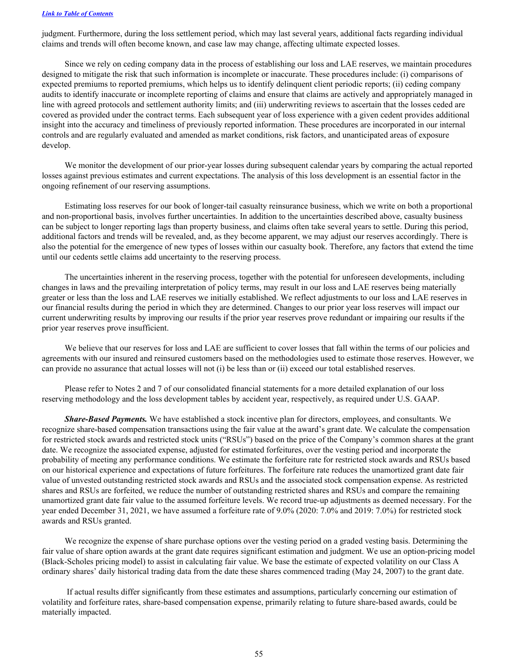judgment. Furthermore, during the loss settlement period, which may last several years, additional facts regarding individual claims and trends will often become known, and case law may change, affecting ultimate expected losses.

Since we rely on ceding company data in the process of establishing our loss and LAE reserves, we maintain procedures designed to mitigate the risk that such information is incomplete or inaccurate. These procedures include: (i) comparisons of expected premiums to reported premiums, which helps us to identify delinquent client periodic reports; (ii) ceding company audits to identify inaccurate or incomplete reporting of claims and ensure that claims are actively and appropriately managed in line with agreed protocols and settlement authority limits; and (iii) underwriting reviews to ascertain that the losses ceded are covered as provided under the contract terms. Each subsequent year of loss experience with a given cedent provides additional insight into the accuracy and timeliness of previously reported information. These procedures are incorporated in our internal controls and are regularly evaluated and amended as market conditions, risk factors, and unanticipated areas of exposure develop.

We monitor the development of our prior-year losses during subsequent calendar years by comparing the actual reported losses against previous estimates and current expectations. The analysis of this loss development is an essential factor in the ongoing refinement of our reserving assumptions.

Estimating loss reserves for our book of longer-tail casualty reinsurance business, which we write on both a proportional and non-proportional basis, involves further uncertainties. In addition to the uncertainties described above, casualty business can be subject to longer reporting lags than property business, and claims often take several years to settle. During this period, additional factors and trends will be revealed, and, as they become apparent, we may adjust our reserves accordingly. There is also the potential for the emergence of new types of losses within our casualty book. Therefore, any factors that extend the time until our cedents settle claims add uncertainty to the reserving process.

The uncertainties inherent in the reserving process, together with the potential for unforeseen developments, including changes in laws and the prevailing interpretation of policy terms, may result in our loss and LAE reserves being materially greater or less than the loss and LAE reserves we initially established. We reflect adjustments to our loss and LAE reserves in our financial results during the period in which they are determined. Changes to our prior year loss reserves will impact our current underwriting results by improving our results if the prior year reserves prove redundant or impairing our results if the prior year reserves prove insufficient.

We believe that our reserves for loss and LAE are sufficient to cover losses that fall within the terms of our policies and agreements with our insured and reinsured customers based on the methodologies used to estimate those reserves. However, we can provide no assurance that actual losses will not (i) be less than or (ii) exceed our total established reserves.

Please refer to Notes 2 and 7 of our consolidated financial statements for a more detailed explanation of our loss reserving methodology and the loss development tables by accident year, respectively, as required under U.S. GAAP.

*Share-Based Payments.* We have established a stock incentive plan for directors, employees, and consultants. We recognize share-based compensation transactions using the fair value at the award's grant date. We calculate the compensation for restricted stock awards and restricted stock units ("RSUs") based on the price of the Company's common shares at the grant date. We recognize the associated expense, adjusted for estimated forfeitures, over the vesting period and incorporate the probability of meeting any performance conditions. We estimate the forfeiture rate for restricted stock awards and RSUs based on our historical experience and expectations of future forfeitures. The forfeiture rate reduces the unamortized grant date fair value of unvested outstanding restricted stock awards and RSUs and the associated stock compensation expense. As restricted shares and RSUs are forfeited, we reduce the number of outstanding restricted shares and RSUs and compare the remaining unamortized grant date fair value to the assumed forfeiture levels. We record true-up adjustments as deemed necessary. For the year ended December 31, 2021, we have assumed a forfeiture rate of 9.0% (2020: 7.0% and 2019: 7.0%) for restricted stock awards and RSUs granted.

We recognize the expense of share purchase options over the vesting period on a graded vesting basis. Determining the fair value of share option awards at the grant date requires significant estimation and judgment. We use an option-pricing model (Black-Scholes pricing model) to assist in calculating fair value. We base the estimate of expected volatility on our Class A ordinary shares' daily historical trading data from the date these shares commenced trading (May 24, 2007) to the grant date.

 If actual results differ significantly from these estimates and assumptions, particularly concerning our estimation of volatility and forfeiture rates, share-based compensation expense, primarily relating to future share-based awards, could be materially impacted.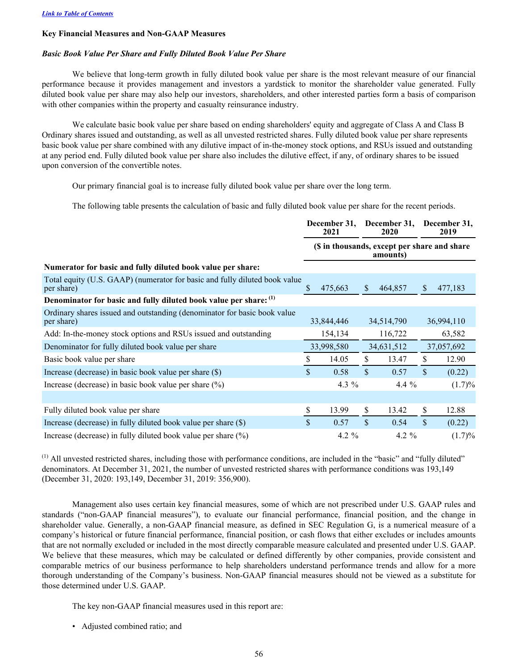## **Key Financial Measures and Non-GAAP Measures**

### *Basic Book Value Per Share and Fully Diluted Book Value Per Share*

We believe that long-term growth in fully diluted book value per share is the most relevant measure of our financial performance because it provides management and investors a yardstick to monitor the shareholder value generated. Fully diluted book value per share may also help our investors, shareholders, and other interested parties form a basis of comparison with other companies within the property and casualty reinsurance industry.

We calculate basic book value per share based on ending shareholders' equity and aggregate of Class A and Class B Ordinary shares issued and outstanding, as well as all unvested restricted shares. Fully diluted book value per share represents basic book value per share combined with any dilutive impact of in-the-money stock options, and RSUs issued and outstanding at any period end. Fully diluted book value per share also includes the dilutive effect, if any, of ordinary shares to be issued upon conversion of the convertible notes.

Our primary financial goal is to increase fully diluted book value per share over the long term.

The following table presents the calculation of basic and fully diluted book value per share for the recent periods.

|                                                                                          |                                                          | December 31,<br>2021 |              | December 31,<br>2020 |               | December 31,<br>2019 |
|------------------------------------------------------------------------------------------|----------------------------------------------------------|----------------------|--------------|----------------------|---------------|----------------------|
|                                                                                          | (\$ in thousands, except per share and share<br>amounts) |                      |              |                      |               |                      |
| Numerator for basic and fully diluted book value per share:                              |                                                          |                      |              |                      |               |                      |
| Total equity (U.S. GAAP) (numerator for basic and fully diluted book value<br>per share) | \$.                                                      | 475,663              | \$           | 464,857              | $\mathsf{\$}$ | 477,183              |
| Denominator for basic and fully diluted book value per share: (1)                        |                                                          |                      |              |                      |               |                      |
| Ordinary shares issued and outstanding (denominator for basic book value<br>per share)   |                                                          | 33,844,446           |              | 34,514,790           |               | 36,994,110           |
| Add: In-the-money stock options and RSUs issued and outstanding                          |                                                          | 154,134              |              | 116,722              |               | 63,582               |
| Denominator for fully diluted book value per share                                       |                                                          | 33,998,580           |              | 34,631,512           |               | 37,057,692           |
| Basic book value per share                                                               | \$                                                       | 14.05                | \$           | 13.47                | \$            | 12.90                |
| Increase (decrease) in basic book value per share (\$)                                   | $\mathbf{\hat{S}}$                                       | 0.58                 | $\mathbf{s}$ | 0.57                 | $\mathbb{S}$  | (0.22)               |
| Increase (decrease) in basic book value per share $(\% )$                                |                                                          | 4.3 $%$              |              | 4.4 $%$              |               | (1.7)%               |
|                                                                                          |                                                          |                      |              |                      |               |                      |
| Fully diluted book value per share                                                       | \$                                                       | 13.99                | \$           | 13.42                | \$            | 12.88                |
| Increase (decrease) in fully diluted book value per share (\$)                           | $\mathbf S$                                              | 0.57                 | \$           | 0.54                 | \$            | (0.22)               |
| Increase (decrease) in fully diluted book value per share $(\%)$                         |                                                          | 4.2 $%$              |              | 4.2 %                |               | (1.7)%               |

 $<sup>(1)</sup>$  All unvested restricted shares, including those with performance conditions, are included in the "basic" and "fully diluted"</sup> denominators. At December 31, 2021, the number of unvested restricted shares with performance conditions was 193,149 (December 31, 2020: 193,149, December 31, 2019: 356,900).

Management also uses certain key financial measures, some of which are not prescribed under U.S. GAAP rules and standards ("non-GAAP financial measures"), to evaluate our financial performance, financial position, and the change in shareholder value. Generally, a non-GAAP financial measure, as defined in SEC Regulation G, is a numerical measure of a company's historical or future financial performance, financial position, or cash flows that either excludes or includes amounts that are not normally excluded or included in the most directly comparable measure calculated and presented under U.S. GAAP. We believe that these measures, which may be calculated or defined differently by other companies, provide consistent and comparable metrics of our business performance to help shareholders understand performance trends and allow for a more thorough understanding of the Company's business. Non-GAAP financial measures should not be viewed as a substitute for those determined under U.S. GAAP.

The key non-GAAP financial measures used in this report are:

• Adjusted combined ratio; and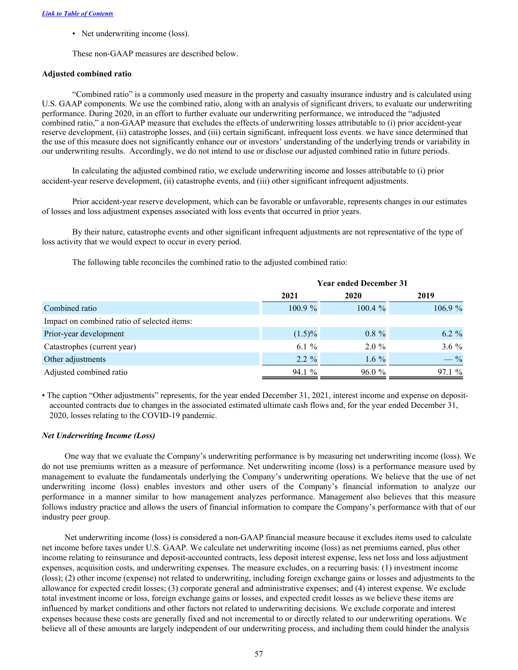• Net underwriting income (loss).

These non-GAAP measures are described below.

### **Adjusted combined ratio**

"Combined ratio" is a commonly used measure in the property and casualty insurance industry and is calculated using U.S. GAAP components. We use the combined ratio, along with an analysis of significant drivers, to evaluate our underwriting performance. During 2020, in an effort to further evaluate our underwriting performance, we introduced the "adjusted combined ratio," a non-GAAP measure that excludes the effects of underwriting losses attributable to (i) prior accident-year reserve development, (ii) catastrophe losses, and (iii) certain significant, infrequent loss events. we have since determined that the use of this measure does not significantly enhance our or investors' understanding of the underlying trends or variability in our underwriting results. Accordingly, we do not intend to use or disclose our adjusted combined ratio in future periods.

In calculating the adjusted combined ratio, we exclude underwriting income and losses attributable to (i) prior accident-year reserve development, (ii) catastrophe events, and (iii) other significant infrequent adjustments.

Prior accident-year reserve development, which can be favorable or unfavorable, represents changes in our estimates of losses and loss adjustment expenses associated with loss events that occurred in prior years.

By their nature, catastrophe events and other significant infrequent adjustments are not representative of the type of loss activity that we would expect to occur in every period.

|                                             |           | <b>Year ended December 31</b> |                 |  |  |
|---------------------------------------------|-----------|-------------------------------|-----------------|--|--|
|                                             |           |                               |                 |  |  |
|                                             | 2021      | 2020                          | 2019            |  |  |
| Combined ratio                              | 100.9 %   | $100.4 \%$                    | 106.9%          |  |  |
| Impact on combined ratio of selected items: |           |                               |                 |  |  |
| Prior-year development                      | $(1.5)\%$ | $0.8 \%$                      | $6.2 \%$        |  |  |
| Catastrophes (current year)                 | 6.1 $%$   | $2.0\%$                       | 3.6%            |  |  |
| Other adjustments                           | $2.2 \%$  | $1.6\%$                       | $- \frac{9}{6}$ |  |  |

The following table reconciles the combined ratio to the adjusted combined ratio:

• The caption "Other adjustments" represents, for the year ended December 31, 2021, interest income and expense on depositaccounted contracts due to changes in the associated estimated ultimate cash flows and, for the year ended December 31, 2020, losses relating to the COVID-19 pandemic.

Adjusted combined ratio 84.1 % 96.0 % 97.1 % 96.0 % 97.1 %

#### *Net Underwriting Income (Loss)*

One way that we evaluate the Company's underwriting performance is by measuring net underwriting income (loss). We do not use premiums written as a measure of performance. Net underwriting income (loss) is a performance measure used by management to evaluate the fundamentals underlying the Company's underwriting operations. We believe that the use of net underwriting income (loss) enables investors and other users of the Company's financial information to analyze our performance in a manner similar to how management analyzes performance. Management also believes that this measure follows industry practice and allows the users of financial information to compare the Company's performance with that of our industry peer group.

Net underwriting income (loss) is considered a non-GAAP financial measure because it excludes items used to calculate net income before taxes under U.S. GAAP. We calculate net underwriting income (loss) as net premiums earned, plus other income relating to reinsurance and deposit-accounted contracts, less deposit interest expense, less net loss and loss adjustment expenses, acquisition costs, and underwriting expenses. The measure excludes, on a recurring basis: (1) investment income (loss); (2) other income (expense) not related to underwriting, including foreign exchange gains or losses and adjustments to the allowance for expected credit losses; (3) corporate general and administrative expenses; and (4) interest expense. We exclude total investment income or loss, foreign exchange gains or losses, and expected credit losses as we believe these items are influenced by market conditions and other factors not related to underwriting decisions. We exclude corporate and interest expenses because these costs are generally fixed and not incremental to or directly related to our underwriting operations. We believe all of these amounts are largely independent of our underwriting process, and including them could hinder the analysis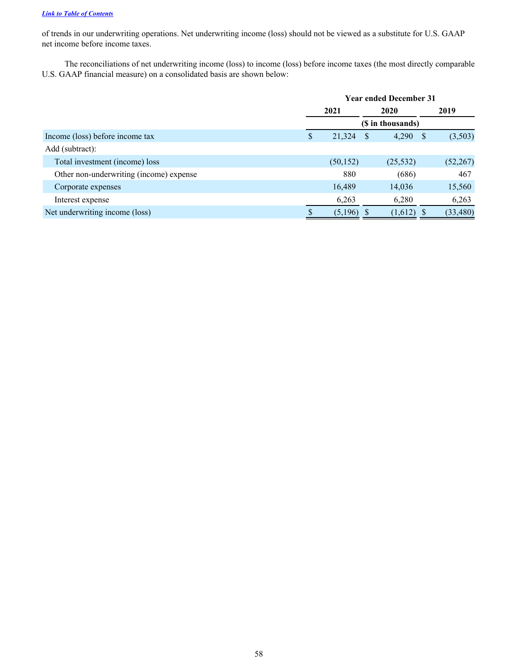of trends in our underwriting operations. Net underwriting income (loss) should not be viewed as a substitute for U.S. GAAP net income before income taxes.

The reconciliations of net underwriting income (loss) to income (loss) before income taxes (the most directly comparable U.S. GAAP financial measure) on a consolidated basis are shown below:

|                                         | <b>Year ended December 31</b> |              |      |                   |     |           |
|-----------------------------------------|-------------------------------|--------------|------|-------------------|-----|-----------|
|                                         |                               | 2021         | 2020 |                   |     | 2019      |
|                                         |                               |              |      | (\$ in thousands) |     |           |
| Income (loss) before income tax         | \$                            | 21,324       | -S   | 4,290             | - S | (3,503)   |
| Add (subtract):                         |                               |              |      |                   |     |           |
| Total investment (income) loss          |                               | (50, 152)    |      | (25, 532)         |     | (52, 267) |
| Other non-underwriting (income) expense |                               | 880          |      | (686)             |     | 467       |
| Corporate expenses                      |                               | 16,489       |      | 14,036            |     | 15,560    |
| Interest expense                        |                               | 6,263        |      | 6,280             |     | 6,263     |
| Net underwriting income (loss)          |                               | $(5,196)$ \$ |      | $(1,612)$ \$      |     | (33, 480) |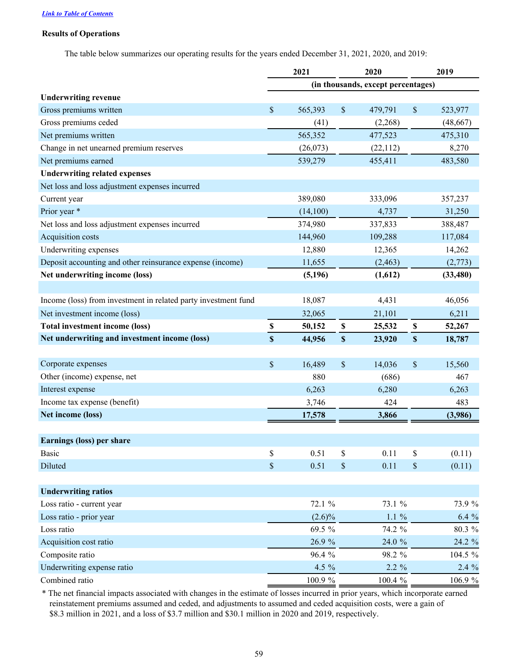## **Results of Operations**

The table below summarizes our operating results for the years ended December 31, 2021, 2020, and 2019:

|                                                                | 2020<br>2021                       |           |                           |           | 2019                      |           |
|----------------------------------------------------------------|------------------------------------|-----------|---------------------------|-----------|---------------------------|-----------|
|                                                                | (in thousands, except percentages) |           |                           |           |                           |           |
| <b>Underwriting revenue</b>                                    |                                    |           |                           |           |                           |           |
| Gross premiums written                                         | \$                                 | 565,393   | $\boldsymbol{\mathsf{S}}$ | 479,791   | $\boldsymbol{\mathsf{S}}$ | 523,977   |
| Gross premiums ceded                                           |                                    | (41)      |                           | (2,268)   |                           | (48, 667) |
| Net premiums written                                           |                                    | 565,352   |                           | 477,523   |                           | 475,310   |
| Change in net unearned premium reserves                        |                                    | (26,073)  |                           | (22, 112) |                           | 8,270     |
| Net premiums earned                                            |                                    | 539,279   |                           | 455,411   |                           | 483,580   |
| <b>Underwriting related expenses</b>                           |                                    |           |                           |           |                           |           |
| Net loss and loss adjustment expenses incurred                 |                                    |           |                           |           |                           |           |
| Current year                                                   |                                    | 389,080   |                           | 333,096   |                           | 357,237   |
| Prior year *                                                   |                                    | (14,100)  |                           | 4,737     |                           | 31,250    |
| Net loss and loss adjustment expenses incurred                 |                                    | 374,980   |                           | 337,833   |                           | 388,487   |
| Acquisition costs                                              |                                    | 144,960   |                           | 109,288   |                           | 117,084   |
| Underwriting expenses                                          |                                    | 12,880    |                           | 12,365    |                           | 14,262    |
| Deposit accounting and other reinsurance expense (income)      |                                    | 11,655    |                           | (2, 463)  |                           | (2,773)   |
| Net underwriting income (loss)                                 |                                    | (5,196)   |                           | (1,612)   |                           | (33, 480) |
|                                                                |                                    |           |                           |           |                           |           |
| Income (loss) from investment in related party investment fund |                                    | 18,087    |                           | 4,431     |                           | 46,056    |
| Net investment income (loss)                                   |                                    | 32,065    |                           | 21,101    |                           | 6,211     |
| <b>Total investment income (loss)</b>                          | $\mathbb S$                        | 50,152    | $\mathbb S$               | 25,532    | \$                        | 52,267    |
| Net underwriting and investment income (loss)                  | \$                                 | 44,956    | $\mathbb S$               | 23,920    | \$                        | 18,787    |
|                                                                |                                    |           |                           |           |                           |           |
| Corporate expenses                                             | \$                                 | 16,489    | $\mathbb{S}$              | 14,036    | \$                        | 15,560    |
| Other (income) expense, net                                    |                                    | 880       |                           | (686)     |                           | 467       |
| Interest expense                                               |                                    | 6,263     |                           | 6,280     |                           | 6,263     |
| Income tax expense (benefit)                                   |                                    | 3,746     |                           | 424       |                           | 483       |
| Net income (loss)                                              |                                    | 17,578    |                           | 3,866     |                           | (3,986)   |
|                                                                |                                    |           |                           |           |                           |           |
| Earnings (loss) per share                                      |                                    |           |                           |           |                           |           |
| Basic                                                          | \$                                 | 0.51      | $\mathbb S$               | 0.11      | \$                        | (0.11)    |
| Diluted                                                        | \$                                 | 0.51      | \$                        | 0.11      | \$                        | (0.11)    |
|                                                                |                                    |           |                           |           |                           |           |
| <b>Underwriting ratios</b>                                     |                                    |           |                           |           |                           |           |
| Loss ratio - current year                                      |                                    | 72.1 %    |                           | 73.1 %    |                           | 73.9 %    |
| Loss ratio - prior year                                        |                                    | $(2.6)\%$ |                           | $1.1\%$   |                           | $6.4\%$   |
| Loss ratio                                                     |                                    | 69.5 %    |                           | 74.2 %    |                           | 80.3 %    |
| Acquisition cost ratio                                         |                                    | 26.9 %    |                           | 24.0 %    |                           | 24.2 %    |
| Composite ratio                                                |                                    | 96.4 %    |                           | 98.2 %    |                           | 104.5 %   |
| Underwriting expense ratio                                     |                                    | 4.5 %     |                           | 2.2 %     |                           | 2.4 %     |
| Combined ratio                                                 |                                    | 100.9%    |                           | 100.4 %   |                           | 106.9%    |

\* The net financial impacts associated with changes in the estimate of losses incurred in prior years, which incorporate earned reinstatement premiums assumed and ceded, and adjustments to assumed and ceded acquisition costs, were a gain of \$8.3 million in 2021, and a loss of \$3.7 million and \$30.1 million in 2020 and 2019, respectively.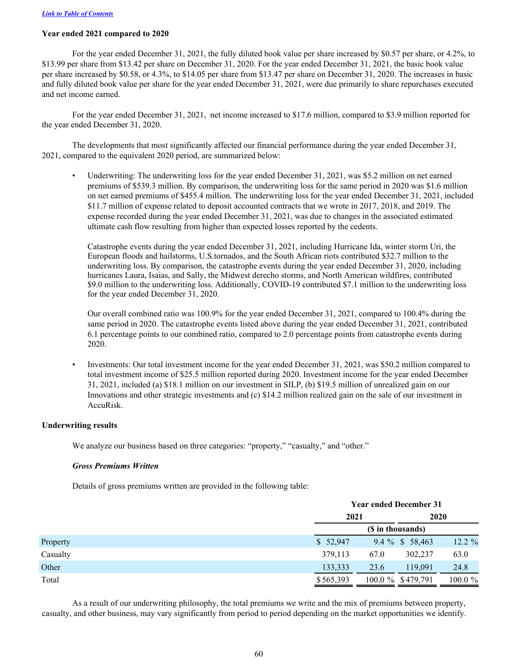## **Year ended 2021 compared to 2020**

For the year ended December 31, 2021, the fully diluted book value per share increased by \$0.57 per share, or 4.2%, to \$13.99 per share from \$13.42 per share on December 31, 2020. For the year ended December 31, 2021, the basic book value per share increased by \$0.58, or 4.3%, to \$14.05 per share from \$13.47 per share on December 31, 2020. The increases in basic and fully diluted book value per share for the year ended December 31, 2021, were due primarily to share repurchases executed and net income earned.

For the year ended December 31, 2021, net income increased to \$17.6 million, compared to \$3.9 million reported for the year ended December 31, 2020.

The developments that most significantly affected our financial performance during the year ended December 31, 2021, compared to the equivalent 2020 period, are summarized below:

Underwriting: The underwriting loss for the year ended December 31, 2021, was \$5.2 million on net earned premiums of \$539.3 million. By comparison, the underwriting loss for the same period in 2020 was \$1.6 million on net earned premiums of \$455.4 million. The underwriting loss for the year ended December 31, 2021, included \$11.7 million of expense related to deposit accounted contracts that we wrote in 2017, 2018, and 2019. The expense recorded during the year ended December 31, 2021, was due to changes in the associated estimated ultimate cash flow resulting from higher than expected losses reported by the cedents.

Catastrophe events during the year ended December 31, 2021, including Hurricane Ida, winter storm Uri, the European floods and hailstorms, U.S.tornados, and the South African riots contributed \$32.7 million to the underwriting loss. By comparison, the catastrophe events during the year ended December 31, 2020, including hurricanes Laura, Isaias, and Sally, the Midwest derecho storms, and North American wildfires, contributed \$9.0 million to the underwriting loss. Additionally, COVID-19 contributed \$7.1 million to the underwriting loss for the year ended December 31, 2020.

Our overall combined ratio was 100.9% for the year ended December 31, 2021, compared to 100.4% during the same period in 2020. The catastrophe events listed above during the year ended December 31, 2021, contributed 6.1 percentage points to our combined ratio, compared to 2.0 percentage points from catastrophe events during 2020.

• Investments: Our total investment income for the year ended December 31, 2021, was \$50.2 million compared to total investment income of \$25.5 million reported during 2020. Investment income for the year ended December 31, 2021, included (a) \$18.1 million on our investment in SILP, (b) \$19.5 million of unrealized gain on our Innovations and other strategic investments and (c) \$14.2 million realized gain on the sale of our investment in AccuRisk.

### **Underwriting results**

We analyze our business based on three categories: "property," "casualty," and "other."

### *Gross Premiums Written*

Details of gross premiums written are provided in the following table:

|          |           | <b>Year ended December 31</b> |                   |         |  |
|----------|-----------|-------------------------------|-------------------|---------|--|
|          |           | 2021<br><b>2020</b>           |                   |         |  |
|          |           |                               | (\$ in thousands) |         |  |
| Property | \$52,947  |                               | $9.4\%$ \$ 58,463 | 12.2 %  |  |
| Casualty | 379,113   | 67.0                          | 302,237           | 63.0    |  |
| Other    | 133,333   | 23.6                          | 119,091           | 24.8    |  |
| Total    | \$565,393 |                               | 100.0 % \$479,791 | 100.0 % |  |

As a result of our underwriting philosophy, the total premiums we write and the mix of premiums between property, casualty, and other business, may vary significantly from period to period depending on the market opportunities we identify.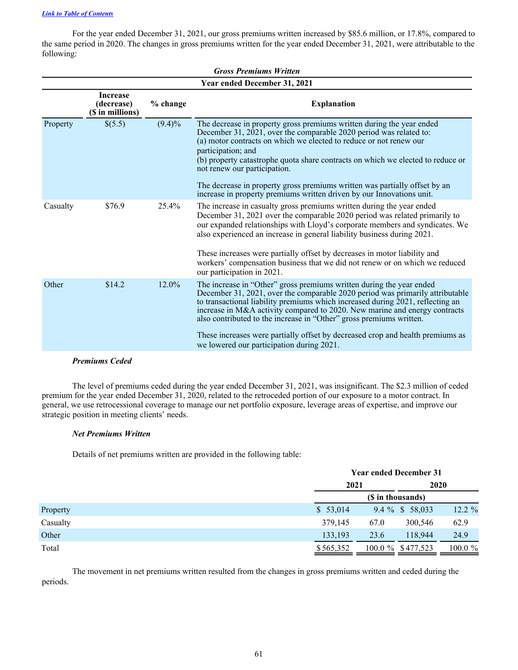For the year ended December 31, 2021, our gross premiums written increased by \$85.6 million, or 17.8%, compared to the same period in 2020. The changes in gross premiums written for the year ended December 31, 2021, were attributable to the following:

| <b>Gross Premiums Written</b> |                                                   |           |                                                                                                                                                                                                                                                                                                                                                                                                                                                                                                                             |  |
|-------------------------------|---------------------------------------------------|-----------|-----------------------------------------------------------------------------------------------------------------------------------------------------------------------------------------------------------------------------------------------------------------------------------------------------------------------------------------------------------------------------------------------------------------------------------------------------------------------------------------------------------------------------|--|
|                               |                                                   |           | Year ended December 31, 2021                                                                                                                                                                                                                                                                                                                                                                                                                                                                                                |  |
|                               | <b>Increase</b><br>(decrease)<br>(\$ in millions) | % change  | <b>Explanation</b>                                                                                                                                                                                                                                                                                                                                                                                                                                                                                                          |  |
| Property                      | \$(5.5)                                           | $(9.4)\%$ | The decrease in property gross premiums written during the year ended<br>December 31, 2021, over the comparable 2020 period was related to:<br>(a) motor contracts on which we elected to reduce or not renew our<br>participation; and<br>(b) property catastrophe quota share contracts on which we elected to reduce or<br>not renew our participation.<br>The decrease in property gross premiums written was partially offset by an<br>increase in property premiums written driven by our Innovations unit.           |  |
| Casualty                      | \$76.9                                            | $25.4\%$  | The increase in casualty gross premiums written during the year ended<br>December 31, 2021 over the comparable 2020 period was related primarily to<br>our expanded relationships with Lloyd's corporate members and syndicates. We<br>also experienced an increase in general liability business during 2021.<br>These increases were partially offset by decreases in motor liability and<br>workers' compensation business that we did not renew or on which we reduced<br>our participation in 2021.                    |  |
| Other                         | \$14.2                                            | $12.0\%$  | The increase in "Other" gross premiums written during the year ended<br>December 31, 2021, over the comparable 2020 period was primarily attributable<br>to transactional liability premiums which increased during 2021, reflecting an<br>increase in M&A activity compared to 2020. New marine and energy contracts<br>also contributed to the increase in "Other" gross premiums written.<br>These increases were partially offset by decreased crop and health premiums as<br>we lowered our participation during 2021. |  |

# *Premiums Ceded*

The level of premiums ceded during the year ended December 31, 2021, was insignificant. The \$2.3 million of ceded premium for the year ended December 31, 2020, related to the retroceded portion of our exposure to a motor contract. In general, we use retrocessional coverage to manage our net portfolio exposure, leverage areas of expertise, and improve our strategic position in meeting clients' needs.

### *Net Premiums Written*

Details of net premiums written are provided in the following table:

|          |           | <b>Year ended December 31</b>     |                   |            |  |
|----------|-----------|-----------------------------------|-------------------|------------|--|
|          |           | 2021<br>2020<br>(\$ in thousands) |                   |            |  |
|          |           |                                   |                   |            |  |
| Property | \$53,014  |                                   | $9.4\%$ \$ 58,033 | $12.2 \%$  |  |
| Casualty | 379,145   | 67.0                              | 300,546           | 62.9       |  |
| Other    | 133,193   | 23.6                              | 118,944           | 24.9       |  |
| Total    | \$565,352 |                                   | 100.0 % \$477,523 | $100.0 \%$ |  |

The movement in net premiums written resulted from the changes in gross premiums written and ceded during the periods.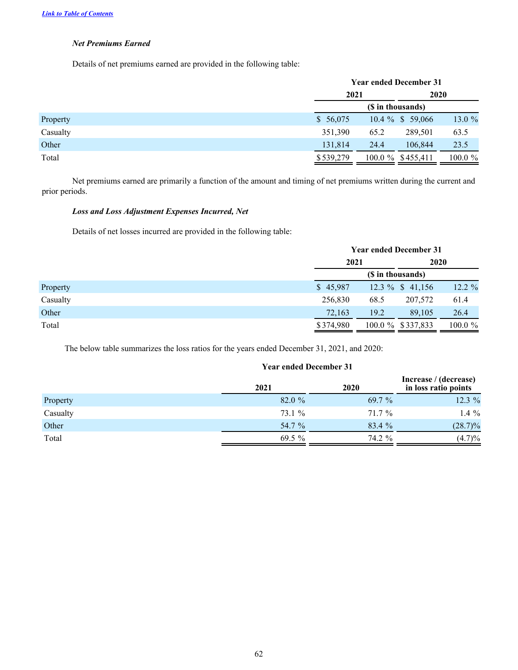# *Net Premiums Earned*

Details of net premiums earned are provided in the following table:

|          |              | <b>Year ended December 31</b> |                      |            |  |
|----------|--------------|-------------------------------|----------------------|------------|--|
|          | 2020<br>2021 |                               |                      |            |  |
|          |              | (\$ in thousands)             |                      |            |  |
| Property | \$56,075     |                               | $10.4 \%$ \$ 59,066  | 13.0 $%$   |  |
| Casualty | 351,390      | 65.2                          | 289,501              | 63.5       |  |
| Other    | 131,814      | 24.4                          | 106,844              | 23.5       |  |
| Total    | \$539,279    |                               | $100.0 \%$ \$455,411 | $100.0 \%$ |  |

Net premiums earned are primarily a function of the amount and timing of net premiums written during the current and prior periods.

# *Loss and Loss Adjustment Expenses Incurred, Net*

Details of net losses incurred are provided in the following table:

|          |           | <b>Year ended December 31</b> |                     |           |  |
|----------|-----------|-------------------------------|---------------------|-----------|--|
|          |           | 2021<br>2020                  |                     |           |  |
|          |           | (\$ in thousands)             |                     |           |  |
| Property | \$45,987  |                               | $12.3 \%$ \$ 41,156 | $12.2 \%$ |  |
| Casualty | 256,830   | 68.5                          | 207,572             | 61.4      |  |
| Other    | 72,163    | 19.2                          | 89,105              | 26.4      |  |
| Total    | \$374,980 |                               | 100.0 % \$337,833   | 100.0 $%$ |  |

The below table summarizes the loss ratios for the years ended December 31, 2021, and 2020:

### **Year ended December 31**

|          | 2021     | 2020     | Increase / (decrease)<br>in loss ratio points |
|----------|----------|----------|-----------------------------------------------|
| Property | 82.0 %   | 69.7%    | 12.3 %                                        |
| Casualty | 73.1 %   | $71.7\%$ | 1.4 $%$                                       |
| Other    | 54.7 %   | 83.4 %   | $(28.7)\%$                                    |
| Total    | 69.5 $%$ | 74.2 %   | (4.7)%                                        |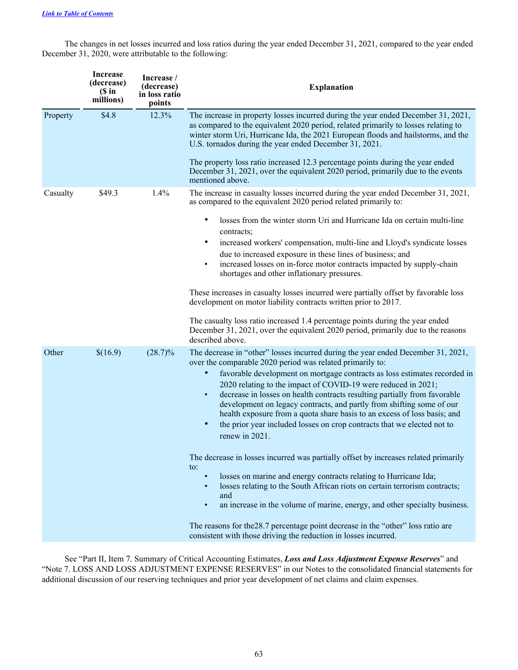The changes in net losses incurred and loss ratios during the year ended December 31, 2021, compared to the year ended December 31, 2020, were attributable to the following:

|          | <b>Increase</b><br>(decrease)<br>$(S \in \mathbb{R})$<br>millions) | Increase /<br>(decrease)<br>in loss ratio<br>points | <b>Explanation</b>                                                                                                                                                                                                                                                                                                                                                                                                                                                                                               |
|----------|--------------------------------------------------------------------|-----------------------------------------------------|------------------------------------------------------------------------------------------------------------------------------------------------------------------------------------------------------------------------------------------------------------------------------------------------------------------------------------------------------------------------------------------------------------------------------------------------------------------------------------------------------------------|
| Property | \$4.8                                                              | 12.3%                                               | The increase in property losses incurred during the year ended December 31, 2021,<br>as compared to the equivalent 2020 period, related primarily to losses relating to<br>winter storm Uri, Hurricane Ida, the 2021 European floods and hailstorms, and the<br>U.S. tornados during the year ended December 31, 2021.<br>The property loss ratio increased 12.3 percentage points during the year ended                                                                                                         |
|          |                                                                    |                                                     | December 31, 2021, over the equivalent 2020 period, primarily due to the events<br>mentioned above.                                                                                                                                                                                                                                                                                                                                                                                                              |
| Casualty | \$49.3                                                             | 1.4%                                                | The increase in casualty losses incurred during the year ended December 31, 2021,<br>as compared to the equivalent 2020 period related primarily to:                                                                                                                                                                                                                                                                                                                                                             |
|          |                                                                    |                                                     | $\bullet$<br>losses from the winter storm Uri and Hurricane Ida on certain multi-line<br>contracts;                                                                                                                                                                                                                                                                                                                                                                                                              |
|          |                                                                    |                                                     | increased workers' compensation, multi-line and Lloyd's syndicate losses<br>$\bullet$<br>due to increased exposure in these lines of business; and<br>increased losses on in-force motor contracts impacted by supply-chain<br>$\bullet$<br>shortages and other inflationary pressures.                                                                                                                                                                                                                          |
|          |                                                                    |                                                     | These increases in casualty losses incurred were partially offset by favorable loss<br>development on motor liability contracts written prior to 2017.                                                                                                                                                                                                                                                                                                                                                           |
|          |                                                                    |                                                     | The casualty loss ratio increased 1.4 percentage points during the year ended<br>December 31, 2021, over the equivalent 2020 period, primarily due to the reasons<br>described above.                                                                                                                                                                                                                                                                                                                            |
| Other    | \$(16.9)                                                           | $(28.7)\%$                                          | The decrease in "other" losses incurred during the year ended December 31, 2021,<br>over the comparable 2020 period was related primarily to:                                                                                                                                                                                                                                                                                                                                                                    |
|          |                                                                    |                                                     | favorable development on mortgage contracts as loss estimates recorded in<br>$\bullet$<br>2020 relating to the impact of COVID-19 were reduced in 2021;<br>decrease in losses on health contracts resulting partially from favorable<br>$\bullet$<br>development on legacy contracts, and partly from shifting some of our<br>health exposure from a quota share basis to an excess of loss basis; and<br>the prior year included losses on crop contracts that we elected not to<br>$\bullet$<br>renew in 2021. |
|          |                                                                    |                                                     | The decrease in losses incurred was partially offset by increases related primarily<br>$\mathsf{to}$ :                                                                                                                                                                                                                                                                                                                                                                                                           |
|          |                                                                    |                                                     | losses on marine and energy contracts relating to Hurricane Ida;<br>$\bullet$<br>losses relating to the South African riots on certain terrorism contracts;<br>and<br>an increase in the volume of marine, energy, and other specialty business.<br>$\bullet$                                                                                                                                                                                                                                                    |
|          |                                                                    |                                                     | The reasons for the 28.7 percentage point decrease in the "other" loss ratio are<br>consistent with those driving the reduction in losses incurred.                                                                                                                                                                                                                                                                                                                                                              |

See "Part II, Item 7. Summary of Critical Accounting Estimates, *Loss and Loss Adjustment Expense Reserves*" and "Note 7. LOSS AND LOSS ADJUSTMENT EXPENSE RESERVES" in our Notes to the consolidated financial statements for additional discussion of our reserving techniques and prior year development of net claims and claim expenses.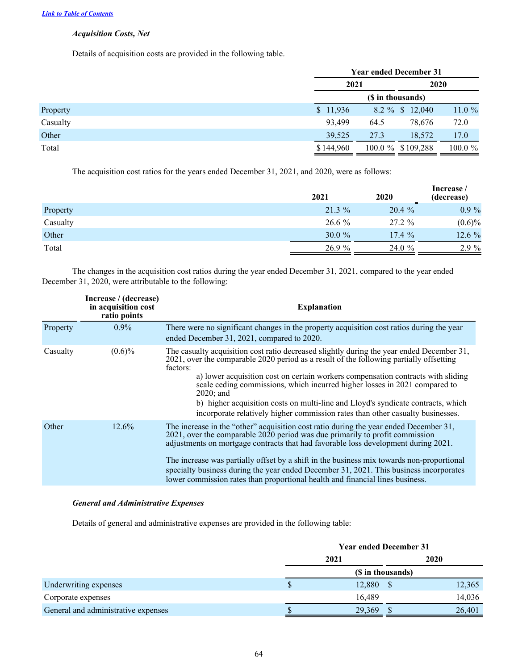# *Acquisition Costs, Net*

Details of acquisition costs are provided in the following table.

|          |           | <b>Year ended December 31</b> |                   |            |  |  |
|----------|-----------|-------------------------------|-------------------|------------|--|--|
|          |           | 2020<br>2021                  |                   |            |  |  |
|          |           | (\$ in thousands)             |                   |            |  |  |
| Property | \$11,936  |                               | 8.2 % \$ 12,040   | $11.0 \%$  |  |  |
| Casualty | 93,499    | 64.5                          | 78,676            | 72.0       |  |  |
| Other    | 39,525    | 27.3                          | 18,572            | 17.0       |  |  |
| Total    | \$144,960 |                               | 100.0 % \$109,288 | $100.0 \%$ |  |  |

The acquisition cost ratios for the years ended December 31, 2021, and 2020, were as follows:

|          | 2021      | 2020      | Increase /<br>(decrease) |
|----------|-----------|-----------|--------------------------|
| Property | $21.3\%$  | $20.4\%$  | $0.9\%$                  |
| Casualty | $26.6\%$  | 27.2 %    | $(0.6)\%$                |
| Other    | $30.0 \%$ | 17.4%     | 12.6 %                   |
| Total    | 26.9 %    | $24.0 \%$ | $2.9\%$                  |

The changes in the acquisition cost ratios during the year ended December 31, 2021, compared to the year ended December 31, 2020, were attributable to the following:

|          | Increase / (decrease)<br>in acquisition cost<br>ratio points | <b>Explanation</b>                                                                                                                                                                                                                                                                                                                                                                                                                                                                                                                                       |
|----------|--------------------------------------------------------------|----------------------------------------------------------------------------------------------------------------------------------------------------------------------------------------------------------------------------------------------------------------------------------------------------------------------------------------------------------------------------------------------------------------------------------------------------------------------------------------------------------------------------------------------------------|
| Property | $0.9\%$                                                      | There were no significant changes in the property acquisition cost ratios during the year<br>ended December 31, 2021, compared to 2020.                                                                                                                                                                                                                                                                                                                                                                                                                  |
| Casualty | $(0.6)\%$                                                    | The casualty acquisition cost ratio decreased slightly during the year ended December 31,<br>2021, over the comparable 2020 period as a result of the following partially offsetting<br>factors:<br>a) lower acquisition cost on certain workers compensation contracts with sliding<br>scale ceding commissions, which incurred higher losses in 2021 compared to<br>$2020$ ; and<br>b) higher acquisition costs on multi-line and Lloyd's syndicate contracts, which<br>incorporate relatively higher commission rates than other casualty businesses. |
| Other    | 12.6%                                                        | The increase in the "other" acquisition cost ratio during the year ended December 31,<br>2021, over the comparable 2020 period was due primarily to profit commission<br>adjustments on mortgage contracts that had favorable loss development during 2021.<br>The increase was partially offset by a shift in the business mix towards non-proportional<br>specialty business during the year ended December 31, 2021. This business incorporates<br>lower commission rates than proportional health and financial lines business.                      |

### *General and Administrative Expenses*

Details of general and administrative expenses are provided in the following table:

|                                     |   | <b>Year ended December 31</b> |        |  |  |  |
|-------------------------------------|---|-------------------------------|--------|--|--|--|
|                                     |   | 2020<br>2021                  |        |  |  |  |
|                                     |   | (\$ in thousands)             |        |  |  |  |
| Underwriting expenses               | S | 12,880                        | 12,365 |  |  |  |
| Corporate expenses                  |   | 16,489                        | 14,036 |  |  |  |
| General and administrative expenses |   | 29,369                        | 26,401 |  |  |  |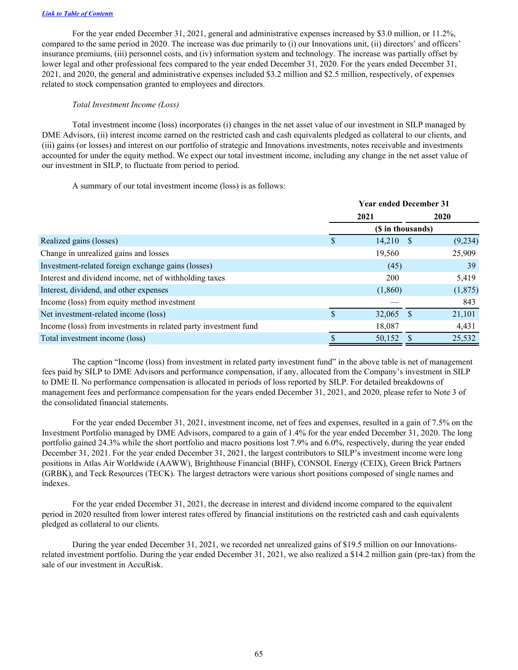For the year ended December 31, 2021, general and administrative expenses increased by \$3.0 million, or 11.2%, compared to the same period in 2020. The increase was due primarily to (i) our Innovations unit, (ii) directors' and officers' insurance premiums, (iii) personnel costs, and (iv) information system and technology. The increase was partially offset by lower legal and other professional fees compared to the year ended December 31, 2020. For the years ended December 31, 2021, and 2020, the general and administrative expenses included \$3.2 million and \$2.5 million, respectively, of expenses related to stock compensation granted to employees and directors.

### *Total Investment Income (Loss)*

Total investment income (loss) incorporates (i) changes in the net asset value of our investment in SILP managed by DME Advisors, (ii) interest income earned on the restricted cash and cash equivalents pledged as collateral to our clients, and (iii) gains (or losses) and interest on our portfolio of strategic and Innovations investments, notes receivable and investments accounted for under the equity method. We expect our total investment income, including any change in the net asset value of our investment in SILP, to fluctuate from period to period.

A summary of our total investment income (loss) is as follows:

|                                                                 |      | <b>Year ended December 31</b> |  |         |  |
|-----------------------------------------------------------------|------|-------------------------------|--|---------|--|
|                                                                 | 2021 |                               |  | 2020    |  |
|                                                                 |      | (\$ in thousands)             |  |         |  |
| Realized gains (losses)                                         |      | $14,210$ \$                   |  | (9,234) |  |
| Change in unrealized gains and losses                           |      | 19,560                        |  | 25,909  |  |
| Investment-related foreign exchange gains (losses)              |      | (45)                          |  | 39      |  |
| Interest and dividend income, net of withholding taxes          |      | <b>200</b>                    |  | 5,419   |  |
| Interest, dividend, and other expenses                          |      | (1,860)                       |  | (1,875) |  |
| Income (loss) from equity method investment                     |      |                               |  | 843     |  |
| Net investment-related income (loss)                            | \$.  | $32,065$ \$                   |  | 21,101  |  |
| Income (loss) from investments in related party investment fund |      | 18,087                        |  | 4,431   |  |
| Total investment income (loss)                                  |      | 50,152                        |  | 25,532  |  |

The caption "Income (loss) from investment in related party investment fund" in the above table is net of management fees paid by SILP to DME Advisors and performance compensation, if any, allocated from the Company's investment in SILP to DME II. No performance compensation is allocated in periods of loss reported by SILP. For detailed breakdowns of management fees and performance compensation for the years ended December 31, 2021, and 2020, please refer to Note 3 of the consolidated financial statements.

For the year ended December 31, 2021, investment income, net of fees and expenses, resulted in a gain of 7.5% on the Investment Portfolio managed by DME Advisors, compared to a gain of 1.4% for the year ended December 31, 2020. The long portfolio gained 24.3% while the short portfolio and macro positions lost 7.9% and 6.0%, respectively, during the year ended December 31, 2021. For the year ended December 31, 2021, the largest contributors to SILP's investment income were long positions in Atlas Air Worldwide (AAWW), Brighthouse Financial (BHF), CONSOL Energy (CEIX), Green Brick Partners (GRBK), and Teck Resources (TECK). The largest detractors were various short positions composed of single names and indexes.

For the year ended December 31, 2021, the decrease in interest and dividend income compared to the equivalent period in 2020 resulted from lower interest rates offered by financial institutions on the restricted cash and cash equivalents pledged as collateral to our clients.

During the year ended December 31, 2021, we recorded net unrealized gains of \$19.5 million on our Innovationsrelated investment portfolio. During the year ended December 31, 2021, we also realized a \$14.2 million gain (pre-tax) from the sale of our investment in AccuRisk.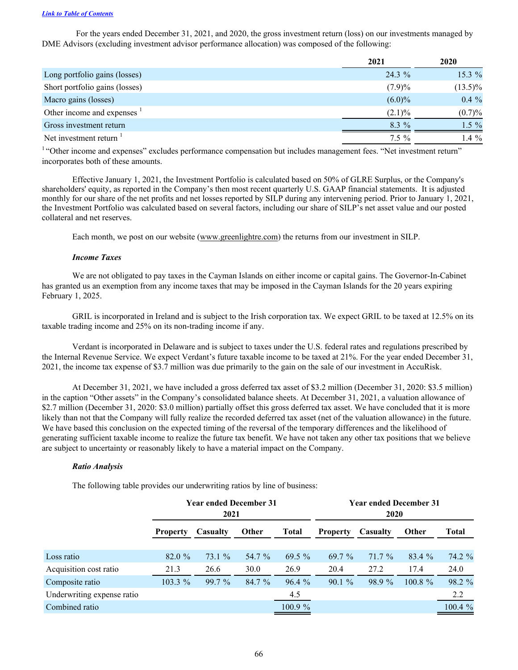For the years ended December 31, 2021, and 2020, the gross investment return (loss) on our investments managed by DME Advisors (excluding investment advisor performance allocation) was composed of the following:

|                                | 2021      | 2020       |
|--------------------------------|-----------|------------|
| Long portfolio gains (losses)  | $24.3\%$  | $15.3\%$   |
| Short portfolio gains (losses) | (7.9)%    | $(13.5)\%$ |
| Macro gains (losses)           | $(6.0)\%$ | $0.4\%$    |
| Other income and expenses $1$  | $(2.1)\%$ | (0.7)%     |
| Gross investment return        | $8.3\%$   | $1.5 \%$   |
| Net investment return $1$      | $7.5 \%$  | $.4\%$     |

<sup>1</sup> "Other income and expenses" excludes performance compensation but includes management fees. "Net investment return" incorporates both of these amounts.

Effective January 1, 2021, the Investment Portfolio is calculated based on 50% of GLRE Surplus, or the Company's shareholders' equity, as reported in the Company's then most recent quarterly U.S. GAAP financial statements. It is adjusted monthly for our share of the net profits and net losses reported by SILP during any intervening period. Prior to January 1, 2021, the Investment Portfolio was calculated based on several factors, including our share of SILP's net asset value and our posted collateral and net reserves.

Each month, we post on our website (www.greenlightre.com) the returns from our investment in SILP.

### *Income Taxes*

We are not obligated to pay taxes in the Cayman Islands on either income or capital gains. The Governor-In-Cabinet has granted us an exemption from any income taxes that may be imposed in the Cayman Islands for the 20 years expiring February 1, 2025.

GRIL is incorporated in Ireland and is subject to the Irish corporation tax. We expect GRIL to be taxed at 12.5% on its taxable trading income and 25% on its non-trading income if any.

Verdant is incorporated in Delaware and is subject to taxes under the U.S. federal rates and regulations prescribed by the Internal Revenue Service. We expect Verdant's future taxable income to be taxed at 21%. For the year ended December 31, 2021, the income tax expense of \$3.7 million was due primarily to the gain on the sale of our investment in AccuRisk.

At December 31, 2021, we have included a gross deferred tax asset of \$3.2 million (December 31, 2020: \$3.5 million) in the caption "Other assets" in the Company's consolidated balance sheets. At December 31, 2021, a valuation allowance of \$2.7 million (December 31, 2020: \$3.0 million) partially offset this gross deferred tax asset. We have concluded that it is more likely than not that the Company will fully realize the recorded deferred tax asset (net of the valuation allowance) in the future. We have based this conclusion on the expected timing of the reversal of the temporary differences and the likelihood of generating sufficient taxable income to realize the future tax benefit. We have not taken any other tax positions that we believe are subject to uncertainty or reasonably likely to have a material impact on the Company.

### *Ratio Analysis*

The following table provides our underwriting ratios by line of business:

|                            | <b>Year ended December 31</b><br>2021 |          |        |              |                 | <b>Year ended December 31</b><br><b>2020</b> |              |              |
|----------------------------|---------------------------------------|----------|--------|--------------|-----------------|----------------------------------------------|--------------|--------------|
|                            | <b>Property</b>                       | Casualty | Other  | <b>Total</b> | <b>Property</b> | Casualty                                     | <b>Other</b> | <b>Total</b> |
| Loss ratio                 | 82.0%                                 | 73.1 %   | 54.7 % | 69.5 $\%$    | 69.7%           | $71.7\%$                                     | 83.4 %       | 74.2 %       |
| Acquisition cost ratio     | 21.3                                  | 26.6     | 30.0   | 26.9         | 20.4            | 27.2                                         | 17.4         | 24.0         |
| Composite ratio            | $103.3\%$                             | 99.7%    | 84.7 % | 96.4%        | 90.1%           | 98.9 %                                       | $100.8 \%$   | 98.2 %       |
| Underwriting expense ratio |                                       |          |        | 4.5          |                 |                                              |              | 2.2          |
| Combined ratio             |                                       |          |        | 100.9 %      |                 |                                              |              | 100.4 %      |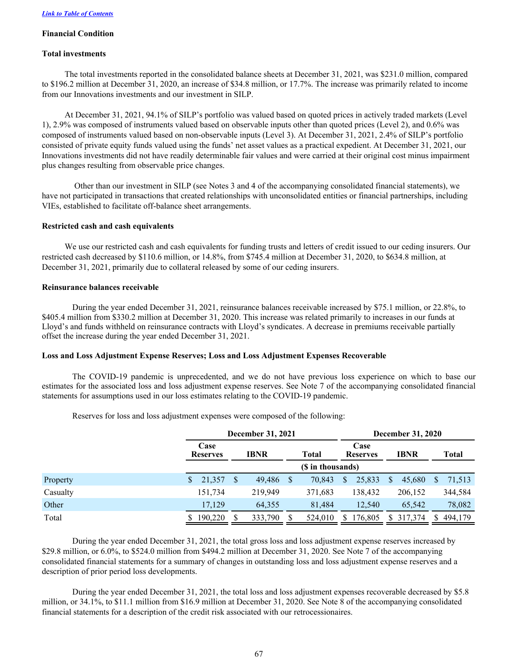### **Financial Condition**

#### **Total investments**

The total investments reported in the consolidated balance sheets at December 31, 2021, was \$231.0 million, compared to \$196.2 million at December 31, 2020, an increase of \$34.8 million, or 17.7%. The increase was primarily related to income from our Innovations investments and our investment in SILP.

At December 31, 2021, 94.1% of SILP's portfolio was valued based on quoted prices in actively traded markets (Level 1), 2.9% was composed of instruments valued based on observable inputs other than quoted prices (Level 2), and 0.6% was composed of instruments valued based on non-observable inputs (Level 3). At December 31, 2021, 2.4% of SILP's portfolio consisted of private equity funds valued using the funds' net asset values as a practical expedient. At December 31, 2021, our Innovations investments did not have readily determinable fair values and were carried at their original cost minus impairment plus changes resulting from observable price changes.

 Other than our investment in SILP (see Notes 3 and 4 of the accompanying consolidated financial statements), we have not participated in transactions that created relationships with unconsolidated entities or financial partnerships, including VIEs, established to facilitate off-balance sheet arrangements.

#### **Restricted cash and cash equivalents**

We use our restricted cash and cash equivalents for funding trusts and letters of credit issued to our ceding insurers. Our restricted cash decreased by \$110.6 million, or 14.8%, from \$745.4 million at December 31, 2020, to \$634.8 million, at December 31, 2021, primarily due to collateral released by some of our ceding insurers.

#### **Reinsurance balances receivable**

During the year ended December 31, 2021, reinsurance balances receivable increased by \$75.1 million, or 22.8%, to \$405.4 million from \$330.2 million at December 31, 2020. This increase was related primarily to increases in our funds at Lloyd's and funds withheld on reinsurance contracts with Lloyd's syndicates. A decrease in premiums receivable partially offset the increase during the year ended December 31, 2021.

### **Loss and Loss Adjustment Expense Reserves; Loss and Loss Adjustment Expenses Recoverable**

The COVID-19 pandemic is unprecedented, and we do not have previous loss experience on which to base our estimates for the associated loss and loss adjustment expense reserves. See Note 7 of the accompanying consolidated financial statements for assumptions used in our loss estimates relating to the COVID-19 pandemic.

Reserves for loss and loss adjustment expenses were composed of the following:

|          | December 31, 2021       |             |                   |  | <b>December 31, 2020</b> |    |         |              |           |                         |         |             |  |              |
|----------|-------------------------|-------------|-------------------|--|--------------------------|----|---------|--------------|-----------|-------------------------|---------|-------------|--|--------------|
|          | Case<br><b>Reserves</b> | <b>IBNR</b> |                   |  |                          |    |         | <b>Total</b> |           | Case<br><b>Reserves</b> |         | <b>IBNR</b> |  | <b>Total</b> |
|          |                         |             | (\$ in thousands) |  |                          |    |         |              |           |                         |         |             |  |              |
| Property | 21,357<br>S             |             | 49,486            |  | 70.843                   | \$ | 25,833  | S            | 45,680    |                         | 71,513  |             |  |              |
| Casualty | 151,734                 |             | 219,949           |  | 371,683                  |    | 138,432 |              | 206,152   |                         | 344,584 |             |  |              |
| Other    | 17.129                  |             | 64,355            |  | 81,484                   |    | 12,540  |              | 65,542    |                         | 78,082  |             |  |              |
| Total    | 190,220                 |             | 333,790           |  | 524,010                  | S. | 176,805 |              | \$317,374 |                         | 494,179 |             |  |              |

During the year ended December 31, 2021, the total gross loss and loss adjustment expense reserves increased by \$29.8 million, or 6.0%, to \$524.0 million from \$494.2 million at December 31, 2020. See Note 7 of the accompanying consolidated financial statements for a summary of changes in outstanding loss and loss adjustment expense reserves and a description of prior period loss developments.

During the year ended December 31, 2021, the total loss and loss adjustment expenses recoverable decreased by \$5.8 million, or 34.1%, to \$11.1 million from \$16.9 million at December 31, 2020. See Note 8 of the accompanying consolidated financial statements for a description of the credit risk associated with our retrocessionaires.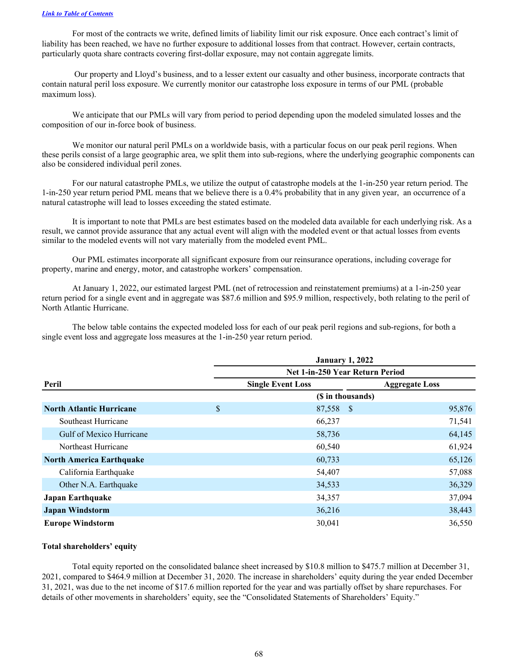For most of the contracts we write, defined limits of liability limit our risk exposure. Once each contract's limit of liability has been reached, we have no further exposure to additional losses from that contract. However, certain contracts, particularly quota share contracts covering first-dollar exposure, may not contain aggregate limits.

 Our property and Lloyd's business, and to a lesser extent our casualty and other business, incorporate contracts that contain natural peril loss exposure. We currently monitor our catastrophe loss exposure in terms of our PML (probable maximum loss).

We anticipate that our PMLs will vary from period to period depending upon the modeled simulated losses and the composition of our in-force book of business.

We monitor our natural peril PMLs on a worldwide basis, with a particular focus on our peak peril regions. When these perils consist of a large geographic area, we split them into sub-regions, where the underlying geographic components can also be considered individual peril zones.

For our natural catastrophe PMLs, we utilize the output of catastrophe models at the 1-in-250 year return period. The 1-in-250 year return period PML means that we believe there is a 0.4% probability that in any given year, an occurrence of a natural catastrophe will lead to losses exceeding the stated estimate.

It is important to note that PMLs are best estimates based on the modeled data available for each underlying risk. As a result, we cannot provide assurance that any actual event will align with the modeled event or that actual losses from events similar to the modeled events will not vary materially from the modeled event PML.

Our PML estimates incorporate all significant exposure from our reinsurance operations, including coverage for property, marine and energy, motor, and catastrophe workers' compensation.

At January 1, 2022, our estimated largest PML (net of retrocession and reinstatement premiums) at a 1-in-250 year return period for a single event and in aggregate was \$87.6 million and \$95.9 million, respectively, both relating to the peril of North Atlantic Hurricane.

The below table contains the expected modeled loss for each of our peak peril regions and sub-regions, for both a single event loss and aggregate loss measures at the 1-in-250 year return period.

|                                 | <b>January 1, 2022</b> |                                 |                   |                       |  |  |  |  |
|---------------------------------|------------------------|---------------------------------|-------------------|-----------------------|--|--|--|--|
| Peril                           |                        | Net 1-in-250 Year Return Period |                   |                       |  |  |  |  |
|                                 |                        | <b>Single Event Loss</b>        |                   | <b>Aggregate Loss</b> |  |  |  |  |
|                                 |                        |                                 | (\$ in thousands) |                       |  |  |  |  |
| <b>North Atlantic Hurricane</b> | \$                     | 87,558 \$                       |                   | 95,876                |  |  |  |  |
| Southeast Hurricane             |                        | 66,237                          |                   | 71,541                |  |  |  |  |
| Gulf of Mexico Hurricane        |                        | 58,736                          |                   | 64,145                |  |  |  |  |
| Northeast Hurricane             |                        | 60,540                          |                   | 61,924                |  |  |  |  |
| <b>North America Earthquake</b> |                        | 60,733                          |                   | 65,126                |  |  |  |  |
| California Earthquake           |                        | 54,407                          |                   | 57,088                |  |  |  |  |
| Other N.A. Earthquake           |                        | 34,533                          |                   | 36,329                |  |  |  |  |
| Japan Earthquake                |                        | 34,357                          |                   | 37,094                |  |  |  |  |
| <b>Japan Windstorm</b>          |                        | 36,216                          |                   | 38,443                |  |  |  |  |
| <b>Europe Windstorm</b>         |                        | 30,041                          |                   | 36,550                |  |  |  |  |

### **Total shareholders' equity**

Total equity reported on the consolidated balance sheet increased by \$10.8 million to \$475.7 million at December 31, 2021, compared to \$464.9 million at December 31, 2020. The increase in shareholders' equity during the year ended December 31, 2021, was due to the net income of \$17.6 million reported for the year and was partially offset by share repurchases. For details of other movements in shareholders' equity, see the "Consolidated Statements of Shareholders' Equity."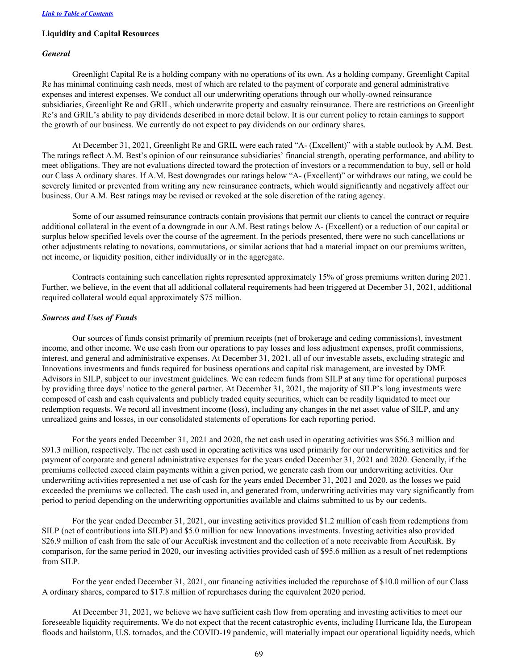### **Liquidity and Capital Resources**

### *General*

Greenlight Capital Re is a holding company with no operations of its own. As a holding company, Greenlight Capital Re has minimal continuing cash needs, most of which are related to the payment of corporate and general administrative expenses and interest expenses. We conduct all our underwriting operations through our wholly-owned reinsurance subsidiaries, Greenlight Re and GRIL, which underwrite property and casualty reinsurance. There are restrictions on Greenlight Re's and GRIL's ability to pay dividends described in more detail below. It is our current policy to retain earnings to support the growth of our business. We currently do not expect to pay dividends on our ordinary shares.

At December 31, 2021, Greenlight Re and GRIL were each rated "A- (Excellent)" with a stable outlook by A.M. Best. The ratings reflect A.M. Best's opinion of our reinsurance subsidiaries' financial strength, operating performance, and ability to meet obligations. They are not evaluations directed toward the protection of investors or a recommendation to buy, sell or hold our Class A ordinary shares. If A.M. Best downgrades our ratings below "A- (Excellent)" or withdraws our rating, we could be severely limited or prevented from writing any new reinsurance contracts, which would significantly and negatively affect our business. Our A.M. Best ratings may be revised or revoked at the sole discretion of the rating agency.

Some of our assumed reinsurance contracts contain provisions that permit our clients to cancel the contract or require additional collateral in the event of a downgrade in our A.M. Best ratings below A- (Excellent) or a reduction of our capital or surplus below specified levels over the course of the agreement. In the periods presented, there were no such cancellations or other adjustments relating to novations, commutations, or similar actions that had a material impact on our premiums written, net income, or liquidity position, either individually or in the aggregate.

Contracts containing such cancellation rights represented approximately 15% of gross premiums written during 2021. Further, we believe, in the event that all additional collateral requirements had been triggered at December 31, 2021, additional required collateral would equal approximately \$75 million.

### *Sources and Uses of Funds*

Our sources of funds consist primarily of premium receipts (net of brokerage and ceding commissions), investment income, and other income. We use cash from our operations to pay losses and loss adjustment expenses, profit commissions, interest, and general and administrative expenses. At December 31, 2021, all of our investable assets, excluding strategic and Innovations investments and funds required for business operations and capital risk management, are invested by DME Advisors in SILP, subject to our investment guidelines. We can redeem funds from SILP at any time for operational purposes by providing three days' notice to the general partner. At December 31, 2021, the majority of SILP's long investments were composed of cash and cash equivalents and publicly traded equity securities, which can be readily liquidated to meet our redemption requests. We record all investment income (loss), including any changes in the net asset value of SILP, and any unrealized gains and losses, in our consolidated statements of operations for each reporting period.

For the years ended December 31, 2021 and 2020, the net cash used in operating activities was \$56.3 million and \$91.3 million, respectively. The net cash used in operating activities was used primarily for our underwriting activities and for payment of corporate and general administrative expenses for the years ended December 31, 2021 and 2020. Generally, if the premiums collected exceed claim payments within a given period, we generate cash from our underwriting activities. Our underwriting activities represented a net use of cash for the years ended December 31, 2021 and 2020, as the losses we paid exceeded the premiums we collected. The cash used in, and generated from, underwriting activities may vary significantly from period to period depending on the underwriting opportunities available and claims submitted to us by our cedents.

For the year ended December 31, 2021, our investing activities provided \$1.2 million of cash from redemptions from SILP (net of contributions into SILP) and \$5.0 million for new Innovations investments. Investing activities also provided \$26.9 million of cash from the sale of our AccuRisk investment and the collection of a note receivable from AccuRisk. By comparison, for the same period in 2020, our investing activities provided cash of \$95.6 million as a result of net redemptions from SILP.

For the year ended December 31, 2021, our financing activities included the repurchase of \$10.0 million of our Class A ordinary shares, compared to \$17.8 million of repurchases during the equivalent 2020 period.

At December 31, 2021, we believe we have sufficient cash flow from operating and investing activities to meet our foreseeable liquidity requirements. We do not expect that the recent catastrophic events, including Hurricane Ida, the European floods and hailstorm, U.S. tornados, and the COVID-19 pandemic, will materially impact our operational liquidity needs, which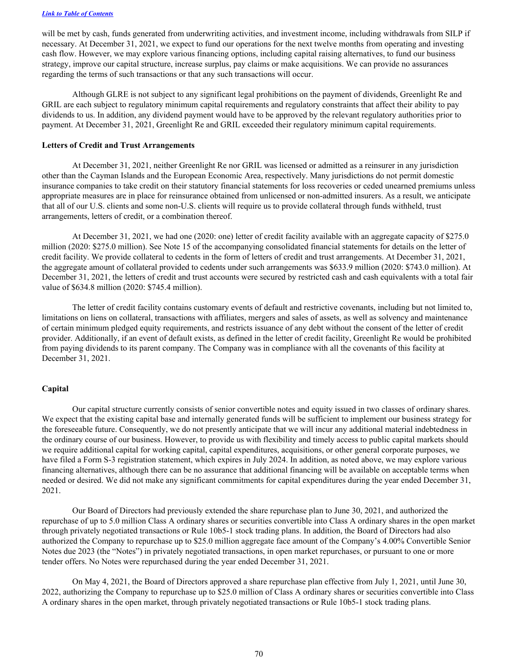will be met by cash, funds generated from underwriting activities, and investment income, including withdrawals from SILP if necessary. At December 31, 2021, we expect to fund our operations for the next twelve months from operating and investing cash flow. However, we may explore various financing options, including capital raising alternatives, to fund our business strategy, improve our capital structure, increase surplus, pay claims or make acquisitions. We can provide no assurances regarding the terms of such transactions or that any such transactions will occur.

Although GLRE is not subject to any significant legal prohibitions on the payment of dividends, Greenlight Re and GRIL are each subject to regulatory minimum capital requirements and regulatory constraints that affect their ability to pay dividends to us. In addition, any dividend payment would have to be approved by the relevant regulatory authorities prior to payment. At December 31, 2021, Greenlight Re and GRIL exceeded their regulatory minimum capital requirements.

#### **Letters of Credit and Trust Arrangements**

At December 31, 2021, neither Greenlight Re nor GRIL was licensed or admitted as a reinsurer in any jurisdiction other than the Cayman Islands and the European Economic Area, respectively. Many jurisdictions do not permit domestic insurance companies to take credit on their statutory financial statements for loss recoveries or ceded unearned premiums unless appropriate measures are in place for reinsurance obtained from unlicensed or non-admitted insurers. As a result, we anticipate that all of our U.S. clients and some non-U.S. clients will require us to provide collateral through funds withheld, trust arrangements, letters of credit, or a combination thereof.

At December 31, 2021, we had one (2020: one) letter of credit facility available with an aggregate capacity of \$275.0 million (2020: \$275.0 million). See Note 15 of the accompanying consolidated financial statements for details on the letter of credit facility. We provide collateral to cedents in the form of letters of credit and trust arrangements. At December 31, 2021, the aggregate amount of collateral provided to cedents under such arrangements was \$633.9 million (2020: \$743.0 million). At December 31, 2021, the letters of credit and trust accounts were secured by restricted cash and cash equivalents with a total fair value of \$634.8 million (2020: \$745.4 million).

The letter of credit facility contains customary events of default and restrictive covenants, including but not limited to, limitations on liens on collateral, transactions with affiliates, mergers and sales of assets, as well as solvency and maintenance of certain minimum pledged equity requirements, and restricts issuance of any debt without the consent of the letter of credit provider. Additionally, if an event of default exists, as defined in the letter of credit facility, Greenlight Re would be prohibited from paying dividends to its parent company. The Company was in compliance with all the covenants of this facility at December 31, 2021.

### **Capital**

Our capital structure currently consists of senior convertible notes and equity issued in two classes of ordinary shares. We expect that the existing capital base and internally generated funds will be sufficient to implement our business strategy for the foreseeable future. Consequently, we do not presently anticipate that we will incur any additional material indebtedness in the ordinary course of our business. However, to provide us with flexibility and timely access to public capital markets should we require additional capital for working capital, capital expenditures, acquisitions, or other general corporate purposes, we have filed a Form S-3 registration statement, which expires in July 2024. In addition, as noted above, we may explore various financing alternatives, although there can be no assurance that additional financing will be available on acceptable terms when needed or desired. We did not make any significant commitments for capital expenditures during the year ended December 31, 2021.

Our Board of Directors had previously extended the share repurchase plan to June 30, 2021, and authorized the repurchase of up to 5.0 million Class A ordinary shares or securities convertible into Class A ordinary shares in the open market through privately negotiated transactions or Rule 10b5-1 stock trading plans. In addition, the Board of Directors had also authorized the Company to repurchase up to \$25.0 million aggregate face amount of the Company's 4.00% Convertible Senior Notes due 2023 (the "Notes") in privately negotiated transactions, in open market repurchases, or pursuant to one or more tender offers. No Notes were repurchased during the year ended December 31, 2021.

On May 4, 2021, the Board of Directors approved a share repurchase plan effective from July 1, 2021, until June 30, 2022, authorizing the Company to repurchase up to \$25.0 million of Class A ordinary shares or securities convertible into Class A ordinary shares in the open market, through privately negotiated transactions or Rule 10b5-1 stock trading plans.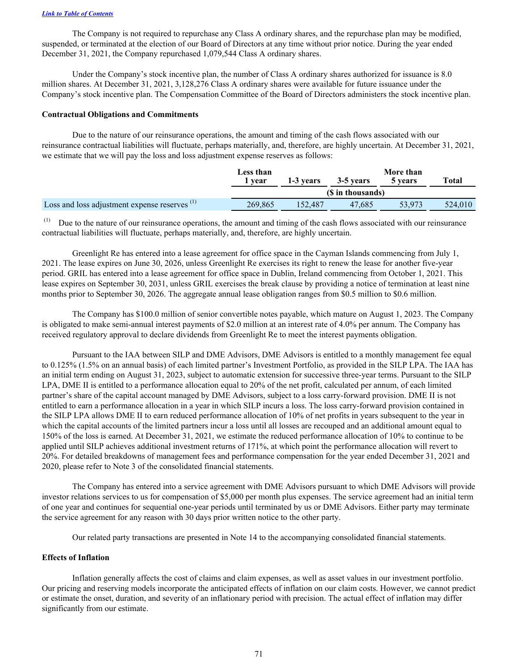The Company is not required to repurchase any Class A ordinary shares, and the repurchase plan may be modified, suspended, or terminated at the election of our Board of Directors at any time without prior notice. During the year ended December 31, 2021, the Company repurchased 1,079,544 Class A ordinary shares.

Under the Company's stock incentive plan, the number of Class A ordinary shares authorized for issuance is 8.0 million shares. At December 31, 2021, 3,128,276 Class A ordinary shares were available for future issuance under the Company's stock incentive plan. The Compensation Committee of the Board of Directors administers the stock incentive plan.

#### **Contractual Obligations and Commitments**

Due to the nature of our reinsurance operations, the amount and timing of the cash flows associated with our reinsurance contractual liabilities will fluctuate, perhaps materially, and, therefore, are highly uncertain. At December 31, 2021, we estimate that we will pay the loss and loss adjustment expense reserves as follows:

|                                                          | Less than |                  |           |         |         |
|----------------------------------------------------------|-----------|------------------|-----------|---------|---------|
|                                                          | 1 year    | 1-3 years        | 3-5 years | 5 years | Total   |
|                                                          |           | (S in thousands) |           |         |         |
| Loss and loss adjustment expense reserves <sup>(1)</sup> | 269.865   | 152.487          | 47.685    | 53.973  | 524.010 |

Due to the nature of our reinsurance operations, the amount and timing of the cash flows associated with our reinsurance contractual liabilities will fluctuate, perhaps materially, and, therefore, are highly uncertain.

Greenlight Re has entered into a lease agreement for office space in the Cayman Islands commencing from July 1, 2021. The lease expires on June 30, 2026, unless Greenlight Re exercises its right to renew the lease for another five-year period. GRIL has entered into a lease agreement for office space in Dublin, Ireland commencing from October 1, 2021. This lease expires on September 30, 2031, unless GRIL exercises the break clause by providing a notice of termination at least nine months prior to September 30, 2026. The aggregate annual lease obligation ranges from \$0.5 million to \$0.6 million.

The Company has \$100.0 million of senior convertible notes payable, which mature on August 1, 2023. The Company is obligated to make semi-annual interest payments of \$2.0 million at an interest rate of 4.0% per annum. The Company has received regulatory approval to declare dividends from Greenlight Re to meet the interest payments obligation.

Pursuant to the IAA between SILP and DME Advisors, DME Advisors is entitled to a monthly management fee equal to 0.125% (1.5% on an annual basis) of each limited partner's Investment Portfolio, as provided in the SILP LPA. The IAA has an initial term ending on August 31, 2023, subject to automatic extension for successive three-year terms. Pursuant to the SILP LPA, DME II is entitled to a performance allocation equal to 20% of the net profit, calculated per annum, of each limited partner's share of the capital account managed by DME Advisors, subject to a loss carry-forward provision. DME II is not entitled to earn a performance allocation in a year in which SILP incurs a loss. The loss carry-forward provision contained in the SILP LPA allows DME II to earn reduced performance allocation of 10% of net profits in years subsequent to the year in which the capital accounts of the limited partners incur a loss until all losses are recouped and an additional amount equal to 150% of the loss is earned. At December 31, 2021, we estimate the reduced performance allocation of 10% to continue to be applied until SILP achieves additional investment returns of 171%, at which point the performance allocation will revert to 20%. For detailed breakdowns of management fees and performance compensation for the year ended December 31, 2021 and 2020, please refer to Note 3 of the consolidated financial statements.

The Company has entered into a service agreement with DME Advisors pursuant to which DME Advisors will provide investor relations services to us for compensation of \$5,000 per month plus expenses. The service agreement had an initial term of one year and continues for sequential one-year periods until terminated by us or DME Advisors. Either party may terminate the service agreement for any reason with 30 days prior written notice to the other party.

Our related party transactions are presented in Note 14 to the accompanying consolidated financial statements.

## **Effects of Inflation**

Inflation generally affects the cost of claims and claim expenses, as well as asset values in our investment portfolio. Our pricing and reserving models incorporate the anticipated effects of inflation on our claim costs. However, we cannot predict or estimate the onset, duration, and severity of an inflationary period with precision. The actual effect of inflation may differ significantly from our estimate.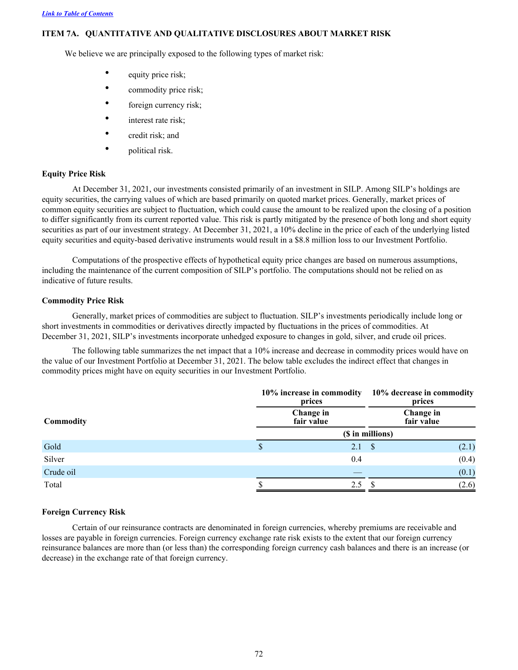## **ITEM 7A. QUANTITATIVE AND QUALITATIVE DISCLOSURES ABOUT MARKET RISK**

We believe we are principally exposed to the following types of market risk:

- equity price risk;
- commodity price risk;
- foreign currency risk;
- interest rate risk;
- credit risk; and
- political risk.

#### **Equity Price Risk**

At December 31, 2021, our investments consisted primarily of an investment in SILP. Among SILP's holdings are equity securities, the carrying values of which are based primarily on quoted market prices. Generally, market prices of common equity securities are subject to fluctuation, which could cause the amount to be realized upon the closing of a position to differ significantly from its current reported value. This risk is partly mitigated by the presence of both long and short equity securities as part of our investment strategy. At December 31, 2021, a 10% decline in the price of each of the underlying listed equity securities and equity-based derivative instruments would result in a \$8.8 million loss to our Investment Portfolio.

Computations of the prospective effects of hypothetical equity price changes are based on numerous assumptions, including the maintenance of the current composition of SILP's portfolio. The computations should not be relied on as indicative of future results.

#### **Commodity Price Risk**

Generally, market prices of commodities are subject to fluctuation. SILP's investments periodically include long or short investments in commodities or derivatives directly impacted by fluctuations in the prices of commodities. At December 31, 2021, SILP's investments incorporate unhedged exposure to changes in gold, silver, and crude oil prices.

The following table summarizes the net impact that a 10% increase and decrease in commodity prices would have on the value of our Investment Portfolio at December 31, 2021. The below table excludes the indirect effect that changes in commodity prices might have on equity securities in our Investment Portfolio.

|           | 10% increase in commodity<br>prices |                  | 10% decrease in commodity<br>prices |                         |  |  |  |  |  |
|-----------|-------------------------------------|------------------|-------------------------------------|-------------------------|--|--|--|--|--|
| Commodity | Change in<br>fair value             |                  |                                     | Change in<br>fair value |  |  |  |  |  |
|           |                                     | (\$ in millions) |                                     |                         |  |  |  |  |  |
| Gold      | S                                   | 2.1              | - \$                                | (2.1)                   |  |  |  |  |  |
| Silver    |                                     | 0.4              |                                     | (0.4)                   |  |  |  |  |  |
| Crude oil |                                     |                  |                                     | (0.1)                   |  |  |  |  |  |
| Total     |                                     | 2.5              |                                     | (2.6)                   |  |  |  |  |  |

#### **Foreign Currency Risk**

Certain of our reinsurance contracts are denominated in foreign currencies, whereby premiums are receivable and losses are payable in foreign currencies. Foreign currency exchange rate risk exists to the extent that our foreign currency reinsurance balances are more than (or less than) the corresponding foreign currency cash balances and there is an increase (or decrease) in the exchange rate of that foreign currency.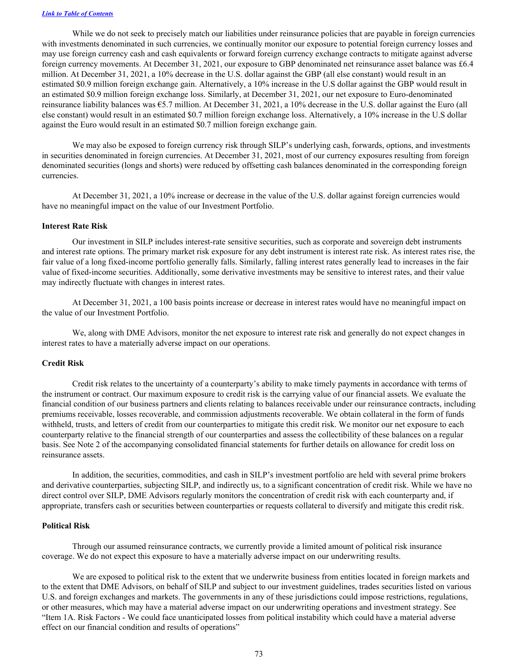#### *[Link to Table of Contents](#page-2-0)*

While we do not seek to precisely match our liabilities under reinsurance policies that are payable in foreign currencies with investments denominated in such currencies, we continually monitor our exposure to potential foreign currency losses and may use foreign currency cash and cash equivalents or forward foreign currency exchange contracts to mitigate against adverse foreign currency movements. At December 31, 2021, our exposure to GBP denominated net reinsurance asset balance was £6.4 million. At December 31, 2021, a 10% decrease in the U.S. dollar against the GBP (all else constant) would result in an estimated \$0.9 million foreign exchange gain. Alternatively, a 10% increase in the U.S dollar against the GBP would result in an estimated \$0.9 million foreign exchange loss. Similarly, at December 31, 2021, our net exposure to Euro-denominated reinsurance liability balances was €5.7 million. At December 31, 2021, a 10% decrease in the U.S. dollar against the Euro (all else constant) would result in an estimated \$0.7 million foreign exchange loss. Alternatively, a 10% increase in the U.S dollar against the Euro would result in an estimated \$0.7 million foreign exchange gain.

We may also be exposed to foreign currency risk through SILP's underlying cash, forwards, options, and investments in securities denominated in foreign currencies. At December 31, 2021, most of our currency exposures resulting from foreign denominated securities (longs and shorts) were reduced by offsetting cash balances denominated in the corresponding foreign currencies.

At December 31, 2021, a 10% increase or decrease in the value of the U.S. dollar against foreign currencies would have no meaningful impact on the value of our Investment Portfolio.

#### **Interest Rate Risk**

Our investment in SILP includes interest-rate sensitive securities, such as corporate and sovereign debt instruments and interest rate options. The primary market risk exposure for any debt instrument is interest rate risk. As interest rates rise, the fair value of a long fixed-income portfolio generally falls. Similarly, falling interest rates generally lead to increases in the fair value of fixed-income securities. Additionally, some derivative investments may be sensitive to interest rates, and their value may indirectly fluctuate with changes in interest rates.

At December 31, 2021, a 100 basis points increase or decrease in interest rates would have no meaningful impact on the value of our Investment Portfolio.

We, along with DME Advisors, monitor the net exposure to interest rate risk and generally do not expect changes in interest rates to have a materially adverse impact on our operations.

# **Credit Risk**

Credit risk relates to the uncertainty of a counterparty's ability to make timely payments in accordance with terms of the instrument or contract. Our maximum exposure to credit risk is the carrying value of our financial assets. We evaluate the financial condition of our business partners and clients relating to balances receivable under our reinsurance contracts, including premiums receivable, losses recoverable, and commission adjustments recoverable. We obtain collateral in the form of funds withheld, trusts, and letters of credit from our counterparties to mitigate this credit risk. We monitor our net exposure to each counterparty relative to the financial strength of our counterparties and assess the collectibility of these balances on a regular basis. See Note 2 of the accompanying consolidated financial statements for further details on allowance for credit loss on reinsurance assets.

In addition, the securities, commodities, and cash in SILP's investment portfolio are held with several prime brokers and derivative counterparties, subjecting SILP, and indirectly us, to a significant concentration of credit risk. While we have no direct control over SILP, DME Advisors regularly monitors the concentration of credit risk with each counterparty and, if appropriate, transfers cash or securities between counterparties or requests collateral to diversify and mitigate this credit risk.

## **Political Risk**

Through our assumed reinsurance contracts, we currently provide a limited amount of political risk insurance coverage. We do not expect this exposure to have a materially adverse impact on our underwriting results.

We are exposed to political risk to the extent that we underwrite business from entities located in foreign markets and to the extent that DME Advisors, on behalf of SILP and subject to our investment guidelines, trades securities listed on various U.S. and foreign exchanges and markets. The governments in any of these jurisdictions could impose restrictions, regulations, or other measures, which may have a material adverse impact on our underwriting operations and investment strategy. See "Item 1A. Risk Factors - We could face unanticipated losses from political instability which could have a material adverse effect on our financial condition and results of operations"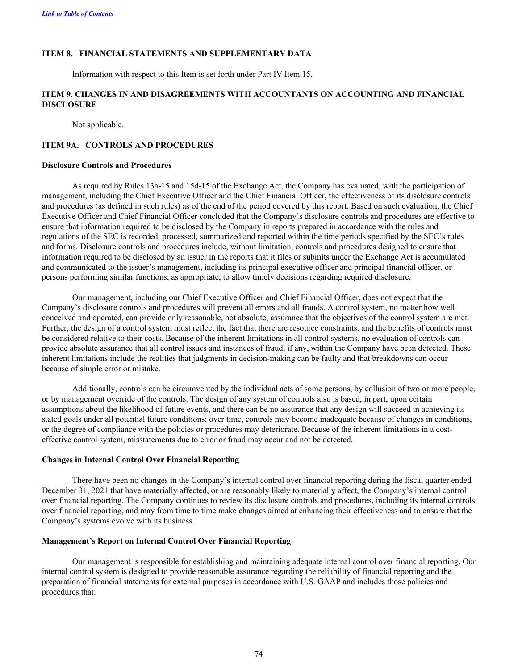#### **ITEM 8. FINANCIAL STATEMENTS AND SUPPLEMENTARY DATA**

Information with respect to this Item is set forth under Part IV Item 15.

## **ITEM 9. CHANGES IN AND DISAGREEMENTS WITH ACCOUNTANTS ON ACCOUNTING AND FINANCIAL DISCLOSURE**

Not applicable.

#### **ITEM 9A. CONTROLS AND PROCEDURES**

#### **Disclosure Controls and Procedures**

As required by Rules 13a-15 and 15d-15 of the Exchange Act, the Company has evaluated, with the participation of management, including the Chief Executive Officer and the Chief Financial Officer, the effectiveness of its disclosure controls and procedures (as defined in such rules) as of the end of the period covered by this report. Based on such evaluation, the Chief Executive Officer and Chief Financial Officer concluded that the Company's disclosure controls and procedures are effective to ensure that information required to be disclosed by the Company in reports prepared in accordance with the rules and regulations of the SEC is recorded, processed, summarized and reported within the time periods specified by the SEC's rules and forms. Disclosure controls and procedures include, without limitation, controls and procedures designed to ensure that information required to be disclosed by an issuer in the reports that it files or submits under the Exchange Act is accumulated and communicated to the issuer's management, including its principal executive officer and principal financial officer, or persons performing similar functions, as appropriate, to allow timely decisions regarding required disclosure.

Our management, including our Chief Executive Officer and Chief Financial Officer, does not expect that the Company's disclosure controls and procedures will prevent all errors and all frauds. A control system, no matter how well conceived and operated, can provide only reasonable, not absolute, assurance that the objectives of the control system are met. Further, the design of a control system must reflect the fact that there are resource constraints, and the benefits of controls must be considered relative to their costs. Because of the inherent limitations in all control systems, no evaluation of controls can provide absolute assurance that all control issues and instances of fraud, if any, within the Company have been detected. These inherent limitations include the realities that judgments in decision-making can be faulty and that breakdowns can occur because of simple error or mistake.

Additionally, controls can be circumvented by the individual acts of some persons, by collusion of two or more people, or by management override of the controls. The design of any system of controls also is based, in part, upon certain assumptions about the likelihood of future events, and there can be no assurance that any design will succeed in achieving its stated goals under all potential future conditions; over time, controls may become inadequate because of changes in conditions, or the degree of compliance with the policies or procedures may deteriorate. Because of the inherent limitations in a costeffective control system, misstatements due to error or fraud may occur and not be detected.

#### **Changes in Internal Control Over Financial Reporting**

There have been no changes in the Company's internal control over financial reporting during the fiscal quarter ended December 31, 2021 that have materially affected, or are reasonably likely to materially affect, the Company's internal control over financial reporting. The Company continues to review its disclosure controls and procedures, including its internal controls over financial reporting, and may from time to time make changes aimed at enhancing their effectiveness and to ensure that the Company's systems evolve with its business.

#### **Management's Report on Internal Control Over Financial Reporting**

Our management is responsible for establishing and maintaining adequate internal control over financial reporting. Our internal control system is designed to provide reasonable assurance regarding the reliability of financial reporting and the preparation of financial statements for external purposes in accordance with U.S. GAAP and includes those policies and procedures that: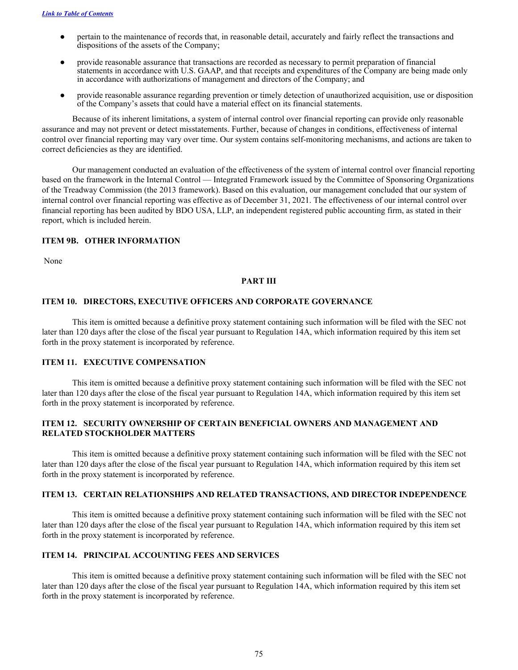- pertain to the maintenance of records that, in reasonable detail, accurately and fairly reflect the transactions and dispositions of the assets of the Company;
- provide reasonable assurance that transactions are recorded as necessary to permit preparation of financial statements in accordance with U.S. GAAP, and that receipts and expenditures of the Company are being made only in accordance with authorizations of management and directors of the Company; and
- provide reasonable assurance regarding prevention or timely detection of unauthorized acquisition, use or disposition of the Company's assets that could have a material effect on its financial statements.

Because of its inherent limitations, a system of internal control over financial reporting can provide only reasonable assurance and may not prevent or detect misstatements. Further, because of changes in conditions, effectiveness of internal control over financial reporting may vary over time. Our system contains self-monitoring mechanisms, and actions are taken to correct deficiencies as they are identified.

Our management conducted an evaluation of the effectiveness of the system of internal control over financial reporting based on the framework in the Internal Control — Integrated Framework issued by the Committee of Sponsoring Organizations of the Treadway Commission (the 2013 framework). Based on this evaluation, our management concluded that our system of internal control over financial reporting was effective as of December 31, 2021. The effectiveness of our internal control over financial reporting has been audited by BDO USA, LLP, an independent registered public accounting firm, as stated in their report, which is included herein.

#### **ITEM 9B. OTHER INFORMATION**

None

#### **PART III**

#### **ITEM 10. DIRECTORS, EXECUTIVE OFFICERS AND CORPORATE GOVERNANCE**

This item is omitted because a definitive proxy statement containing such information will be filed with the SEC not later than 120 days after the close of the fiscal year pursuant to Regulation 14A, which information required by this item set forth in the proxy statement is incorporated by reference.

## **ITEM 11. EXECUTIVE COMPENSATION**

This item is omitted because a definitive proxy statement containing such information will be filed with the SEC not later than 120 days after the close of the fiscal year pursuant to Regulation 14A, which information required by this item set forth in the proxy statement is incorporated by reference.

## **ITEM 12. SECURITY OWNERSHIP OF CERTAIN BENEFICIAL OWNERS AND MANAGEMENT AND RELATED STOCKHOLDER MATTERS**

This item is omitted because a definitive proxy statement containing such information will be filed with the SEC not later than 120 days after the close of the fiscal year pursuant to Regulation 14A, which information required by this item set forth in the proxy statement is incorporated by reference.

## **ITEM 13. CERTAIN RELATIONSHIPS AND RELATED TRANSACTIONS, AND DIRECTOR INDEPENDENCE**

This item is omitted because a definitive proxy statement containing such information will be filed with the SEC not later than 120 days after the close of the fiscal year pursuant to Regulation 14A, which information required by this item set forth in the proxy statement is incorporated by reference.

## **ITEM 14. PRINCIPAL ACCOUNTING FEES AND SERVICES**

This item is omitted because a definitive proxy statement containing such information will be filed with the SEC not later than 120 days after the close of the fiscal year pursuant to Regulation 14A, which information required by this item set forth in the proxy statement is incorporated by reference.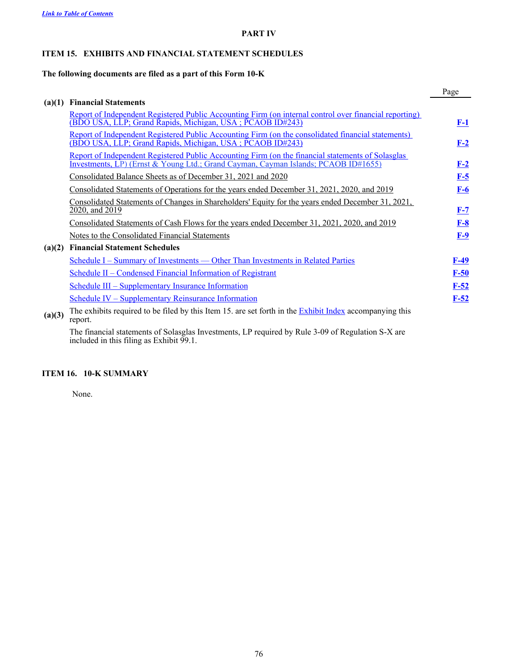## **PART IV**

# **ITEM 15. EXHIBITS AND FINANCIAL STATEMENT SCHEDULES**

## **The following documents are filed as a part of this Form 10-K**

|        |                                                                                                                                                                                         | Page        |
|--------|-----------------------------------------------------------------------------------------------------------------------------------------------------------------------------------------|-------------|
| (a)(1) | <b>Financial Statements</b>                                                                                                                                                             |             |
|        | Report of Independent Registered Public Accounting Firm (on internal control over financial reporting)<br>(BDO USA, LLP; Grand Rapids, Michigan, USA; PCAOB ID#243)                     | $F-1$       |
|        | Report of Independent Registered Public Accounting Firm (on the consolidated financial statements)<br>(BDO USA, LLP; Grand Rapids, Michigan, USA; PCAOB ID#243)                         | $F-2$       |
|        | Report of Independent Registered Public Accounting Firm (on the financial statements of Solasglas<br>Investments, LP) (Ernst & Young Ltd.; Grand Cayman, Cayman Islands; PCAOB ID#1655) | $F-2$       |
|        | Consolidated Balance Sheets as of December 31, 2021 and 2020                                                                                                                            | $F-5$       |
|        | Consolidated Statements of Operations for the years ended December 31, 2021, 2020, and 2019                                                                                             | $F-6$       |
|        | Consolidated Statements of Changes in Shareholders' Equity for the years ended December 31, 2021,<br>2020, and 2019                                                                     | $F-7$       |
|        | Consolidated Statements of Cash Flows for the years ended December 31, 2021, 2020, and 2019                                                                                             | $F-8$       |
|        | Notes to the Consolidated Financial Statements                                                                                                                                          | $F-9$       |
| (a)(2) | <b>Financial Statement Schedules</b>                                                                                                                                                    |             |
|        | Schedule I – Summary of Investments — Other Than Investments in Related Parties                                                                                                         | <b>F-49</b> |
|        | Schedule II – Condensed Financial Information of Registrant                                                                                                                             | $F-50$      |
|        | Schedule III – Supplementary Insurance Information                                                                                                                                      | $F-52$      |
|        | Schedule IV – Supplementary Reinsurance Information                                                                                                                                     | $F-52$      |
| (a)(3) | The exhibits required to be filed by this Item 15, are set forth in the <b>Exhibit Index</b> accompanying this<br>report.                                                               |             |
|        | — a is a and it to the international and it                                                                                                                                             |             |

The financial statements of Solasglas Investments, LP required by Rule 3-09 of Regulation S-X are included in this filing as Exhibit 99.1.

# **ITEM 16. 10-K SUMMARY**

None.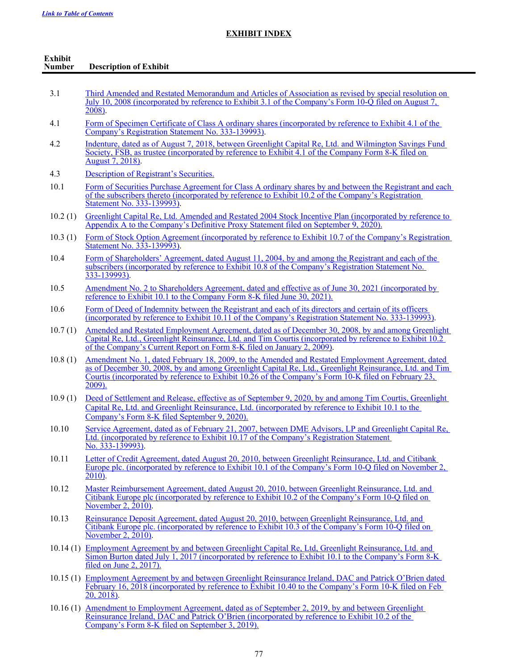<span id="page-77-0"></span>**Exhibit** 

# **EXHIBIT INDEX**

| <b>Number</b> | <b>Description of Exhibit</b>                                                                                                                                                                                                                                                                                                     |
|---------------|-----------------------------------------------------------------------------------------------------------------------------------------------------------------------------------------------------------------------------------------------------------------------------------------------------------------------------------|
| 3.1           | Third Amended and Restated Memorandum and Articles of Association as revised by special resolution on<br>July 10, 2008 (incorporated by reference to Exhibit 3.1 of the Company's Form 10-Q filed on August 7,<br>2008).                                                                                                          |
| 4.1           | Form of Specimen Certificate of Class A ordinary shares (incorporated by reference to Exhibit 4.1 of the<br>Company's Registration Statement No. 333-139993).                                                                                                                                                                     |
| 4.2           | Indenture, dated as of August 7, 2018, between Greenlight Capital Re, Ltd. and Wilmington Savings Fund<br>Society, FSB, as trustee (incorporated by reference to Exhibit 4.1 of the Company Form 8-K filed on<br>August 7, 2018).                                                                                                 |
| 4.3           | Description of Registrant's Securities.                                                                                                                                                                                                                                                                                           |
| 10.1          | Form of Securities Purchase Agreement for Class A ordinary shares by and between the Registrant and each<br>of the subscribers thereto (incorporated by reference to Exhibit 10.2 of the Company's Registration<br>Statement No. 333-139993).                                                                                     |
| 10.2(1)       | Greenlight Capital Re, Ltd. Amended and Restated 2004 Stock Incentive Plan (incorporated by reference to<br>Appendix A to the Company's Definitive Proxy Statement filed on September 9, 2020).                                                                                                                                   |
| 10.3(1)       | Form of Stock Option Agreement (incorporated by reference to Exhibit 10.7 of the Company's Registration<br>Statement No. 333-139993).                                                                                                                                                                                             |
| 10.4          | Form of Shareholders' Agreement, dated August 11, 2004, by and among the Registrant and each of the<br>subscribers (incorporated by reference to Exhibit 10.8 of the Company's Registration Statement No.<br>$333 - 139993$ .                                                                                                     |
| 10.5          | Amendment No. 2 to Shareholders Agreement, dated and effective as of June 30, 2021 (incorporated by<br>reference to Exhibit 10.1 to the Company Form 8-K filed June 30, 2021).                                                                                                                                                    |
| 10.6          | Form of Deed of Indemnity between the Registrant and each of its directors and certain of its officers<br>(incorporated by reference to Exhibit 10.11 of the Company's Registration Statement No. 333-139993).                                                                                                                    |
| 10.7(1)       | Amended and Restated Employment Agreement, dated as of December 30, 2008, by and among Greenlight<br>Capital Re, Ltd., Greenlight Reinsurance, Ltd. and Tim Courtis (incorporated by reference to Exhibit 10.2)<br>of the Company's Current Report on Form 8-K filed on January 2, 2009).                                         |
| 10.8(1)       | Amendment No. 1, dated February 18, 2009, to the Amended and Restated Employment Agreement, dated<br>as of December 30, 2008, by and among Greenlight Capital Re, Ltd., Greenlight Reinsurance, Ltd. and Tim<br>Courtis (incorporated by reference to Exhibit 10.26 of the Company's Form 10-K filed on February 23,<br>$2009$ ). |
| 10.9(1)       | Deed of Settlement and Release, effective as of September 9, 2020, by and among Tim Courtis, Greenlight<br>Capital Re, Ltd. and Greenlight Reinsurance, Ltd. (incorporated by reference to Exhibit 10.1 to the<br>Company's Form 8-K filed September 9, 2020).                                                                    |
| 10.10         | Service Agreement, dated as of February 21, 2007, between DME Advisors, LP and Greenlight Capital Re,<br>Ltd. (incorporated by reference to Exhibit 10.17 of the Company's Registration Statement<br>$\overline{No. 333-139993)}$                                                                                                 |
| 10.11         | Letter of Credit Agreement, dated August 20, 2010, between Greenlight Reinsurance, Ltd. and Citibank<br>Europe plc. (incorporated by reference to Exhibit 10.1 of the Company's Form 10-Q filed on November 2,<br>$2010$ ).                                                                                                       |
| 10.12         | Master Reimbursement Agreement, dated August 20, 2010, between Greenlight Reinsurance, Ltd. and<br>Citibank Europe plc (incorporated by reference to Exhibit 10.2 of the Company's Form 10-Q filed on<br>November 2, $\overline{2010}$ ).                                                                                         |
| 10.13         | Reinsurance Deposit Agreement, dated August 20, 2010, between Greenlight Reinsurance, Ltd. and<br>Citibank Europe plc. (incorporated by reference to Exhibit 10.3 of the Company's Form 10-O filed on<br>November 2, 2010).                                                                                                       |
|               | 10.14 (1) Employment Agreement by and between Greenlight Capital Re, Ltd, Greenlight Reinsurance, Ltd. and<br>Simon Burton dated July 1, 2017 (incorporated by reference to Exhibit 10.1 to the Company's Form 8-K<br>filed on June 2, 2017).                                                                                     |
|               | 10.15 (1) Employment Agreement by and between Greenlight Reinsurance Ireland, DAC and Patrick O'Brien dated<br>February 16, 2018 (incorporated by reference to Exhibit 10.40 to the Company's Form 10-K filed on Feb<br>$20, 2018$ ).                                                                                             |
|               | 10.16 (1) Amendment to Employment Agreement, dated as of September 2, 2019, by and between Greenlight<br>Reinsurance Ireland, DAC and Patrick O'Brien (incorporated by reference to Exhibit 10.2 of the<br>Company's Form 8-K filed on September 3, 2019).                                                                        |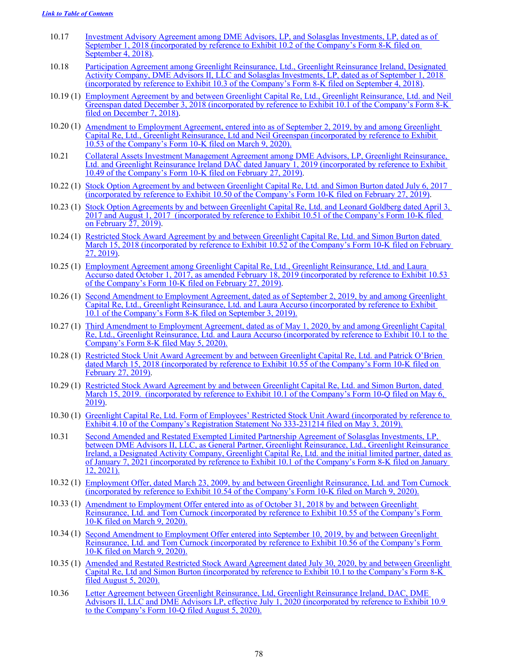- 10.17 [Investment Advisory Agreement among DME Advisors, LP, and Solasglas Investments, LP, dated as of](http://www.sec.gov/Archives/edgar/data/1385613/000138561318000128/iaabetweendmelpandsilpv200.htm)  September 1, 2018 (incorporated by reference to Exhibit 10.2 of the Company's Form 8-K filed on [September 4, 2018\)](http://www.sec.gov/Archives/edgar/data/1385613/000138561318000128/iaabetweendmelpandsilpv200.htm).
- 10.18 [Participation Agreement among Greenlight Reinsurance, Ltd., Greenlight Reinsurance Ireland, Designated](http://www.sec.gov/Archives/edgar/data/1385613/000138561318000128/participationagreement-400.htm)  [Activity Company, DME Advisors II, LLC and Solasglas Investments, LP, dated as of September 1, 2018](http://www.sec.gov/Archives/edgar/data/1385613/000138561318000128/participationagreement-400.htm)  [\(incorporated by reference to Exhibit 10.3 of the Company's Form 8-K filed on September 4, 2018\).](http://www.sec.gov/Archives/edgar/data/1385613/000138561318000128/participationagreement-400.htm)
- 10.19 (1) [Employment Agreement by and between Greenlight Capital Re, Ltd., Greenlight Reinsurance, Ltd. and Neil](http://www.sec.gov/Archives/edgar/data/1385613/000138561318000149/caoemploymentagreement_dec.htm)  [Greenspan dated December 3, 2018 \(incorporated by reference to Exhibit 10.1 of the Company's Form 8-K](http://www.sec.gov/Archives/edgar/data/1385613/000138561318000149/caoemploymentagreement_dec.htm)  [filed on December 7, 2018\)](http://www.sec.gov/Archives/edgar/data/1385613/000138561318000149/caoemploymentagreement_dec.htm).
- 10.20 (1) [Amendment to Employment Agreement, entered into as of September 2, 2019, by and among Greenlight](http://www.sec.gov/Archives/edgar/data/1385613/000138561320000012/exhibit1053-caoamendmentem.htm)  [Capital Re, Ltd., Greenlight Reinsurance, Ltd and Neil Greenspan \(incorporated by reference to Exhibit](http://www.sec.gov/Archives/edgar/data/1385613/000138561320000012/exhibit1053-caoamendmentem.htm)  [10.53 of the Company's Form 10-K filed on March 9, 2020\).](http://www.sec.gov/Archives/edgar/data/1385613/000138561320000012/exhibit1053-caoamendmentem.htm)
- 10.21 [Collateral Assets Investment Management Agreement among DME Advisors, LP, Greenlight Reinsurance,](http://www.sec.gov/Archives/edgar/data/1385613/000138561319000016/collateralassetsimaex1049.htm)  [Ltd. and Greenlight Reinsurance Ireland DAC dated January 1, 2019 \(incorporated by reference to Exhibit](http://www.sec.gov/Archives/edgar/data/1385613/000138561319000016/collateralassetsimaex1049.htm)  [10.49 of the Company's Form 10-K filed on February 27, 2019\).](http://www.sec.gov/Archives/edgar/data/1385613/000138561319000016/collateralassetsimaex1049.htm)
- 10.22 (1) [Stock Option Agreement by and between Greenlight Capital Re, Ltd. and Simon Burton dated July 6, 2017](http://www.sec.gov/Archives/edgar/data/1385613/000138561319000016/sburton_optionxagreementx2.htm)  [\(incorporated by reference to Exhibit 10.50 of the Company's Form 10-K filed on February 27, 2019\)](http://www.sec.gov/Archives/edgar/data/1385613/000138561319000016/sburton_optionxagreementx2.htm).
- 10.23 (1) [Stock Option Agreements by and between Greenlight Capital Re, Ltd. and Leonard Goldberg dated April 3,](http://www.sec.gov/Archives/edgar/data/1385613/000138561319000016/lgoldberg_optionxagreement.htm)  [2017 and August 1, 2017 \(incorporated by reference to Exhibit 10.51 of the Company's Form 10-K filed](http://www.sec.gov/Archives/edgar/data/1385613/000138561319000016/lgoldberg_optionxagreement.htm)  [on February 27, 2019\)](http://www.sec.gov/Archives/edgar/data/1385613/000138561319000016/lgoldberg_optionxagreement.htm).
- 10.24 (1) [Restricted Stock Award Agreement by and between Greenlight Capital Re, Ltd. and Simon Burton dated](http://www.sec.gov/Archives/edgar/data/1385613/000138561319000016/sburton_restrictedxstockag.htm)  [March 15, 2018 \(incorporated by reference to Exhibit 10.52 of the Company's Form 10-K filed on February](http://www.sec.gov/Archives/edgar/data/1385613/000138561319000016/sburton_restrictedxstockag.htm)  [27, 2019\)](http://www.sec.gov/Archives/edgar/data/1385613/000138561319000016/sburton_restrictedxstockag.htm).
- 10.25 (1) [Employment Agreement among Greenlight Capital Re, Ltd., Greenlight Reinsurance, Ltd. and Laura](http://www.sec.gov/Archives/edgar/data/1385613/000138561319000016/laccurso_employmentagreeme.htm)  [Accurso dated October 1, 2017, as amended February 18, 2019 \(incorporated by reference to Exhibit 10.53](http://www.sec.gov/Archives/edgar/data/1385613/000138561319000016/laccurso_employmentagreeme.htm)  [of the Company's Form 10-K filed on February 27, 2019\).](http://www.sec.gov/Archives/edgar/data/1385613/000138561319000016/laccurso_employmentagreeme.htm)
- 10.26 (1) [Second Amendment to Employment Agreement, dated as of September 2, 2019, by and among Greenlight](http://www.sec.gov/Archives/edgar/data/1385613/000138561319000093/ex101employmentagreementam.htm)  [Capital Re, Ltd., Greenlight Reinsurance, Ltd. and Laura Accurso \(incorporated by reference to Exhibit](http://www.sec.gov/Archives/edgar/data/1385613/000138561319000093/ex101employmentagreementam.htm)  [10.1 of the Company's Form 8-K filed on September 3, 2019\).](http://www.sec.gov/Archives/edgar/data/1385613/000138561319000093/ex101employmentagreementam.htm)
- 10.27 (1) [Third Amendment to Employment Agreement, dated as of May 1, 2020, by and among Greenlight Capital](http://www.sec.gov/Archives/edgar/data/1385613/000138561320000043/glre-thirdamendmenttoemplo.htm)  [Re, Ltd., Greenlight Reinsurance, Ltd. and Laura Accurso \(incorporated by reference to Exhibit 10.1 to the](http://www.sec.gov/Archives/edgar/data/1385613/000138561320000043/glre-thirdamendmenttoemplo.htm)  [Company's Form 8-K filed May 5, 2020\).](http://www.sec.gov/Archives/edgar/data/1385613/000138561320000043/glre-thirdamendmenttoemplo.htm)
- 10.28 (1) [Restricted Stock Unit Award Agreement by and between Greenlight Capital Re, Ltd. and Patrick O'Brien](http://www.sec.gov/Archives/edgar/data/1385613/000138561319000016/pobrien_restrictedxshareun.htm)  [dated March 15, 2018 \(incorporated by reference to Exhibit 10.55 of the Company's Form 10-K filed on](http://www.sec.gov/Archives/edgar/data/1385613/000138561319000016/pobrien_restrictedxshareun.htm)  [February 27, 2019\).](http://www.sec.gov/Archives/edgar/data/1385613/000138561319000016/pobrien_restrictedxshareun.htm)
- 10.29 (1) [Restricted Stock Award Agreement by and between Greenlight Capital Re, Ltd. and Simon Burton, dated](http://www.sec.gov/Archives/edgar/data/1385613/000138561319000053/a101greenlight_restrictedx.htm)  [March 15, 2019. \(incorporated by reference to Exhibit 10.1 of the Company's Form 10-Q filed on May 6,](http://www.sec.gov/Archives/edgar/data/1385613/000138561319000053/a101greenlight_restrictedx.htm)  [2019\)](http://www.sec.gov/Archives/edgar/data/1385613/000138561319000053/a101greenlight_restrictedx.htm).
- 10.30 (1) [Greenlight Capital Re, Ltd. Form of Employees' Restricted Stock Unit Award \(incorporated by reference to](http://www.sec.gov/Archives/edgar/data/1385613/000138561319000049/a410greenlight_restrictedx.htm)  [Exhibit 4.10 of the Company's Registration Statement No 333-231214 filed on May 3, 2019\).](http://www.sec.gov/Archives/edgar/data/1385613/000138561319000049/a410greenlight_restrictedx.htm)
- 10.31 [Second Amended and Restated Exempted Limited Partnership Agreement of Solasglas Investments, LP,](http://www.sec.gov/Archives/edgar/data/1385613/000138561321000005/a2ndarlpaforsolasglasinves.htm)  [between DME Advisors II, LLC, as General Partner, Greenlight Reinsurance, Ltd., Greenlight Reinsurance](http://www.sec.gov/Archives/edgar/data/1385613/000138561321000005/a2ndarlpaforsolasglasinves.htm)  [Ireland, a Designated Activity Company, Greenlight Capital Re, Ltd. and the initial limited partner, dated as](http://www.sec.gov/Archives/edgar/data/1385613/000138561321000005/a2ndarlpaforsolasglasinves.htm)  [of January 7, 2021 \(incorporated by reference to Exhibit 10.1 of the Company's Form 8-K filed on January](http://www.sec.gov/Archives/edgar/data/1385613/000138561321000005/a2ndarlpaforsolasglasinves.htm)  [12, 2021\).](http://www.sec.gov/Archives/edgar/data/1385613/000138561321000005/a2ndarlpaforsolasglasinves.htm)
- 10.32 (1) Employment Offer, dated March 23, 2009, by and between Greenlight Reinsurance, Ltd. and Tom Curnock [\(incorporated by reference to Exhibit 10.54 of the Company's Form 10-K filed on March 9, 2020\).](http://www.sec.gov/Archives/edgar/data/1385613/000138561320000012/exhibit1054-employmentcont.htm)
- 10.33 (1) [Amendment to Employment Offer entered into as of October 31, 2018 by and between Greenlight](http://www.sec.gov/Archives/edgar/data/1385613/000138561320000012/exhibit1055-tomcurnockempl.htm)  [Reinsurance, Ltd. and Tom Curnock \(incorporated by reference to Exhibit 10.55 of the Company's Form](http://www.sec.gov/Archives/edgar/data/1385613/000138561320000012/exhibit1055-tomcurnockempl.htm)  [10-K filed on March 9, 2020\).](http://www.sec.gov/Archives/edgar/data/1385613/000138561320000012/exhibit1055-tomcurnockempl.htm)
- 10.34 (1) [Second Amendment to Employment Offer entered into September 10, 2019, by and between Greenlight](http://www.sec.gov/Archives/edgar/data/1385613/000138561320000012/exhibit1056-secondamendmen.htm)  [Reinsurance, Ltd. and Tom Curnock \(incorporated by reference to Exhibit 10.56 of the Company's Form](http://www.sec.gov/Archives/edgar/data/1385613/000138561320000012/exhibit1056-secondamendmen.htm)  [10-K filed on March 9, 2020\).](http://www.sec.gov/Archives/edgar/data/1385613/000138561320000012/exhibit1056-secondamendmen.htm)
- 10.35 (1) [Amended and Restated Restricted Stock Award Agreement dated July 30, 2020, by and between Greenlight](http://www.sec.gov/Archives/edgar/data/1385613/000138561320000061/amendedandrestatedrest.htm)  [Capital Re, Ltd and Simon Burton \(incorporated by reference to Exhibit 10.1 to the Company's Form 8-K](http://www.sec.gov/Archives/edgar/data/1385613/000138561320000061/amendedandrestatedrest.htm)  [filed August 5, 2020\).](http://www.sec.gov/Archives/edgar/data/1385613/000138561320000061/amendedandrestatedrest.htm)
- 10.36 [Letter Agreement between Greenlight Reinsurance, Ltd, Greenlight Reinsurance Ireland, DAC, DME](http://www.sec.gov/Archives/edgar/data/1385613/000138561320000060/letteragreementsolasgl.htm)  [Advisors II, LLC and DME Advisors LP, effective July 1, 2020 \(incorporated by reference to Exhibit 10.9](http://www.sec.gov/Archives/edgar/data/1385613/000138561320000060/letteragreementsolasgl.htm)  [to the Company's Form 10-Q filed August 5, 2020\).](http://www.sec.gov/Archives/edgar/data/1385613/000138561320000060/letteragreementsolasgl.htm)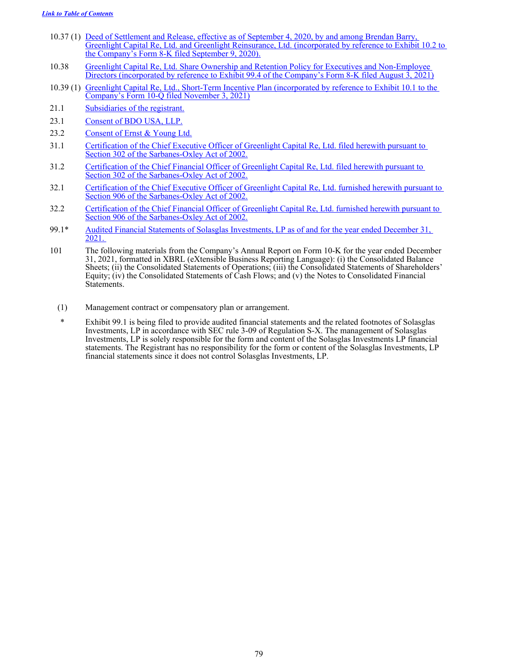- 10.37 (1) Deed of Settlement and Release, effective as of September 4, 2020, by and among Brendan Barry, [Greenlight Capital Re, Ltd. and Greenlight Reinsurance, Ltd. \(incorporated by reference to Exhibit 10.2 to](http://www.sec.gov/Archives/edgar/data/1385613/000138561320000067/exhibit102-conformedgr.htm)  [the Company's Form 8-K filed September 9, 2020\).](http://www.sec.gov/Archives/edgar/data/1385613/000138561320000067/exhibit102-conformedgr.htm)
- 10.38 [Greenlight Capital Re, Ltd. Share Ownership and Retention Policy for Executives and Non-Employee](http://www.sec.gov/Archives/edgar/data/0001385613/000138561321000094/glre-stockownershippolicy.htm)  [Directors \(incorporated by reference to Exhibit 99.4 of the Company's Form 8-K filed August 3, 2021\)](http://www.sec.gov/Archives/edgar/data/0001385613/000138561321000094/glre-stockownershippolicy.htm)
- 10.39 (1) [Greenlight Capital Re, Ltd., Short-Term Incentive Plan \(incorporated by reference to Exhibit 10.1 to the](http://www.sec.gov/Archives/edgar/data/1385613/000138561321000120/ex10-1glreshortxtermincent.htm)  [Company's Form 10-Q filed November 3, 2021\)](http://www.sec.gov/Archives/edgar/data/1385613/000138561321000120/ex10-1glreshortxtermincent.htm)
- 21.1 Subsidiaries of the registrant.
- 23.1 Consent of BDO USA, LLP.
- 23.2 Consent of Ernst & Young Ltd.
- 31.1 Certification of the Chief Executive Officer of Greenlight Capital Re, Ltd. filed herewith pursuant to Section 302 of the Sarbanes-Oxley Act of 2002.
- 31.2 Certification of the Chief Financial Officer of Greenlight Capital Re, Ltd. filed herewith pursuant to Section 302 of the Sarbanes-Oxley Act of 2002.
- 32.1 Certification of the Chief Executive Officer of Greenlight Capital Re, Ltd. furnished herewith pursuant to Section 906 of the Sarbanes-Oxley Act of 2002.
- 32.2 Certification of the Chief Financial Officer of Greenlight Capital Re, Ltd. furnished herewith pursuant to Section 906 of the Sarbanes-Oxley Act of 2002.
- 99.1\* [Audited Financial Statements of Solasglas Investments, LP as of and for the year ended December 31,](solasglasinvestmentslp20.htm)  [2021.](solasglasinvestmentslp20.htm)
- 101 The following materials from the Company's Annual Report on Form 10-K for the year ended December 31, 2021, formatted in XBRL (eXtensible Business Reporting Language): (i) the Consolidated Balance Sheets; (ii) the Consolidated Statements of Operations; (iii) the Consolidated Statements of Shareholders' Equity; (iv) the Consolidated Statements of Cash Flows; and (v) the Notes to Consolidated Financial Statements.
	- (1) Management contract or compensatory plan or arrangement.
	- \* Exhibit 99.1 is being filed to provide audited financial statements and the related footnotes of Solasglas Investments, LP in accordance with SEC rule 3-09 of Regulation S-X. The management of Solasglas Investments, LP is solely responsible for the form and content of the Solasglas Investments LP financial statements. The Registrant has no responsibility for the form or content of the Solasglas Investments, LP financial statements since it does not control Solasglas Investments, LP.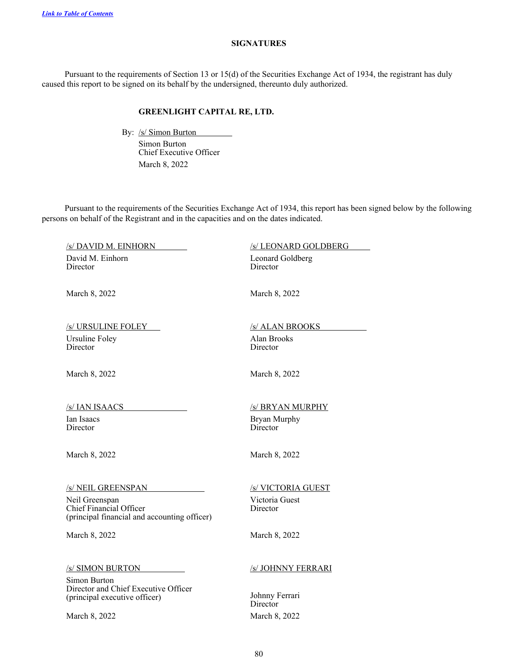## **SIGNATURES**

Pursuant to the requirements of Section 13 or 15(d) of the Securities Exchange Act of 1934, the registrant has duly caused this report to be signed on its behalf by the undersigned, thereunto duly authorized.

## **GREENLIGHT CAPITAL RE, LTD.**

By: /s/ Simon Burton

Simon Burton Chief Executive Officer March 8, 2022

Pursuant to the requirements of the Securities Exchange Act of 1934, this report has been signed below by the following persons on behalf of the Registrant and in the capacities and on the dates indicated.

/s/ DAVID M. EINHORN /s/ LEONARD GOLDBERG

David M. Einhorn Director

/s/ URSULINE FOLEY /s/ ALAN BROOKS

Ursuline Foley Director

Ian Isaacs

Director

#### /s/ NEIL GREENSPAN /s/ VICTORIA GUEST

Neil Greenspan Chief Financial Officer (principal financial and accounting officer)

March 8, 2022 March 8, 2022

Simon Burton Director and Chief Executive Officer (principal executive officer) Johnny Ferrari

Leonard Goldberg **Director** 

March 8, 2022 March 8, 2022

Alan Brooks

Director

March 8, 2022 March 8, 2022

/s/ IAN ISAACS /s/ BRYAN MURPHY Bryan Murphy Director

March 8, 2022 March 8, 2022

Victoria Guest **Director** 

## /s/ SIMON BURTON /s/ JOHNNY FERRARI

**Director** March 8, 2022 March 8, 2022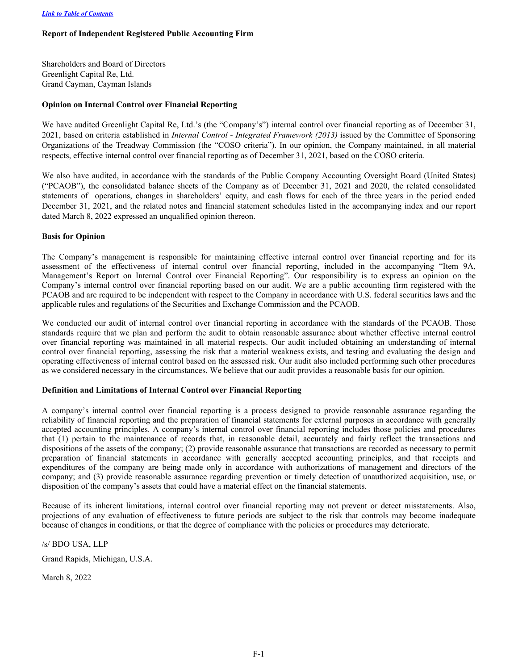## <span id="page-81-0"></span>**Report of Independent Registered Public Accounting Firm**

Shareholders and Board of Directors Greenlight Capital Re, Ltd. Grand Cayman, Cayman Islands

#### **Opinion on Internal Control over Financial Reporting**

We have audited Greenlight Capital Re, Ltd.'s (the "Company's") internal control over financial reporting as of December 31, 2021, based on criteria established in *Internal Control - Integrated Framework (2013)* issued by the Committee of Sponsoring Organizations of the Treadway Commission (the "COSO criteria"). In our opinion, the Company maintained, in all material respects, effective internal control over financial reporting as of December 31, 2021, based on the COSO criteria*.* 

We also have audited, in accordance with the standards of the Public Company Accounting Oversight Board (United States) ("PCAOB"), the consolidated balance sheets of the Company as of December 31, 2021 and 2020, the related consolidated statements of operations, changes in shareholders' equity, and cash flows for each of the three years in the period ended December 31, 2021, and the related notes and financial statement schedules listed in the accompanying index and our report dated March 8, 2022 expressed an unqualified opinion thereon.

## **Basis for Opinion**

The Company's management is responsible for maintaining effective internal control over financial reporting and for its assessment of the effectiveness of internal control over financial reporting, included in the accompanying "Item 9A, Management's Report on Internal Control over Financial Reporting". Our responsibility is to express an opinion on the Company's internal control over financial reporting based on our audit. We are a public accounting firm registered with the PCAOB and are required to be independent with respect to the Company in accordance with U.S. federal securities laws and the applicable rules and regulations of the Securities and Exchange Commission and the PCAOB.

We conducted our audit of internal control over financial reporting in accordance with the standards of the PCAOB. Those standards require that we plan and perform the audit to obtain reasonable assurance about whether effective internal control over financial reporting was maintained in all material respects. Our audit included obtaining an understanding of internal control over financial reporting, assessing the risk that a material weakness exists, and testing and evaluating the design and operating effectiveness of internal control based on the assessed risk. Our audit also included performing such other procedures as we considered necessary in the circumstances. We believe that our audit provides a reasonable basis for our opinion.

## **Definition and Limitations of Internal Control over Financial Reporting**

A company's internal control over financial reporting is a process designed to provide reasonable assurance regarding the reliability of financial reporting and the preparation of financial statements for external purposes in accordance with generally accepted accounting principles. A company's internal control over financial reporting includes those policies and procedures that (1) pertain to the maintenance of records that, in reasonable detail, accurately and fairly reflect the transactions and dispositions of the assets of the company; (2) provide reasonable assurance that transactions are recorded as necessary to permit preparation of financial statements in accordance with generally accepted accounting principles, and that receipts and expenditures of the company are being made only in accordance with authorizations of management and directors of the company; and (3) provide reasonable assurance regarding prevention or timely detection of unauthorized acquisition, use, or disposition of the company's assets that could have a material effect on the financial statements.

Because of its inherent limitations, internal control over financial reporting may not prevent or detect misstatements. Also, projections of any evaluation of effectiveness to future periods are subject to the risk that controls may become inadequate because of changes in conditions, or that the degree of compliance with the policies or procedures may deteriorate.

/s/ BDO USA, LLP Grand Rapids, Michigan, U.S.A.

March 8, 2022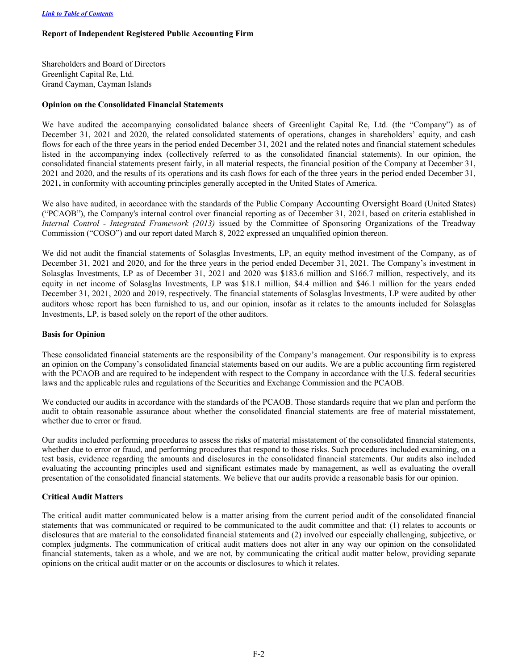## <span id="page-82-0"></span>**Report of Independent Registered Public Accounting Firm**

Shareholders and Board of Directors Greenlight Capital Re, Ltd. Grand Cayman, Cayman Islands

#### **Opinion on the Consolidated Financial Statements**

We have audited the accompanying consolidated balance sheets of Greenlight Capital Re, Ltd. (the "Company") as of December 31, 2021 and 2020, the related consolidated statements of operations, changes in shareholders' equity, and cash flows for each of the three years in the period ended December 31, 2021 and the related notes and financial statement schedules listed in the accompanying index (collectively referred to as the consolidated financial statements). In our opinion, the consolidated financial statements present fairly, in all material respects, the financial position of the Company at December 31, 2021 and 2020, and the results of its operations and its cash flows for each of the three years in the period ended December 31, 2021**,** in conformity with accounting principles generally accepted in the United States of America.

We also have audited, in accordance with the standards of the Public Company Accounting Oversight Board (United States) ("PCAOB"), the Company's internal control over financial reporting as of December 31, 2021, based on criteria established in *Internal Control - Integrated Framework (2013)* issued by the Committee of Sponsoring Organizations of the Treadway Commission ("COSO") and our report dated March 8, 2022 expressed an unqualified opinion thereon.

We did not audit the financial statements of Solasglas Investments, LP, an equity method investment of the Company, as of December 31, 2021 and 2020, and for the three years in the period ended December 31, 2021. The Company's investment in Solasglas Investments, LP as of December 31, 2021 and 2020 was \$183.6 million and \$166.7 million, respectively, and its equity in net income of Solasglas Investments, LP was \$18.1 million, \$4.4 million and \$46.1 million for the years ended December 31, 2021, 2020 and 2019, respectively. The financial statements of Solasglas Investments, LP were audited by other auditors whose report has been furnished to us, and our opinion, insofar as it relates to the amounts included for Solasglas Investments, LP, is based solely on the report of the other auditors.

## **Basis for Opinion**

These consolidated financial statements are the responsibility of the Company's management. Our responsibility is to express an opinion on the Company's consolidated financial statements based on our audits. We are a public accounting firm registered with the PCAOB and are required to be independent with respect to the Company in accordance with the U.S. federal securities laws and the applicable rules and regulations of the Securities and Exchange Commission and the PCAOB.

We conducted our audits in accordance with the standards of the PCAOB. Those standards require that we plan and perform the audit to obtain reasonable assurance about whether the consolidated financial statements are free of material misstatement, whether due to error or fraud.

Our audits included performing procedures to assess the risks of material misstatement of the consolidated financial statements, whether due to error or fraud, and performing procedures that respond to those risks. Such procedures included examining, on a test basis, evidence regarding the amounts and disclosures in the consolidated financial statements. Our audits also included evaluating the accounting principles used and significant estimates made by management, as well as evaluating the overall presentation of the consolidated financial statements. We believe that our audits provide a reasonable basis for our opinion.

## **Critical Audit Matters**

The critical audit matter communicated below is a matter arising from the current period audit of the consolidated financial statements that was communicated or required to be communicated to the audit committee and that: (1) relates to accounts or disclosures that are material to the consolidated financial statements and (2) involved our especially challenging, subjective, or complex judgments. The communication of critical audit matters does not alter in any way our opinion on the consolidated financial statements, taken as a whole, and we are not, by communicating the critical audit matter below, providing separate opinions on the critical audit matter or on the accounts or disclosures to which it relates.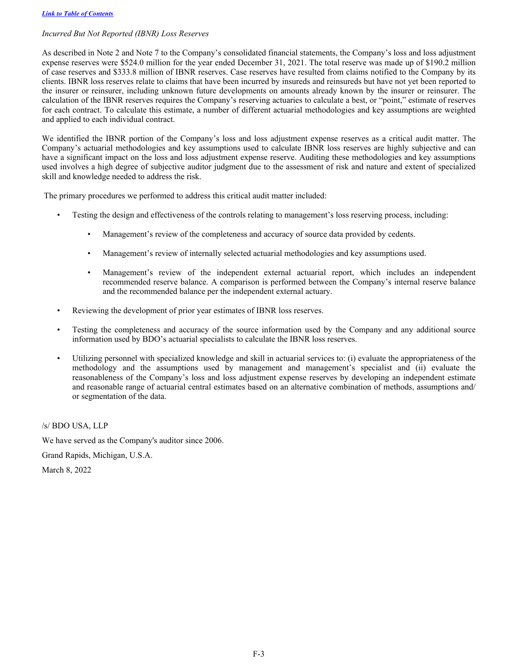#### *[Link to Table of Contents](#page-2-0)*

## *Incurred But Not Reported (IBNR) Loss Reserves*

As described in Note 2 and Note 7 to the Company's consolidated financial statements, the Company's loss and loss adjustment expense reserves were \$524.0 million for the year ended December 31, 2021. The total reserve was made up of \$190.2 million of case reserves and \$333.8 million of IBNR reserves. Case reserves have resulted from claims notified to the Company by its clients. IBNR loss reserves relate to claims that have been incurred by insureds and reinsureds but have not yet been reported to the insurer or reinsurer, including unknown future developments on amounts already known by the insurer or reinsurer. The calculation of the IBNR reserves requires the Company's reserving actuaries to calculate a best, or "point," estimate of reserves for each contract. To calculate this estimate, a number of different actuarial methodologies and key assumptions are weighted and applied to each individual contract.

We identified the IBNR portion of the Company's loss and loss adjustment expense reserves as a critical audit matter. The Company's actuarial methodologies and key assumptions used to calculate IBNR loss reserves are highly subjective and can have a significant impact on the loss and loss adjustment expense reserve. Auditing these methodologies and key assumptions used involves a high degree of subjective auditor judgment due to the assessment of risk and nature and extent of specialized skill and knowledge needed to address the risk.

The primary procedures we performed to address this critical audit matter included:

- Testing the design and effectiveness of the controls relating to management's loss reserving process, including:
	- Management's review of the completeness and accuracy of source data provided by cedents.
	- Management's review of internally selected actuarial methodologies and key assumptions used.
	- Management's review of the independent external actuarial report, which includes an independent recommended reserve balance. A comparison is performed between the Company's internal reserve balance and the recommended balance per the independent external actuary.
- Reviewing the development of prior year estimates of IBNR loss reserves.
- Testing the completeness and accuracy of the source information used by the Company and any additional source information used by BDO's actuarial specialists to calculate the IBNR loss reserves.
- Utilizing personnel with specialized knowledge and skill in actuarial services to: (i) evaluate the appropriateness of the methodology and the assumptions used by management and management's specialist and (ii) evaluate the reasonableness of the Company's loss and loss adjustment expense reserves by developing an independent estimate and reasonable range of actuarial central estimates based on an alternative combination of methods, assumptions and/ or segmentation of the data.

/s/ BDO USA, LLP

We have served as the Company's auditor since 2006.

Grand Rapids, Michigan, U.S.A.

March 8, 2022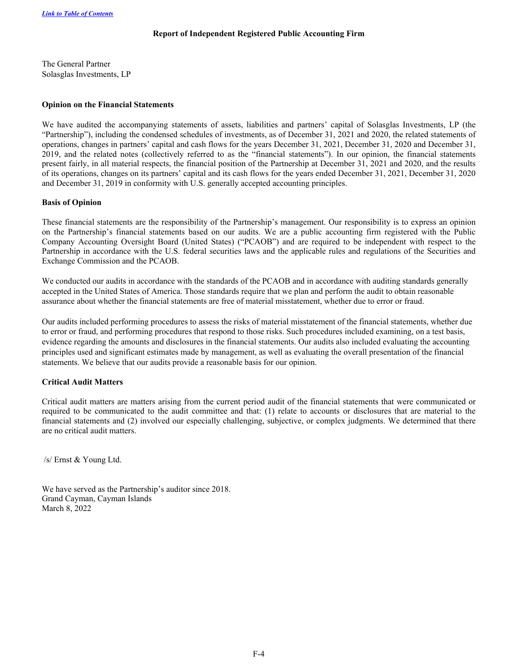#### **Report of Independent Registered Public Accounting Firm**

<span id="page-84-0"></span>The General Partner Solasglas Investments, LP

## **Opinion on the Financial Statements**

We have audited the accompanying statements of assets, liabilities and partners' capital of Solasglas Investments, LP (the "Partnership"), including the condensed schedules of investments, as of December 31, 2021 and 2020, the related statements of operations, changes in partners' capital and cash flows for the years December 31, 2021, December 31, 2020 and December 31, 2019, and the related notes (collectively referred to as the "financial statements"). In our opinion, the financial statements present fairly, in all material respects, the financial position of the Partnership at December 31, 2021 and 2020, and the results of its operations, changes on its partners' capital and its cash flows for the years ended December 31, 2021, December 31, 2020 and December 31, 2019 in conformity with U.S. generally accepted accounting principles.

## **Basis of Opinion**

These financial statements are the responsibility of the Partnership's management. Our responsibility is to express an opinion on the Partnership's financial statements based on our audits. We are a public accounting firm registered with the Public Company Accounting Oversight Board (United States) ("PCAOB") and are required to be independent with respect to the Partnership in accordance with the U.S. federal securities laws and the applicable rules and regulations of the Securities and Exchange Commission and the PCAOB.

We conducted our audits in accordance with the standards of the PCAOB and in accordance with auditing standards generally accepted in the United States of America. Those standards require that we plan and perform the audit to obtain reasonable assurance about whether the financial statements are free of material misstatement, whether due to error or fraud.

Our audits included performing procedures to assess the risks of material misstatement of the financial statements, whether due to error or fraud, and performing procedures that respond to those risks. Such procedures included examining, on a test basis, evidence regarding the amounts and disclosures in the financial statements. Our audits also included evaluating the accounting principles used and significant estimates made by management, as well as evaluating the overall presentation of the financial statements. We believe that our audits provide a reasonable basis for our opinion.

## **Critical Audit Matters**

Critical audit matters are matters arising from the current period audit of the financial statements that were communicated or required to be communicated to the audit committee and that: (1) relate to accounts or disclosures that are material to the financial statements and (2) involved our especially challenging, subjective, or complex judgments. We determined that there are no critical audit matters.

/s/ Ernst & Young Ltd.

We have served as the Partnership's auditor since 2018. Grand Cayman, Cayman Islands March 8, 2022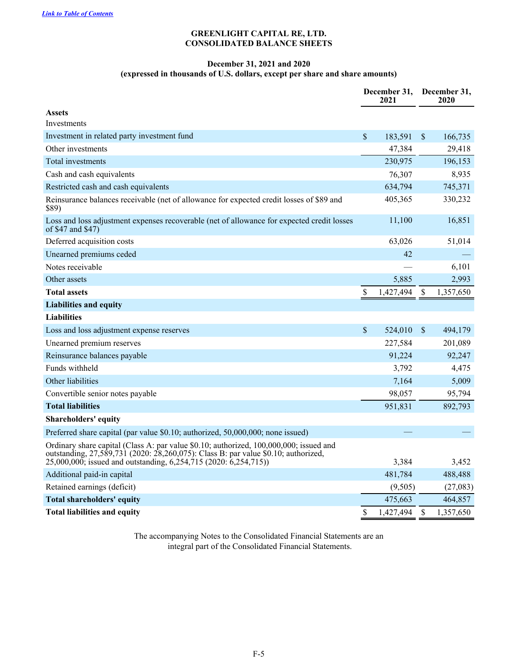# **GREENLIGHT CAPITAL RE, LTD. CONSOLIDATED BALANCE SHEETS**

# **December 31, 2021 and 2020**

## **(expressed in thousands of U.S. dollars, except per share and share amounts)**

<span id="page-85-0"></span>

|                                                                                                                                                                                                                                                  | December 31,<br>2021 |           |               | December 31,<br>2020 |
|--------------------------------------------------------------------------------------------------------------------------------------------------------------------------------------------------------------------------------------------------|----------------------|-----------|---------------|----------------------|
| <b>Assets</b>                                                                                                                                                                                                                                    |                      |           |               |                      |
| Investments                                                                                                                                                                                                                                      |                      |           |               |                      |
| Investment in related party investment fund                                                                                                                                                                                                      | \$                   | 183,591   | \$            | 166,735              |
| Other investments                                                                                                                                                                                                                                |                      | 47,384    |               | 29,418               |
| Total investments                                                                                                                                                                                                                                |                      | 230,975   |               | 196,153              |
| Cash and cash equivalents                                                                                                                                                                                                                        |                      | 76,307    |               | 8,935                |
| Restricted cash and cash equivalents                                                                                                                                                                                                             |                      | 634,794   |               | 745,371              |
| Reinsurance balances receivable (net of allowance for expected credit losses of \$89 and<br>\$89)                                                                                                                                                |                      | 405,365   |               | 330,232              |
| Loss and loss adjustment expenses recoverable (net of allowance for expected credit losses<br>of \$47 and \$47)                                                                                                                                  |                      | 11,100    |               | 16,851               |
| Deferred acquisition costs                                                                                                                                                                                                                       |                      | 63,026    |               | 51,014               |
| Unearned premiums ceded                                                                                                                                                                                                                          |                      | 42        |               |                      |
| Notes receivable                                                                                                                                                                                                                                 |                      |           |               | 6,101                |
| Other assets                                                                                                                                                                                                                                     |                      | 5,885     |               | 2,993                |
| <b>Total assets</b>                                                                                                                                                                                                                              | \$                   | 1,427,494 | \$            | 1,357,650            |
| <b>Liabilities and equity</b>                                                                                                                                                                                                                    |                      |           |               |                      |
| <b>Liabilities</b>                                                                                                                                                                                                                               |                      |           |               |                      |
| Loss and loss adjustment expense reserves                                                                                                                                                                                                        | $\mathbf{s}$         | 524,010   | $\mathbf{s}$  | 494,179              |
| Unearned premium reserves                                                                                                                                                                                                                        |                      | 227,584   |               | 201,089              |
| Reinsurance balances payable                                                                                                                                                                                                                     |                      | 91,224    |               | 92,247               |
| Funds withheld                                                                                                                                                                                                                                   |                      | 3,792     |               | 4,475                |
| Other liabilities                                                                                                                                                                                                                                |                      | 7,164     |               | 5,009                |
| Convertible senior notes payable                                                                                                                                                                                                                 |                      | 98,057    |               | 95,794               |
| <b>Total liabilities</b>                                                                                                                                                                                                                         |                      | 951,831   |               | 892,793              |
| Shareholders' equity                                                                                                                                                                                                                             |                      |           |               |                      |
| Preferred share capital (par value \$0.10; authorized, 50,000,000; none issued)                                                                                                                                                                  |                      |           |               |                      |
| Ordinary share capital (Class A: par value \$0.10; authorized, 100,000,000; issued and<br>outstanding, 27,589,731 (2020: 28,260,075): Class B: par value \$0.10; authorized,<br>25,000,000; issued and outstanding, 6,254,715 (2020: 6,254,715)) |                      | 3,384     |               | 3,452                |
| Additional paid-in capital                                                                                                                                                                                                                       |                      | 481,784   |               | 488,488              |
| Retained earnings (deficit)                                                                                                                                                                                                                      |                      | (9,505)   |               | (27,083)             |
| <b>Total shareholders' equity</b>                                                                                                                                                                                                                |                      | 475,663   |               | 464,857              |
| <b>Total liabilities and equity</b>                                                                                                                                                                                                              | \$                   | 1,427,494 | <sup>\$</sup> | 1,357,650            |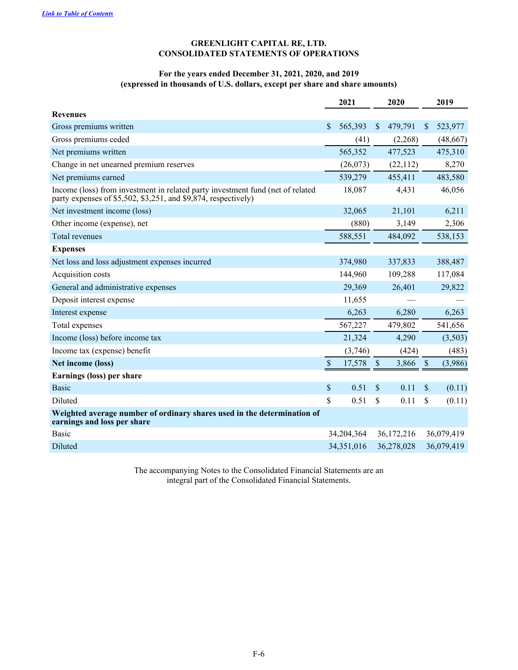## **GREENLIGHT CAPITAL RE, LTD. CONSOLIDATED STATEMENTS OF OPERATIONS**

## **For the years ended December 31, 2021, 2020, and 2019 (expressed in thousands of U.S. dollars, except per share and share amounts)**

<span id="page-86-0"></span>

|                                                                                                                                                  |               | 2021       |                           | 2020       |               | 2019       |
|--------------------------------------------------------------------------------------------------------------------------------------------------|---------------|------------|---------------------------|------------|---------------|------------|
| <b>Revenues</b>                                                                                                                                  |               |            |                           |            |               |            |
| Gross premiums written                                                                                                                           | $\mathbf{s}$  | 565,393    | $\mathcal{S}$             | 479,791    | S             | 523,977    |
| Gross premiums ceded                                                                                                                             |               | (41)       |                           | (2,268)    |               | (48, 667)  |
| Net premiums written                                                                                                                             |               | 565,352    |                           | 477,523    |               | 475,310    |
| Change in net unearned premium reserves                                                                                                          |               | (26,073)   |                           | (22, 112)  |               | 8,270      |
| Net premiums earned                                                                                                                              |               | 539,279    |                           | 455,411    |               | 483,580    |
| Income (loss) from investment in related party investment fund (net of related<br>party expenses of \$5,502, \$3,251, and \$9,874, respectively) |               | 18,087     |                           | 4,431      |               | 46,056     |
| Net investment income (loss)                                                                                                                     |               | 32,065     |                           | 21,101     |               | 6,211      |
| Other income (expense), net                                                                                                                      |               | (880)      |                           | 3,149      |               | 2,306      |
| Total revenues                                                                                                                                   |               | 588,551    |                           | 484,092    |               | 538,153    |
| <b>Expenses</b>                                                                                                                                  |               |            |                           |            |               |            |
| Net loss and loss adjustment expenses incurred                                                                                                   |               | 374,980    |                           | 337,833    |               | 388,487    |
| Acquisition costs                                                                                                                                |               | 144,960    |                           | 109,288    |               | 117,084    |
| General and administrative expenses                                                                                                              |               | 29,369     |                           | 26,401     |               | 29,822     |
| Deposit interest expense                                                                                                                         |               | 11,655     |                           |            |               |            |
| Interest expense                                                                                                                                 |               | 6,263      |                           | 6,280      |               | 6,263      |
| Total expenses                                                                                                                                   |               | 567,227    |                           | 479,802    |               | 541,656    |
| Income (loss) before income tax                                                                                                                  |               | 21,324     |                           | 4,290      |               | (3,503)    |
| Income tax (expense) benefit                                                                                                                     |               | (3,746)    |                           | (424)      |               | (483)      |
| <b>Net income (loss)</b>                                                                                                                         | $\mathsf{\$}$ | 17,578     | $\boldsymbol{\mathsf{S}}$ | 3,866      | $\mathcal{S}$ | (3,986)    |
| Earnings (loss) per share                                                                                                                        |               |            |                           |            |               |            |
| <b>Basic</b>                                                                                                                                     | \$            | 0.51       | \$                        | 0.11       | <sup>\$</sup> | (0.11)     |
| Diluted                                                                                                                                          | \$            | 0.51       | \$                        | 0.11       | \$            | (0.11)     |
| Weighted average number of ordinary shares used in the determination of<br>earnings and loss per share                                           |               |            |                           |            |               |            |
| <b>Basic</b>                                                                                                                                     |               | 34,204,364 |                           | 36,172,216 |               | 36,079,419 |
| Diluted                                                                                                                                          |               | 34,351,016 |                           | 36,278,028 |               | 36,079,419 |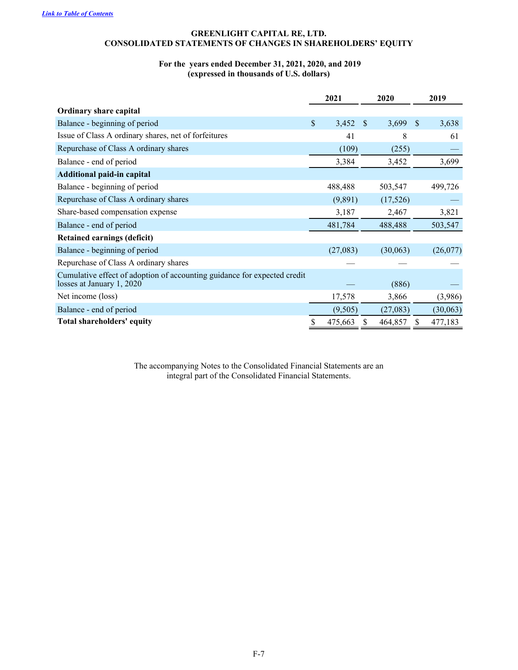# <span id="page-87-0"></span>**GREENLIGHT CAPITAL RE, LTD. CONSOLIDATED STATEMENTS OF CHANGES IN SHAREHOLDERS' EQUITY**

## **For the years ended December 31, 2021, 2020, and 2019 (expressed in thousands of U.S. dollars)**

|                                                                                                       | 2021 |          | 2020 |           |              | 2019     |
|-------------------------------------------------------------------------------------------------------|------|----------|------|-----------|--------------|----------|
| <b>Ordinary share capital</b>                                                                         |      |          |      |           |              |          |
| Balance - beginning of period                                                                         | \$   | 3,452    | - \$ | 3,699     | $\mathbf{s}$ | 3,638    |
| Issue of Class A ordinary shares, net of forfeitures                                                  |      | 41       |      | 8         |              | 61       |
| Repurchase of Class A ordinary shares                                                                 |      | (109)    |      | (255)     |              |          |
| Balance - end of period                                                                               |      | 3,384    |      | 3,452     |              | 3,699    |
| Additional paid-in capital                                                                            |      |          |      |           |              |          |
| Balance - beginning of period                                                                         |      | 488,488  |      | 503,547   |              | 499,726  |
| Repurchase of Class A ordinary shares                                                                 |      | (9,891)  |      | (17, 526) |              |          |
| Share-based compensation expense                                                                      |      | 3,187    |      | 2,467     |              | 3,821    |
| Balance - end of period                                                                               |      | 481,784  |      | 488,488   |              | 503,547  |
| <b>Retained earnings (deficit)</b>                                                                    |      |          |      |           |              |          |
| Balance - beginning of period                                                                         |      | (27,083) |      | (30,063)  |              | (26,077) |
| Repurchase of Class A ordinary shares                                                                 |      |          |      |           |              |          |
| Cumulative effect of adoption of accounting guidance for expected credit<br>losses at January 1, 2020 |      |          |      | (886)     |              |          |
| Net income (loss)                                                                                     |      | 17,578   |      | 3,866     |              | (3,986)  |
| Balance - end of period                                                                               |      | (9,505)  |      | (27,083)  |              | (30,063) |
| Total shareholders' equity                                                                            | \$   | 475,663  | \$   | 464,857   | \$           | 477,183  |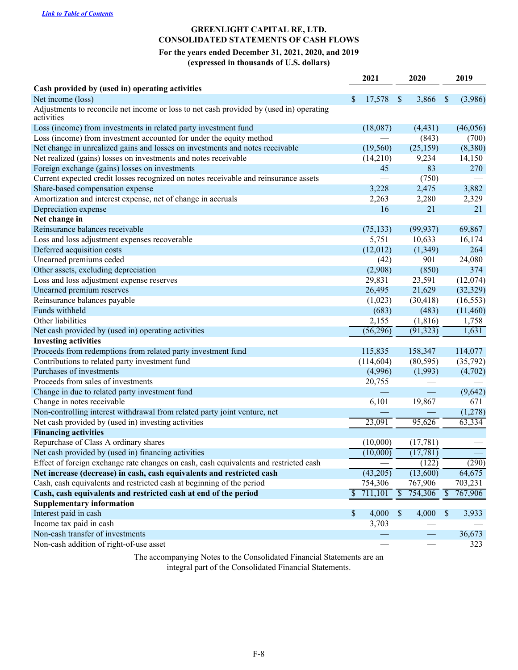# **GREENLIGHT CAPITAL RE, LTD. CONSOLIDATED STATEMENTS OF CASH FLOWS**

# **For the years ended December 31, 2021, 2020, and 2019**

**(expressed in thousands of U.S. dollars)**

<span id="page-88-0"></span>

|                                                                                                       |               | 2021                  |               | 2020          |                           | 2019      |
|-------------------------------------------------------------------------------------------------------|---------------|-----------------------|---------------|---------------|---------------------------|-----------|
| Cash provided by (used in) operating activities                                                       |               |                       |               |               |                           |           |
| Net income (loss)                                                                                     | $\mathcal{S}$ | $17,578$ \$           |               | 3,866         | $\sqrt{\ }$               | (3,986)   |
| Adjustments to reconcile net income or loss to net cash provided by (used in) operating<br>activities |               |                       |               |               |                           |           |
| Loss (income) from investments in related party investment fund                                       |               | (18,087)              |               | (4, 431)      |                           | (46,056)  |
| Loss (income) from investment accounted for under the equity method                                   |               |                       |               | (843)         |                           | (700)     |
| Net change in unrealized gains and losses on investments and notes receivable                         |               | (19, 560)             |               | (25, 159)     |                           | (8,380)   |
| Net realized (gains) losses on investments and notes receivable                                       |               | (14,210)              |               | 9,234         |                           | 14,150    |
| Foreign exchange (gains) losses on investments                                                        |               | 45                    |               | 83            |                           | 270       |
| Current expected credit losses recognized on notes receivable and reinsurance assets                  |               |                       |               | (750)         |                           |           |
| Share-based compensation expense                                                                      |               | 3,228                 |               | 2,475         |                           | 3,882     |
| Amortization and interest expense, net of change in accruals                                          |               | 2,263                 |               | 2,280         |                           | 2,329     |
| Depreciation expense                                                                                  |               | 16                    |               | 21            |                           | 21        |
| Net change in                                                                                         |               |                       |               |               |                           |           |
| Reinsurance balances receivable                                                                       |               | (75, 133)             |               | (99, 937)     |                           | 69,867    |
| Loss and loss adjustment expenses recoverable                                                         |               | 5,751                 |               | 10,633        |                           | 16,174    |
| Deferred acquisition costs                                                                            |               | (12,012)              |               | (1,349)       |                           | 264       |
| Unearned premiums ceded                                                                               |               | (42)                  |               | 901           |                           | 24,080    |
| Other assets, excluding depreciation                                                                  |               | (2,908)               |               | (850)         |                           | 374       |
| Loss and loss adjustment expense reserves                                                             |               | 29,831                |               | 23,591        |                           | (12,074)  |
| Unearned premium reserves                                                                             |               | 26,495                |               | 21,629        |                           | (32,329)  |
| Reinsurance balances payable                                                                          |               | (1,023)               |               | (30, 418)     |                           | (16, 553) |
| Funds withheld                                                                                        |               | (683)                 |               | (483)         |                           | (11,460)  |
| Other liabilities                                                                                     |               | 2,155                 |               | (1, 816)      |                           | 1,758     |
| Net cash provided by (used in) operating activities                                                   |               | (56,296)              |               | (91, 323)     |                           | 1,631     |
| <b>Investing activities</b>                                                                           |               |                       |               |               |                           |           |
| Proceeds from redemptions from related party investment fund                                          |               | 115,835               |               | 158,347       |                           | 114,077   |
| Contributions to related party investment fund                                                        |               | (114, 604)            |               | (80, 595)     |                           | (35,792)  |
| Purchases of investments                                                                              |               | (4,996)               |               | (1,993)       |                           | (4,702)   |
| Proceeds from sales of investments                                                                    |               | 20,755                |               |               |                           |           |
| Change in due to related party investment fund                                                        |               |                       |               | $\frac{1}{1}$ |                           | (9,642)   |
| Change in notes receivable                                                                            |               | 6,101                 |               | 19,867        |                           | 671       |
| Non-controlling interest withdrawal from related party joint venture, net                             |               |                       |               |               |                           | (1,278)   |
| Net cash provided by (used in) investing activities                                                   |               | 23,091                |               | 95,626        |                           | 63,334    |
| <b>Financing activities</b>                                                                           |               |                       |               |               |                           |           |
| Repurchase of Class A ordinary shares                                                                 |               | (10,000)              |               | (17,781)      |                           |           |
| Net cash provided by (used in) financing activities                                                   |               | (10,000)              |               | (17, 781)     |                           |           |
| Effect of foreign exchange rate changes on cash, cash equivalents and restricted cash                 |               |                       |               | (122)         |                           | (290)     |
| Net increase (decrease) in cash, cash equivalents and restricted cash                                 |               | $\overline{(43,205)}$ |               | (13,600)      |                           | 64,675    |
| Cash, cash equivalents and restricted cash at beginning of the period                                 |               | 754,306               |               | 767,906       |                           | 703,231   |
| Cash, cash equivalents and restricted cash at end of the period                                       | $\mathbb{S}$  | 711,101               | $\mathcal{S}$ | 754,306       | $\mathbb{S}$              | 767,906   |
| <b>Supplementary information</b>                                                                      |               |                       |               |               |                           |           |
| Interest paid in cash                                                                                 | \$            | 4,000                 | $\mathcal{S}$ | 4,000         | $\boldsymbol{\mathsf{S}}$ | 3,933     |
| Income tax paid in cash                                                                               |               | 3,703                 |               |               |                           |           |
| Non-cash transfer of investments                                                                      |               |                       |               |               |                           | 36,673    |
| Non-cash addition of right-of-use asset                                                               |               |                       |               |               |                           | 323       |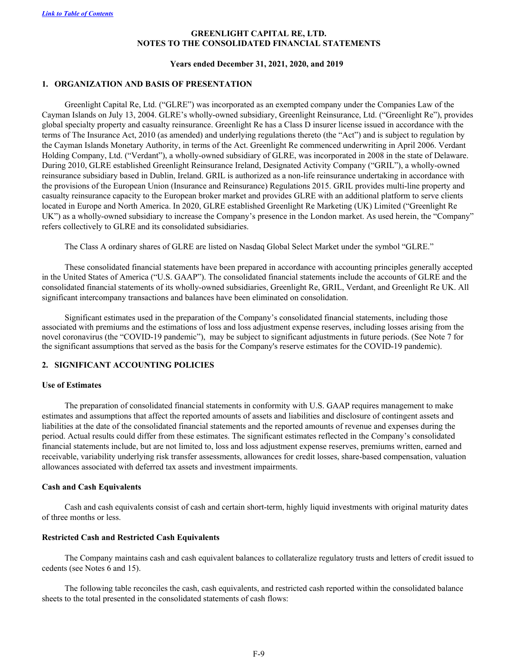## **GREENLIGHT CAPITAL RE, LTD. NOTES TO THE CONSOLIDATED FINANCIAL STATEMENTS**

#### **Years ended December 31, 2021, 2020, and 2019**

## <span id="page-89-0"></span>**1. ORGANIZATION AND BASIS OF PRESENTATION**

Greenlight Capital Re, Ltd. ("GLRE") was incorporated as an exempted company under the Companies Law of the Cayman Islands on July 13, 2004. GLRE's wholly-owned subsidiary, Greenlight Reinsurance, Ltd. ("Greenlight Re"), provides global specialty property and casualty reinsurance. Greenlight Re has a Class D insurer license issued in accordance with the terms of The Insurance Act, 2010 (as amended) and underlying regulations thereto (the "Act") and is subject to regulation by the Cayman Islands Monetary Authority, in terms of the Act. Greenlight Re commenced underwriting in April 2006. Verdant Holding Company, Ltd. ("Verdant"), a wholly-owned subsidiary of GLRE, was incorporated in 2008 in the state of Delaware. During 2010, GLRE established Greenlight Reinsurance Ireland, Designated Activity Company ("GRIL"), a wholly-owned reinsurance subsidiary based in Dublin, Ireland. GRIL is authorized as a non-life reinsurance undertaking in accordance with the provisions of the European Union (Insurance and Reinsurance) Regulations 2015. GRIL provides multi-line property and casualty reinsurance capacity to the European broker market and provides GLRE with an additional platform to serve clients located in Europe and North America. In 2020, GLRE established Greenlight Re Marketing (UK) Limited ("Greenlight Re UK") as a wholly-owned subsidiary to increase the Company's presence in the London market. As used herein, the "Company" refers collectively to GLRE and its consolidated subsidiaries.

The Class A ordinary shares of GLRE are listed on Nasdaq Global Select Market under the symbol "GLRE."

These consolidated financial statements have been prepared in accordance with accounting principles generally accepted in the United States of America ("U.S. GAAP"). The consolidated financial statements include the accounts of GLRE and the consolidated financial statements of its wholly-owned subsidiaries, Greenlight Re, GRIL, Verdant, and Greenlight Re UK. All significant intercompany transactions and balances have been eliminated on consolidation.

Significant estimates used in the preparation of the Company's consolidated financial statements, including those associated with premiums and the estimations of loss and loss adjustment expense reserves, including losses arising from the novel coronavirus (the "COVID-19 pandemic"), may be subject to significant adjustments in future periods. (See Note 7 for the significant assumptions that served as the basis for the Company's reserve estimates for the COVID-19 pandemic).

## **2. SIGNIFICANT ACCOUNTING POLICIES**

#### **Use of Estimates**

The preparation of consolidated financial statements in conformity with U.S. GAAP requires management to make estimates and assumptions that affect the reported amounts of assets and liabilities and disclosure of contingent assets and liabilities at the date of the consolidated financial statements and the reported amounts of revenue and expenses during the period. Actual results could differ from these estimates. The significant estimates reflected in the Company's consolidated financial statements include, but are not limited to, loss and loss adjustment expense reserves, premiums written, earned and receivable, variability underlying risk transfer assessments, allowances for credit losses, share-based compensation, valuation allowances associated with deferred tax assets and investment impairments.

#### **Cash and Cash Equivalents**

Cash and cash equivalents consist of cash and certain short-term, highly liquid investments with original maturity dates of three months or less.

#### **Restricted Cash and Restricted Cash Equivalents**

The Company maintains cash and cash equivalent balances to collateralize regulatory trusts and letters of credit issued to cedents (see Notes 6 and 15).

The following table reconciles the cash, cash equivalents, and restricted cash reported within the consolidated balance sheets to the total presented in the consolidated statements of cash flows: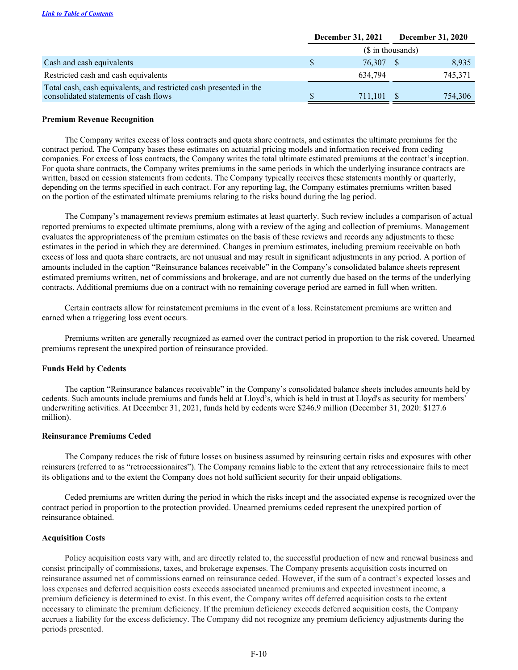|                                                                                                             | December 31, 2021 |         |  | <b>December 31, 2020</b> |  |  |
|-------------------------------------------------------------------------------------------------------------|-------------------|---------|--|--------------------------|--|--|
|                                                                                                             | (\$ in thousands) |         |  |                          |  |  |
| Cash and cash equivalents                                                                                   |                   | 76.307  |  | 8.935                    |  |  |
| Restricted cash and cash equivalents                                                                        |                   | 634.794 |  | 745,371                  |  |  |
| Total cash, cash equivalents, and restricted cash presented in the<br>consolidated statements of cash flows |                   | 711.101 |  | 754,306                  |  |  |

#### **Premium Revenue Recognition**

The Company writes excess of loss contracts and quota share contracts, and estimates the ultimate premiums for the contract period. The Company bases these estimates on actuarial pricing models and information received from ceding companies. For excess of loss contracts, the Company writes the total ultimate estimated premiums at the contract's inception. For quota share contracts, the Company writes premiums in the same periods in which the underlying insurance contracts are written, based on cession statements from cedents. The Company typically receives these statements monthly or quarterly, depending on the terms specified in each contract. For any reporting lag, the Company estimates premiums written based on the portion of the estimated ultimate premiums relating to the risks bound during the lag period.

The Company's management reviews premium estimates at least quarterly. Such review includes a comparison of actual reported premiums to expected ultimate premiums, along with a review of the aging and collection of premiums. Management evaluates the appropriateness of the premium estimates on the basis of these reviews and records any adjustments to these estimates in the period in which they are determined. Changes in premium estimates, including premium receivable on both excess of loss and quota share contracts, are not unusual and may result in significant adjustments in any period. A portion of amounts included in the caption "Reinsurance balances receivable" in the Company's consolidated balance sheets represent estimated premiums written, net of commissions and brokerage, and are not currently due based on the terms of the underlying contracts. Additional premiums due on a contract with no remaining coverage period are earned in full when written.

Certain contracts allow for reinstatement premiums in the event of a loss. Reinstatement premiums are written and earned when a triggering loss event occurs.

Premiums written are generally recognized as earned over the contract period in proportion to the risk covered. Unearned premiums represent the unexpired portion of reinsurance provided.

#### **Funds Held by Cedents**

The caption "Reinsurance balances receivable" in the Company's consolidated balance sheets includes amounts held by cedents. Such amounts include premiums and funds held at Lloyd's, which is held in trust at Lloyd's as security for members' underwriting activities. At December 31, 2021, funds held by cedents were \$246.9 million (December 31, 2020: \$127.6 million).

#### **Reinsurance Premiums Ceded**

The Company reduces the risk of future losses on business assumed by reinsuring certain risks and exposures with other reinsurers (referred to as "retrocessionaires"). The Company remains liable to the extent that any retrocessionaire fails to meet its obligations and to the extent the Company does not hold sufficient security for their unpaid obligations.

Ceded premiums are written during the period in which the risks incept and the associated expense is recognized over the contract period in proportion to the protection provided. Unearned premiums ceded represent the unexpired portion of reinsurance obtained.

#### **Acquisition Costs**

Policy acquisition costs vary with, and are directly related to, the successful production of new and renewal business and consist principally of commissions, taxes, and brokerage expenses. The Company presents acquisition costs incurred on reinsurance assumed net of commissions earned on reinsurance ceded. However, if the sum of a contract's expected losses and loss expenses and deferred acquisition costs exceeds associated unearned premiums and expected investment income, a premium deficiency is determined to exist. In this event, the Company writes off deferred acquisition costs to the extent necessary to eliminate the premium deficiency. If the premium deficiency exceeds deferred acquisition costs, the Company accrues a liability for the excess deficiency. The Company did not recognize any premium deficiency adjustments during the periods presented.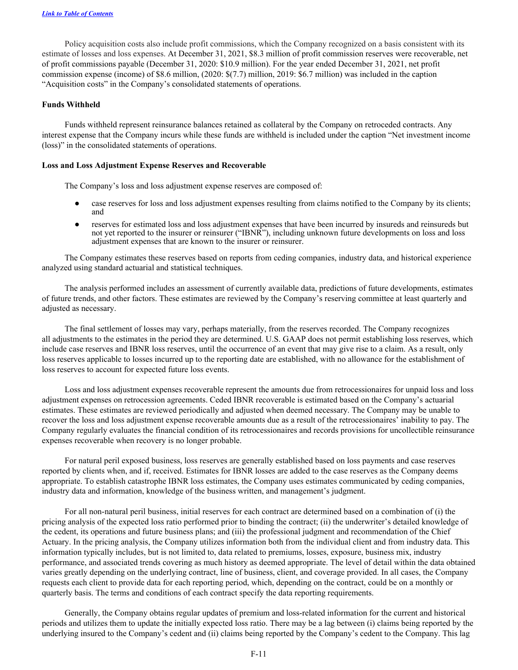Policy acquisition costs also include profit commissions, which the Company recognized on a basis consistent with its estimate of losses and loss expenses. At December 31, 2021, \$8.3 million of profit commission reserves were recoverable, net of profit commissions payable (December 31, 2020: \$10.9 million). For the year ended December 31, 2021, net profit commission expense (income) of \$8.6 million, (2020: \$(7.7) million, 2019: \$6.7 million) was included in the caption "Acquisition costs" in the Company's consolidated statements of operations.

#### **Funds Withheld**

Funds withheld represent reinsurance balances retained as collateral by the Company on retroceded contracts. Any interest expense that the Company incurs while these funds are withheld is included under the caption "Net investment income (loss)" in the consolidated statements of operations.

#### **Loss and Loss Adjustment Expense Reserves and Recoverable**

The Company's loss and loss adjustment expense reserves are composed of:

- case reserves for loss and loss adjustment expenses resulting from claims notified to the Company by its clients; and
- reserves for estimated loss and loss adjustment expenses that have been incurred by insureds and reinsureds but not yet reported to the insurer or reinsurer ("IBNR"), including unknown future developments on loss and loss adjustment expenses that are known to the insurer or reinsurer.

The Company estimates these reserves based on reports from ceding companies, industry data, and historical experience analyzed using standard actuarial and statistical techniques.

The analysis performed includes an assessment of currently available data, predictions of future developments, estimates of future trends, and other factors. These estimates are reviewed by the Company's reserving committee at least quarterly and adjusted as necessary.

The final settlement of losses may vary, perhaps materially, from the reserves recorded. The Company recognizes all adjustments to the estimates in the period they are determined. U.S. GAAP does not permit establishing loss reserves, which include case reserves and IBNR loss reserves, until the occurrence of an event that may give rise to a claim. As a result, only loss reserves applicable to losses incurred up to the reporting date are established, with no allowance for the establishment of loss reserves to account for expected future loss events.

Loss and loss adjustment expenses recoverable represent the amounts due from retrocessionaires for unpaid loss and loss adjustment expenses on retrocession agreements. Ceded IBNR recoverable is estimated based on the Company's actuarial estimates. These estimates are reviewed periodically and adjusted when deemed necessary. The Company may be unable to recover the loss and loss adjustment expense recoverable amounts due as a result of the retrocessionaires' inability to pay. The Company regularly evaluates the financial condition of its retrocessionaires and records provisions for uncollectible reinsurance expenses recoverable when recovery is no longer probable.

For natural peril exposed business, loss reserves are generally established based on loss payments and case reserves reported by clients when, and if, received. Estimates for IBNR losses are added to the case reserves as the Company deems appropriate. To establish catastrophe IBNR loss estimates, the Company uses estimates communicated by ceding companies, industry data and information, knowledge of the business written, and management's judgment.

For all non-natural peril business, initial reserves for each contract are determined based on a combination of (i) the pricing analysis of the expected loss ratio performed prior to binding the contract; (ii) the underwriter's detailed knowledge of the cedent, its operations and future business plans; and (iii) the professional judgment and recommendation of the Chief Actuary. In the pricing analysis, the Company utilizes information both from the individual client and from industry data. This information typically includes, but is not limited to, data related to premiums, losses, exposure, business mix, industry performance, and associated trends covering as much history as deemed appropriate. The level of detail within the data obtained varies greatly depending on the underlying contract, line of business, client, and coverage provided. In all cases, the Company requests each client to provide data for each reporting period, which, depending on the contract, could be on a monthly or quarterly basis. The terms and conditions of each contract specify the data reporting requirements.

Generally, the Company obtains regular updates of premium and loss-related information for the current and historical periods and utilizes them to update the initially expected loss ratio. There may be a lag between (i) claims being reported by the underlying insured to the Company's cedent and (ii) claims being reported by the Company's cedent to the Company. This lag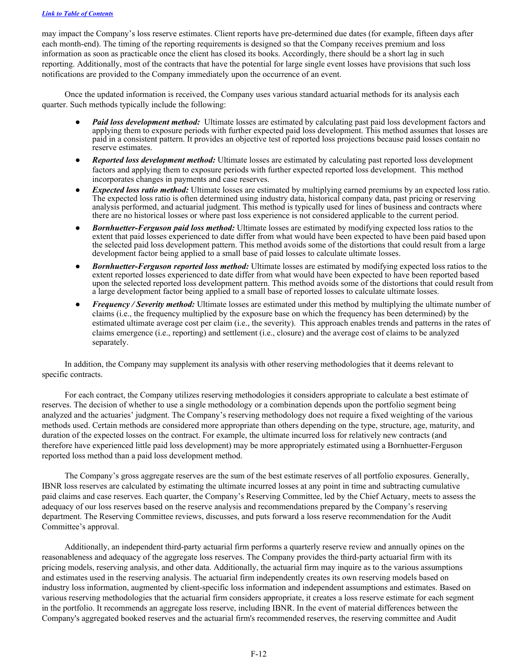#### *[Link to Table of Contents](#page-2-0)*

may impact the Company's loss reserve estimates. Client reports have pre-determined due dates (for example, fifteen days after each month-end). The timing of the reporting requirements is designed so that the Company receives premium and loss information as soon as practicable once the client has closed its books. Accordingly, there should be a short lag in such reporting. Additionally, most of the contracts that have the potential for large single event losses have provisions that such loss notifications are provided to the Company immediately upon the occurrence of an event.

Once the updated information is received, the Company uses various standard actuarial methods for its analysis each quarter. Such methods typically include the following:

- *Paid loss development method:* Ultimate losses are estimated by calculating past paid loss development factors and applying them to exposure periods with further expected paid loss development. This method assumes that losses are paid in a consistent pattern. It provides an objective test of reported loss projections because paid losses contain no reserve estimates.
- *Reported loss development method:* Ultimate losses are estimated by calculating past reported loss development factors and applying them to exposure periods with further expected reported loss development. This method incorporates changes in payments and case reserves.
- **Expected loss ratio method:** Ultimate losses are estimated by multiplying earned premiums by an expected loss ratio. The expected loss ratio is often determined using industry data, historical company data, past pricing or reserving analysis performed, and actuarial judgment. This method is typically used for lines of business and contracts where there are no historical losses or where past loss experience is not considered applicable to the current period.
- *Bornhuetter-Ferguson paid loss method:* Ultimate losses are estimated by modifying expected loss ratios to the extent that paid losses experienced to date differ from what would have been expected to have been paid based upon the selected paid loss development pattern. This method avoids some of the distortions that could result from a large development factor being applied to a small base of paid losses to calculate ultimate losses.
- *Bornhuetter-Ferguson reported loss method:* Ultimate losses are estimated by modifying expected loss ratios to the extent reported losses experienced to date differ from what would have been expected to have been reported based upon the selected reported loss development pattern. This method avoids some of the distortions that could result from a large development factor being applied to a small base of reported losses to calculate ultimate losses.
- *Frequency / Severity method:* Ultimate losses are estimated under this method by multiplying the ultimate number of claims (i.e., the frequency multiplied by the exposure base on which the frequency has been determined) by the estimated ultimate average cost per claim (i.e., the severity). This approach enables trends and patterns in the rates of claims emergence (i.e., reporting) and settlement (i.e., closure) and the average cost of claims to be analyzed separately.

In addition, the Company may supplement its analysis with other reserving methodologies that it deems relevant to specific contracts.

For each contract, the Company utilizes reserving methodologies it considers appropriate to calculate a best estimate of reserves. The decision of whether to use a single methodology or a combination depends upon the portfolio segment being analyzed and the actuaries' judgment. The Company's reserving methodology does not require a fixed weighting of the various methods used. Certain methods are considered more appropriate than others depending on the type, structure, age, maturity, and duration of the expected losses on the contract. For example, the ultimate incurred loss for relatively new contracts (and therefore have experienced little paid loss development) may be more appropriately estimated using a Bornhuetter-Ferguson reported loss method than a paid loss development method.

The Company's gross aggregate reserves are the sum of the best estimate reserves of all portfolio exposures. Generally, IBNR loss reserves are calculated by estimating the ultimate incurred losses at any point in time and subtracting cumulative paid claims and case reserves. Each quarter, the Company's Reserving Committee, led by the Chief Actuary, meets to assess the adequacy of our loss reserves based on the reserve analysis and recommendations prepared by the Company's reserving department. The Reserving Committee reviews, discusses, and puts forward a loss reserve recommendation for the Audit Committee's approval.

Additionally, an independent third-party actuarial firm performs a quarterly reserve review and annually opines on the reasonableness and adequacy of the aggregate loss reserves. The Company provides the third-party actuarial firm with its pricing models, reserving analysis, and other data. Additionally, the actuarial firm may inquire as to the various assumptions and estimates used in the reserving analysis. The actuarial firm independently creates its own reserving models based on industry loss information, augmented by client-specific loss information and independent assumptions and estimates. Based on various reserving methodologies that the actuarial firm considers appropriate, it creates a loss reserve estimate for each segment in the portfolio. It recommends an aggregate loss reserve, including IBNR. In the event of material differences between the Company's aggregated booked reserves and the actuarial firm's recommended reserves, the reserving committee and Audit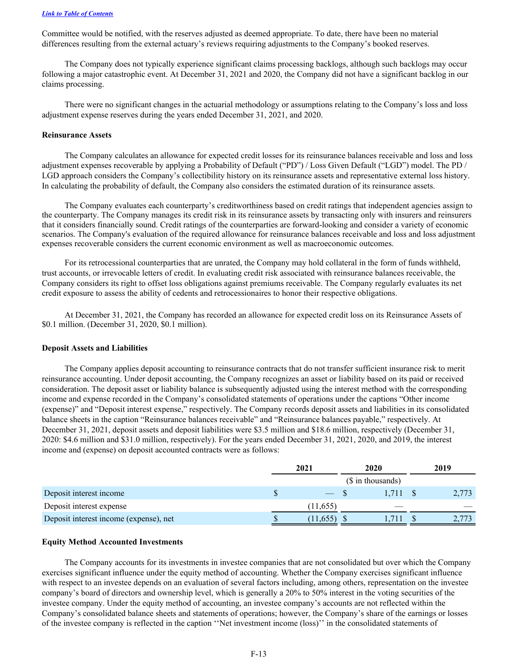Committee would be notified, with the reserves adjusted as deemed appropriate. To date, there have been no material differences resulting from the external actuary's reviews requiring adjustments to the Company's booked reserves.

The Company does not typically experience significant claims processing backlogs, although such backlogs may occur following a major catastrophic event. At December 31, 2021 and 2020, the Company did not have a significant backlog in our claims processing.

There were no significant changes in the actuarial methodology or assumptions relating to the Company's loss and loss adjustment expense reserves during the years ended December 31, 2021, and 2020.

#### **Reinsurance Assets**

The Company calculates an allowance for expected credit losses for its reinsurance balances receivable and loss and loss adjustment expenses recoverable by applying a Probability of Default ("PD") / Loss Given Default ("LGD") model. The PD / LGD approach considers the Company's collectibility history on its reinsurance assets and representative external loss history. In calculating the probability of default, the Company also considers the estimated duration of its reinsurance assets.

The Company evaluates each counterparty's creditworthiness based on credit ratings that independent agencies assign to the counterparty. The Company manages its credit risk in its reinsurance assets by transacting only with insurers and reinsurers that it considers financially sound. Credit ratings of the counterparties are forward-looking and consider a variety of economic scenarios. The Company's evaluation of the required allowance for reinsurance balances receivable and loss and loss adjustment expenses recoverable considers the current economic environment as well as macroeconomic outcomes.

For its retrocessional counterparties that are unrated, the Company may hold collateral in the form of funds withheld, trust accounts, or irrevocable letters of credit. In evaluating credit risk associated with reinsurance balances receivable, the Company considers its right to offset loss obligations against premiums receivable. The Company regularly evaluates its net credit exposure to assess the ability of cedents and retrocessionaires to honor their respective obligations.

At December 31, 2021, the Company has recorded an allowance for expected credit loss on its Reinsurance Assets of \$0.1 million. (December 31, 2020, \$0.1 million).

#### **Deposit Assets and Liabilities**

The Company applies deposit accounting to reinsurance contracts that do not transfer sufficient insurance risk to merit reinsurance accounting. Under deposit accounting, the Company recognizes an asset or liability based on its paid or received consideration. The deposit asset or liability balance is subsequently adjusted using the interest method with the corresponding income and expense recorded in the Company's consolidated statements of operations under the captions "Other income (expense)" and "Deposit interest expense," respectively. The Company records deposit assets and liabilities in its consolidated balance sheets in the caption "Reinsurance balances receivable" and "Reinsurance balances payable," respectively. At December 31, 2021, deposit assets and deposit liabilities were \$3.5 million and \$18.6 million, respectively (December 31, 2020: \$4.6 million and \$31.0 million, respectively). For the years ended December 31, 2021, 2020, and 2019, the interest income and (expense) on deposit accounted contracts were as follows:

|                                        | 2021 |           | 2020              | 2019  |
|----------------------------------------|------|-----------|-------------------|-------|
|                                        |      |           | (\$ in thousands) |       |
| Deposit interest income                |      |           | 1.711S            | 2,773 |
| Deposit interest expense               |      | (11, 655) |                   |       |
| Deposit interest income (expense), net |      | (11, 655) |                   | 2,773 |

#### **Equity Method Accounted Investments**

The Company accounts for its investments in investee companies that are not consolidated but over which the Company exercises significant influence under the equity method of accounting. Whether the Company exercises significant influence with respect to an investee depends on an evaluation of several factors including, among others, representation on the investee company's board of directors and ownership level, which is generally a 20% to 50% interest in the voting securities of the investee company. Under the equity method of accounting, an investee company's accounts are not reflected within the Company's consolidated balance sheets and statements of operations; however, the Company's share of the earnings or losses of the investee company is reflected in the caption ''Net investment income (loss)'' in the consolidated statements of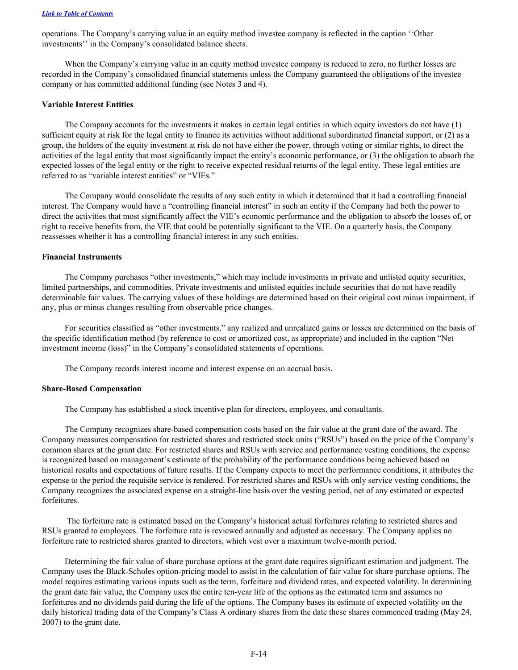operations. The Company's carrying value in an equity method investee company is reflected in the caption ''Other investments'' in the Company's consolidated balance sheets.

When the Company's carrying value in an equity method investee company is reduced to zero, no further losses are recorded in the Company's consolidated financial statements unless the Company guaranteed the obligations of the investee company or has committed additional funding (see Notes 3 and 4).

#### **Variable Interest Entities**

The Company accounts for the investments it makes in certain legal entities in which equity investors do not have (1) sufficient equity at risk for the legal entity to finance its activities without additional subordinated financial support, or (2) as a group, the holders of the equity investment at risk do not have either the power, through voting or similar rights, to direct the activities of the legal entity that most significantly impact the entity's economic performance, or (3) the obligation to absorb the expected losses of the legal entity or the right to receive expected residual returns of the legal entity. These legal entities are referred to as "variable interest entities" or "VIEs."

The Company would consolidate the results of any such entity in which it determined that it had a controlling financial interest. The Company would have a "controlling financial interest" in such an entity if the Company had both the power to direct the activities that most significantly affect the VIE's economic performance and the obligation to absorb the losses of, or right to receive benefits from, the VIE that could be potentially significant to the VIE. On a quarterly basis, the Company reassesses whether it has a controlling financial interest in any such entities.

#### **Financial Instruments**

The Company purchases "other investments," which may include investments in private and unlisted equity securities, limited partnerships, and commodities. Private investments and unlisted equities include securities that do not have readily determinable fair values. The carrying values of these holdings are determined based on their original cost minus impairment, if any, plus or minus changes resulting from observable price changes.

For securities classified as "other investments," any realized and unrealized gains or losses are determined on the basis of the specific identification method (by reference to cost or amortized cost, as appropriate) and included in the caption "Net investment income (loss)" in the Company's consolidated statements of operations.

The Company records interest income and interest expense on an accrual basis.

#### **Share-Based Compensation**

The Company has established a stock incentive plan for directors, employees, and consultants.

The Company recognizes share-based compensation costs based on the fair value at the grant date of the award. The Company measures compensation for restricted shares and restricted stock units ("RSUs") based on the price of the Company's common shares at the grant date. For restricted shares and RSUs with service and performance vesting conditions, the expense is recognized based on management's estimate of the probability of the performance conditions being achieved based on historical results and expectations of future results. If the Company expects to meet the performance conditions, it attributes the expense to the period the requisite service is rendered. For restricted shares and RSUs with only service vesting conditions, the Company recognizes the associated expense on a straight-line basis over the vesting period, net of any estimated or expected forfeitures.

 The forfeiture rate is estimated based on the Company's historical actual forfeitures relating to restricted shares and RSUs granted to employees. The forfeiture rate is reviewed annually and adjusted as necessary. The Company applies no forfeiture rate to restricted shares granted to directors, which vest over a maximum twelve-month period.

Determining the fair value of share purchase options at the grant date requires significant estimation and judgment. The Company uses the Black-Scholes option-pricing model to assist in the calculation of fair value for share purchase options. The model requires estimating various inputs such as the term, forfeiture and dividend rates, and expected volatility. In determining the grant date fair value, the Company uses the entire ten-year life of the options as the estimated term and assumes no forfeitures and no dividends paid during the life of the options. The Company bases its estimate of expected volatility on the daily historical trading data of the Company's Class A ordinary shares from the date these shares commenced trading (May 24, 2007) to the grant date.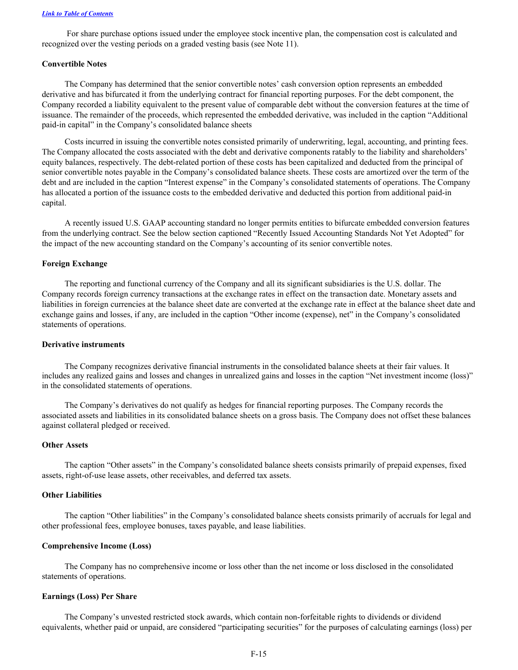#### *[Link to Table of Contents](#page-2-0)*

 For share purchase options issued under the employee stock incentive plan, the compensation cost is calculated and recognized over the vesting periods on a graded vesting basis (see Note 11).

#### **Convertible Notes**

The Company has determined that the senior convertible notes' cash conversion option represents an embedded derivative and has bifurcated it from the underlying contract for financial reporting purposes. For the debt component, the Company recorded a liability equivalent to the present value of comparable debt without the conversion features at the time of issuance. The remainder of the proceeds, which represented the embedded derivative, was included in the caption "Additional paid-in capital" in the Company's consolidated balance sheets

Costs incurred in issuing the convertible notes consisted primarily of underwriting, legal, accounting, and printing fees. The Company allocated the costs associated with the debt and derivative components ratably to the liability and shareholders' equity balances, respectively. The debt-related portion of these costs has been capitalized and deducted from the principal of senior convertible notes payable in the Company's consolidated balance sheets. These costs are amortized over the term of the debt and are included in the caption "Interest expense" in the Company's consolidated statements of operations. The Company has allocated a portion of the issuance costs to the embedded derivative and deducted this portion from additional paid-in capital.

A recently issued U.S. GAAP accounting standard no longer permits entities to bifurcate embedded conversion features from the underlying contract. See the below section captioned "Recently Issued Accounting Standards Not Yet Adopted" for the impact of the new accounting standard on the Company's accounting of its senior convertible notes.

#### **Foreign Exchange**

The reporting and functional currency of the Company and all its significant subsidiaries is the U.S. dollar. The Company records foreign currency transactions at the exchange rates in effect on the transaction date. Monetary assets and liabilities in foreign currencies at the balance sheet date are converted at the exchange rate in effect at the balance sheet date and exchange gains and losses, if any, are included in the caption "Other income (expense), net" in the Company's consolidated statements of operations.

#### **Derivative instruments**

The Company recognizes derivative financial instruments in the consolidated balance sheets at their fair values. It includes any realized gains and losses and changes in unrealized gains and losses in the caption "Net investment income (loss)" in the consolidated statements of operations.

The Company's derivatives do not qualify as hedges for financial reporting purposes. The Company records the associated assets and liabilities in its consolidated balance sheets on a gross basis. The Company does not offset these balances against collateral pledged or received.

#### **Other Assets**

The caption "Other assets" in the Company's consolidated balance sheets consists primarily of prepaid expenses, fixed assets, right-of-use lease assets, other receivables, and deferred tax assets.

#### **Other Liabilities**

The caption "Other liabilities" in the Company's consolidated balance sheets consists primarily of accruals for legal and other professional fees, employee bonuses, taxes payable, and lease liabilities.

#### **Comprehensive Income (Loss)**

The Company has no comprehensive income or loss other than the net income or loss disclosed in the consolidated statements of operations.

#### **Earnings (Loss) Per Share**

The Company's unvested restricted stock awards, which contain non-forfeitable rights to dividends or dividend equivalents, whether paid or unpaid, are considered "participating securities" for the purposes of calculating earnings (loss) per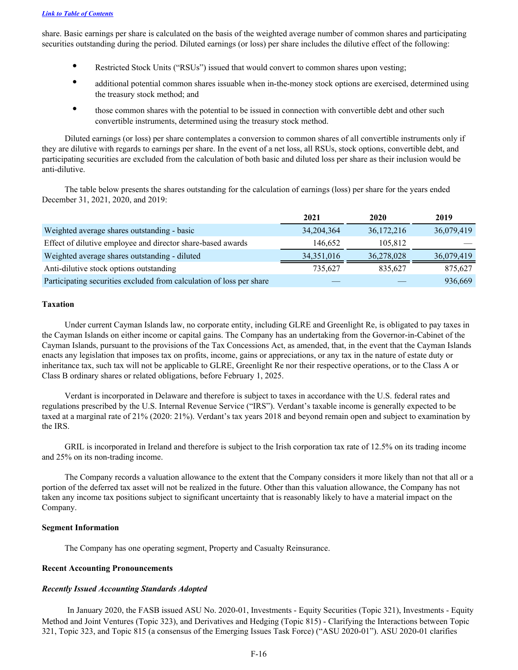share. Basic earnings per share is calculated on the basis of the weighted average number of common shares and participating securities outstanding during the period. Diluted earnings (or loss) per share includes the dilutive effect of the following:

- Restricted Stock Units ("RSUs") issued that would convert to common shares upon vesting;
- additional potential common shares issuable when in-the-money stock options are exercised, determined using the treasury stock method; and
- those common shares with the potential to be issued in connection with convertible debt and other such convertible instruments, determined using the treasury stock method.

Diluted earnings (or loss) per share contemplates a conversion to common shares of all convertible instruments only if they are dilutive with regards to earnings per share. In the event of a net loss, all RSUs, stock options, convertible debt, and participating securities are excluded from the calculation of both basic and diluted loss per share as their inclusion would be anti-dilutive.

The table below presents the shares outstanding for the calculation of earnings (loss) per share for the years ended December 31, 2021, 2020, and 2019:

|                                                                      | 2021         | 2020       | 2019       |
|----------------------------------------------------------------------|--------------|------------|------------|
| Weighted average shares outstanding - basic                          | 34, 204, 364 | 36,172,216 | 36,079,419 |
| Effect of dilutive employee and director share-based awards          | 146.652      | 105,812    |            |
| Weighted average shares outstanding - diluted                        | 34,351,016   | 36,278,028 | 36,079,419 |
| Anti-dilutive stock options outstanding                              | 735.627      | 835.627    | 875,627    |
| Participating securities excluded from calculation of loss per share |              |            | 936,669    |

#### **Taxation**

Under current Cayman Islands law, no corporate entity, including GLRE and Greenlight Re, is obligated to pay taxes in the Cayman Islands on either income or capital gains. The Company has an undertaking from the Governor-in-Cabinet of the Cayman Islands, pursuant to the provisions of the Tax Concessions Act, as amended, that, in the event that the Cayman Islands enacts any legislation that imposes tax on profits, income, gains or appreciations, or any tax in the nature of estate duty or inheritance tax, such tax will not be applicable to GLRE, Greenlight Re nor their respective operations, or to the Class A or Class B ordinary shares or related obligations, before February 1, 2025.

Verdant is incorporated in Delaware and therefore is subject to taxes in accordance with the U.S. federal rates and regulations prescribed by the U.S. Internal Revenue Service ("IRS"). Verdant's taxable income is generally expected to be taxed at a marginal rate of 21% (2020: 21%). Verdant's tax years 2018 and beyond remain open and subject to examination by the IRS.

GRIL is incorporated in Ireland and therefore is subject to the Irish corporation tax rate of 12.5% on its trading income and 25% on its non-trading income.

The Company records a valuation allowance to the extent that the Company considers it more likely than not that all or a portion of the deferred tax asset will not be realized in the future. Other than this valuation allowance, the Company has not taken any income tax positions subject to significant uncertainty that is reasonably likely to have a material impact on the Company.

#### **Segment Information**

The Company has one operating segment, Property and Casualty Reinsurance.

#### **Recent Accounting Pronouncements**

#### *Recently Issued Accounting Standards Adopted*

In January 2020, the FASB issued ASU No. 2020-01, Investments - Equity Securities (Topic 321), Investments - Equity Method and Joint Ventures (Topic 323), and Derivatives and Hedging (Topic 815) - Clarifying the Interactions between Topic 321, Topic 323, and Topic 815 (a consensus of the Emerging Issues Task Force) ("ASU 2020-01"). ASU 2020-01 clarifies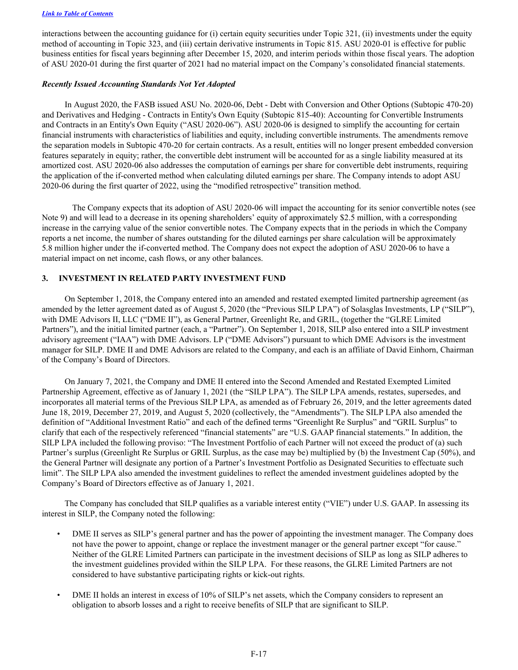interactions between the accounting guidance for (i) certain equity securities under Topic 321, (ii) investments under the equity method of accounting in Topic 323, and (iii) certain derivative instruments in Topic 815. ASU 2020-01 is effective for public business entities for fiscal years beginning after December 15, 2020, and interim periods within those fiscal years. The adoption of ASU 2020-01 during the first quarter of 2021 had no material impact on the Company's consolidated financial statements.

## *Recently Issued Accounting Standards Not Yet Adopted*

In August 2020, the FASB issued ASU No. 2020-06, Debt - Debt with Conversion and Other Options (Subtopic 470-20) and Derivatives and Hedging - Contracts in Entity's Own Equity (Subtopic 815-40): Accounting for Convertible Instruments and Contracts in an Entity's Own Equity ("ASU 2020-06"). ASU 2020-06 is designed to simplify the accounting for certain financial instruments with characteristics of liabilities and equity, including convertible instruments. The amendments remove the separation models in Subtopic 470-20 for certain contracts. As a result, entities will no longer present embedded conversion features separately in equity; rather, the convertible debt instrument will be accounted for as a single liability measured at its amortized cost. ASU 2020-06 also addresses the computation of earnings per share for convertible debt instruments, requiring the application of the if-converted method when calculating diluted earnings per share. The Company intends to adopt ASU 2020-06 during the first quarter of 2022, using the "modified retrospective" transition method.

The Company expects that its adoption of ASU 2020-06 will impact the accounting for its senior convertible notes (see Note 9) and will lead to a decrease in its opening shareholders' equity of approximately \$2.5 million, with a corresponding increase in the carrying value of the senior convertible notes. The Company expects that in the periods in which the Company reports a net income, the number of shares outstanding for the diluted earnings per share calculation will be approximately 5.8 million higher under the if-converted method. The Company does not expect the adoption of ASU 2020-06 to have a material impact on net income, cash flows, or any other balances.

## **3. INVESTMENT IN RELATED PARTY INVESTMENT FUND**

On September 1, 2018, the Company entered into an amended and restated exempted limited partnership agreement (as amended by the letter agreement dated as of August 5, 2020 (the "Previous SILP LPA") of Solasglas Investments, LP ("SILP"), with DME Advisors II, LLC ("DME II"), as General Partner, Greenlight Re, and GRIL, (together the "GLRE Limited Partners"), and the initial limited partner (each, a "Partner"). On September 1, 2018, SILP also entered into a SILP investment advisory agreement ("IAA") with DME Advisors. LP ("DME Advisors") pursuant to which DME Advisors is the investment manager for SILP. DME II and DME Advisors are related to the Company, and each is an affiliate of David Einhorn, Chairman of the Company's Board of Directors.

On January 7, 2021, the Company and DME II entered into the Second Amended and Restated Exempted Limited Partnership Agreement, effective as of January 1, 2021 (the "SILP LPA"). The SILP LPA amends, restates, supersedes, and incorporates all material terms of the Previous SILP LPA, as amended as of February 26, 2019, and the letter agreements dated June 18, 2019, December 27, 2019, and August 5, 2020 (collectively, the "Amendments"). The SILP LPA also amended the definition of "Additional Investment Ratio" and each of the defined terms "Greenlight Re Surplus" and "GRIL Surplus" to clarify that each of the respectively referenced "financial statements" are "U.S. GAAP financial statements." In addition, the SILP LPA included the following proviso: "The Investment Portfolio of each Partner will not exceed the product of (a) such Partner's surplus (Greenlight Re Surplus or GRIL Surplus, as the case may be) multiplied by (b) the Investment Cap (50%), and the General Partner will designate any portion of a Partner's Investment Portfolio as Designated Securities to effectuate such limit". The SILP LPA also amended the investment guidelines to reflect the amended investment guidelines adopted by the Company's Board of Directors effective as of January 1, 2021.

The Company has concluded that SILP qualifies as a variable interest entity ("VIE") under U.S. GAAP. In assessing its interest in SILP, the Company noted the following:

- DME II serves as SILP's general partner and has the power of appointing the investment manager. The Company does not have the power to appoint, change or replace the investment manager or the general partner except "for cause." Neither of the GLRE Limited Partners can participate in the investment decisions of SILP as long as SILP adheres to the investment guidelines provided within the SILP LPA. For these reasons, the GLRE Limited Partners are not considered to have substantive participating rights or kick-out rights.
- DME II holds an interest in excess of 10% of SILP's net assets, which the Company considers to represent an obligation to absorb losses and a right to receive benefits of SILP that are significant to SILP.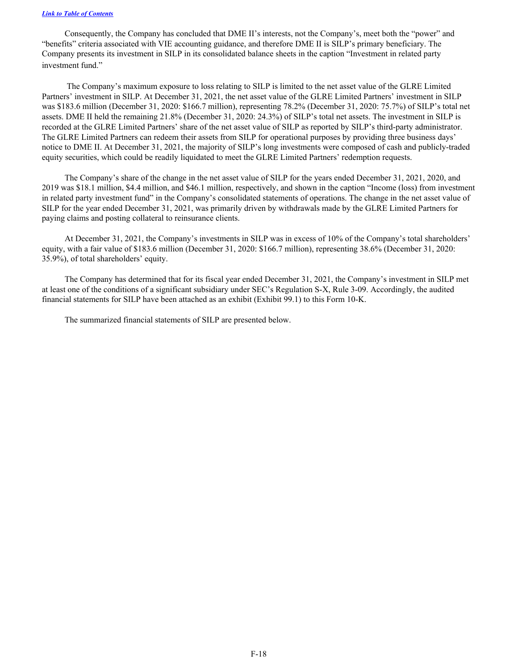#### *[Link to Table of Contents](#page-2-0)*

Consequently, the Company has concluded that DME II's interests, not the Company's, meet both the "power" and "benefits" criteria associated with VIE accounting guidance, and therefore DME II is SILP's primary beneficiary. The Company presents its investment in SILP in its consolidated balance sheets in the caption "Investment in related party investment fund."

 The Company's maximum exposure to loss relating to SILP is limited to the net asset value of the GLRE Limited Partners' investment in SILP. At December 31, 2021, the net asset value of the GLRE Limited Partners' investment in SILP was \$183.6 million (December 31, 2020: \$166.7 million), representing 78.2% (December 31, 2020: 75.7%) of SILP's total net assets. DME II held the remaining 21.8% (December 31, 2020: 24.3%) of SILP's total net assets. The investment in SILP is recorded at the GLRE Limited Partners' share of the net asset value of SILP as reported by SILP's third-party administrator. The GLRE Limited Partners can redeem their assets from SILP for operational purposes by providing three business days' notice to DME II. At December 31, 2021, the majority of SILP's long investments were composed of cash and publicly-traded equity securities, which could be readily liquidated to meet the GLRE Limited Partners' redemption requests.

The Company's share of the change in the net asset value of SILP for the years ended December 31, 2021, 2020, and 2019 was \$18.1 million, \$4.4 million, and \$46.1 million, respectively, and shown in the caption "Income (loss) from investment in related party investment fund" in the Company's consolidated statements of operations. The change in the net asset value of SILP for the year ended December 31, 2021, was primarily driven by withdrawals made by the GLRE Limited Partners for paying claims and posting collateral to reinsurance clients.

At December 31, 2021, the Company's investments in SILP was in excess of 10% of the Company's total shareholders' equity, with a fair value of \$183.6 million (December 31, 2020: \$166.7 million), representing 38.6% (December 31, 2020: 35.9%), of total shareholders' equity.

The Company has determined that for its fiscal year ended December 31, 2021, the Company's investment in SILP met at least one of the conditions of a significant subsidiary under SEC's Regulation S-X, Rule 3-09. Accordingly, the audited financial statements for SILP have been attached as an exhibit (Exhibit 99.1) to this Form 10-K.

The summarized financial statements of SILP are presented below.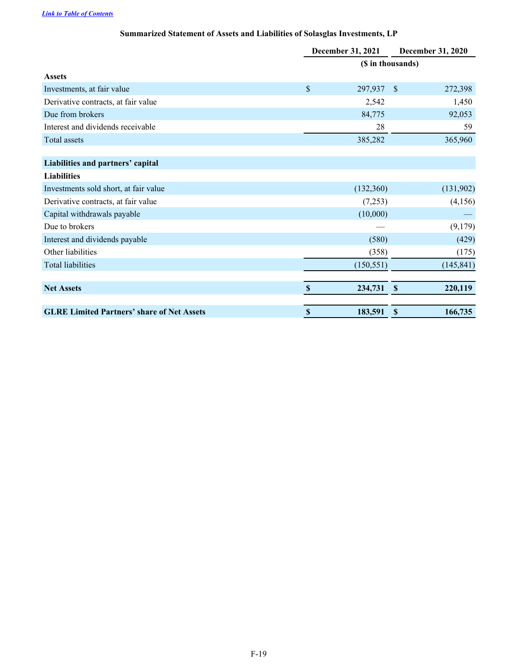# **Summarized Statement of Assets and Liabilities of Solasglas Investments, LP**

|                                                   |              | <b>December 31, 2021</b> | <b>December 31, 2020</b> |            |  |  |  |
|---------------------------------------------------|--------------|--------------------------|--------------------------|------------|--|--|--|
|                                                   |              | (\$ in thousands)        |                          |            |  |  |  |
| <b>Assets</b>                                     |              |                          |                          |            |  |  |  |
| Investments, at fair value                        | $\mathbb{S}$ | 297,937                  | $\mathcal{S}$            | 272,398    |  |  |  |
| Derivative contracts, at fair value               |              | 2,542                    |                          | 1,450      |  |  |  |
| Due from brokers                                  |              | 84,775                   |                          | 92,053     |  |  |  |
| Interest and dividends receivable                 |              | 28                       |                          | 59         |  |  |  |
| <b>Total assets</b>                               |              | 385,282                  |                          | 365,960    |  |  |  |
|                                                   |              |                          |                          |            |  |  |  |
| Liabilities and partners' capital                 |              |                          |                          |            |  |  |  |
| <b>Liabilities</b>                                |              |                          |                          |            |  |  |  |
| Investments sold short, at fair value             |              | (132,360)                |                          | (131,902)  |  |  |  |
| Derivative contracts, at fair value               |              | (7,253)                  |                          | (4,156)    |  |  |  |
| Capital withdrawals payable                       |              | (10,000)                 |                          |            |  |  |  |
| Due to brokers                                    |              |                          |                          | (9,179)    |  |  |  |
| Interest and dividends payable                    |              | (580)                    |                          | (429)      |  |  |  |
| Other liabilities                                 |              | (358)                    |                          | (175)      |  |  |  |
| <b>Total liabilities</b>                          |              | (150, 551)               |                          | (145, 841) |  |  |  |
|                                                   |              |                          |                          |            |  |  |  |
| <b>Net Assets</b>                                 | \$           | 234,731                  | $\mathbf{\$}$            | 220,119    |  |  |  |
| <b>GLRE Limited Partners' share of Net Assets</b> | \$           | 183,591                  | \$                       | 166,735    |  |  |  |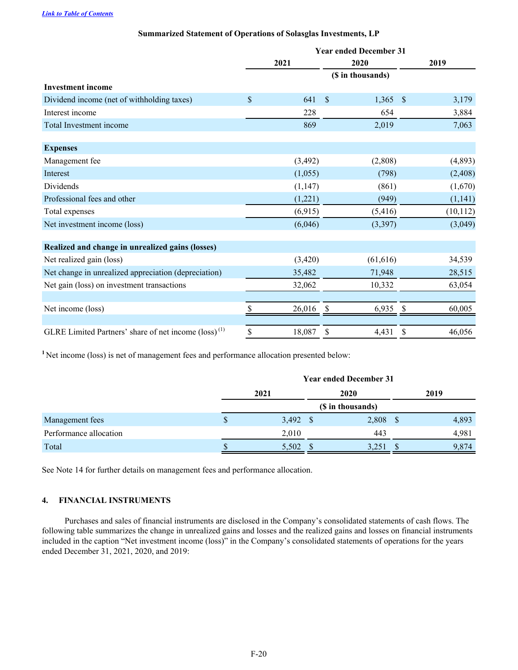## **Summarized Statement of Operations of Solasglas Investments, LP**

|                                                                  | <b>Year ended December 31</b> |          |               |                   |   |           |  |
|------------------------------------------------------------------|-------------------------------|----------|---------------|-------------------|---|-----------|--|
|                                                                  |                               | 2021     |               | 2020              |   | 2019      |  |
|                                                                  |                               |          |               | (\$ in thousands) |   |           |  |
| <b>Investment income</b>                                         |                               |          |               |                   |   |           |  |
| Dividend income (net of withholding taxes)                       | $\mathbf{\hat{S}}$            | 641      | $\mathcal{S}$ | $1,365$ \$        |   | 3,179     |  |
| Interest income                                                  |                               | 228      |               | 654               |   | 3,884     |  |
| Total Investment income                                          |                               | 869      |               | 2,019             |   | 7,063     |  |
|                                                                  |                               |          |               |                   |   |           |  |
| <b>Expenses</b>                                                  |                               |          |               |                   |   |           |  |
| Management fee                                                   |                               | (3, 492) |               | (2,808)           |   | (4,893)   |  |
| Interest                                                         |                               | (1,055)  |               | (798)             |   | (2,408)   |  |
| Dividends                                                        |                               | (1,147)  |               | (861)             |   | (1,670)   |  |
| Professional fees and other                                      |                               | (1,221)  |               | (949)             |   | (1,141)   |  |
| Total expenses                                                   |                               | (6,915)  |               | (5,416)           |   | (10, 112) |  |
| Net investment income (loss)                                     |                               | (6,046)  |               | (3,397)           |   | (3,049)   |  |
|                                                                  |                               |          |               |                   |   |           |  |
| Realized and change in unrealized gains (losses)                 |                               |          |               |                   |   |           |  |
| Net realized gain (loss)                                         |                               | (3,420)  |               | (61, 616)         |   | 34,539    |  |
| Net change in unrealized appreciation (depreciation)             |                               | 35,482   |               | 71,948            |   | 28,515    |  |
| Net gain (loss) on investment transactions                       |                               | 32,062   |               | 10,332            |   | 63,054    |  |
|                                                                  |                               |          |               |                   |   |           |  |
| Net income (loss)                                                |                               | 26,016   |               | 6,935             |   | 60,005    |  |
|                                                                  |                               |          |               |                   |   |           |  |
| GLRE Limited Partners' share of net income (loss) <sup>(1)</sup> | \$                            | 18,087   | \$            | 4,431             | S | 46,056    |  |

<sup>1</sup>Net income (loss) is net of management fees and performance allocation presented below:

|                        |   | <b>Year ended December 31</b> |  |                   |      |       |  |  |  |  |
|------------------------|---|-------------------------------|--|-------------------|------|-------|--|--|--|--|
|                        |   | 2021                          |  | 2020              |      | 2019  |  |  |  |  |
|                        |   |                               |  | (\$ in thousands) |      |       |  |  |  |  |
| Management fees        | S | $3,492$ \$                    |  | 2,808             | - \$ | 4,893 |  |  |  |  |
| Performance allocation |   | 2,010                         |  | 443               |      | 4,981 |  |  |  |  |
| Total                  |   | 5,502                         |  | 3,251             |      | 9,874 |  |  |  |  |

See Note 14 for further details on management fees and performance allocation.

## **4. FINANCIAL INSTRUMENTS**

Purchases and sales of financial instruments are disclosed in the Company's consolidated statements of cash flows. The following table summarizes the change in unrealized gains and losses and the realized gains and losses on financial instruments included in the caption "Net investment income (loss)" in the Company's consolidated statements of operations for the years ended December 31, 2021, 2020, and 2019: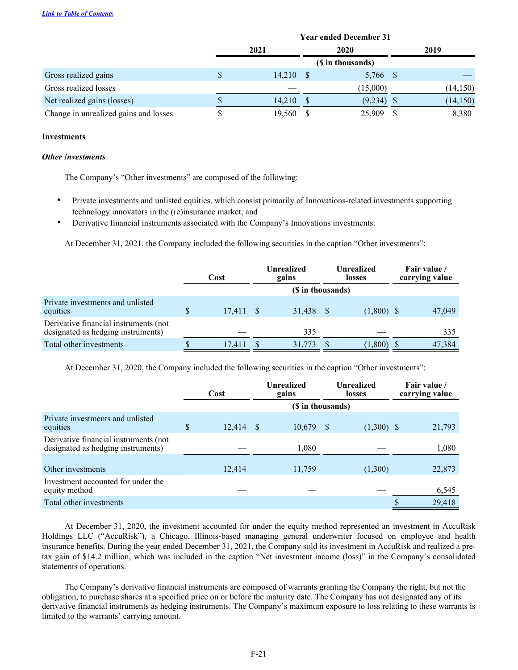|                                       | <b>Year ended December 31</b> |     |                   |  |           |  |  |  |  |  |
|---------------------------------------|-------------------------------|-----|-------------------|--|-----------|--|--|--|--|--|
|                                       | 2021                          |     | 2020              |  | 2019      |  |  |  |  |  |
|                                       |                               |     | (\$ in thousands) |  |           |  |  |  |  |  |
| Gross realized gains                  | 14.210                        | - S | 5,766 \$          |  |           |  |  |  |  |  |
| Gross realized losses                 |                               |     | (15,000)          |  | (14, 150) |  |  |  |  |  |
| Net realized gains (losses)           | 14,210                        |     | $(9,234)$ \$      |  | (14, 150) |  |  |  |  |  |
| Change in unrealized gains and losses | 19,560                        |     | 25,909            |  | 8,380     |  |  |  |  |  |

#### **Investments**

#### *Other Investments*

The Company's "Other investments" are composed of the following:

- Private investments and unlisted equities, which consist primarily of Innovations-related investments supporting technology innovators in the (re)insurance market; and
- Derivative financial instruments associated with the Company's Innovations investments.

At December 31, 2021, the Company included the following securities in the caption "Other investments":

|                                                                             | Cost |           | Unrealized<br>gains |                   | <b>Unrealized</b><br>losses |              |  | Fair value /<br>carrying value |
|-----------------------------------------------------------------------------|------|-----------|---------------------|-------------------|-----------------------------|--------------|--|--------------------------------|
|                                                                             |      |           |                     | (\$ in thousands) |                             |              |  |                                |
| Private investments and unlisted<br>equities                                |      | 17,411 \$ |                     | 31,438 \$         |                             | $(1,800)$ \$ |  | 47,049                         |
| Derivative financial instruments (not<br>designated as hedging instruments) |      |           |                     | 335               |                             |              |  | 335                            |
| Total other investments                                                     |      | 17,411    |                     | 31,773            |                             | (1,800)      |  | 47,384                         |

At December 31, 2020, the Company included the following securities in the caption "Other investments":

|                                                                             | Cost               |             | <b>Unrealized</b><br>gains |                   | <b>Unrealized</b><br>losses |              | Fair value /<br>carrying value |
|-----------------------------------------------------------------------------|--------------------|-------------|----------------------------|-------------------|-----------------------------|--------------|--------------------------------|
|                                                                             |                    |             |                            | (\$ in thousands) |                             |              |                                |
| Private investments and unlisted<br>equities                                | $\mathbf{\hat{S}}$ | $12,414$ \$ |                            | 10,679            | - \$                        | $(1,300)$ \$ | 21,793                         |
| Derivative financial instruments (not<br>designated as hedging instruments) |                    |             |                            | 1,080             |                             |              | 1,080                          |
| Other investments                                                           |                    | 12,414      |                            | 11,759            |                             | (1,300)      | 22,873                         |
| Investment accounted for under the<br>equity method                         |                    |             |                            |                   |                             |              | 6,545                          |
| Total other investments                                                     |                    |             |                            |                   |                             |              | 29,418                         |

At December 31, 2020, the investment accounted for under the equity method represented an investment in AccuRisk Holdings LLC ("AccuRisk"), a Chicago, Illinois-based managing general underwriter focused on employee and health insurance benefits. During the year ended December 31, 2021, the Company sold its investment in AccuRisk and realized a pretax gain of \$14.2 million, which was included in the caption "Net investment income (loss)" in the Company's consolidated statements of operations.

The Company's derivative financial instruments are composed of warrants granting the Company the right, but not the obligation, to purchase shares at a specified price on or before the maturity date. The Company has not designated any of its derivative financial instruments as hedging instruments. The Company's maximum exposure to loss relating to these warrants is limited to the warrants' carrying amount.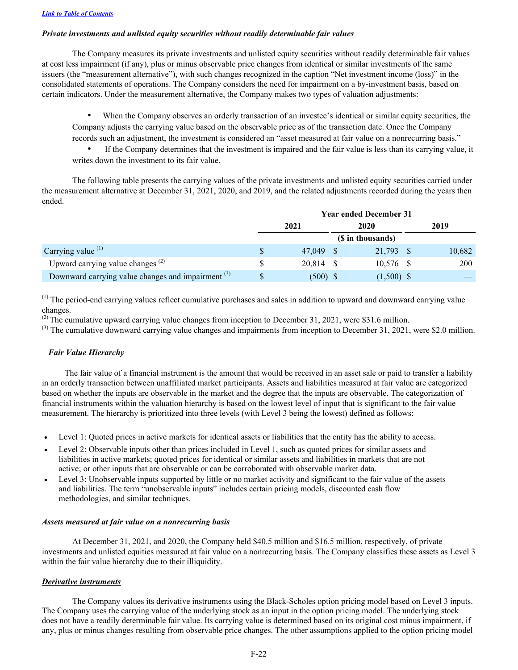#### *Private investments and unlisted equity securities without readily determinable fair values*

The Company measures its private investments and unlisted equity securities without readily determinable fair values at cost less impairment (if any), plus or minus observable price changes from identical or similar investments of the same issuers (the "measurement alternative"), with such changes recognized in the caption "Net investment income (loss)" in the consolidated statements of operations. The Company considers the need for impairment on a by-investment basis, based on certain indicators. Under the measurement alternative, the Company makes two types of valuation adjustments:

• When the Company observes an orderly transaction of an investee's identical or similar equity securities, the Company adjusts the carrying value based on the observable price as of the transaction date. Once the Company records such an adjustment, the investment is considered an "asset measured at fair value on a nonrecurring basis."

If the Company determines that the investment is impaired and the fair value is less than its carrying value, it writes down the investment to its fair value.

The following table presents the carrying values of the private investments and unlisted equity securities carried under the measurement alternative at December 31, 2021, 2020, and 2019, and the related adjustments recorded during the years then ended.

|                                                               | <b>Year ended December 31</b> |            |      |                   |  |            |  |  |  |  |
|---------------------------------------------------------------|-------------------------------|------------|------|-------------------|--|------------|--|--|--|--|
|                                                               | 2021                          |            | 2020 |                   |  | 2019       |  |  |  |  |
|                                                               |                               |            |      | (\$ in thousands) |  |            |  |  |  |  |
| Carrying value $(1)$                                          |                               | 47,049     |      | $21,793$ \$       |  | 10,682     |  |  |  |  |
| Upward carrying value changes $(2)$                           |                               | 20.814     |      | $10,576$ \$       |  | <b>200</b> |  |  |  |  |
| Downward carrying value changes and impairment <sup>(3)</sup> |                               | $(500)$ \$ |      | $(1,500)$ \$      |  |            |  |  |  |  |

 $<sup>(1)</sup>$  The period-end carrying values reflect cumulative purchases and sales in addition to upward and downward carrying value</sup> changes.

(2) The cumulative upward carrying value changes from inception to December 31, 2021, were \$31.6 million.

 $^{(3)}$  The cumulative downward carrying value changes and impairments from inception to December 31, 2021, were \$2.0 million.

#### *Fair Value Hierarchy*

The fair value of a financial instrument is the amount that would be received in an asset sale or paid to transfer a liability in an orderly transaction between unaffiliated market participants. Assets and liabilities measured at fair value are categorized based on whether the inputs are observable in the market and the degree that the inputs are observable. The categorization of financial instruments within the valuation hierarchy is based on the lowest level of input that is significant to the fair value measurement. The hierarchy is prioritized into three levels (with Level 3 being the lowest) defined as follows:

- Level 1: Quoted prices in active markets for identical assets or liabilities that the entity has the ability to access.
- Level 2: Observable inputs other than prices included in Level 1, such as quoted prices for similar assets and liabilities in active markets; quoted prices for identical or similar assets and liabilities in markets that are not active; or other inputs that are observable or can be corroborated with observable market data.
- Level 3: Unobservable inputs supported by little or no market activity and significant to the fair value of the assets and liabilities. The term "unobservable inputs" includes certain pricing models, discounted cash flow methodologies, and similar techniques.

#### *Assets measured at fair value on a nonrecurring basis*

At December 31, 2021, and 2020, the Company held \$40.5 million and \$16.5 million, respectively, of private investments and unlisted equities measured at fair value on a nonrecurring basis. The Company classifies these assets as Level 3 within the fair value hierarchy due to their illiquidity.

## *Derivative instruments*

The Company values its derivative instruments using the Black-Scholes option pricing model based on Level 3 inputs. The Company uses the carrying value of the underlying stock as an input in the option pricing model. The underlying stock does not have a readily determinable fair value. Its carrying value is determined based on its original cost minus impairment, if any, plus or minus changes resulting from observable price changes. The other assumptions applied to the option pricing model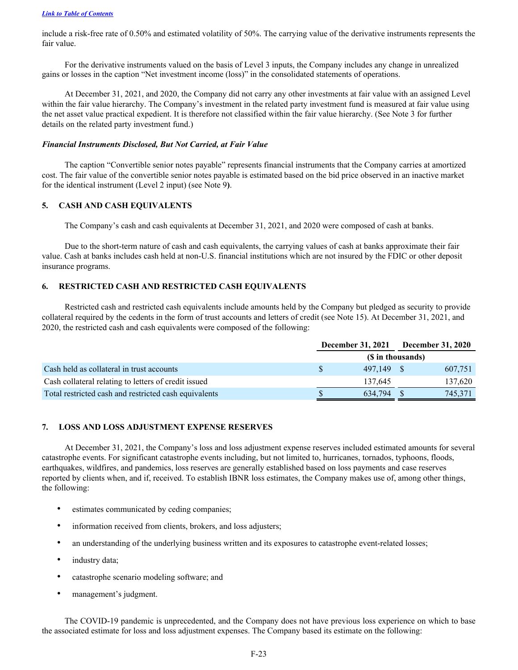include a risk-free rate of 0.50% and estimated volatility of 50%. The carrying value of the derivative instruments represents the fair value.

For the derivative instruments valued on the basis of Level 3 inputs, the Company includes any change in unrealized gains or losses in the caption "Net investment income (loss)" in the consolidated statements of operations.

At December 31, 2021, and 2020, the Company did not carry any other investments at fair value with an assigned Level within the fair value hierarchy. The Company's investment in the related party investment fund is measured at fair value using the net asset value practical expedient. It is therefore not classified within the fair value hierarchy. (See Note 3 for further details on the related party investment fund.)

#### *Financial Instruments Disclosed, But Not Carried, at Fair Value*

The caption "Convertible senior notes payable" represents financial instruments that the Company carries at amortized cost. The fair value of the convertible senior notes payable is estimated based on the bid price observed in an inactive market for the identical instrument (Level 2 input) (see Note 9**)**.

## **5. CASH AND CASH EQUIVALENTS**

The Company's cash and cash equivalents at December 31, 2021, and 2020 were composed of cash at banks.

Due to the short-term nature of cash and cash equivalents, the carrying values of cash at banks approximate their fair value. Cash at banks includes cash held at non-U.S. financial institutions which are not insured by the FDIC or other deposit insurance programs.

## **6. RESTRICTED CASH AND RESTRICTED CASH EQUIVALENTS**

Restricted cash and restricted cash equivalents include amounts held by the Company but pledged as security to provide collateral required by the cedents in the form of trust accounts and letters of credit (see Note 15). At December 31, 2021, and 2020, the restricted cash and cash equivalents were composed of the following:

|                                                       | <b>December 31, 2021</b> |            | <b>December 31, 2020</b> |         |  |  |
|-------------------------------------------------------|--------------------------|------------|--------------------------|---------|--|--|
|                                                       | (S in thousands)         |            |                          |         |  |  |
| Cash held as collateral in trust accounts             |                          | 497.149 \$ |                          | 607.751 |  |  |
| Cash collateral relating to letters of credit issued  |                          | 137.645    |                          | 137.620 |  |  |
| Total restricted cash and restricted cash equivalents |                          | 634.794    |                          | 745.371 |  |  |

## **7. LOSS AND LOSS ADJUSTMENT EXPENSE RESERVES**

At December 31, 2021, the Company's loss and loss adjustment expense reserves included estimated amounts for several catastrophe events. For significant catastrophe events including, but not limited to, hurricanes, tornados, typhoons, floods, earthquakes, wildfires, and pandemics, loss reserves are generally established based on loss payments and case reserves reported by clients when, and if, received. To establish IBNR loss estimates, the Company makes use of, among other things, the following:

- estimates communicated by ceding companies;
- information received from clients, brokers, and loss adjusters;
- an understanding of the underlying business written and its exposures to catastrophe event-related losses;
- industry data;
- catastrophe scenario modeling software; and
- management's judgment.

The COVID-19 pandemic is unprecedented, and the Company does not have previous loss experience on which to base the associated estimate for loss and loss adjustment expenses. The Company based its estimate on the following: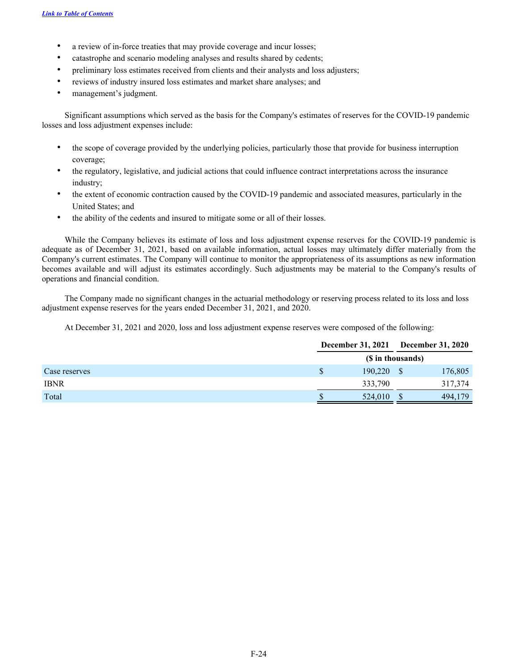- a review of in-force treaties that may provide coverage and incur losses;
- catastrophe and scenario modeling analyses and results shared by cedents;
- preliminary loss estimates received from clients and their analysts and loss adjusters;
- reviews of industry insured loss estimates and market share analyses; and
- management's judgment.

Significant assumptions which served as the basis for the Company's estimates of reserves for the COVID-19 pandemic losses and loss adjustment expenses include:

- the scope of coverage provided by the underlying policies, particularly those that provide for business interruption coverage;
- the regulatory, legislative, and judicial actions that could influence contract interpretations across the insurance industry;
- the extent of economic contraction caused by the COVID-19 pandemic and associated measures, particularly in the United States; and
- the ability of the cedents and insured to mitigate some or all of their losses.

While the Company believes its estimate of loss and loss adjustment expense reserves for the COVID-19 pandemic is adequate as of December 31, 2021, based on available information, actual losses may ultimately differ materially from the Company's current estimates. The Company will continue to monitor the appropriateness of its assumptions as new information becomes available and will adjust its estimates accordingly. Such adjustments may be material to the Company's results of operations and financial condition.

The Company made no significant changes in the actuarial methodology or reserving process related to its loss and loss adjustment expense reserves for the years ended December 31, 2021, and 2020.

At December 31, 2021 and 2020, loss and loss adjustment expense reserves were composed of the following:

|               |   | December 31, 2021 December 31, 2020 |  |         |  |  |  |
|---------------|---|-------------------------------------|--|---------|--|--|--|
|               |   | (\$ in thousands)                   |  |         |  |  |  |
| Case reserves | S | $190,220$ \$                        |  | 176,805 |  |  |  |
| <b>IBNR</b>   |   | 333,790                             |  | 317,374 |  |  |  |
| Total         | S | 524,010                             |  | 494,179 |  |  |  |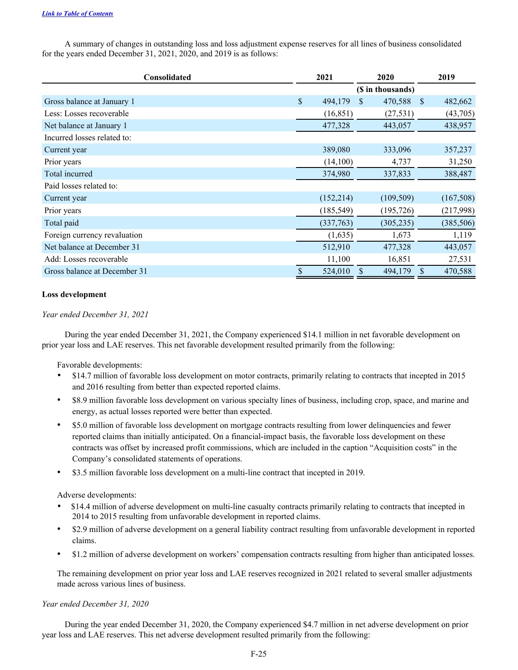A summary of changes in outstanding loss and loss adjustment expense reserves for all lines of business consolidated for the years ended December 31, 2021, 2020, and 2019 is as follows:

| <b>Consolidated</b>          | 2021          |         |    | 2020              | 2019          |            |
|------------------------------|---------------|---------|----|-------------------|---------------|------------|
|                              |               |         |    | (\$ in thousands) |               |            |
| Gross balance at January 1   | \$<br>494,179 |         | S. | 470,588           | <sup>S</sup>  | 482,662    |
| Less: Losses recoverable     | (16, 851)     |         |    | (27, 531)         |               | (43,705)   |
| Net balance at January 1     | 477,328       |         |    | 443,057           |               | 438,957    |
| Incurred losses related to:  |               |         |    |                   |               |            |
| Current year                 | 389,080       |         |    | 333,096           |               | 357,237    |
| Prior years                  | (14,100)      |         |    | 4,737             |               | 31,250     |
| Total incurred               | 374,980       |         |    | 337,833           |               | 388,487    |
| Paid losses related to:      |               |         |    |                   |               |            |
| Current year                 | (152, 214)    |         |    | (109, 509)        |               | (167,508)  |
| Prior years                  | (185, 549)    |         |    | (195, 726)        |               | (217,998)  |
| Total paid                   | (337,763)     |         |    | (305, 235)        |               | (385, 506) |
| Foreign currency revaluation |               | (1,635) |    | 1,673             |               | 1,119      |
| Net balance at December 31   | 512,910       |         |    | 477,328           |               | 443,057    |
| Add: Losses recoverable      | 11,100        |         |    | 16,851            |               | 27,531     |
| Gross balance at December 31 | \$<br>524,010 |         |    | 494,179           | $\mathcal{S}$ | 470,588    |

## **Loss development**

## *Year ended December 31, 2021*

During the year ended December 31, 2021, the Company experienced \$14.1 million in net favorable development on prior year loss and LAE reserves. This net favorable development resulted primarily from the following:

Favorable developments:

- *•* \$14.7 million of favorable loss development on motor contracts, primarily relating to contracts that incepted in 2015 and 2016 resulting from better than expected reported claims.
- \$8.9 million favorable loss development on various specialty lines of business, including crop, space, and marine and energy, as actual losses reported were better than expected.
- \$5.0 million of favorable loss development on mortgage contracts resulting from lower delinquencies and fewer reported claims than initially anticipated. On a financial-impact basis, the favorable loss development on these contracts was offset by increased profit commissions, which are included in the caption "Acquisition costs" in the Company's consolidated statements of operations.
- \$3.5 million favorable loss development on a multi-line contract that incepted in 2019.

Adverse developments:

- *•* \$14.4 million of adverse development on multi-line casualty contracts primarily relating to contracts that incepted in 2014 to 2015 resulting from unfavorable development in reported claims.
- \$2.9 million of adverse development on a general liability contract resulting from unfavorable development in reported claims.
- \$1.2 million of adverse development on workers' compensation contracts resulting from higher than anticipated losses.

The remaining development on prior year loss and LAE reserves recognized in 2021 related to several smaller adjustments made across various lines of business.

*Year ended December 31, 2020*

During the year ended December 31, 2020, the Company experienced \$4.7 million in net adverse development on prior year loss and LAE reserves. This net adverse development resulted primarily from the following: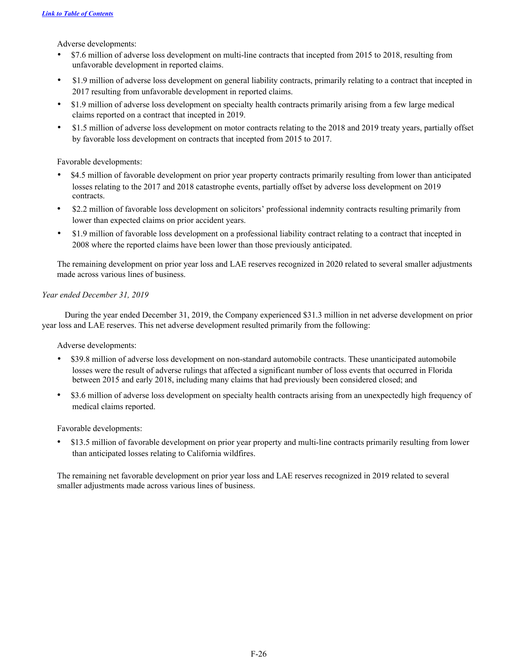Adverse developments:

- *•* \$7.6 million of adverse loss development on multi-line contracts that incepted from 2015 to 2018, resulting from unfavorable development in reported claims.
- *•* \$1.9 million of adverse loss development on general liability contracts, primarily relating to a contract that incepted in 2017 resulting from unfavorable development in reported claims.
- *•* \$1.9 million of adverse loss development on specialty health contracts primarily arising from a few large medical claims reported on a contract that incepted in 2019.
- *•* \$1.5 million of adverse loss development on motor contracts relating to the 2018 and 2019 treaty years, partially offset by favorable loss development on contracts that incepted from 2015 to 2017.

Favorable developments:

- \$4.5 million of favorable development on prior year property contracts primarily resulting from lower than anticipated losses relating to the 2017 and 2018 catastrophe events, partially offset by adverse loss development on 2019 contracts.
- \$2.2 million of favorable loss development on solicitors' professional indemnity contracts resulting primarily from lower than expected claims on prior accident years.
- *•* \$1.9 million of favorable loss development on a professional liability contract relating to a contract that incepted in 2008 where the reported claims have been lower than those previously anticipated.

The remaining development on prior year loss and LAE reserves recognized in 2020 related to several smaller adjustments made across various lines of business.

## *Year ended December 31, 2019*

During the year ended December 31, 2019, the Company experienced \$31.3 million in net adverse development on prior year loss and LAE reserves. This net adverse development resulted primarily from the following:

Adverse developments:

- *•* \$39.8 million of adverse loss development on non-standard automobile contracts. These unanticipated automobile losses were the result of adverse rulings that affected a significant number of loss events that occurred in Florida between 2015 and early 2018, including many claims that had previously been considered closed; and
- \$3.6 million of adverse loss development on specialty health contracts arising from an unexpectedly high frequency of medical claims reported.

Favorable developments:

• \$13.5 million of favorable development on prior year property and multi-line contracts primarily resulting from lower than anticipated losses relating to California wildfires.

The remaining net favorable development on prior year loss and LAE reserves recognized in 2019 related to several smaller adjustments made across various lines of business.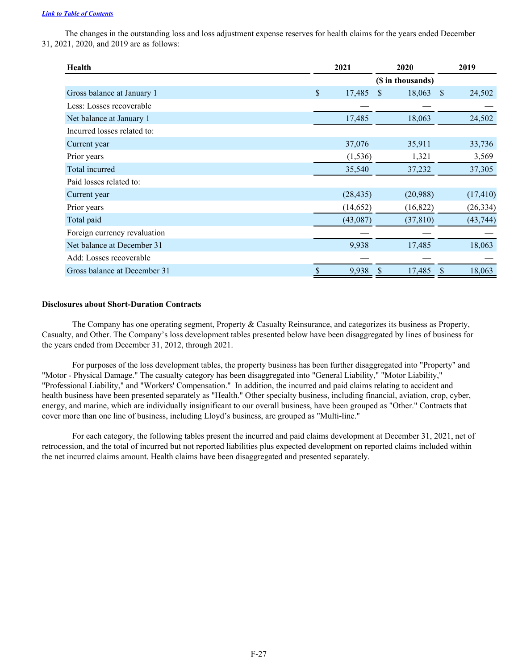The changes in the outstanding loss and loss adjustment expense reserves for health claims for the years ended December 31, 2021, 2020, and 2019 are as follows:

| Health                       |               | 2021      | 2020     |                   | 2019          |           |
|------------------------------|---------------|-----------|----------|-------------------|---------------|-----------|
|                              |               |           |          | (\$ in thousands) |               |           |
| Gross balance at January 1   | $\mathcal{S}$ | 17,485    | <b>S</b> | 18,063            | <sup>\$</sup> | 24,502    |
| Less: Losses recoverable     |               |           |          |                   |               |           |
| Net balance at January 1     |               | 17,485    |          | 18,063            |               | 24,502    |
| Incurred losses related to:  |               |           |          |                   |               |           |
| Current year                 |               | 37,076    |          | 35,911            |               | 33,736    |
| Prior years                  |               | (1, 536)  |          | 1,321             |               | 3,569     |
| Total incurred               |               | 35,540    |          | 37,232            |               | 37,305    |
| Paid losses related to:      |               |           |          |                   |               |           |
| Current year                 |               | (28, 435) |          | (20,988)          |               | (17, 410) |
| Prior years                  |               | (14, 652) |          | (16,822)          |               | (26, 334) |
| Total paid                   |               | (43,087)  |          | (37, 810)         |               | (43, 744) |
| Foreign currency revaluation |               |           |          |                   |               |           |
| Net balance at December 31   |               | 9,938     |          | 17,485            |               | 18,063    |
| Add: Losses recoverable      |               |           |          |                   |               |           |
| Gross balance at December 31 | \$            | 9,938     | \$       | 17,485            | \$            | 18,063    |

## **Disclosures about Short-Duration Contracts**

The Company has one operating segment, Property & Casualty Reinsurance, and categorizes its business as Property, Casualty, and Other. The Company's loss development tables presented below have been disaggregated by lines of business for the years ended from December 31, 2012, through 2021.

For purposes of the loss development tables, the property business has been further disaggregated into "Property" and "Motor - Physical Damage." The casualty category has been disaggregated into "General Liability," "Motor Liability," "Professional Liability," and "Workers' Compensation." In addition, the incurred and paid claims relating to accident and health business have been presented separately as "Health." Other specialty business, including financial, aviation, crop, cyber, energy, and marine, which are individually insignificant to our overall business, have been grouped as "Other." Contracts that cover more than one line of business, including Lloyd's business, are grouped as "Multi-line."

For each category, the following tables present the incurred and paid claims development at December 31, 2021, net of retrocession, and the total of incurred but not reported liabilities plus expected development on reported claims included within the net incurred claims amount. Health claims have been disaggregated and presented separately.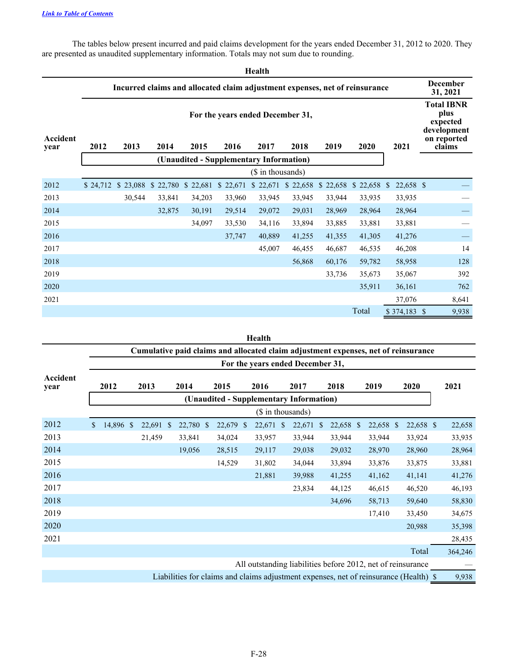The tables below present incurred and paid claims development for the years ended December 31, 2012 to 2020. They are presented as unaudited supplementary information. Totals may not sum due to rounding.

|                  |      |                   |          |          |                                                                             | пеани             |          |          |          |               |                                                                               |
|------------------|------|-------------------|----------|----------|-----------------------------------------------------------------------------|-------------------|----------|----------|----------|---------------|-------------------------------------------------------------------------------|
|                  |      |                   |          |          | Incurred claims and allocated claim adjustment expenses, net of reinsurance |                   |          |          |          |               | <b>December</b><br>31, 2021                                                   |
| Accident<br>year | 2012 | 2013              | 2014     | 2015     | For the years ended December 31,<br>2016                                    | 2017              | 2018     | 2019     | 2020     | 2021          | <b>Total IBNR</b><br>plus<br>expected<br>development<br>on reported<br>claims |
|                  |      |                   |          |          | (Unaudited - Supplementary Information)                                     |                   |          |          |          |               |                                                                               |
|                  |      |                   |          |          |                                                                             | (\$ in thousands) |          |          |          |               |                                                                               |
| 2012             |      | \$24,712 \$23,088 | \$22,780 | \$22,681 | \$22,671                                                                    | \$22,671          | \$22,658 | \$22,658 | \$22,658 | 22,658 \$     |                                                                               |
| 2013             |      | 30,544            | 33,841   | 34,203   | 33,960                                                                      | 33,945            | 33,945   | 33,944   | 33,935   | 33,935        |                                                                               |
| 2014             |      |                   | 32,875   | 30,191   | 29,514                                                                      | 29,072            | 29,031   | 28,969   | 28,964   | 28,964        |                                                                               |
| 2015             |      |                   |          | 34,097   | 33,530                                                                      | 34,116            | 33,894   | 33,885   | 33,881   | 33,881        |                                                                               |
| 2016             |      |                   |          |          | 37,747                                                                      | 40,889            | 41,255   | 41,355   | 41,305   | 41,276        |                                                                               |
| 2017             |      |                   |          |          |                                                                             | 45,007            | 46,455   | 46,687   | 46,535   | 46,208        | 14                                                                            |
| 2018             |      |                   |          |          |                                                                             |                   | 56,868   | 60,176   | 59,782   | 58,958        | 128                                                                           |
| 2019             |      |                   |          |          |                                                                             |                   |          | 33,736   | 35,673   | 35,067        | 392                                                                           |
| 2020             |      |                   |          |          |                                                                             |                   |          |          | 35,911   | 36,161        | 762                                                                           |
| 2021             |      |                   |          |          |                                                                             |                   |          |          |          | 37,076        | 8,641                                                                         |
|                  |      |                   |          |          |                                                                             |                   |          |          | Total    | $$374,183$ \, | 9,938                                                                         |

|                  |                |           |           |           |           | Health                                                      |        |              |           |           |                                                                                       |         |
|------------------|----------------|-----------|-----------|-----------|-----------|-------------------------------------------------------------|--------|--------------|-----------|-----------|---------------------------------------------------------------------------------------|---------|
|                  |                |           |           |           |           |                                                             |        |              |           |           | Cumulative paid claims and allocated claim adjustment expenses, net of reinsurance    |         |
|                  |                |           |           |           |           | For the years ended December 31,                            |        |              |           |           |                                                                                       |         |
| Accident<br>year |                | 2012      | 2013      | 2014      | 2015      | 2016                                                        | 2017   |              | 2018      | 2019      | 2020                                                                                  | 2021    |
|                  |                |           |           |           |           | (Unaudited - Supplementary Information)                     |        |              |           |           |                                                                                       |         |
|                  |                |           |           |           |           | (\$ in thousands)                                           |        |              |           |           |                                                                                       |         |
| 2012             | $\mathbb{S}^-$ | 14,896 \$ | 22,691 \$ | 22,780 \$ | 22,679 \$ | $22,671$ \$                                                 | 22,671 | <sup>S</sup> | 22,658 \$ | 22,658 \$ | 22,658 \$                                                                             | 22,658  |
| 2013             |                |           | 21,459    | 33,841    | 34,024    | 33,957                                                      | 33,944 |              | 33,944    | 33,944    | 33,924                                                                                | 33,935  |
| 2014             |                |           |           | 19,056    | 28,515    | 29,117                                                      | 29,038 |              | 29,032    | 28,970    | 28,960                                                                                | 28,964  |
| 2015             |                |           |           |           | 14,529    | 31,802                                                      | 34,044 |              | 33,894    | 33,876    | 33,875                                                                                | 33,881  |
| 2016             |                |           |           |           |           | 21,881                                                      | 39,988 |              | 41,255    | 41,162    | 41,141                                                                                | 41,276  |
| 2017             |                |           |           |           |           |                                                             | 23,834 |              | 44,125    | 46,615    | 46,520                                                                                | 46,193  |
| 2018             |                |           |           |           |           |                                                             |        |              | 34,696    | 58,713    | 59,640                                                                                | 58,830  |
| 2019             |                |           |           |           |           |                                                             |        |              |           | 17,410    | 33,450                                                                                | 34,675  |
| 2020             |                |           |           |           |           |                                                             |        |              |           |           | 20,988                                                                                | 35,398  |
| 2021             |                |           |           |           |           |                                                             |        |              |           |           |                                                                                       | 28,435  |
|                  |                |           |           |           |           |                                                             |        |              |           |           | Total                                                                                 | 364,246 |
|                  |                |           |           |           |           | All outstanding liabilities before 2012, net of reinsurance |        |              |           |           |                                                                                       |         |
|                  |                |           |           |           |           |                                                             |        |              |           |           | Liabilities for claims and claims adjustment expenses, net of reinsurance (Health) \$ | 9,938   |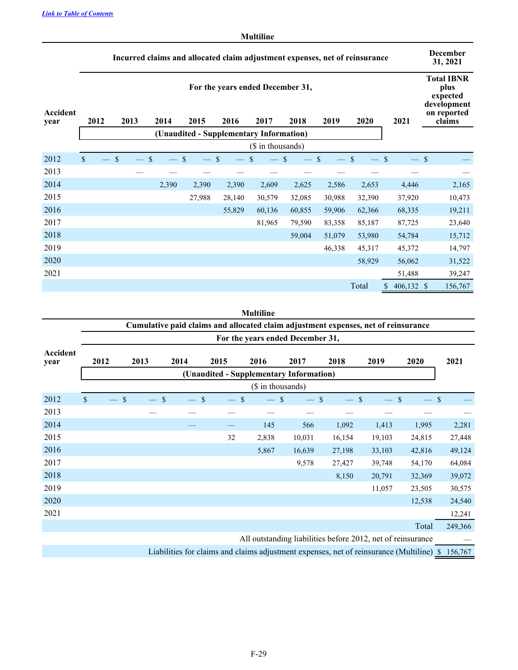|                  |              |              |      |               |             |             | Incurred claims and allocated claim adjustment expenses, net of reinsurance |             |                       |        |                  | <b>December</b><br>31, 2021                                                   |
|------------------|--------------|--------------|------|---------------|-------------|-------------|-----------------------------------------------------------------------------|-------------|-----------------------|--------|------------------|-------------------------------------------------------------------------------|
| Accident<br>year | 2012         |              | 2013 | 2014          | 2015        | 2016        | For the years ended December 31,<br>2017                                    | 2018        | 2019                  | 2020   | 2021             | <b>Total IBNR</b><br>plus<br>expected<br>development<br>on reported<br>claims |
|                  |              |              |      |               |             |             | (Unaudited - Supplementary Information)                                     |             |                       |        |                  |                                                                               |
|                  |              |              |      |               |             |             | (\$ in thousands)                                                           |             |                       |        |                  |                                                                               |
| 2012             | $\mathbb{S}$ | $\mathbf{s}$ |      | $\mathbf{\$}$ | $\mathbf S$ | $\mathbf S$ | $\mathbf S$                                                                 | $\mathbf S$ | $\mathbf S$<br>$-$ \$ | $-$ \$ | $-$ \$           |                                                                               |
| 2013             |              |              |      |               |             |             |                                                                             |             |                       |        |                  |                                                                               |
| 2014             |              |              |      | 2,390         | 2,390       | 2,390       | 2,609                                                                       | 2,625       | 2,586                 | 2,653  | 4,446            | 2,165                                                                         |
| 2015             |              |              |      |               | 27,988      | 28,140      | 30,579                                                                      | 32,085      | 30,988                | 32,390 | 37,920           | 10,473                                                                        |
| 2016             |              |              |      |               |             | 55,829      | 60,136                                                                      | 60,855      | 59,906                | 62,366 | 68,335           | 19,211                                                                        |
| 2017             |              |              |      |               |             |             | 81,965                                                                      | 79,590      | 83,358                | 85,187 | 87,725           | 23,640                                                                        |
| 2018             |              |              |      |               |             |             |                                                                             | 59,004      | 51,079                | 53,980 | 54,784           | 15,712                                                                        |
| 2019             |              |              |      |               |             |             |                                                                             |             | 46,338                | 45,317 | 45,372           | 14,797                                                                        |
| 2020             |              |              |      |               |             |             |                                                                             |             |                       | 58,929 | 56,062           | 31,522                                                                        |
| 2021             |              |              |      |               |             |             |                                                                             |             |                       |        | 51,488           | 39,247                                                                        |
|                  |              |              |      |               |             |             |                                                                             |             |                       | Total  | 406,132 \$<br>\$ | 156,767                                                                       |

**Multiline**

|                  |             |        |             |                                                                                    |                                         | <b>Multiline</b>                 |        |                              |        |        |         |
|------------------|-------------|--------|-------------|------------------------------------------------------------------------------------|-----------------------------------------|----------------------------------|--------|------------------------------|--------|--------|---------|
|                  |             |        |             | Cumulative paid claims and allocated claim adjustment expenses, net of reinsurance |                                         |                                  |        |                              |        |        |         |
|                  |             |        |             |                                                                                    |                                         | For the years ended December 31, |        |                              |        |        |         |
| Accident<br>year | 2012        |        | 2013        | 2014                                                                               | 2015                                    | 2016                             | 2017   | 2018                         | 2019   | 2020   | 2021    |
|                  |             |        |             |                                                                                    | (Unaudited - Supplementary Information) |                                  |        |                              |        |        |         |
|                  |             |        |             |                                                                                    |                                         | (\$ in thousands)                |        |                              |        |        |         |
| 2012             | $\mathbf S$ | $-$ \$ | $\mathbf S$ | $-$ \$                                                                             | \$                                      | $-$ \$                           |        | $\mathbf{\hat{S}}$<br>$-$ \$ | $-$ \$ | $-$ \$ |         |
| 2013             |             |        |             |                                                                                    |                                         |                                  |        |                              |        |        |         |
| 2014             |             |        |             |                                                                                    |                                         | 145                              | 566    | 1,092                        | 1,413  | 1,995  | 2,281   |
| 2015             |             |        |             |                                                                                    | 32                                      | 2,838                            | 10,031 | 16,154                       | 19,103 | 24,815 | 27,448  |
| 2016             |             |        |             |                                                                                    |                                         | 5,867                            | 16,639 | 27,198                       | 33,103 | 42,816 | 49,124  |
| 2017             |             |        |             |                                                                                    |                                         |                                  | 9,578  | 27,427                       | 39,748 | 54,170 | 64,084  |
| 2018             |             |        |             |                                                                                    |                                         |                                  |        | 8,150                        | 20,791 | 32,369 | 39,072  |
| 2019             |             |        |             |                                                                                    |                                         |                                  |        |                              | 11,057 | 23,505 | 30,575  |
| 2020             |             |        |             |                                                                                    |                                         |                                  |        |                              |        | 12,538 | 24,540  |
| 2021             |             |        |             |                                                                                    |                                         |                                  |        |                              |        |        | 12,241  |
|                  |             |        |             |                                                                                    |                                         |                                  |        |                              |        | Total  | 249,366 |
|                  |             |        |             |                                                                                    |                                         |                                  |        |                              |        |        |         |

All outstanding liabilities before 2012, net of reinsurance

Liabilities for claims and claims adjustment expenses, net of reinsurance (Multiline)  $\frac{\$ 156,767}{ }$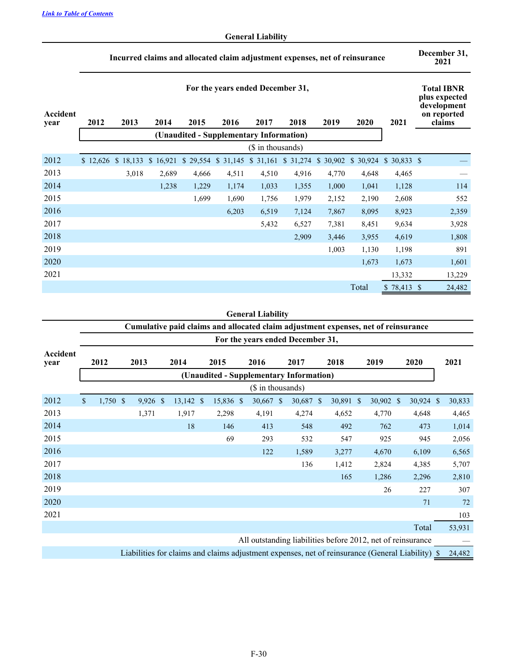|                  |      |       |                             |       |                                         |                   |                                              |       | Incurred claims and allocated claim adjustment expenses, net of reinsurance |                        | December 31,<br>2021                              |
|------------------|------|-------|-----------------------------|-------|-----------------------------------------|-------------------|----------------------------------------------|-------|-----------------------------------------------------------------------------|------------------------|---------------------------------------------------|
|                  |      |       |                             |       | For the years ended December 31,        |                   |                                              |       |                                                                             |                        | <b>Total IBNR</b><br>plus expected<br>development |
| Accident<br>year | 2012 | 2013  | 2014                        | 2015  | 2016                                    | 2017              | 2018                                         | 2019  | 2020                                                                        | 2021                   | on reported<br>claims                             |
|                  |      |       |                             |       | (Unaudited - Supplementary Information) |                   |                                              |       |                                                                             |                        |                                                   |
|                  |      |       |                             |       |                                         | (\$ in thousands) |                                              |       |                                                                             |                        |                                                   |
| 2012             |      |       | $$12,626 \$18,133 \$16,921$ |       |                                         |                   | \$29,554 \$31,145 \$31,161 \$31,274 \$30,902 |       |                                                                             | \$ 30,924 \$ 30,833 \$ |                                                   |
| 2013             |      | 3,018 | 2,689                       | 4,666 | 4,511                                   | 4,510             | 4,916                                        | 4,770 | 4,648                                                                       | 4,465                  |                                                   |
| 2014             |      |       | 1,238                       | 1,229 | 1,174                                   | 1,033             | 1,355                                        | 1,000 | 1,041                                                                       | 1,128                  | 114                                               |
| 2015             |      |       |                             | 1,699 | 1,690                                   | 1,756             | 1,979                                        | 2,152 | 2,190                                                                       | 2,608                  | 552                                               |
| 2016             |      |       |                             |       | 6,203                                   | 6,519             | 7,124                                        | 7,867 | 8,095                                                                       | 8,923                  | 2,359                                             |
| 2017             |      |       |                             |       |                                         | 5,432             | 6,527                                        | 7,381 | 8,451                                                                       | 9,634                  | 3,928                                             |
| 2018             |      |       |                             |       |                                         |                   | 2,909                                        | 3,446 | 3,955                                                                       | 4,619                  | 1,808                                             |
| 2019             |      |       |                             |       |                                         |                   |                                              | 1,003 | 1,130                                                                       | 1,198                  | 891                                               |
| 2020             |      |       |                             |       |                                         |                   |                                              |       | 1,673                                                                       | 1,673                  | 1,601                                             |
| 2021             |      |       |                             |       |                                         |                   |                                              |       |                                                                             | 13,332                 | 13,229                                            |
|                  |      |       |                             |       |                                         |                   |                                              |       | Total                                                                       | $$78,413$ \$           | 24,482                                            |

|                  |             |            |       |               |             |           | <b>General Liability</b>                                                                         |           |           |           |           |        |
|------------------|-------------|------------|-------|---------------|-------------|-----------|--------------------------------------------------------------------------------------------------|-----------|-----------|-----------|-----------|--------|
|                  |             |            |       |               |             |           | Cumulative paid claims and allocated claim adjustment expenses, net of reinsurance               |           |           |           |           |        |
|                  |             |            |       |               |             |           | For the years ended December 31,                                                                 |           |           |           |           |        |
| Accident<br>year |             | 2012       | 2013  |               | 2014        | 2015      | 2016                                                                                             | 2017      | 2018      | 2019      | 2020      | 2021   |
|                  |             |            |       |               |             |           | (Unaudited - Supplementary Information)                                                          |           |           |           |           |        |
|                  |             |            |       |               |             |           | (\$ in thousands)                                                                                |           |           |           |           |        |
| 2012             | $\sqrt{\ }$ | $1,750$ \$ | 9,926 | $\mathcal{S}$ | $13,142$ \$ | 15,836 \$ | $30,667$ \$                                                                                      | 30,687 \$ | 30,891 \$ | 30,902 \$ | 30,924 \$ | 30,833 |
| 2013             |             |            | 1,371 |               | 1,917       | 2,298     | 4,191                                                                                            | 4,274     | 4,652     | 4,770     | 4,648     | 4,465  |
| 2014             |             |            |       |               | 18          | 146       | 413                                                                                              | 548       | 492       | 762       | 473       | 1,014  |
| 2015             |             |            |       |               |             | 69        | 293                                                                                              | 532       | 547       | 925       | 945       | 2,056  |
| 2016             |             |            |       |               |             |           | 122                                                                                              | 1,589     | 3,277     | 4,670     | 6,109     | 6,565  |
| 2017             |             |            |       |               |             |           |                                                                                                  | 136       | 1,412     | 2,824     | 4,385     | 5,707  |
| 2018             |             |            |       |               |             |           |                                                                                                  |           | 165       | 1,286     | 2,296     | 2,810  |
| 2019             |             |            |       |               |             |           |                                                                                                  |           |           | 26        | 227       | 307    |
| 2020             |             |            |       |               |             |           |                                                                                                  |           |           |           | 71        | 72     |
| 2021             |             |            |       |               |             |           |                                                                                                  |           |           |           |           | 103    |
|                  |             |            |       |               |             |           |                                                                                                  |           |           |           | Total     | 53,931 |
|                  |             |            |       |               |             |           | All outstanding liabilities before 2012, net of reinsurance                                      |           |           |           |           |        |
|                  |             |            |       |               |             |           | Liabilities for claims and claims adjustment expenses, net of reinsurance (General Liability) \$ |           |           |           |           | 24,482 |

# **General Liability**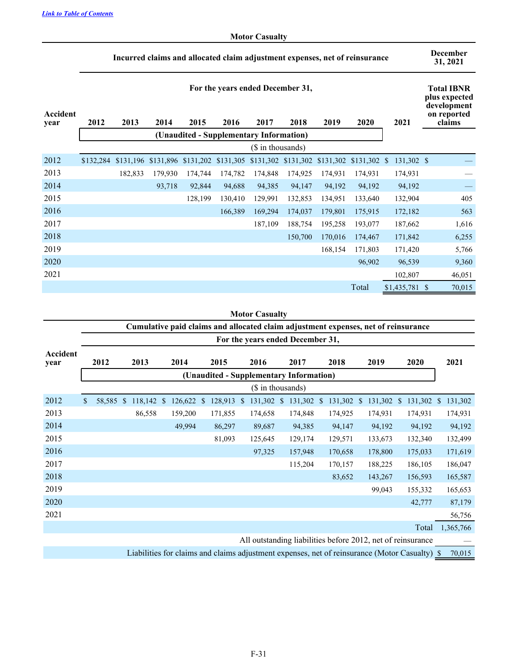|          |           |           | Incurred claims and allocated claim adjustment expenses, net of reinsurance |           |                                         |                   |                     |           |               |                 | <b>December</b><br>31, 2021                                      |
|----------|-----------|-----------|-----------------------------------------------------------------------------|-----------|-----------------------------------------|-------------------|---------------------|-----------|---------------|-----------------|------------------------------------------------------------------|
| Accident |           |           |                                                                             |           | For the years ended December 31,        |                   |                     |           |               |                 | <b>Total IBNR</b><br>plus expected<br>development<br>on reported |
| year     | 2012      | 2013      | 2014                                                                        | 2015      | 2016                                    | 2017              | 2018                | 2019      | 2020          | 2021            | claims                                                           |
|          |           |           |                                                                             |           | (Unaudited - Supplementary Information) |                   |                     |           |               |                 |                                                                  |
|          |           |           |                                                                             |           |                                         | (\$ in thousands) |                     |           |               |                 |                                                                  |
| 2012     | \$132,284 | \$131,196 | \$131,896                                                                   | \$131,202 | \$131,305                               |                   | \$131,302 \$131,302 | \$131,302 | $$131,302$ \$ | 131,302 \$      |                                                                  |
| 2013     |           | 182,833   | 179,930                                                                     | 174,744   | 174,782                                 | 174,848           | 174,925             | 174,931   | 174,931       | 174,931         |                                                                  |
| 2014     |           |           | 93,718                                                                      | 92,844    | 94,688                                  | 94,385            | 94,147              | 94,192    | 94,192        | 94,192          |                                                                  |
| 2015     |           |           |                                                                             | 128,199   | 130,410                                 | 129,991           | 132,853             | 134,951   | 133,640       | 132,904         | 405                                                              |
| 2016     |           |           |                                                                             |           | 166,389                                 | 169,294           | 174,037             | 179,801   | 175,915       | 172,182         | 563                                                              |
| 2017     |           |           |                                                                             |           |                                         | 187,109           | 188,754             | 195,258   | 193,077       | 187,662         | 1,616                                                            |
| 2018     |           |           |                                                                             |           |                                         |                   | 150,700             | 170,016   | 174,467       | 171,842         | 6,255                                                            |
| 2019     |           |           |                                                                             |           |                                         |                   |                     | 168,154   | 171,803       | 171,420         | 5,766                                                            |
| 2020     |           |           |                                                                             |           |                                         |                   |                     |           | 96,902        | 96,539          | 9,360                                                            |
| 2021     |           |           |                                                                             |           |                                         |                   |                     |           |               | 102,807         | 46,051                                                           |
|          |           |           |                                                                             |           |                                         |                   |                     |           | Total         | $$1,435,781$ \$ | 70,015                                                           |

**Motor Casualty**

|                  |              |           |         |              |                    |                                     | <b>Motor Casualty</b> |                                                                                    |              |         |              |         |              |                                                                                                                                                     |               |
|------------------|--------------|-----------|---------|--------------|--------------------|-------------------------------------|-----------------------|------------------------------------------------------------------------------------|--------------|---------|--------------|---------|--------------|-----------------------------------------------------------------------------------------------------------------------------------------------------|---------------|
|                  |              |           |         |              |                    |                                     |                       | Cumulative paid claims and allocated claim adjustment expenses, net of reinsurance |              |         |              |         |              |                                                                                                                                                     |               |
|                  |              |           |         |              |                    |                                     |                       | For the years ended December 31,                                                   |              |         |              |         |              |                                                                                                                                                     |               |
| Accident<br>year |              | 2012      | 2013    |              | 2014               | 2015                                | 2016                  | 2017                                                                               |              | 2018    |              | 2019    |              | 2020                                                                                                                                                | 2021          |
|                  |              |           |         |              |                    |                                     |                       | (Unaudited - Supplementary Information)                                            |              |         |              |         |              |                                                                                                                                                     |               |
|                  |              |           |         |              |                    |                                     | (\$ in thousands)     |                                                                                    |              |         |              |         |              |                                                                                                                                                     |               |
| 2012             | $\mathbb{S}$ | 58,585 \$ | 118,142 | $\mathbb{S}$ | $126,622 \text{ }$ | 128,913 \$                          |                       | 131,302 \$ 131,302                                                                 | $\mathbb{S}$ | 131,302 | $\mathbb{S}$ | 131,302 | $\mathbb{S}$ | 131,302                                                                                                                                             | \$<br>131,302 |
| 2013             |              |           | 86,558  |              | 159,200            | 171,855                             | 174,658               | 174,848                                                                            |              | 174,925 |              | 174,931 |              | 174,931                                                                                                                                             | 174,931       |
| 2014             |              |           |         |              | 49,994             | 86,297                              | 89,687                | 94,385                                                                             |              | 94,147  |              | 94,192  |              | 94,192                                                                                                                                              | 94,192        |
| 2015             |              |           |         |              |                    | 81,093                              | 125,645               | 129,174                                                                            |              | 129,571 |              | 133,673 |              | 132,340                                                                                                                                             | 132,499       |
| 2016             |              |           |         |              |                    |                                     | 97,325                | 157,948                                                                            |              | 170,658 |              | 178,800 |              | 175,033                                                                                                                                             | 171,619       |
| 2017             |              |           |         |              |                    |                                     |                       | 115,204                                                                            |              | 170,157 |              | 188,225 |              | 186,105                                                                                                                                             | 186,047       |
| 2018             |              |           |         |              |                    |                                     |                       |                                                                                    |              | 83,652  |              | 143,267 |              | 156,593                                                                                                                                             | 165,587       |
| 2019             |              |           |         |              |                    |                                     |                       |                                                                                    |              |         |              | 99,043  |              | 155,332                                                                                                                                             | 165,653       |
| 2020             |              |           |         |              |                    |                                     |                       |                                                                                    |              |         |              |         |              | 42,777                                                                                                                                              | 87,179        |
| 2021             |              |           |         |              |                    |                                     |                       |                                                                                    |              |         |              |         |              |                                                                                                                                                     | 56,756        |
|                  |              |           |         |              |                    |                                     |                       |                                                                                    |              |         |              |         |              | Total                                                                                                                                               | 1,365,766     |
|                  |              |           |         |              |                    |                                     |                       | All outstanding liabilities before 2012, net of reinsurance                        |              |         |              |         |              |                                                                                                                                                     |               |
|                  |              |           |         |              |                    | the contract of the contract of the |                       |                                                                                    |              |         |              |         |              | $\mathbf{a}$ and $\mathbf{a}$ are the set of $\mathbf{a}$ and $\mathbf{a}$ are the set of $\mathbf{a}$ and $\mathbf{a}$ are the set of $\mathbf{a}$ |               |

Liabilities for claims and claims adjustment expenses, net of reinsurance (Motor Casualty)  $\frac{\$}{\$}$  70,015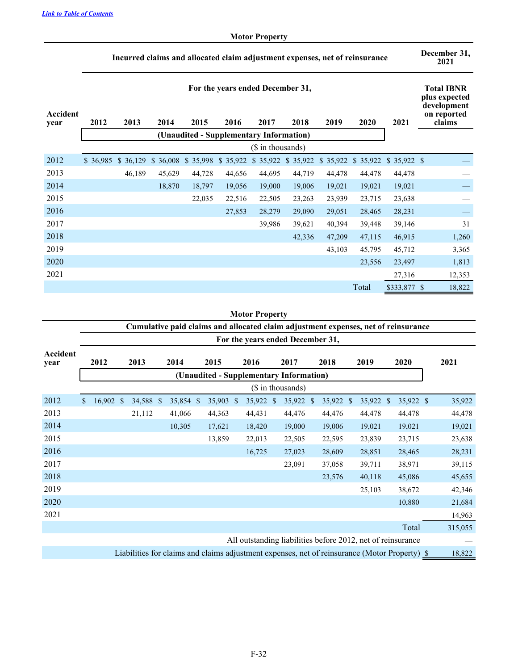|                  |          |          |          |          | Incurred claims and allocated claim adjustment expenses, net of reinsurance |                   |        |        |                                                      |              | December 31,<br>2021                              |
|------------------|----------|----------|----------|----------|-----------------------------------------------------------------------------|-------------------|--------|--------|------------------------------------------------------|--------------|---------------------------------------------------|
|                  |          |          |          |          | For the years ended December 31,                                            |                   |        |        |                                                      |              | <b>Total IBNR</b><br>plus expected<br>development |
| Accident<br>vear | 2012     | 2013     | 2014     | 2015     | 2016                                                                        | 2017              | 2018   | 2019   | 2020                                                 | 2021         | on reported<br>claims                             |
|                  |          |          |          |          | (Unaudited - Supplementary Information)                                     |                   |        |        |                                                      |              |                                                   |
|                  |          |          |          |          |                                                                             | (\$ in thousands) |        |        |                                                      |              |                                                   |
| 2012             | \$36,985 | \$36,129 | \$36,008 | \$35,998 | \$35,922                                                                    |                   |        |        | \$ 35,922 \$ 35,922 \$ 35,922 \$ 35,922 \$ 35,922 \$ |              |                                                   |
| 2013             |          | 46,189   | 45,629   | 44,728   | 44,656                                                                      | 44,695            | 44,719 | 44,478 | 44,478                                               | 44,478       |                                                   |
| 2014             |          |          | 18,870   | 18,797   | 19,056                                                                      | 19,000            | 19,006 | 19,021 | 19,021                                               | 19,021       |                                                   |
| 2015             |          |          |          | 22,035   | 22,516                                                                      | 22,505            | 23,263 | 23,939 | 23,715                                               | 23,638       |                                                   |
| 2016             |          |          |          |          | 27,853                                                                      | 28,279            | 29,090 | 29,051 | 28,465                                               | 28,231       |                                                   |
| 2017             |          |          |          |          |                                                                             | 39,986            | 39,621 | 40,394 | 39,448                                               | 39,146       | 31                                                |
| 2018             |          |          |          |          |                                                                             |                   | 42,336 | 47,209 | 47,115                                               | 46,915       | 1,260                                             |
| 2019             |          |          |          |          |                                                                             |                   |        | 43,103 | 45,795                                               | 45,712       | 3,365                                             |
| 2020             |          |          |          |          |                                                                             |                   |        |        | 23,556                                               | 23,497       | 1,813                                             |
| 2021             |          |          |          |          |                                                                             |                   |        |        |                                                      | 27,316       | 12,353                                            |
|                  |          |          |          |          |                                                                             |                   |        |        | Total                                                | \$333,877 \$ | 18,822                                            |

|                  |                 |           |           |        |               | <b>Motor Property</b> |               |                                         |               |        |               |           |                                                                                    |        |
|------------------|-----------------|-----------|-----------|--------|---------------|-----------------------|---------------|-----------------------------------------|---------------|--------|---------------|-----------|------------------------------------------------------------------------------------|--------|
|                  |                 |           |           |        |               |                       |               |                                         |               |        |               |           | Cumulative paid claims and allocated claim adjustment expenses, net of reinsurance |        |
|                  |                 |           |           |        |               |                       |               | For the years ended December 31,        |               |        |               |           |                                                                                    |        |
| Accident<br>year | 2012            | 2013      | 2014      | 2015   |               | 2016                  |               | 2017                                    |               | 2018   |               | 2019      | 2020                                                                               | 2021   |
|                  |                 |           |           |        |               |                       |               | (Unaudited - Supplementary Information) |               |        |               |           |                                                                                    |        |
|                  |                 |           |           |        |               |                       |               | (\$ in thousands)                       |               |        |               |           |                                                                                    |        |
| 2012             | \$<br>16,902 \$ | 34,588 \$ | 35,854 \$ | 35,903 | <sup>\$</sup> | 35,922                | <sup>\$</sup> | 35,922                                  | <sup>\$</sup> | 35,922 | <sup>\$</sup> | 35,922 \$ | 35,922 \$                                                                          | 35,922 |
| 2013             |                 | 21,112    | 41,066    | 44,363 |               | 44,431                |               | 44,476                                  |               | 44,476 |               | 44,478    | 44,478                                                                             | 44,478 |
| 2014             |                 |           | 10,305    | 17,621 |               | 18,420                |               | 19,000                                  |               | 19,006 |               | 19,021    | 19,021                                                                             | 19,021 |
| 2015             |                 |           |           | 13,859 |               | 22,013                |               | 22,505                                  |               | 22,595 |               | 23,839    | 23,715                                                                             | 23,638 |
| 2016             |                 |           |           |        |               | 16,725                |               | 27,023                                  |               | 28,609 |               | 28,851    | 28,465                                                                             | 28,231 |
| 2017             |                 |           |           |        |               |                       |               | 23,091                                  |               | 37,058 |               | 39,711    | 38,971                                                                             | 39,115 |
| 2018             |                 |           |           |        |               |                       |               |                                         |               | 23,576 |               | 40,118    | 45,086                                                                             | 45,655 |
| 2019             |                 |           |           |        |               |                       |               |                                         |               |        |               | 25,103    | 38,672                                                                             | 42,346 |
| 2020             |                 |           |           |        |               |                       |               |                                         |               |        |               |           | 10,880                                                                             | 21,684 |
| 2021             |                 |           |           |        |               |                       |               |                                         |               |        |               |           |                                                                                    | 14,963 |

| 315.055 | Total                                                                                         |
|---------|-----------------------------------------------------------------------------------------------|
|         | All outstanding liabilities before 2012, net of reinsurance                                   |
| 18.822  | Liabilities for claims and claims adjustment expenses, net of reinsurance (Motor Property) \$ |

# **Motor Property**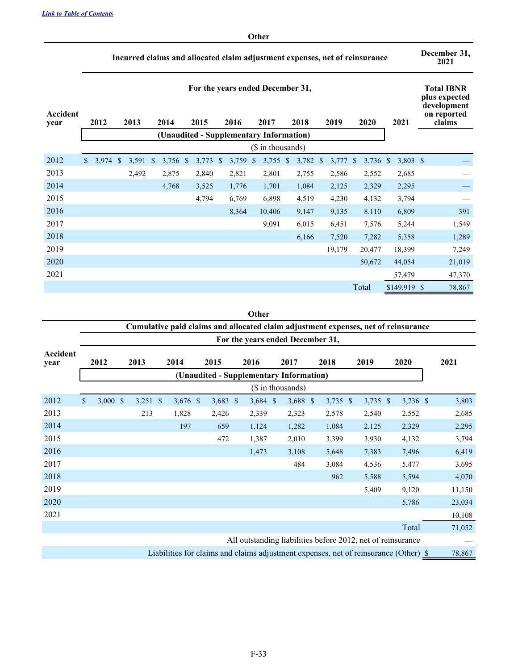|                  |              |            |       |            | Incurred claims and allocated claim adjustment expenses, net of reinsurance |               |       |              |       |               |                                         |       |               |        |                    |          |               | December 31,<br>2021                              |
|------------------|--------------|------------|-------|------------|-----------------------------------------------------------------------------|---------------|-------|--------------|-------|---------------|-----------------------------------------|-------|---------------|--------|--------------------|----------|---------------|---------------------------------------------------|
|                  |              |            |       |            |                                                                             |               |       |              |       |               | For the years ended December 31,        |       |               |        |                    |          |               | <b>Total IBNR</b><br>plus expected<br>development |
| Accident<br>year |              | 2012       | 2013  |            | 2014                                                                        |               | 2015  |              | 2016  |               | 2017                                    | 2018  |               | 2019   |                    | 2020     | 2021          | on reported<br>claims                             |
|                  |              |            |       |            |                                                                             |               |       |              |       |               | (Unaudited - Supplementary Information) |       |               |        |                    |          |               |                                                   |
|                  |              |            |       |            |                                                                             |               |       |              |       |               | (\$ in thousands)                       |       |               |        |                    |          |               |                                                   |
| 2012             | $\mathbf{s}$ | $3,974$ \$ | 3,591 | $\sqrt{3}$ | 3,756                                                                       | $\mathcal{S}$ | 3,773 | $\mathbb{S}$ | 3,759 | $\mathbf{\$}$ | $3,755$ \$                              | 3,782 | <sup>\$</sup> | 3,777  | $\mathbf{\hat{s}}$ | 3,736 \$ | $3,803$ \$    |                                                   |
| 2013             |              |            | 2,492 |            | 2,875                                                                       |               | 2,840 |              | 2,821 |               | 2,801                                   | 2,755 |               | 2,586  |                    | 2,552    | 2,685         |                                                   |
| 2014             |              |            |       |            | 4,768                                                                       |               | 3,525 |              | 1,776 |               | 1,701                                   | 1,084 |               | 2,125  |                    | 2,329    | 2,295         |                                                   |
| 2015             |              |            |       |            |                                                                             |               | 4,794 |              | 6,769 |               | 6,898                                   | 4,519 |               | 4,230  |                    | 4,132    | 3,794         |                                                   |
| 2016             |              |            |       |            |                                                                             |               |       |              | 8,364 |               | 10,406                                  | 9,147 |               | 9,135  |                    | 8,110    | 6,809         | 391                                               |
| 2017             |              |            |       |            |                                                                             |               |       |              |       |               | 9,091                                   | 6,015 |               | 6,451  |                    | 7,576    | 5,244         | 1,549                                             |
| 2018             |              |            |       |            |                                                                             |               |       |              |       |               |                                         | 6,166 |               | 7,520  |                    | 7,282    | 5,358         | 1,289                                             |
| 2019             |              |            |       |            |                                                                             |               |       |              |       |               |                                         |       |               | 19,179 |                    | 20,477   | 18,399        | 7,249                                             |
| 2020             |              |            |       |            |                                                                             |               |       |              |       |               |                                         |       |               |        |                    | 50,672   | 44,054        | 21,019                                            |
| 2021             |              |            |       |            |                                                                             |               |       |              |       |               |                                         |       |               |        |                    |          | 57,479        | 47,370                                            |
|                  |              |            |       |            |                                                                             |               |       |              |       |               |                                         |       |               |        |                    | Total    | $$149.919$ \$ | 78,867                                            |

**Other**

| Other            |                                                              |                     |  |            |  |            |  |          |  |                                  |  |          |  |            |            |                                                                                    |  |        |
|------------------|--------------------------------------------------------------|---------------------|--|------------|--|------------|--|----------|--|----------------------------------|--|----------|--|------------|------------|------------------------------------------------------------------------------------|--|--------|
|                  |                                                              |                     |  |            |  |            |  |          |  |                                  |  |          |  |            |            | Cumulative paid claims and allocated claim adjustment expenses, net of reinsurance |  |        |
|                  |                                                              |                     |  |            |  |            |  |          |  | For the years ended December 31, |  |          |  |            |            |                                                                                    |  |        |
| Accident<br>year |                                                              | 2012                |  | 2013       |  | 2014       |  | 2015     |  | 2016                             |  | 2017     |  | 2018       | 2019       | 2020                                                                               |  | 2021   |
|                  | (Unaudited - Supplementary Information)<br>(\$ in thousands) |                     |  |            |  |            |  |          |  |                                  |  |          |  |            |            |                                                                                    |  |        |
|                  |                                                              |                     |  |            |  |            |  |          |  |                                  |  |          |  |            |            |                                                                                    |  |        |
| 2012             | \$                                                           | $3,000 \text{ }$ \$ |  | $3,251$ \$ |  | $3,676$ \$ |  | 3,683 \$ |  | 3,684 \$                         |  | 3,688 \$ |  | $3,735$ \$ | $3,735$ \$ | 3,736 \$                                                                           |  | 3,803  |
| 2013             |                                                              |                     |  | 213        |  | 1,828      |  | 2,426    |  | 2,339                            |  | 2,323    |  | 2,578      | 2,540      | 2,552                                                                              |  | 2,685  |
| 2014             |                                                              |                     |  |            |  | 197        |  | 659      |  | 1,124                            |  | 1,282    |  | 1,084      | 2,125      | 2,329                                                                              |  | 2,295  |
| 2015             |                                                              |                     |  |            |  |            |  | 472      |  | 1,387                            |  | 2,010    |  | 3,399      | 3,930      | 4,132                                                                              |  | 3,794  |
| 2016             |                                                              |                     |  |            |  |            |  |          |  | 1,473                            |  | 3,108    |  | 5,648      | 7,383      | 7,496                                                                              |  | 6,419  |
| 2017             |                                                              |                     |  |            |  |            |  |          |  |                                  |  | 484      |  | 3,084      | 4,536      | 5,477                                                                              |  | 3,695  |
| 2018             |                                                              |                     |  |            |  |            |  |          |  |                                  |  |          |  | 962        | 5,588      | 5,594                                                                              |  | 4,070  |
| 2019             |                                                              |                     |  |            |  |            |  |          |  |                                  |  |          |  |            | 5,409      | 9,120                                                                              |  | 11,150 |
| 2020             |                                                              |                     |  |            |  |            |  |          |  |                                  |  |          |  |            |            | 5,786                                                                              |  | 23,034 |
| 2021             |                                                              |                     |  |            |  |            |  |          |  |                                  |  |          |  |            |            |                                                                                    |  | 10,108 |
|                  |                                                              |                     |  |            |  |            |  |          |  |                                  |  |          |  |            |            | Total                                                                              |  | 71,052 |
|                  |                                                              |                     |  |            |  |            |  |          |  |                                  |  |          |  |            |            | All outstanding liabilities before 2012, net of reinsurance                        |  |        |

Liabilities for claims and claims adjustment expenses, net of reinsurance (Other)  $\frac{\$}{\$}$  78,867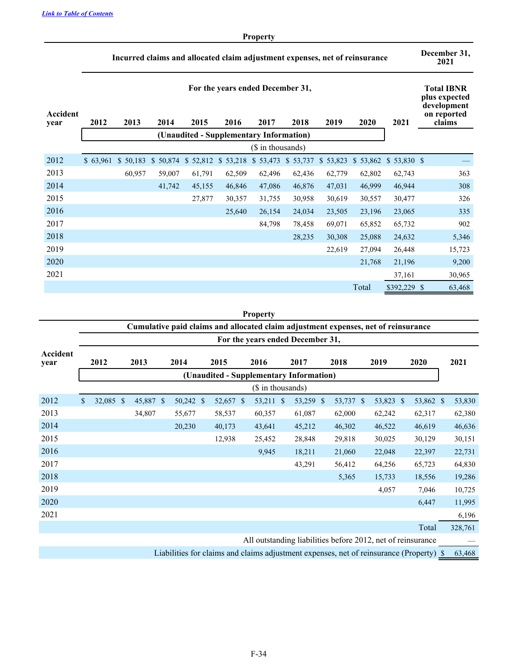|      |                                              |          | Incurred claims and allocated claim adjustment expenses, net of reinsurance |          |        |        |                            |          |          |               | December 31,<br>2021  |  |  |  |
|------|----------------------------------------------|----------|-----------------------------------------------------------------------------|----------|--------|--------|----------------------------|----------|----------|---------------|-----------------------|--|--|--|
|      | For the years ended December 31,<br>Accident |          |                                                                             |          |        |        |                            |          |          |               |                       |  |  |  |
| year | 2012                                         | 2013     | 2014                                                                        | 2015     | 2016   | 2017   | 2018                       | 2019     | 2020     | 2021          | on reported<br>claims |  |  |  |
|      |                                              |          |                                                                             |          |        |        |                            |          |          |               |                       |  |  |  |
|      |                                              |          |                                                                             |          |        |        |                            |          |          |               |                       |  |  |  |
| 2012 | \$63.961                                     | \$50,183 | \$50,874                                                                    | \$52,812 |        |        | \$53,218 \$53,473 \$53,737 | \$53,823 | \$53,862 | $$53,830$ \$  |                       |  |  |  |
| 2013 |                                              | 60,957   | 59,007                                                                      | 61,791   | 62,509 | 62,496 | 62,436                     | 62,779   | 62,802   | 62,743        | 363                   |  |  |  |
| 2014 |                                              |          | 41,742                                                                      | 45,155   | 46,846 | 47,086 | 46,876                     | 47,031   | 46,999   | 46,944        | 308                   |  |  |  |
| 2015 |                                              |          |                                                                             | 27,877   | 30,357 | 31,755 | 30,958                     | 30,619   | 30,557   | 30,477        | 326                   |  |  |  |
| 2016 |                                              |          |                                                                             |          | 25,640 | 26,154 | 24,034                     | 23,505   | 23,196   | 23,065        | 335                   |  |  |  |
| 2017 |                                              |          |                                                                             |          |        | 84,798 | 78,458                     | 69,071   | 65,852   | 65,732        | 902                   |  |  |  |
| 2018 |                                              |          |                                                                             |          |        |        | 28,235                     | 30,308   | 25,088   | 24,632        | 5,346                 |  |  |  |
| 2019 |                                              |          |                                                                             |          |        |        |                            | 22,619   | 27,094   | 26,448        | 15,723                |  |  |  |
| 2020 |                                              |          |                                                                             |          |        |        |                            |          | 21,768   | 21,196        | 9,200                 |  |  |  |
| 2021 |                                              |          |                                                                             |          |        |        |                            |          |          | 37,161        | 30,965                |  |  |  |
|      |                                              |          |                                                                             |          |        |        |                            |          | Total    | $$392,229$ \$ | 63,468                |  |  |  |

**Property**

|                  |              |           |                                                                                    |           |           | <b>Property</b>                         |           |           |           |                                                             |         |
|------------------|--------------|-----------|------------------------------------------------------------------------------------|-----------|-----------|-----------------------------------------|-----------|-----------|-----------|-------------------------------------------------------------|---------|
|                  |              |           | Cumulative paid claims and allocated claim adjustment expenses, net of reinsurance |           |           |                                         |           |           |           |                                                             |         |
|                  |              |           |                                                                                    |           |           | For the years ended December 31,        |           |           |           |                                                             |         |
| Accident<br>year |              | 2012      | 2013                                                                               | 2014      | 2015      | 2016                                    | 2017      | 2018      | 2019      | 2020                                                        | 2021    |
|                  |              |           |                                                                                    |           |           | (Unaudited - Supplementary Information) |           |           |           |                                                             |         |
|                  |              |           |                                                                                    |           |           | (\$ in thousands)                       |           |           |           |                                                             |         |
| 2012             | $\mathbb{S}$ | 32,085 \$ | 45,887 \$                                                                          | 50,242 \$ | 52,657 \$ | 53,211 \$                               | 53,259 \$ | 53,737 \$ | 53,823 \$ | 53,862 \$                                                   | 53,830  |
| 2013             |              |           | 34,807                                                                             | 55,677    | 58,537    | 60,357                                  | 61,087    | 62,000    | 62,242    | 62,317                                                      | 62,380  |
| 2014             |              |           |                                                                                    | 20,230    | 40,173    | 43,641                                  | 45,212    | 46,302    | 46,522    | 46,619                                                      | 46,636  |
| 2015             |              |           |                                                                                    |           | 12,938    | 25,452                                  | 28,848    | 29,818    | 30,025    | 30,129                                                      | 30,151  |
| 2016             |              |           |                                                                                    |           |           | 9,945                                   | 18,211    | 21,060    | 22,048    | 22,397                                                      | 22,731  |
| 2017             |              |           |                                                                                    |           |           |                                         | 43,291    | 56,412    | 64,256    | 65,723                                                      | 64,830  |
| 2018             |              |           |                                                                                    |           |           |                                         |           | 5,365     | 15,733    | 18,556                                                      | 19,286  |
| 2019             |              |           |                                                                                    |           |           |                                         |           |           | 4,057     | 7,046                                                       | 10,725  |
| 2020             |              |           |                                                                                    |           |           |                                         |           |           |           | 6,447                                                       | 11,995  |
| 2021             |              |           |                                                                                    |           |           |                                         |           |           |           |                                                             | 6,196   |
|                  |              |           |                                                                                    |           |           |                                         |           |           |           | Total                                                       | 328,761 |
|                  |              |           |                                                                                    |           |           |                                         |           |           |           | All outstanding liabilities before 2012, net of reinsurance |         |

Liabilities for claims and claims adjustment expenses, net of reinsurance (Property)  $\frac{\$}{\$}$  63,468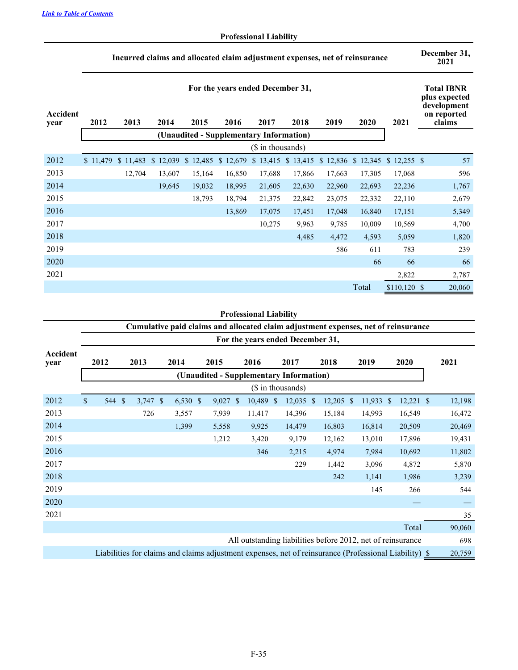|                  |      |                     | Incurred claims and allocated claim adjustment expenses, net of reinsurance |          | December 31,<br>2021                     |                   |                     |          |          |               |                                                                            |
|------------------|------|---------------------|-----------------------------------------------------------------------------|----------|------------------------------------------|-------------------|---------------------|----------|----------|---------------|----------------------------------------------------------------------------|
| Accident<br>year | 2012 | 2013                | 2014                                                                        | 2015     | For the years ended December 31,<br>2016 | 2017              | 2018                | 2019     | 2020     | 2021          | <b>Total IBNR</b><br>plus expected<br>development<br>on reported<br>claims |
|                  |      |                     |                                                                             |          | (Unaudited - Supplementary Information)  |                   |                     |          |          |               |                                                                            |
|                  |      |                     |                                                                             |          |                                          | (\$ in thousands) |                     |          |          |               |                                                                            |
| 2012             |      | $$11,479$ $$11,483$ | \$12,039                                                                    | \$12,485 | 12,679<br>$\mathbb{S}$                   |                   | $$13,415$ $$13,415$ | \$12,836 | \$12,345 | $$12,255$ \;  | 57                                                                         |
| 2013             |      | 12,704              | 13,607                                                                      | 15,164   | 16,850                                   | 17,688            | 17,866              | 17,663   | 17,305   | 17,068        | 596                                                                        |
| 2014             |      |                     | 19,645                                                                      | 19,032   | 18,995                                   | 21,605            | 22,630              | 22,960   | 22,693   | 22,236        | 1,767                                                                      |
| 2015             |      |                     |                                                                             | 18,793   | 18,794                                   | 21,375            | 22,842              | 23,075   | 22,332   | 22,110        | 2,679                                                                      |
| 2016             |      |                     |                                                                             |          | 13,869                                   | 17,075            | 17,451              | 17,048   | 16,840   | 17,151        | 5,349                                                                      |
| 2017             |      |                     |                                                                             |          |                                          | 10,275            | 9,963               | 9,785    | 10,009   | 10,569        | 4,700                                                                      |
| 2018             |      |                     |                                                                             |          |                                          |                   | 4,485               | 4,472    | 4,593    | 5,059         | 1,820                                                                      |
| 2019             |      |                     |                                                                             |          |                                          |                   |                     | 586      | 611      | 783           | 239                                                                        |
| 2020             |      |                     |                                                                             |          |                                          |                   |                     |          | 66       | 66            | 66                                                                         |
| 2021             |      |                     |                                                                             |          |                                          |                   |                     |          |          | 2,822         | 2,787                                                                      |
|                  |      |                     |                                                                             |          |                                          |                   |                     |          | Total    | $$110,120$ \$ | 20,060                                                                     |

**Professional Liability**

|                                         | <b>Professional Liability</b> |        |  |            |  |            |  |                                                                                    |  |                                  |              |                   |  |             |        |               |             |  |        |
|-----------------------------------------|-------------------------------|--------|--|------------|--|------------|--|------------------------------------------------------------------------------------|--|----------------------------------|--------------|-------------------|--|-------------|--------|---------------|-------------|--|--------|
|                                         |                               |        |  |            |  |            |  | Cumulative paid claims and allocated claim adjustment expenses, net of reinsurance |  |                                  |              |                   |  |             |        |               |             |  |        |
|                                         |                               |        |  |            |  |            |  |                                                                                    |  | For the years ended December 31, |              |                   |  |             |        |               |             |  |        |
| Accident<br>vear                        |                               | 2012   |  | 2013       |  | 2014       |  | 2015                                                                               |  | 2016                             |              | 2017              |  | 2018        | 2019   |               | 2020        |  | 2021   |
| (Unaudited - Supplementary Information) |                               |        |  |            |  |            |  |                                                                                    |  |                                  |              |                   |  |             |        |               |             |  |        |
|                                         |                               |        |  |            |  |            |  |                                                                                    |  |                                  |              | (\$ in thousands) |  |             |        |               |             |  |        |
| 2012                                    | $\mathbb{S}$                  | 544 \$ |  | $3,747$ \$ |  | $6,530$ \$ |  | $9,027$ \$                                                                         |  | 10,489                           | <sup>S</sup> | $12,035$ \$       |  | $12,205$ \$ | 11,933 | <sup>\$</sup> | $12,221$ \$ |  | 12,198 |
| 2013                                    |                               |        |  | 726        |  | 3,557      |  | 7,939                                                                              |  | 11,417                           |              | 14,396            |  | 15,184      | 14,993 |               | 16,549      |  | 16,472 |
| 2014                                    |                               |        |  |            |  | 1,399      |  | 5,558                                                                              |  | 9,925                            |              | 14,479            |  | 16,803      | 16,814 |               | 20,509      |  | 20,469 |
| 2015                                    |                               |        |  |            |  |            |  | 1,212                                                                              |  | 3,420                            |              | 9,179             |  | 12,162      | 13,010 |               | 17,896      |  | 19,431 |
| 2016                                    |                               |        |  |            |  |            |  |                                                                                    |  | 346                              |              | 2,215             |  | 4,974       | 7,984  |               | 10,692      |  | 11,802 |
| 2017                                    |                               |        |  |            |  |            |  |                                                                                    |  |                                  |              | 229               |  | 1,442       | 3,096  |               | 4,872       |  | 5,870  |
| 2018                                    |                               |        |  |            |  |            |  |                                                                                    |  |                                  |              |                   |  | 242         | 1,141  |               | 1,986       |  | 3,239  |
| 2019                                    |                               |        |  |            |  |            |  |                                                                                    |  |                                  |              |                   |  |             | 145    |               | 266         |  | 544    |

2020 — —  $2021$  35

> All outstanding liabilities before 2012, net of reinsurance 698 Liabilities for claims and claims adjustment expenses, net of reinsurance (Professional Liability)  $\frac{\$}{\$}$  20,759

Total 90,060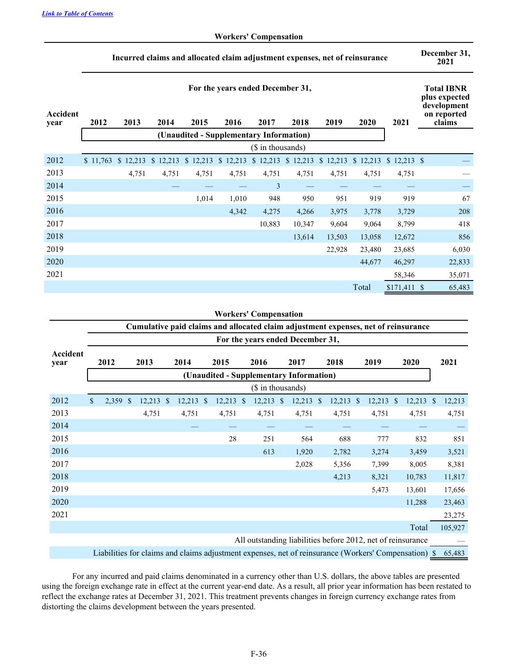|      |                                              |                     | Incurred claims and allocated claim adjustment expenses, net of reinsurance |          |       |                            |        |          |          |               | December 31,<br>2021  |  |  |  |  |
|------|----------------------------------------------|---------------------|-----------------------------------------------------------------------------|----------|-------|----------------------------|--------|----------|----------|---------------|-----------------------|--|--|--|--|
|      | For the years ended December 31,<br>Accident |                     |                                                                             |          |       |                            |        |          |          |               |                       |  |  |  |  |
| year | 2012                                         | 2013                | 2014                                                                        | 2015     | 2016  | 2017                       | 2018   | 2019     | 2020     | 2021          | on reported<br>claims |  |  |  |  |
|      |                                              |                     |                                                                             |          |       |                            |        |          |          |               |                       |  |  |  |  |
|      |                                              |                     |                                                                             |          |       |                            |        |          |          |               |                       |  |  |  |  |
| 2012 |                                              | $$11,763$ $$12,213$ | \$12,213                                                                    | \$12,213 |       | \$12,213 \$12,213 \$12,213 |        | \$12,213 | \$12,213 | $$12,213$ \\$ |                       |  |  |  |  |
| 2013 |                                              | 4,751               | 4,751                                                                       | 4,751    | 4,751 | 4,751                      | 4,751  | 4,751    | 4,751    | 4,751         |                       |  |  |  |  |
| 2014 |                                              |                     |                                                                             |          |       | 3                          |        |          |          |               |                       |  |  |  |  |
| 2015 |                                              |                     |                                                                             | 1,014    | 1,010 | 948                        | 950    | 951      | 919      | 919           | 67                    |  |  |  |  |
| 2016 |                                              |                     |                                                                             |          | 4,342 | 4,275                      | 4,266  | 3,975    | 3,778    | 3,729         | 208                   |  |  |  |  |
| 2017 |                                              |                     |                                                                             |          |       | 10,883                     | 10,347 | 9,604    | 9,064    | 8,799         | 418                   |  |  |  |  |
| 2018 |                                              |                     |                                                                             |          |       |                            | 13,614 | 13,503   | 13,058   | 12,672        | 856                   |  |  |  |  |
| 2019 |                                              |                     |                                                                             |          |       |                            |        | 22,928   | 23,480   | 23,685        | 6,030                 |  |  |  |  |
| 2020 |                                              |                     |                                                                             |          |       |                            |        |          | 44,677   | 46,297        | 22,833                |  |  |  |  |
| 2021 |                                              |                     |                                                                             |          |       |                            |        |          |          | 58,346        | 35,071                |  |  |  |  |
|      |                                              |                     |                                                                             |          |       |                            |        |          | Total    | $$171,411$ \$ | 65,483                |  |  |  |  |

## **Workers' Compensation**

|                  |                |             |             |             | <b>Workers' Compensation</b>                                                                         |             |             |             |             |         |
|------------------|----------------|-------------|-------------|-------------|------------------------------------------------------------------------------------------------------|-------------|-------------|-------------|-------------|---------|
|                  |                |             |             |             | Cumulative paid claims and allocated claim adjustment expenses, net of reinsurance                   |             |             |             |             |         |
|                  |                |             |             |             | For the years ended December 31,                                                                     |             |             |             |             |         |
| Accident<br>year | 2012           | 2013        | 2014        | 2015        | 2016                                                                                                 | 2017        | 2018        | 2019        | 2020        | 2021    |
|                  |                |             |             |             | (Unaudited - Supplementary Information)                                                              |             |             |             |             |         |
|                  |                |             |             |             | (\$ in thousands)                                                                                    |             |             |             |             |         |
| 2012             | \$<br>2,359 \$ | $12,213$ \$ | $12,213$ \$ | $12,213$ \$ | $12,213$ \$                                                                                          | $12,213$ \$ | $12,213$ \$ | $12,213$ \$ | $12,213$ \$ | 12,213  |
| 2013             |                | 4,751       | 4,751       | 4,751       | 4,751                                                                                                | 4,751       | 4,751       | 4,751       | 4,751       | 4,751   |
| 2014             |                |             |             |             |                                                                                                      |             |             |             |             |         |
| 2015             |                |             |             | 28          | 251                                                                                                  | 564         | 688         | 777         | 832         | 851     |
| 2016             |                |             |             |             | 613                                                                                                  | 1,920       | 2,782       | 3,274       | 3,459       | 3,521   |
| 2017             |                |             |             |             |                                                                                                      | 2,028       | 5,356       | 7,399       | 8,005       | 8,381   |
| 2018             |                |             |             |             |                                                                                                      |             | 4,213       | 8,321       | 10,783      | 11,817  |
| 2019             |                |             |             |             |                                                                                                      |             |             | 5,473       | 13,601      | 17,656  |
| 2020             |                |             |             |             |                                                                                                      |             |             |             | 11,288      | 23,463  |
| 2021             |                |             |             |             |                                                                                                      |             |             |             |             | 23,275  |
|                  |                |             |             |             |                                                                                                      |             |             |             | Total       | 105,927 |
|                  |                |             |             |             | All outstanding liabilities before 2012, net of reinsurance                                          |             |             |             |             |         |
|                  |                |             |             |             | Liabilities for claims and claims adjustment expenses, net of reinsurance (Workers' Compensation) \$ |             |             |             |             | 65,483  |

For any incurred and paid claims denominated in a currency other than U.S. dollars, the above tables are presented using the foreign exchange rate in effect at the current year-end date. As a result, all prior year information has been restated to reflect the exchange rates at December 31, 2021. This treatment prevents changes in foreign currency exchange rates from distorting the claims development between the years presented.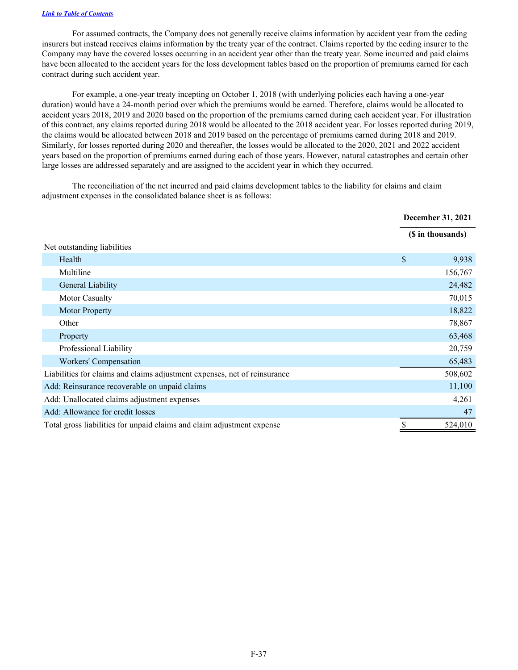#### *[Link to Table of Contents](#page-2-0)*

For assumed contracts, the Company does not generally receive claims information by accident year from the ceding insurers but instead receives claims information by the treaty year of the contract. Claims reported by the ceding insurer to the Company may have the covered losses occurring in an accident year other than the treaty year. Some incurred and paid claims have been allocated to the accident years for the loss development tables based on the proportion of premiums earned for each contract during such accident year.

For example, a one-year treaty incepting on October 1, 2018 (with underlying policies each having a one-year duration) would have a 24-month period over which the premiums would be earned. Therefore, claims would be allocated to accident years 2018, 2019 and 2020 based on the proportion of the premiums earned during each accident year. For illustration of this contract, any claims reported during 2018 would be allocated to the 2018 accident year. For losses reported during 2019, the claims would be allocated between 2018 and 2019 based on the percentage of premiums earned during 2018 and 2019. Similarly, for losses reported during 2020 and thereafter, the losses would be allocated to the 2020, 2021 and 2022 accident years based on the proportion of premiums earned during each of those years. However, natural catastrophes and certain other large losses are addressed separately and are assigned to the accident year in which they occurred.

The reconciliation of the net incurred and paid claims development tables to the liability for claims and claim adjustment expenses in the consolidated balance sheet is as follows:

|                                                                           | December 31, 2021 |
|---------------------------------------------------------------------------|-------------------|
|                                                                           | (\$ in thousands) |
| Net outstanding liabilities                                               |                   |
| Health                                                                    | \$<br>9,938       |
| Multiline                                                                 | 156,767           |
| General Liability                                                         | 24,482            |
| Motor Casualty                                                            | 70,015            |
| <b>Motor Property</b>                                                     | 18,822            |
| Other                                                                     | 78,867            |
| Property                                                                  | 63,468            |
| Professional Liability                                                    | 20,759            |
| Workers' Compensation                                                     | 65,483            |
| Liabilities for claims and claims adjustment expenses, net of reinsurance | 508,602           |
| Add: Reinsurance recoverable on unpaid claims                             | 11,100            |
| Add: Unallocated claims adjustment expenses                               | 4,261             |
| Add: Allowance for credit losses                                          | 47                |
| Total gross liabilities for unpaid claims and claim adjustment expense    | \$<br>524,010     |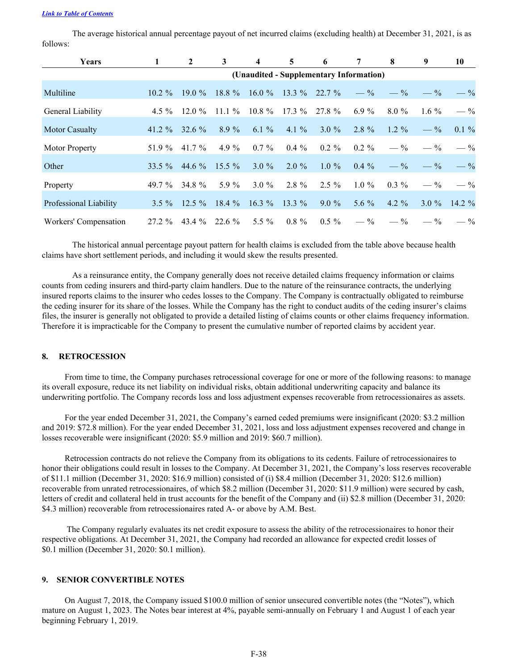#### *[Link to Table of Contents](#page-2-0)*

The average historical annual percentage payout of net incurred claims (excluding health) at December 31, 2021, is as follows:

| Years                  | $\mathbf{1}$ | 2         | 3        | $\overline{\mathbf{4}}$ | 5        | 6                                       | 7               | 8               | 9               | 10              |
|------------------------|--------------|-----------|----------|-------------------------|----------|-----------------------------------------|-----------------|-----------------|-----------------|-----------------|
|                        |              |           |          |                         |          | (Unaudited - Supplementary Information) |                 |                 |                 |                 |
| Multiline              | $10.2 \%$    | $19.0 \%$ | 18.8 %   | 16.0 $%$                | 13.3 $%$ | $22.7\%$                                | $- \frac{9}{6}$ | $- \frac{9}{6}$ | $- \frac{9}{6}$ | $-$ %           |
| General Liability      | 4.5 $\%$     | 12.0 $%$  | 11.1%    | $10.8 \%$               | $17.3\%$ | 27.8 %                                  | 6.9 $%$         | $8.0\%$         | $1.6\%$         | $-$ %           |
| <b>Motor Casualty</b>  | 41.2 $%$     | 32.6 $%$  | $8.9\%$  | 6.1 $%$                 | 4.1 $\%$ | 3.0%                                    | $2.8 \%$        | $1.2 \%$        | $- \frac{9}{6}$ | $0.1 \%$        |
| <b>Motor Property</b>  | 51.9 %       | 41.7 $\%$ | 4.9 $%$  | $0.7\%$                 | $0.4 \%$ | $0.2 \%$                                | $0.2 \%$        | $- \frac{9}{6}$ | $- \frac{9}{6}$ | $- \frac{9}{6}$ |
| Other                  | 33.5 $\%$    | 44.6 $%$  | 15.5 $%$ | $3.0\%$                 | $2.0 \%$ | $1.0\%$                                 | $0.4\%$         | $- \frac{9}{6}$ | $- \frac{9}{6}$ | $-$ %           |
| Property               | 49.7 $%$     | 34.8 %    | 5.9 $%$  | $3.0 \%$                | $2.8 \%$ | $2.5\%$                                 | $1.0 \%$        | $0.3 \%$        | $- \frac{9}{6}$ | $- \frac{9}{6}$ |
| Professional Liability | $3.5 \%$     | $12.5 \%$ | 18.4%    | 16.3 $%$                | 13.3 $%$ | $9.0\%$                                 | 5.6 $%$         | 4.2 $\%$        | $3.0 \%$        | 14.2 $%$        |
| Workers' Compensation  | $27.2 \%$    | 43.4 $%$  | 22.6 %   | 5.5 $\%$                | $0.8 \%$ | $0.5 \%$                                | $-$ %           | $-$ %           | $-$ %           | $- \frac{9}{6}$ |

The historical annual percentage payout pattern for health claims is excluded from the table above because health claims have short settlement periods, and including it would skew the results presented.

As a reinsurance entity, the Company generally does not receive detailed claims frequency information or claims counts from ceding insurers and third-party claim handlers. Due to the nature of the reinsurance contracts, the underlying insured reports claims to the insurer who cedes losses to the Company. The Company is contractually obligated to reimburse the ceding insurer for its share of the losses. While the Company has the right to conduct audits of the ceding insurer's claims files, the insurer is generally not obligated to provide a detailed listing of claims counts or other claims frequency information. Therefore it is impracticable for the Company to present the cumulative number of reported claims by accident year.

# **8. RETROCESSION**

From time to time, the Company purchases retrocessional coverage for one or more of the following reasons: to manage its overall exposure, reduce its net liability on individual risks, obtain additional underwriting capacity and balance its underwriting portfolio. The Company records loss and loss adjustment expenses recoverable from retrocessionaires as assets.

For the year ended December 31, 2021, the Company's earned ceded premiums were insignificant (2020: \$3.2 million and 2019: \$72.8 million). For the year ended December 31, 2021, loss and loss adjustment expenses recovered and change in losses recoverable were insignificant (2020: \$5.9 million and 2019: \$60.7 million).

Retrocession contracts do not relieve the Company from its obligations to its cedents. Failure of retrocessionaires to honor their obligations could result in losses to the Company. At December 31, 2021, the Company's loss reserves recoverable of \$11.1 million (December 31, 2020: \$16.9 million) consisted of (i) \$8.4 million (December 31, 2020: \$12.6 million) recoverable from unrated retrocessionaires, of which \$8.2 million (December 31, 2020: \$11.9 million) were secured by cash, letters of credit and collateral held in trust accounts for the benefit of the Company and (ii) \$2.8 million (December 31, 2020: \$4.3 million) recoverable from retrocessionaires rated A- or above by A.M. Best.

 The Company regularly evaluates its net credit exposure to assess the ability of the retrocessionaires to honor their respective obligations. At December 31, 2021, the Company had recorded an allowance for expected credit losses of \$0.1 million (December 31, 2020: \$0.1 million).

## **9. SENIOR CONVERTIBLE NOTES**

On August 7, 2018, the Company issued \$100.0 million of senior unsecured convertible notes (the "Notes"), which mature on August 1, 2023. The Notes bear interest at 4%, payable semi-annually on February 1 and August 1 of each year beginning February 1, 2019.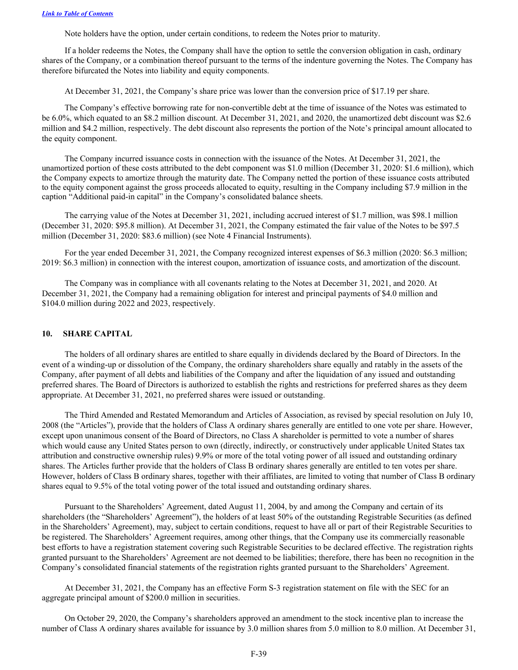Note holders have the option, under certain conditions, to redeem the Notes prior to maturity.

If a holder redeems the Notes, the Company shall have the option to settle the conversion obligation in cash, ordinary shares of the Company, or a combination thereof pursuant to the terms of the indenture governing the Notes. The Company has therefore bifurcated the Notes into liability and equity components.

At December 31, 2021, the Company's share price was lower than the conversion price of \$17.19 per share.

The Company's effective borrowing rate for non-convertible debt at the time of issuance of the Notes was estimated to be 6.0%, which equated to an \$8.2 million discount. At December 31, 2021, and 2020, the unamortized debt discount was \$2.6 million and \$4.2 million, respectively. The debt discount also represents the portion of the Note's principal amount allocated to the equity component.

The Company incurred issuance costs in connection with the issuance of the Notes. At December 31, 2021, the unamortized portion of these costs attributed to the debt component was \$1.0 million (December 31, 2020: \$1.6 million), which the Company expects to amortize through the maturity date. The Company netted the portion of these issuance costs attributed to the equity component against the gross proceeds allocated to equity, resulting in the Company including \$7.9 million in the caption "Additional paid-in capital" in the Company's consolidated balance sheets.

The carrying value of the Notes at December 31, 2021, including accrued interest of \$1.7 million, was \$98.1 million (December 31, 2020: \$95.8 million). At December 31, 2021, the Company estimated the fair value of the Notes to be \$97.5 million (December 31, 2020: \$83.6 million) (see Note 4 Financial Instruments).

For the year ended December 31, 2021, the Company recognized interest expenses of \$6.3 million (2020: \$6.3 million; 2019: \$6.3 million) in connection with the interest coupon, amortization of issuance costs, and amortization of the discount.

The Company was in compliance with all covenants relating to the Notes at December 31, 2021, and 2020. At December 31, 2021, the Company had a remaining obligation for interest and principal payments of \$4.0 million and \$104.0 million during 2022 and 2023, respectively.

### **10. SHARE CAPITAL**

The holders of all ordinary shares are entitled to share equally in dividends declared by the Board of Directors. In the event of a winding-up or dissolution of the Company, the ordinary shareholders share equally and ratably in the assets of the Company, after payment of all debts and liabilities of the Company and after the liquidation of any issued and outstanding preferred shares. The Board of Directors is authorized to establish the rights and restrictions for preferred shares as they deem appropriate. At December 31, 2021, no preferred shares were issued or outstanding.

The Third Amended and Restated Memorandum and Articles of Association, as revised by special resolution on July 10, 2008 (the "Articles"), provide that the holders of Class A ordinary shares generally are entitled to one vote per share. However, except upon unanimous consent of the Board of Directors, no Class A shareholder is permitted to vote a number of shares which would cause any United States person to own (directly, indirectly, or constructively under applicable United States tax attribution and constructive ownership rules) 9.9% or more of the total voting power of all issued and outstanding ordinary shares. The Articles further provide that the holders of Class B ordinary shares generally are entitled to ten votes per share. However, holders of Class B ordinary shares, together with their affiliates, are limited to voting that number of Class B ordinary shares equal to 9.5% of the total voting power of the total issued and outstanding ordinary shares.

Pursuant to the Shareholders' Agreement, dated August 11, 2004, by and among the Company and certain of its shareholders (the "Shareholders' Agreement"), the holders of at least 50% of the outstanding Registrable Securities (as defined in the Shareholders' Agreement), may, subject to certain conditions, request to have all or part of their Registrable Securities to be registered. The Shareholders' Agreement requires, among other things, that the Company use its commercially reasonable best efforts to have a registration statement covering such Registrable Securities to be declared effective. The registration rights granted pursuant to the Shareholders' Agreement are not deemed to be liabilities; therefore, there has been no recognition in the Company's consolidated financial statements of the registration rights granted pursuant to the Shareholders' Agreement.

At December 31, 2021, the Company has an effective Form S-3 registration statement on file with the SEC for an aggregate principal amount of \$200.0 million in securities.

On October 29, 2020, the Company's shareholders approved an amendment to the stock incentive plan to increase the number of Class A ordinary shares available for issuance by 3.0 million shares from 5.0 million to 8.0 million. At December 31,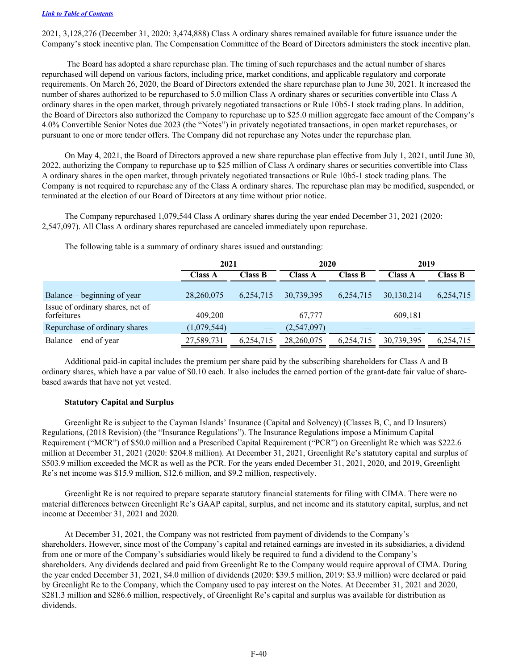2021, 3,128,276 (December 31, 2020: 3,474,888) Class A ordinary shares remained available for future issuance under the Company's stock incentive plan. The Compensation Committee of the Board of Directors administers the stock incentive plan.

 The Board has adopted a share repurchase plan. The timing of such repurchases and the actual number of shares repurchased will depend on various factors, including price, market conditions, and applicable regulatory and corporate requirements. On March 26, 2020, the Board of Directors extended the share repurchase plan to June 30, 2021. It increased the number of shares authorized to be repurchased to 5.0 million Class A ordinary shares or securities convertible into Class A ordinary shares in the open market, through privately negotiated transactions or Rule 10b5-1 stock trading plans. In addition, the Board of Directors also authorized the Company to repurchase up to \$25.0 million aggregate face amount of the Company's 4.0% Convertible Senior Notes due 2023 (the "Notes") in privately negotiated transactions, in open market repurchases, or pursuant to one or more tender offers. The Company did not repurchase any Notes under the repurchase plan.

On May 4, 2021, the Board of Directors approved a new share repurchase plan effective from July 1, 2021, until June 30, 2022, authorizing the Company to repurchase up to \$25 million of Class A ordinary shares or securities convertible into Class A ordinary shares in the open market, through privately negotiated transactions or Rule 10b5-1 stock trading plans. The Company is not required to repurchase any of the Class A ordinary shares. The repurchase plan may be modified, suspended, or terminated at the election of our Board of Directors at any time without prior notice.

The Company repurchased 1,079,544 Class A ordinary shares during the year ended December 31, 2021 (2020: 2,547,097). All Class A ordinary shares repurchased are canceled immediately upon repurchase.

|                                                 | 2021           |                | 2020           |                | 2019           |                |
|-------------------------------------------------|----------------|----------------|----------------|----------------|----------------|----------------|
|                                                 | <b>Class A</b> | <b>Class B</b> | <b>Class A</b> | <b>Class B</b> | <b>Class A</b> | <b>Class B</b> |
| Balance – beginning of year                     | 28,260,075     | 6,254,715      | 30,739,395     | 6,254,715      | 30,130,214     | 6,254,715      |
| Issue of ordinary shares, net of<br>forfeitures | 409,200        |                | 67,777         |                | 609.181        |                |
| Repurchase of ordinary shares                   | (1,079,544)    |                | (2,547,097)    |                |                |                |
| Balance – end of year                           | 27,589,731     | 6,254,715      | 28,260,075     | 6,254,715      | 30,739,395     | 6,254,715      |

The following table is a summary of ordinary shares issued and outstanding:

Additional paid-in capital includes the premium per share paid by the subscribing shareholders for Class A and B ordinary shares, which have a par value of \$0.10 each. It also includes the earned portion of the grant-date fair value of sharebased awards that have not yet vested.

# **Statutory Capital and Surplus**

Greenlight Re is subject to the Cayman Islands' Insurance (Capital and Solvency) (Classes B, C, and D Insurers) Regulations, (2018 Revision) (the "Insurance Regulations"). The Insurance Regulations impose a Minimum Capital Requirement ("MCR") of \$50.0 million and a Prescribed Capital Requirement ("PCR") on Greenlight Re which was \$222.6 million at December 31, 2021 (2020: \$204.8 million). At December 31, 2021, Greenlight Re's statutory capital and surplus of \$503.9 million exceeded the MCR as well as the PCR. For the years ended December 31, 2021, 2020, and 2019, Greenlight Re's net income was \$15.9 million, \$12.6 million, and \$9.2 million, respectively.

Greenlight Re is not required to prepare separate statutory financial statements for filing with CIMA. There were no material differences between Greenlight Re's GAAP capital, surplus, and net income and its statutory capital, surplus, and net income at December 31, 2021 and 2020.

At December 31, 2021, the Company was not restricted from payment of dividends to the Company's shareholders. However, since most of the Company's capital and retained earnings are invested in its subsidiaries, a dividend from one or more of the Company's subsidiaries would likely be required to fund a dividend to the Company's shareholders. Any dividends declared and paid from Greenlight Re to the Company would require approval of CIMA. During the year ended December 31, 2021, \$4.0 million of dividends (2020: \$39.5 million, 2019: \$3.9 million) were declared or paid by Greenlight Re to the Company, which the Company used to pay interest on the Notes. At December 31, 2021 and 2020, \$281.3 million and \$286.6 million, respectively, of Greenlight Re's capital and surplus was available for distribution as dividends.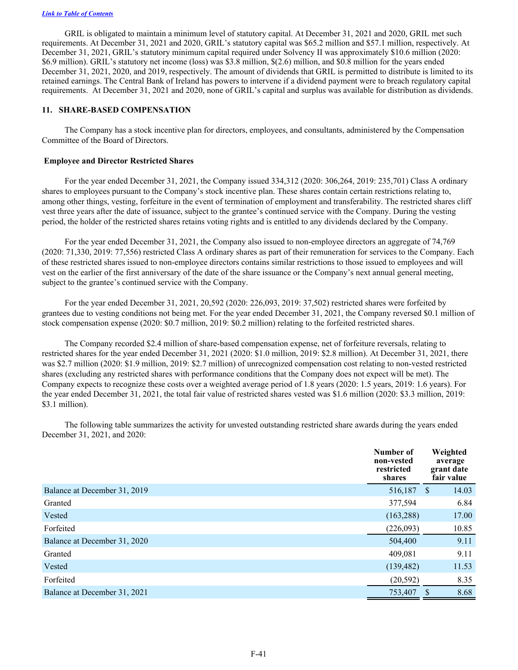GRIL is obligated to maintain a minimum level of statutory capital. At December 31, 2021 and 2020, GRIL met such requirements. At December 31, 2021 and 2020, GRIL's statutory capital was \$65.2 million and \$57.1 million, respectively. At December 31, 2021, GRIL's statutory minimum capital required under Solvency II was approximately \$10.6 million (2020: \$6.9 million). GRIL's statutory net income (loss) was \$3.8 million, \$(2.6) million, and \$0.8 million for the years ended December 31, 2021, 2020, and 2019, respectively. The amount of dividends that GRIL is permitted to distribute is limited to its retained earnings. The Central Bank of Ireland has powers to intervene if a dividend payment were to breach regulatory capital requirements. At December 31, 2021 and 2020, none of GRIL's capital and surplus was available for distribution as dividends.

## **11. SHARE-BASED COMPENSATION**

The Company has a stock incentive plan for directors, employees, and consultants, administered by the Compensation Committee of the Board of Directors.

### **Employee and Director Restricted Shares**

For the year ended December 31, 2021, the Company issued 334,312 (2020: 306,264, 2019: 235,701) Class A ordinary shares to employees pursuant to the Company's stock incentive plan. These shares contain certain restrictions relating to, among other things, vesting, forfeiture in the event of termination of employment and transferability. The restricted shares cliff vest three years after the date of issuance, subject to the grantee's continued service with the Company. During the vesting period, the holder of the restricted shares retains voting rights and is entitled to any dividends declared by the Company.

For the year ended December 31, 2021, the Company also issued to non-employee directors an aggregate of 74,769 (2020: 71,330, 2019: 77,556) restricted Class A ordinary shares as part of their remuneration for services to the Company. Each of these restricted shares issued to non-employee directors contains similar restrictions to those issued to employees and will vest on the earlier of the first anniversary of the date of the share issuance or the Company's next annual general meeting, subject to the grantee's continued service with the Company.

For the year ended December 31, 2021, 20,592 (2020: 226,093, 2019: 37,502) restricted shares were forfeited by grantees due to vesting conditions not being met. For the year ended December 31, 2021, the Company reversed \$0.1 million of stock compensation expense (2020: \$0.7 million, 2019: \$0.2 million) relating to the forfeited restricted shares.

The Company recorded \$2.4 million of share-based compensation expense, net of forfeiture reversals, relating to restricted shares for the year ended December 31, 2021 (2020: \$1.0 million, 2019: \$2.8 million). At December 31, 2021, there was \$2.7 million (2020: \$1.9 million, 2019: \$2.7 million) of unrecognized compensation cost relating to non-vested restricted shares (excluding any restricted shares with performance conditions that the Company does not expect will be met). The Company expects to recognize these costs over a weighted average period of 1.8 years (2020: 1.5 years, 2019: 1.6 years). For the year ended December 31, 2021, the total fair value of restricted shares vested was \$1.6 million (2020: \$3.3 million, 2019: \$3.1 million).

The following table summarizes the activity for unvested outstanding restricted share awards during the years ended December 31, 2021, and 2020:

|                              | Number of<br>non-vested<br>restricted<br>shares | Weighted<br>average<br>grant date<br>fair value |
|------------------------------|-------------------------------------------------|-------------------------------------------------|
| Balance at December 31, 2019 | 516,187                                         | 14.03<br>-S                                     |
| Granted                      | 377,594                                         | 6.84                                            |
| Vested                       | (163, 288)                                      | 17.00                                           |
| Forfeited                    | (226,093)                                       | 10.85                                           |
| Balance at December 31, 2020 | 504,400                                         | 9.11                                            |
| Granted                      | 409,081                                         | 9.11                                            |
| Vested                       | (139, 482)                                      | 11.53                                           |
| Forfeited                    | (20, 592)                                       | 8.35                                            |
| Balance at December 31, 2021 | 753,407                                         | 8.68<br>-S                                      |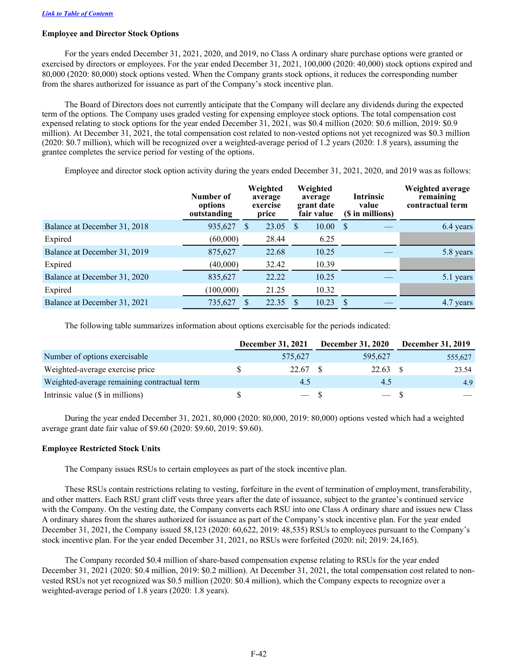#### **Employee and Director Stock Options**

For the years ended December 31, 2021, 2020, and 2019, no Class A ordinary share purchase options were granted or exercised by directors or employees. For the year ended December 31, 2021, 100,000 (2020: 40,000) stock options expired and 80,000 (2020: 80,000) stock options vested. When the Company grants stock options, it reduces the corresponding number from the shares authorized for issuance as part of the Company's stock incentive plan.

The Board of Directors does not currently anticipate that the Company will declare any dividends during the expected term of the options. The Company uses graded vesting for expensing employee stock options. The total compensation cost expensed relating to stock options for the year ended December 31, 2021, was \$0.4 million (2020: \$0.6 million, 2019: \$0.9 million). At December 31, 2021, the total compensation cost related to non-vested options not yet recognized was \$0.3 million (2020: \$0.7 million), which will be recognized over a weighted-average period of 1.2 years (2020: 1.8 years), assuming the grantee completes the service period for vesting of the options.

Employee and director stock option activity during the years ended December 31, 2021, 2020, and 2019 was as follows:

|                              | Number of<br>options<br>outstanding |   | Weighted<br>average<br>exercise<br>price |               | Weighted<br>average<br>grant date<br>fair value |              | Intrinsic<br>value<br>(\$ in millions) | Weighted average<br>remaining<br>contractual term |
|------------------------------|-------------------------------------|---|------------------------------------------|---------------|-------------------------------------------------|--------------|----------------------------------------|---------------------------------------------------|
| Balance at December 31, 2018 | 935,627                             | S | 23.05                                    | <b>S</b>      | 10.00                                           | <sup>S</sup> |                                        | 6.4 years                                         |
| Expired                      | (60,000)                            |   | 28.44                                    |               | 6.25                                            |              |                                        |                                                   |
| Balance at December 31, 2019 | 875,627                             |   | 22.68                                    |               | 10.25                                           |              |                                        | 5.8 years                                         |
| Expired                      | (40,000)                            |   | 32.42                                    |               | 10.39                                           |              |                                        |                                                   |
| Balance at December 31, 2020 | 835,627                             |   | 22.22                                    |               | 10.25                                           |              |                                        | 5.1 years                                         |
| Expired                      | 100,000                             |   | 21.25                                    |               | 10.32                                           |              |                                        |                                                   |
| Balance at December 31, 2021 | 735,627                             |   | 22.35                                    | <sup>\$</sup> | 10.23                                           | - \$         |                                        | 4.7 years                                         |

The following table summarizes information about options exercisable for the periods indicated:

|                                             | December 31, 2021 |             | <b>December 31, 2020</b> |            | <b>December 31, 2019</b> |
|---------------------------------------------|-------------------|-------------|--------------------------|------------|--------------------------|
| Number of options exercisable               |                   | 575,627     | 595,627                  |            | 555,627                  |
| Weighted-average exercise price             |                   | 22.67 \$    |                          | $22.63$ \$ | 23.54                    |
| Weighted-average remaining contractual term |                   | 4.5         |                          | 4.5        | 4.9                      |
| Intrinsic value (\$ in millions)            |                   | $ \sqrt{ }$ |                          | $-$ S      |                          |

During the year ended December 31, 2021, 80,000 (2020: 80,000, 2019: 80,000) options vested which had a weighted average grant date fair value of \$9.60 (2020: \$9.60, 2019: \$9.60).

#### **Employee Restricted Stock Units**

The Company issues RSUs to certain employees as part of the stock incentive plan.

These RSUs contain restrictions relating to vesting, forfeiture in the event of termination of employment, transferability, and other matters. Each RSU grant cliff vests three years after the date of issuance, subject to the grantee's continued service with the Company. On the vesting date, the Company converts each RSU into one Class A ordinary share and issues new Class A ordinary shares from the shares authorized for issuance as part of the Company's stock incentive plan. For the year ended December 31, 2021, the Company issued 58,123 (2020: 60,622, 2019: 48,535) RSUs to employees pursuant to the Company's stock incentive plan. For the year ended December 31, 2021, no RSUs were forfeited (2020: nil; 2019: 24,165).

The Company recorded \$0.4 million of share-based compensation expense relating to RSUs for the year ended December 31, 2021 (2020: \$0.4 million, 2019: \$0.2 million). At December 31, 2021, the total compensation cost related to nonvested RSUs not yet recognized was \$0.5 million (2020: \$0.4 million), which the Company expects to recognize over a weighted-average period of 1.8 years (2020: 1.8 years).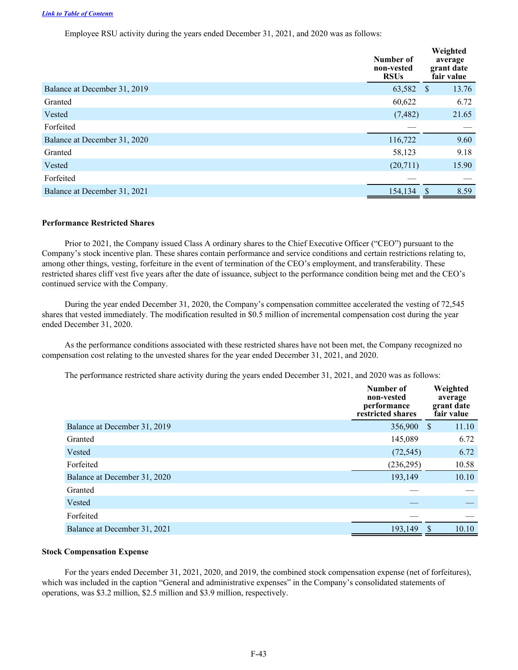#### *[Link to Table of Contents](#page-2-0)*

Employee RSU activity during the years ended December 31, 2021, and 2020 was as follows:

|                              | Number of<br>non-vested<br><b>RSUs</b> | Weighted<br>average<br>grant date<br>fair value |
|------------------------------|----------------------------------------|-------------------------------------------------|
| Balance at December 31, 2019 | 63,582                                 | 13.76<br><sup>S</sup>                           |
| Granted                      | 60,622                                 | 6.72                                            |
| Vested                       | (7, 482)                               | 21.65                                           |
| Forfeited                    |                                        |                                                 |
| Balance at December 31, 2020 | 116,722                                | 9.60                                            |
| Granted                      | 58,123                                 | 9.18                                            |
| Vested                       | (20,711)                               | 15.90                                           |
| Forfeited                    |                                        |                                                 |
| Balance at December 31, 2021 | 154,134                                | 8.59                                            |

### **Performance Restricted Shares**

Prior to 2021, the Company issued Class A ordinary shares to the Chief Executive Officer ("CEO") pursuant to the Company's stock incentive plan. These shares contain performance and service conditions and certain restrictions relating to, among other things, vesting, forfeiture in the event of termination of the CEO's employment, and transferability. These restricted shares cliff vest five years after the date of issuance, subject to the performance condition being met and the CEO's continued service with the Company.

During the year ended December 31, 2020, the Company's compensation committee accelerated the vesting of 72,545 shares that vested immediately. The modification resulted in \$0.5 million of incremental compensation cost during the year ended December 31, 2020.

As the performance conditions associated with these restricted shares have not been met, the Company recognized no compensation cost relating to the unvested shares for the year ended December 31, 2021, and 2020.

The performance restricted share activity during the years ended December 31, 2021, and 2020 was as follows:

|                              | Number of<br>non-vested<br>performance<br>restricted shares | Weighted<br>average<br>grant date<br>fair value |
|------------------------------|-------------------------------------------------------------|-------------------------------------------------|
| Balance at December 31, 2019 | 356,900                                                     | 11.10<br>- \$                                   |
| Granted                      | 145,089                                                     | 6.72                                            |
| Vested                       | (72, 545)                                                   | 6.72                                            |
| Forfeited                    | (236, 295)                                                  | 10.58                                           |
| Balance at December 31, 2020 | 193,149                                                     | 10.10                                           |
| Granted                      |                                                             |                                                 |
| Vested                       |                                                             |                                                 |
| Forfeited                    |                                                             |                                                 |
| Balance at December 31, 2021 | 193,149                                                     | 10.10<br>S                                      |

#### **Stock Compensation Expense**

For the years ended December 31, 2021, 2020, and 2019, the combined stock compensation expense (net of forfeitures), which was included in the caption "General and administrative expenses" in the Company's consolidated statements of operations, was \$3.2 million, \$2.5 million and \$3.9 million, respectively.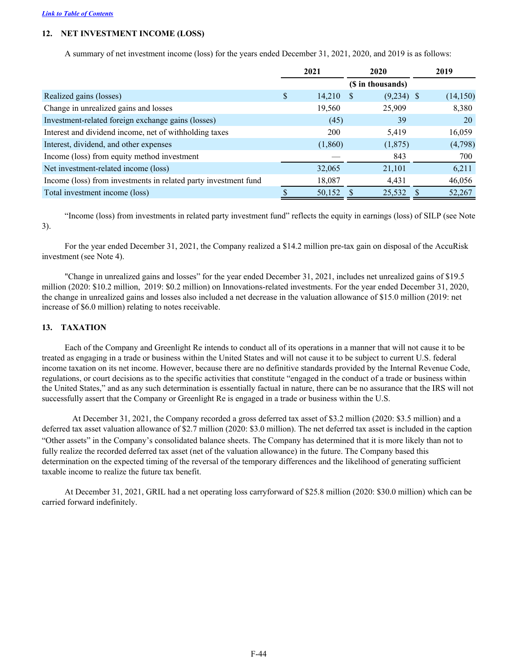# **12. NET INVESTMENT INCOME (LOSS)**

A summary of net investment income (loss) for the years ended December 31, 2021, 2020, and 2019 is as follows:

|                                                                 | 2021 |          | 2020              | 2019      |
|-----------------------------------------------------------------|------|----------|-------------------|-----------|
|                                                                 |      |          | (\$ in thousands) |           |
| Realized gains (losses)                                         | \$   | 14,210   | $(9,234)$ \$      | (14, 150) |
| Change in unrealized gains and losses                           |      | 19,560   | 25,909            | 8,380     |
| Investment-related foreign exchange gains (losses)              |      | (45)     | 39                | <b>20</b> |
| Interest and dividend income, net of withholding taxes          |      | 200      | 5,419             | 16,059    |
| Interest, dividend, and other expenses                          |      | (1, 860) | (1,875)           | (4,798)   |
| Income (loss) from equity method investment                     |      |          | 843               | 700       |
| Net investment-related income (loss)                            |      | 32,065   | 21,101            | 6,211     |
| Income (loss) from investments in related party investment fund |      | 18,087   | 4,431             | 46,056    |
| Total investment income (loss)                                  |      | 50,152   | 25,532            | 52,267    |

"Income (loss) from investments in related party investment fund" reflects the equity in earnings (loss) of SILP (see Note 3).

For the year ended December 31, 2021, the Company realized a \$14.2 million pre-tax gain on disposal of the AccuRisk investment (see Note 4).

"Change in unrealized gains and losses" for the year ended December 31, 2021, includes net unrealized gains of \$19.5 million (2020: \$10.2 million, 2019: \$0.2 million) on Innovations-related investments. For the year ended December 31, 2020, the change in unrealized gains and losses also included a net decrease in the valuation allowance of \$15.0 million (2019: net increase of \$6.0 million) relating to notes receivable.

## **13. TAXATION**

Each of the Company and Greenlight Re intends to conduct all of its operations in a manner that will not cause it to be treated as engaging in a trade or business within the United States and will not cause it to be subject to current U.S. federal income taxation on its net income. However, because there are no definitive standards provided by the Internal Revenue Code, regulations, or court decisions as to the specific activities that constitute "engaged in the conduct of a trade or business within the United States," and as any such determination is essentially factual in nature, there can be no assurance that the IRS will not successfully assert that the Company or Greenlight Re is engaged in a trade or business within the U.S.

At December 31, 2021, the Company recorded a gross deferred tax asset of \$3.2 million (2020: \$3.5 million) and a deferred tax asset valuation allowance of \$2.7 million (2020: \$3.0 million). The net deferred tax asset is included in the caption "Other assets" in the Company's consolidated balance sheets. The Company has determined that it is more likely than not to fully realize the recorded deferred tax asset (net of the valuation allowance) in the future. The Company based this determination on the expected timing of the reversal of the temporary differences and the likelihood of generating sufficient taxable income to realize the future tax benefit.

At December 31, 2021, GRIL had a net operating loss carryforward of \$25.8 million (2020: \$30.0 million) which can be carried forward indefinitely.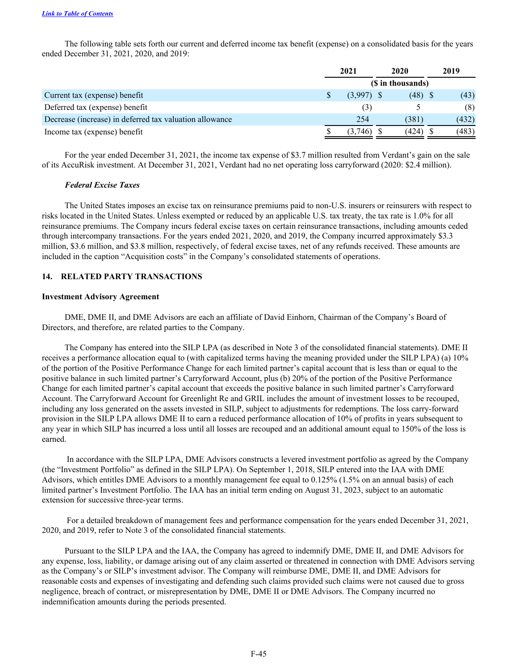The following table sets forth our current and deferred income tax benefit (expense) on a consolidated basis for the years ended December 31, 2021, 2020, and 2019:

|                                                         | 2021         | 2020              | 2019  |
|---------------------------------------------------------|--------------|-------------------|-------|
|                                                         |              | (\$ in thousands) |       |
| Current tax (expense) benefit                           | $(3.997)$ \$ | (48) S            | (43)  |
| Deferred tax (expense) benefit                          | (3)          |                   | (8)   |
| Decrease (increase) in deferred tax valuation allowance | 254          | (381)             | (432) |
| Income tax (expense) benefit                            | (3,746)      | (424)             | (483) |

For the year ended December 31, 2021, the income tax expense of \$3.7 million resulted from Verdant's gain on the sale of its AccuRisk investment. At December 31, 2021, Verdant had no net operating loss carryforward (2020: \$2.4 million).

#### *Federal Excise Taxes*

The United States imposes an excise tax on reinsurance premiums paid to non-U.S. insurers or reinsurers with respect to risks located in the United States. Unless exempted or reduced by an applicable U.S. tax treaty, the tax rate is 1.0% for all reinsurance premiums. The Company incurs federal excise taxes on certain reinsurance transactions, including amounts ceded through intercompany transactions. For the years ended 2021, 2020, and 2019, the Company incurred approximately \$3.3 million, \$3.6 million, and \$3.8 million, respectively, of federal excise taxes, net of any refunds received. These amounts are included in the caption "Acquisition costs" in the Company's consolidated statements of operations.

#### **14. RELATED PARTY TRANSACTIONS**

#### **Investment Advisory Agreement**

DME, DME II, and DME Advisors are each an affiliate of David Einhorn, Chairman of the Company's Board of Directors, and therefore, are related parties to the Company.

The Company has entered into the SILP LPA (as described in Note 3 of the consolidated financial statements). DME II receives a performance allocation equal to (with capitalized terms having the meaning provided under the SILP LPA) (a) 10% of the portion of the Positive Performance Change for each limited partner's capital account that is less than or equal to the positive balance in such limited partner's Carryforward Account, plus (b) 20% of the portion of the Positive Performance Change for each limited partner's capital account that exceeds the positive balance in such limited partner's Carryforward Account. The Carryforward Account for Greenlight Re and GRIL includes the amount of investment losses to be recouped, including any loss generated on the assets invested in SILP, subject to adjustments for redemptions. The loss carry-forward provision in the SILP LPA allows DME II to earn a reduced performance allocation of 10% of profits in years subsequent to any year in which SILP has incurred a loss until all losses are recouped and an additional amount equal to 150% of the loss is earned.

 In accordance with the SILP LPA, DME Advisors constructs a levered investment portfolio as agreed by the Company (the "Investment Portfolio" as defined in the SILP LPA). On September 1, 2018, SILP entered into the IAA with DME Advisors, which entitles DME Advisors to a monthly management fee equal to 0.125% (1.5% on an annual basis) of each limited partner's Investment Portfolio. The IAA has an initial term ending on August 31, 2023, subject to an automatic extension for successive three-year terms.

 For a detailed breakdown of management fees and performance compensation for the years ended December 31, 2021, 2020, and 2019, refer to Note 3 of the consolidated financial statements.

Pursuant to the SILP LPA and the IAA, the Company has agreed to indemnify DME, DME II, and DME Advisors for any expense, loss, liability, or damage arising out of any claim asserted or threatened in connection with DME Advisors serving as the Company's or SILP's investment advisor. The Company will reimburse DME, DME II, and DME Advisors for reasonable costs and expenses of investigating and defending such claims provided such claims were not caused due to gross negligence, breach of contract, or misrepresentation by DME, DME II or DME Advisors. The Company incurred no indemnification amounts during the periods presented.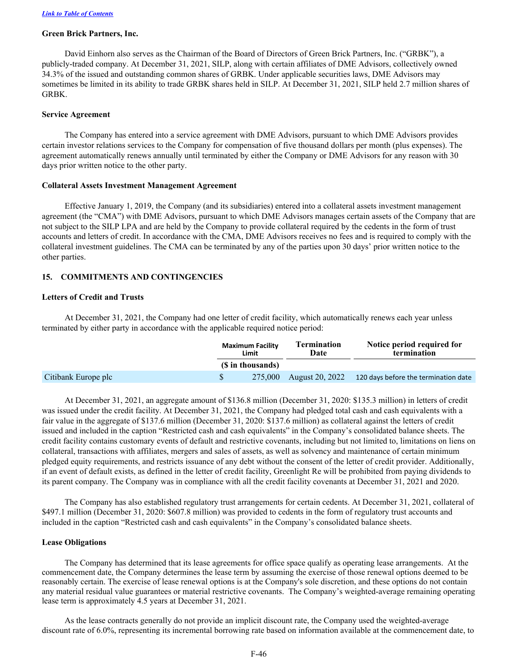### **Green Brick Partners, Inc.**

David Einhorn also serves as the Chairman of the Board of Directors of Green Brick Partners, Inc. ("GRBK"), a publicly-traded company. At December 31, 2021, SILP, along with certain affiliates of DME Advisors, collectively owned 34.3% of the issued and outstanding common shares of GRBK. Under applicable securities laws, DME Advisors may sometimes be limited in its ability to trade GRBK shares held in SILP. At December 31, 2021, SILP held 2.7 million shares of GRBK.

#### **Service Agreement**

The Company has entered into a service agreement with DME Advisors, pursuant to which DME Advisors provides certain investor relations services to the Company for compensation of five thousand dollars per month (plus expenses). The agreement automatically renews annually until terminated by either the Company or DME Advisors for any reason with 30 days prior written notice to the other party.

#### **Collateral Assets Investment Management Agreement**

Effective January 1, 2019, the Company (and its subsidiaries) entered into a collateral assets investment management agreement (the "CMA") with DME Advisors, pursuant to which DME Advisors manages certain assets of the Company that are not subject to the SILP LPA and are held by the Company to provide collateral required by the cedents in the form of trust accounts and letters of credit. In accordance with the CMA, DME Advisors receives no fees and is required to comply with the collateral investment guidelines. The CMA can be terminated by any of the parties upon 30 days' prior written notice to the other parties.

## **15. COMMITMENTS AND CONTINGENCIES**

## **Letters of Credit and Trusts**

At December 31, 2021, the Company had one letter of credit facility, which automatically renews each year unless terminated by either party in accordance with the applicable required notice period:

|                     | <b>Maximum Facility</b><br>Limit | <b>Termination</b><br>Date | Notice period required for<br>termination |
|---------------------|----------------------------------|----------------------------|-------------------------------------------|
|                     | (S in thousands)                 |                            |                                           |
| Citibank Europe plc |                                  | 275,000 August 20, 2022    | 120 days before the termination date      |

At December 31, 2021, an aggregate amount of \$136.8 million (December 31, 2020: \$135.3 million) in letters of credit was issued under the credit facility. At December 31, 2021, the Company had pledged total cash and cash equivalents with a fair value in the aggregate of \$137.6 million (December 31, 2020: \$137.6 million) as collateral against the letters of credit issued and included in the caption "Restricted cash and cash equivalents" in the Company's consolidated balance sheets. The credit facility contains customary events of default and restrictive covenants, including but not limited to, limitations on liens on collateral, transactions with affiliates, mergers and sales of assets, as well as solvency and maintenance of certain minimum pledged equity requirements, and restricts issuance of any debt without the consent of the letter of credit provider. Additionally, if an event of default exists, as defined in the letter of credit facility, Greenlight Re will be prohibited from paying dividends to its parent company. The Company was in compliance with all the credit facility covenants at December 31, 2021 and 2020.

The Company has also established regulatory trust arrangements for certain cedents. At December 31, 2021, collateral of \$497.1 million (December 31, 2020: \$607.8 million) was provided to cedents in the form of regulatory trust accounts and included in the caption "Restricted cash and cash equivalents" in the Company's consolidated balance sheets.

#### **Lease Obligations**

The Company has determined that its lease agreements for office space qualify as operating lease arrangements. At the commencement date, the Company determines the lease term by assuming the exercise of those renewal options deemed to be reasonably certain. The exercise of lease renewal options is at the Company's sole discretion, and these options do not contain any material residual value guarantees or material restrictive covenants. The Company's weighted-average remaining operating lease term is approximately 4.5 years at December 31, 2021.

As the lease contracts generally do not provide an implicit discount rate, the Company used the weighted-average discount rate of 6.0%, representing its incremental borrowing rate based on information available at the commencement date, to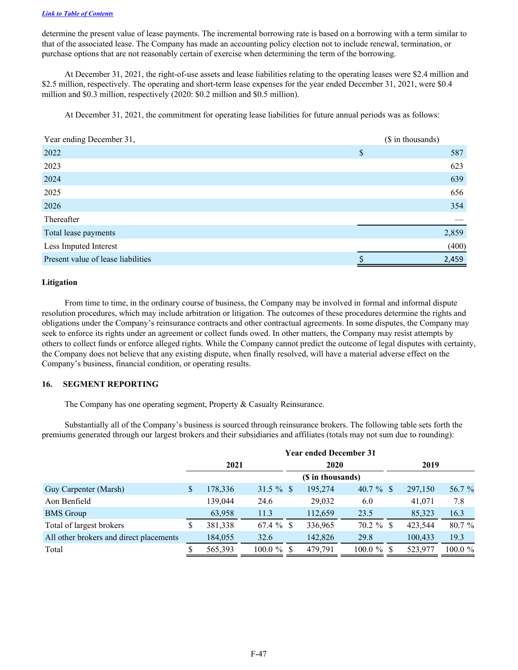#### *[Link to Table of Contents](#page-2-0)*

determine the present value of lease payments. The incremental borrowing rate is based on a borrowing with a term similar to that of the associated lease. The Company has made an accounting policy election not to include renewal, termination, or purchase options that are not reasonably certain of exercise when determining the term of the borrowing.

At December 31, 2021, the right-of-use assets and lease liabilities relating to the operating leases were \$2.4 million and \$2.5 million, respectively. The operating and short-term lease expenses for the year ended December 31, 2021, were \$0.4 million and \$0.3 million, respectively (2020: \$0.2 million and \$0.5 million).

At December 31, 2021, the commitment for operating lease liabilities for future annual periods was as follows:

| Year ending December 31,           | (\$ in thousands) |       |
|------------------------------------|-------------------|-------|
| 2022                               | \$                | 587   |
| 2023                               |                   | 623   |
| 2024                               |                   | 639   |
| 2025                               |                   | 656   |
| 2026                               |                   | 354   |
| Thereafter                         |                   |       |
| Total lease payments               |                   | 2,859 |
| Less Imputed Interest              |                   | (400) |
| Present value of lease liabilities |                   | 2,459 |

## **Litigation**

From time to time, in the ordinary course of business, the Company may be involved in formal and informal dispute resolution procedures, which may include arbitration or litigation. The outcomes of these procedures determine the rights and obligations under the Company's reinsurance contracts and other contractual agreements. In some disputes, the Company may seek to enforce its rights under an agreement or collect funds owed. In other matters, the Company may resist attempts by others to collect funds or enforce alleged rights. While the Company cannot predict the outcome of legal disputes with certainty, the Company does not believe that any existing dispute, when finally resolved, will have a material adverse effect on the Company's business, financial condition, or operating results.

# **16. SEGMENT REPORTING**

The Company has one operating segment, Property & Casualty Reinsurance.

Substantially all of the Company's business is sourced through reinsurance brokers. The following table sets forth the premiums generated through our largest brokers and their subsidiaries and affiliates (totals may not sum due to rounding):

|                                         |   |         |               |      | <b>Year ended December 31</b> |              |  |         |         |  |
|-----------------------------------------|---|---------|---------------|------|-------------------------------|--------------|--|---------|---------|--|
|                                         |   | 2021    |               | 2020 |                               |              |  | 2019    |         |  |
|                                         |   |         |               |      | (\$ in thousands)             |              |  |         |         |  |
| Guy Carpenter (Marsh)                   | S | 178,336 | 31.5 $%$ \$   |      | 195,274                       | $40.7 \%$ \$ |  | 297,150 | 56.7 %  |  |
| Aon Benfield                            |   | 139,044 | 24.6          |      | 29,032                        | 6.0          |  | 41,071  | 7.8     |  |
| <b>BMS</b> Group                        |   | 63,958  | 11.3          |      | 112,659                       | 23.5         |  | 85,323  | 16.3    |  |
| Total of largest brokers                | S | 381,338 | 67.4 $%$ \$   |      | 336,965                       | $70.2 \%$ \$ |  | 423.544 | 80.7 %  |  |
| All other brokers and direct placements |   | 184,055 | 32.6          |      | 142,826                       | 29.8         |  | 100,433 | 19.3    |  |
| Total                                   |   | 565,393 | $100.0 \%$ \$ |      | 479,791                       | $100.0 \%$   |  | 523,977 | 100.0 % |  |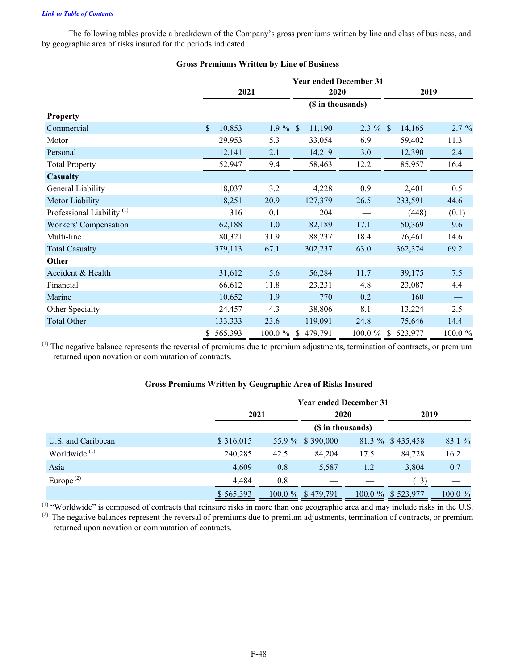The following tables provide a breakdown of the Company's gross premiums written by line and class of business, and by geographic area of risks insured for the periods indicated:

# **Gross Premiums Written by Line of Business**

|                                       |              |             |           | <b>Year ended December 31</b> |                        |         |  |
|---------------------------------------|--------------|-------------|-----------|-------------------------------|------------------------|---------|--|
|                                       | 2021         |             |           | 2020                          | 2019                   |         |  |
|                                       |              |             |           | (\$ in thousands)             |                        |         |  |
| <b>Property</b>                       |              |             |           |                               |                        |         |  |
| Commercial                            | \$<br>10,853 | $1.9 \%$ \$ | 11,190    | $2.3 \%$                      | 14,165<br><sup>S</sup> | $2.7\%$ |  |
| Motor                                 | 29,953       | 5.3         | 33,054    | 6.9                           | 59,402                 | 11.3    |  |
| Personal                              | 12,141       | 2.1         | 14,219    | 3.0                           | 12,390                 | 2.4     |  |
| <b>Total Property</b>                 | 52,947       | 9.4         | 58,463    | 12.2                          | 85,957                 | 16.4    |  |
| <b>Casualty</b>                       |              |             |           |                               |                        |         |  |
| General Liability                     | 18,037       | 3.2         | 4,228     | 0.9                           | 2,401                  | 0.5     |  |
| Motor Liability                       | 118,251      | 20.9        | 127,379   | 26.5                          | 233,591                | 44.6    |  |
| Professional Liability <sup>(1)</sup> | 316          | 0.1         | 204       |                               | (448)                  | (0.1)   |  |
| <b>Workers' Compensation</b>          | 62,188       | 11.0        | 82,189    | 17.1                          | 50,369                 | 9.6     |  |
| Multi-line                            | 180,321      | 31.9        | 88,237    | 18.4                          | 76,461                 | 14.6    |  |
| <b>Total Casualty</b>                 | 379,113      | 67.1        | 302,237   | 63.0                          | 362,374                | 69.2    |  |
| Other                                 |              |             |           |                               |                        |         |  |
| Accident & Health                     | 31,612       | 5.6         | 56,284    | 11.7                          | 39,175                 | 7.5     |  |
| Financial                             | 66,612       | 11.8        | 23,231    | 4.8                           | 23,087                 | 4.4     |  |
| Marine                                | 10,652       | 1.9         | 770       | 0.2                           | 160                    |         |  |
| Other Specialty                       | 24,457       | 4.3         | 38,806    | 8.1                           | 13,224                 | 2.5     |  |
| <b>Total Other</b>                    | 133,333      | 23.6        | 119,091   | 24.8                          | 75,646                 | 14.4    |  |
|                                       | 565,393<br>S | $100.0 \%$  | \$479,791 | 100.0 %                       | \$523,977              | 100.0 % |  |

<sup>(1)</sup> The negative balance represents the reversal of premiums due to premium adjustments, termination of contracts, or premium returned upon novation or commutation of contracts.

### **Gross Premiums Written by Geographic Area of Risks Insured**

|                                    |           | <b>Year ended December 31</b> |                       |                   |                    |            |  |  |  |  |  |
|------------------------------------|-----------|-------------------------------|-----------------------|-------------------|--------------------|------------|--|--|--|--|--|
|                                    |           | 2021                          | 2020                  |                   | 2019               |            |  |  |  |  |  |
|                                    |           |                               |                       | (\$ in thousands) |                    |            |  |  |  |  |  |
| U.S. and Caribbean                 | \$316,015 |                               | 55.9 % \$390,000      |                   | 81.3 % \$435,458   | 83.1 %     |  |  |  |  |  |
| Worldwide <sup>(1)</sup>           | 240,285   | 42.5                          | 84,204                | 17.5              | 84,728             | 16.2       |  |  |  |  |  |
| Asia                               | 4,609     | 0.8                           | 5,587                 | 1.2               | 3,804              | 0.7        |  |  |  |  |  |
| Europe <sup><math>(2)</math></sup> | 4,484     | 0.8                           |                       |                   | (13)               |            |  |  |  |  |  |
|                                    | \$565,393 |                               | $100.0 \%$ \$ 479,791 |                   | 100.0 % \$ 523,977 | $100.0 \%$ |  |  |  |  |  |

(1) "Worldwide" is composed of contracts that reinsure risks in more than one geographic area and may include risks in the U.S.

<sup>(2)</sup> The negative balances represent the reversal of premiums due to premium adjustments, termination of contracts, or premium returned upon novation or commutation of contracts.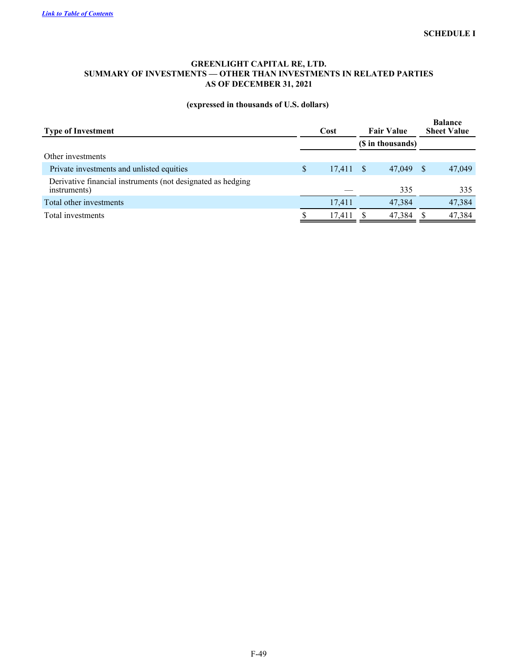# **GREENLIGHT CAPITAL RE, LTD. SUMMARY OF INVESTMENTS — OTHER THAN INVESTMENTS IN RELATED PARTIES AS OF DECEMBER 31, 2021**

| <b>Type of Investment</b>                                                   |   | Cost   |    | <b>Fair Value</b> | <b>Balance</b><br><b>Sheet Value</b> |        |  |
|-----------------------------------------------------------------------------|---|--------|----|-------------------|--------------------------------------|--------|--|
|                                                                             |   |        |    | (\$ in thousands) |                                      |        |  |
| Other investments                                                           |   |        |    |                   |                                      |        |  |
| Private investments and unlisted equities                                   | S | 17,411 | -S | 47,049            | - \$                                 | 47,049 |  |
| Derivative financial instruments (not designated as hedging<br>instruments) |   |        |    | 335               |                                      | 335    |  |
| Total other investments                                                     |   | 17,411 |    | 47,384            |                                      | 47,384 |  |
| Total investments                                                           |   | 17,411 |    | 47,384            |                                      | 47,384 |  |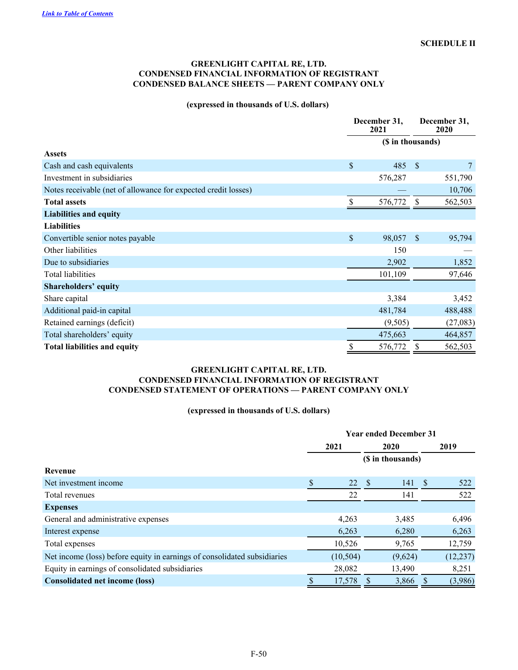# **GREENLIGHT CAPITAL RE, LTD. CONDENSED FINANCIAL INFORMATION OF REGISTRANT CONDENSED BALANCE SHEETS — PARENT COMPANY ONLY**

# **(expressed in thousands of U.S. dollars)**

|                                                                | December 31,<br>2021 |                   |               | December 31,<br>2020 |
|----------------------------------------------------------------|----------------------|-------------------|---------------|----------------------|
|                                                                |                      | (\$ in thousands) |               |                      |
| <b>Assets</b>                                                  |                      |                   |               |                      |
| Cash and cash equivalents                                      | \$                   | 485               | $\mathcal{S}$ | 7                    |
| Investment in subsidiaries                                     |                      | 576,287           |               | 551,790              |
| Notes receivable (net of allowance for expected credit losses) |                      |                   |               | 10,706               |
| <b>Total assets</b>                                            |                      | 576,772           | S             | 562,503              |
| <b>Liabilities and equity</b>                                  |                      |                   |               |                      |
| <b>Liabilities</b>                                             |                      |                   |               |                      |
| Convertible senior notes payable                               | \$                   | 98,057            | $\mathbf{\$}$ | 95,794               |
| Other liabilities                                              |                      | 150               |               |                      |
| Due to subsidiaries                                            |                      | 2,902             |               | 1,852                |
| Total liabilities                                              |                      | 101,109           |               | 97,646               |
| <b>Shareholders' equity</b>                                    |                      |                   |               |                      |
| Share capital                                                  |                      | 3,384             |               | 3,452                |
| Additional paid-in capital                                     |                      | 481,784           |               | 488,488              |
| Retained earnings (deficit)                                    |                      | (9,505)           |               | (27,083)             |
| Total shareholders' equity                                     |                      | 475,663           |               | 464,857              |
| <b>Total liabilities and equity</b>                            | \$                   | 576,772           | S             | 562,503              |

# **GREENLIGHT CAPITAL RE, LTD. CONDENSED FINANCIAL INFORMATION OF REGISTRANT CONDENSED STATEMENT OF OPERATIONS — PARENT COMPANY ONLY**

|                                                                          | <b>Year ended December 31</b> |           |    |                   |               |           |  |  |
|--------------------------------------------------------------------------|-------------------------------|-----------|----|-------------------|---------------|-----------|--|--|
|                                                                          |                               | 2021      |    | 2020              |               | 2019      |  |  |
|                                                                          |                               |           |    | (\$ in thousands) |               |           |  |  |
| <b>Revenue</b>                                                           |                               |           |    |                   |               |           |  |  |
| Net investment income                                                    | \$                            | 22        | -S | 141               | <sup>\$</sup> | 522       |  |  |
| Total revenues                                                           |                               | 22        |    | 141               |               | 522       |  |  |
| <b>Expenses</b>                                                          |                               |           |    |                   |               |           |  |  |
| General and administrative expenses                                      |                               | 4,263     |    | 3,485             |               | 6,496     |  |  |
| Interest expense                                                         |                               | 6,263     |    | 6,280             |               | 6,263     |  |  |
| Total expenses                                                           |                               | 10,526    |    | 9,765             |               | 12,759    |  |  |
| Net income (loss) before equity in earnings of consolidated subsidiaries |                               | (10, 504) |    | (9,624)           |               | (12, 237) |  |  |
| Equity in earnings of consolidated subsidiaries                          |                               | 28,082    |    | 13,490            |               | 8,251     |  |  |
| <b>Consolidated net income (loss)</b>                                    |                               | 17,578    |    | 3,866             |               | (3,986)   |  |  |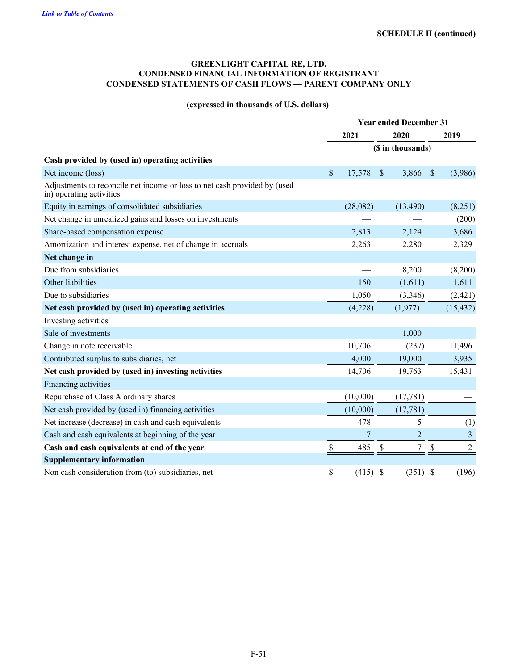# **GREENLIGHT CAPITAL RE, LTD. CONDENSED FINANCIAL INFORMATION OF REGISTRANT CONDENSED STATEMENTS OF CASH FLOWS — PARENT COMPANY ONLY**

|                                                                                                       |    | <b>Year ended December 31</b> |               |                   |               |                |  |
|-------------------------------------------------------------------------------------------------------|----|-------------------------------|---------------|-------------------|---------------|----------------|--|
|                                                                                                       |    | 2021                          |               | 2020              | 2019          |                |  |
|                                                                                                       |    |                               |               | (\$ in thousands) |               |                |  |
| Cash provided by (used in) operating activities                                                       |    |                               |               |                   |               |                |  |
| Net income (loss)                                                                                     | \$ | 17,578                        | $\mathcal{S}$ | 3,866             | $\mathcal{S}$ | (3,986)        |  |
| Adjustments to reconcile net income or loss to net cash provided by (used<br>in) operating activities |    |                               |               |                   |               |                |  |
| Equity in earnings of consolidated subsidiaries                                                       |    | (28,082)                      |               | (13, 490)         |               | (8,251)        |  |
| Net change in unrealized gains and losses on investments                                              |    |                               |               |                   |               | (200)          |  |
| Share-based compensation expense                                                                      |    | 2,813                         |               | 2,124             |               | 3,686          |  |
| Amortization and interest expense, net of change in accruals                                          |    | 2,263                         |               | 2,280             |               | 2,329          |  |
| Net change in                                                                                         |    |                               |               |                   |               |                |  |
| Due from subsidiaries                                                                                 |    |                               |               | 8,200             |               | (8,200)        |  |
| Other liabilities                                                                                     |    | 150                           |               | (1,611)           |               | 1,611          |  |
| Due to subsidiaries                                                                                   |    | 1,050                         |               | (3,346)           |               | (2,421)        |  |
| Net cash provided by (used in) operating activities                                                   |    | (4,228)                       |               | (1,977)           |               | (15, 432)      |  |
| Investing activities                                                                                  |    |                               |               |                   |               |                |  |
| Sale of investments                                                                                   |    |                               |               | 1,000             |               |                |  |
| Change in note receivable                                                                             |    | 10,706                        |               | (237)             |               | 11,496         |  |
| Contributed surplus to subsidiaries, net                                                              |    | 4,000                         |               | 19,000            |               | 3,935          |  |
| Net cash provided by (used in) investing activities                                                   |    | 14,706                        |               | 19,763            |               | 15,431         |  |
| Financing activities                                                                                  |    |                               |               |                   |               |                |  |
| Repurchase of Class A ordinary shares                                                                 |    | (10,000)                      |               | (17, 781)         |               |                |  |
| Net cash provided by (used in) financing activities                                                   |    | (10,000)                      |               | (17,781)          |               |                |  |
| Net increase (decrease) in cash and cash equivalents                                                  |    | 478                           |               | 5                 |               | (1)            |  |
| Cash and cash equivalents at beginning of the year                                                    |    | 7                             |               | 2                 |               | $\mathfrak{Z}$ |  |
| Cash and cash equivalents at end of the year                                                          | \$ | 485                           | $\mathcal{S}$ | 7                 | $\mathcal{S}$ | $\overline{2}$ |  |
| <b>Supplementary information</b>                                                                      |    |                               |               |                   |               |                |  |
| Non cash consideration from (to) subsidiaries, net                                                    | \$ | $(415)$ \$                    |               | (351)             | $\mathcal{S}$ | (196)          |  |